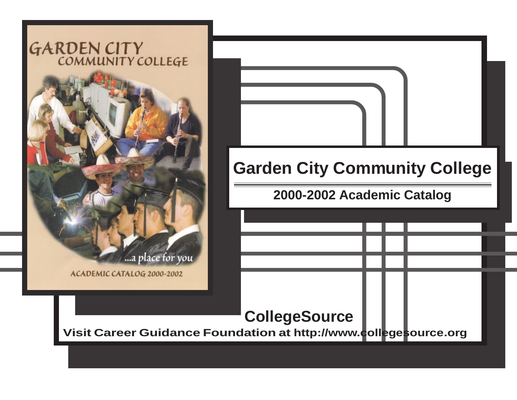## GARDEN CITY



**CollegeSource Visit Career Guidance Foundation at http://www.collegesource.org Garden City Community College 2000-2002 Academic Catalog**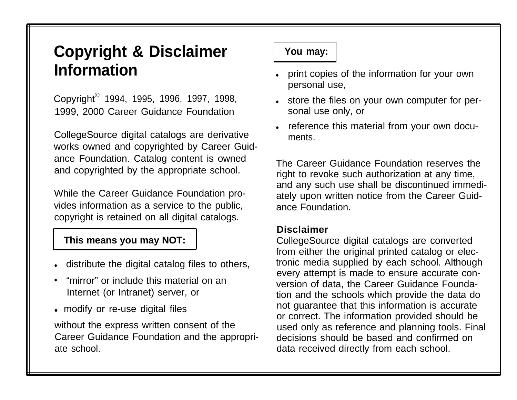## **Copyright & Disclaimer** | You may: **Information**

Copyright© 1994, 1995, 1996, 1997, 1998, 1999, 2000 Career Guidance Foundation

CollegeSource digital catalogs are derivative works owned and copyrighted by Career Guidance Foundation. Catalog content is owned and copyrighted by the appropriate school.

While the Career Guidance Foundation provides information as a service to the public, copyright is retained on all digital catalogs.

## **This means you may NOT:**

- **.** distribute the digital catalog files to others,
- "mirror" or include this material on an Internet (or Intranet) server, or
- modify or re-use digital files

without the express written consent of the Career Guidance Foundation and the appropriate school.

- print copies of the information for your own personal use,
- . store the files on your own computer for personal use only, or
- reference this material from your own documents.

The Career Guidance Foundation reserves the right to revoke such authorization at any time, and any such use shall be discontinued immediately upon written notice from the Career Guidance Foundation.

## **Disclaimer**

CollegeSource digital catalogs are converted from either the original printed catalog or electronic media supplied by each school. Although every attempt is made to ensure accurate conversion of data, the Career Guidance Foundation and the schools which provide the data do not guarantee that this information is accurate or correct. The information provided should be used only as reference and planning tools. Final decisions should be based and confirmed on data received directly from each school.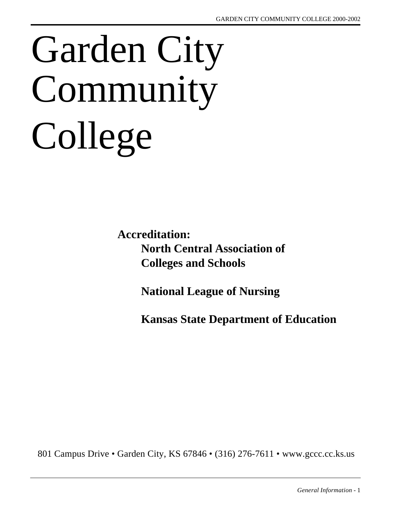# Garden City Community College

**Accreditation: North Central Association of Colleges and Schools**

**National League of Nursing**

**Kansas State Department of Education**

801 Campus Drive • Garden City, KS 67846 • (316) 276-7611 • www.gccc.cc.ks.us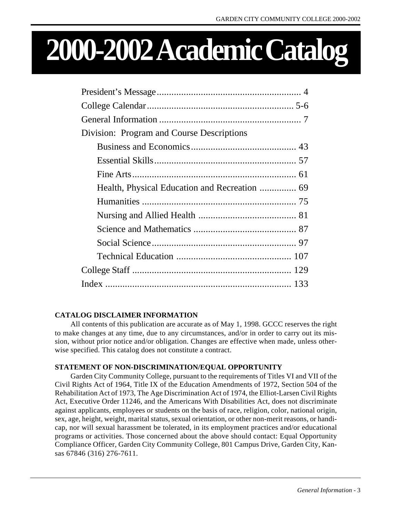## **2000-2002 Academic Catalog**

| Division: Program and Course Descriptions |  |
|-------------------------------------------|--|
|                                           |  |
|                                           |  |
|                                           |  |
|                                           |  |
|                                           |  |
|                                           |  |
|                                           |  |
|                                           |  |
|                                           |  |
|                                           |  |
|                                           |  |

#### **CATALOG DISCLAIMER INFORMATION**

All contents of this publication are accurate as of May 1, 1998. GCCC reserves the right to make changes at any time, due to any circumstances, and/or in order to carry out its mission, without prior notice and/or obligation. Changes are effective when made, unless otherwise specified. This catalog does not constitute a contract.

#### **STATEMENT OF NON-DISCRIMINATION/EQUAL OPPORTUNITY**

Garden City Community College, pursuant to the requirements of Titles VI and VII of the Civil Rights Act of 1964, Title IX of the Education Amendments of 1972, Section 504 of the Rehabilitation Act of 1973, The Age Discrimination Act of 1974, the Elliot-Larsen Civil Rights Act, Executive Order 11246, and the Americans With Disabilities Act, does not discriminate against applicants, employees or students on the basis of race, religion, color, national origin, sex, age, height, weight, marital status, sexual orientation, or other non-merit reasons, or handicap, nor will sexual harassment be tolerated, in its employment practices and/or educational programs or activities. Those concerned about the above should contact: Equal Opportunity Compliance Officer, Garden City Community College, 801 Campus Drive, Garden City, Kansas 67846 (316) 276-7611.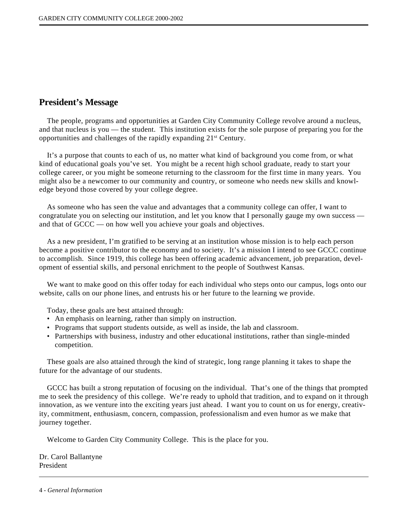#### <span id="page-4-0"></span>**President's Message**

The people, programs and opportunities at Garden City Community College revolve around a nucleus, and that nucleus is you — the student. This institution exists for the sole purpose of preparing you for the opportunities and challenges of the rapidly expanding 21st Century.

It's a purpose that counts to each of us, no matter what kind of background you come from, or what kind of educational goals you've set. You might be a recent high school graduate, ready to start your college career, or you might be someone returning to the classroom for the first time in many years. You might also be a newcomer to our community and country, or someone who needs new skills and knowledge beyond those covered by your college degree.

As someone who has seen the value and advantages that a community college can offer, I want to congratulate you on selecting our institution, and let you know that I personally gauge my own success and that of GCCC — on how well you achieve your goals and objectives.

As a new president, I'm gratified to be serving at an institution whose mission is to help each person become a positive contributor to the economy and to society. It's a mission I intend to see GCCC continue to accomplish. Since 1919, this college has been offering academic advancement, job preparation, development of essential skills, and personal enrichment to the people of Southwest Kansas.

We want to make good on this offer today for each individual who steps onto our campus, logs onto our website, calls on our phone lines, and entrusts his or her future to the learning we provide.

Today, these goals are best attained through:

- An emphasis on learning, rather than simply on instruction.
- Programs that support students outside, as well as inside, the lab and classroom.
- Partnerships with business, industry and other educational institutions, rather than single-minded competition.

These goals are also attained through the kind of strategic, long range planning it takes to shape the future for the advantage of our students.

GCCC has built a strong reputation of focusing on the individual. That's one of the things that prompted me to seek the presidency of this college. We're ready to uphold that tradition, and to expand on it through innovation, as we venture into the exciting years just ahead. I want you to count on us for energy, creativity, commitment, enthusiasm, concern, compassion, professionalism and even humor as we make that journey together.

Welcome to Garden City Community College. This is the place for you.

Dr. Carol Ballantyne President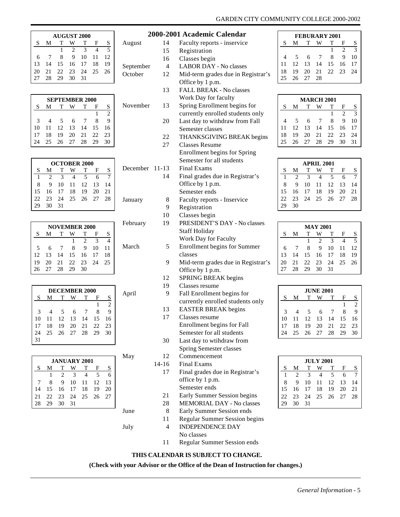<span id="page-5-0"></span>

| <b>AUGUST 2000</b> |    |          |                |       |     |    |  |  |
|--------------------|----|----------|----------------|-------|-----|----|--|--|
| S                  | М  | т        |                | т     | F   | S  |  |  |
|                    |    |          | $\mathfrak{D}$ | 3     |     | 5  |  |  |
| 6                  |    | 8        | 9              | 10    | -11 | 12 |  |  |
| 13                 | 14 |          | 15 16 17       |       | 18  | 19 |  |  |
| 20                 |    | 21 22 23 |                | 24 25 |     | 26 |  |  |
|                    | 28 | 29       | 30             | 31    |     |    |  |  |

|               | <b>SEPTEMBER 2000</b> |       |     |      |     |     |  |  |  |
|---------------|-----------------------|-------|-----|------|-----|-----|--|--|--|
| S             | М                     |       |     |      | н   | S   |  |  |  |
|               |                       |       |     |      |     | 2   |  |  |  |
| $\mathcal{R}$ | 4                     | 5     | 6   | -7   | 8   | 9   |  |  |  |
| 10            | 11                    | 12 13 |     | - 14 | -15 | 16  |  |  |  |
|               | 18                    | 19    | -20 | 21   | 22. | -23 |  |  |  |
|               | 25                    | 26    | 27  | 28   | 29  | 30  |  |  |  |

|     | <b>OCTOBER 2000</b> |               |     |             |      |    |  |  |  |
|-----|---------------------|---------------|-----|-------------|------|----|--|--|--|
| S   | М                   | т             |     | т           | F    | S  |  |  |  |
|     | $\mathfrak{D}$      | $\mathcal{R}$ |     | 5           | 6    |    |  |  |  |
| 8   | 9                   | 10            | -11 | 12 13       |      | 14 |  |  |  |
| 15  |                     | 16 17 18      |     | 19          | - 20 | 21 |  |  |  |
| 22. | 23                  |               |     | 24 25 26 27 |      | 28 |  |  |  |
|     | 30                  | 31            |     |             |      |    |  |  |  |

| <b>NOVEMBER 2000</b> |    |          |       |    |    |    |  |  |
|----------------------|----|----------|-------|----|----|----|--|--|
| S                    | M  | т        |       | т  | F  | S  |  |  |
|                      |    |          |       | 2  | 3  |    |  |  |
| 5                    | 6  |          | 8     | 9  | 10 | 11 |  |  |
| 12                   | 13 | -14      | 15 16 |    | 17 | 18 |  |  |
| 19                   | 20 | 21 22 23 |       |    | 24 | 25 |  |  |
| 26                   | 27 | -28      | 29    | 30 |    |    |  |  |

| <b>DECEMBER 2000</b> |    |    |       |                            |    |                |  |  |
|----------------------|----|----|-------|----------------------------|----|----------------|--|--|
| S                    | м  | т  |       | т                          | F  | S              |  |  |
|                      |    |    |       |                            |    | $\mathfrak{D}$ |  |  |
| 3                    |    | 5  | 6     |                            | 8  | 9              |  |  |
| 10                   | 11 | 12 | 13 14 |                            | 15 | 16             |  |  |
| 17                   | 18 |    |       |                            |    | 23             |  |  |
|                      | 25 |    |       | 19 20 21 22<br>26 27 28 29 |    | 30             |  |  |
| 31                   |    |    |       |                            |    |                |  |  |

|    | <b>JANUARY 2001</b> |                |               |                   |      |    |  |  |  |
|----|---------------------|----------------|---------------|-------------------|------|----|--|--|--|
| S  | M                   | T              |               | $\mathbf{T}$      | F    | S  |  |  |  |
|    |                     | $\mathfrak{D}$ | $\mathcal{R}$ |                   | 5    | 6  |  |  |  |
|    | 8                   | 9              | 10            | 11 12             |      | 13 |  |  |  |
| 14 |                     | 15 16 17 18    |               |                   | - 19 | 20 |  |  |  |
| 21 |                     |                |               | 22 23 24 25 26 27 |      |    |  |  |  |
|    | 29                  | 30             | -31           |                   |      |    |  |  |  |

- 
- **2000-2001 Academic Calendar** August 14 Faculty reports - inservice 15 Registration 16 Classes begin September 4 LABOR DAY - No classes October 12 Mid-term grades due in Registrar's Office by 1 p.m. 13 FALL BREAK - No classes Work Day for faculty November 13 Spring Enrollment begins for currently enrolled students only 20 Last day to withdraw from Fall Semester classes 22 THANKSGIVING BREAK begins 27 Classes Resume Enrollment begins for Spring Semester for all students December 11-13 Final Exams 14 Final grades due in Registrar's Office by 1 p.m. Semester ends January 8 Faculty reports - Inservice 9 Registration 10 Classes begin February 19 PRESIDENT'S DAY - No classes Staff Holiday Work Day for Faculty March 5 Enrollment begins for Summer classes 9 Mid-term grades due in Registrar's Office by 1 p.m. 12 SPRING BREAK begins 19 Classes resume April 9 Fall Enrollment begins for currently enrolled students only 13 EASTER BREAK begins 17 Classes resume Enrollment begins for Fall Semester for all students 30 Last day to wtihdraw from Spring Semester classes May 12 Commencement 14-16 Final Exams 17 Final grades due in Registrar's office by 1 p.m. Semester ends 21 Early Summer Session begins 28 MEMORIAL DAY - No classes
- June 8 Early Summer Session ends
- 11 Regular Summer Session begins July 4 INDEPENDENCE DAY
	- No classes
	- 11 Regular Summer Session ends

#### **THIS CALENDAR IS SUBJECT TO CHANGE.**

**(Check with your Advisor or the Office of the Dean of Instruction for changes.)**

## GARDEN CITY COMMUNITY COLLEGE 2000-2002

| <b>FEBURARY 2001</b> |                 |             |                |             |                             |               |  |  |
|----------------------|-----------------|-------------|----------------|-------------|-----------------------------|---------------|--|--|
| S                    | M               | Т           |                | т           | F                           | S             |  |  |
|                      |                 |             |                |             | $\mathcal{D}_{\mathcal{L}}$ | $\mathcal{R}$ |  |  |
|                      | $5\overline{)}$ | 6           | $\overline{7}$ | 8           | 9                           | 10            |  |  |
| 11                   |                 | 12 13 14 15 |                |             | 16 17                       |               |  |  |
| 18                   | 19              |             |                | 20 21 22 23 |                             | 24            |  |  |
|                      |                 | 26 27       | -28            |             |                             |               |  |  |

| <b>MARCH 2001</b> |    |          |                |       |                             |               |  |  |  |
|-------------------|----|----------|----------------|-------|-----------------------------|---------------|--|--|--|
| S                 | М  | т        |                | т     | F                           | S             |  |  |  |
|                   |    |          |                |       | $\mathcal{D}_{\mathcal{A}}$ | $\mathcal{F}$ |  |  |  |
| 4                 | -5 | 6        | $\overline{7}$ | 8     | 9                           | 10            |  |  |  |
| 11                | 12 | 13 14    |                | 15    | 16                          | 17            |  |  |  |
| 18                | 19 | 20       | 21             | 22 23 |                             | 24            |  |  |  |
| 25                |    | 26 27 28 |                | -29   | 30                          | 31            |  |  |  |
|                   |    |          |                |       |                             |               |  |  |  |

| <b>APRIL 2001</b> |                             |               |                |                        |   |       |  |  |
|-------------------|-----------------------------|---------------|----------------|------------------------|---|-------|--|--|
| S                 | M                           | т             | W              | т                      | F | S     |  |  |
| 1                 | $\mathcal{D}_{\mathcal{A}}$ | $\mathcal{R}$ | $\overline{4}$ | -5                     | 6 |       |  |  |
| 8                 | 9                           | 10            |                | $11 \quad 12 \quad 13$ |   | -14   |  |  |
| 15                |                             | 16 17 18      |                | 19 20                  |   | $-21$ |  |  |
| 22.               | 23                          | 24 25 26 27   |                |                        |   | 28    |  |  |
| 29                | 30                          |               |                |                        |   |       |  |  |

| <b>MAY 2001</b> |    |             |                             |               |      |                |  |  |
|-----------------|----|-------------|-----------------------------|---------------|------|----------------|--|--|
| S               | M  | T           |                             | т             | F    | S              |  |  |
|                 |    |             | $\mathcal{D}_{\mathcal{L}}$ | $\mathcal{R}$ |      | $\overline{5}$ |  |  |
| 6               |    | 8           | 9                           | -10           | - 11 | -12            |  |  |
| 13              | 14 | 15 16 17 18 |                             |               |      | -19            |  |  |
| 20              | 21 |             |                             | 22 23 24 25   |      | -26            |  |  |
| 27              | 28 | 29          | 30                          | -31           |      |                |  |  |

| <b>JUNE 2001</b> |                |    |      |    |    |                |  |  |
|------------------|----------------|----|------|----|----|----------------|--|--|
| S                | М              | т  |      | т  | F  | S              |  |  |
|                  |                |    |      |    |    | $\mathfrak{D}$ |  |  |
| 3                | $\overline{4}$ | -5 | 6    | -7 | 8  | 9              |  |  |
| 10               | 11             | 12 | 13   | 14 | 15 | 16             |  |  |
| 17               | 18             | 19 | 20   | 21 | 22 | 23             |  |  |
| 24               | 25             | 26 | - 27 | 28 | 29 | 30             |  |  |

|     | <b>JULY 2001</b> |    |    |       |    |    |  |  |
|-----|------------------|----|----|-------|----|----|--|--|
| S   | М                | т  |    | т     | F  | S  |  |  |
|     | $\mathfrak{D}$   | 3  |    | 5     | 6  |    |  |  |
| 8   | 9                | 10 | 11 | 12    | 13 | 14 |  |  |
| 15  | 16               | 17 | 18 | 19    | 20 | 21 |  |  |
| 22. | 23               | 24 | 25 | 26 27 |    | 28 |  |  |
|     | 30               | 31 |    |       |    |    |  |  |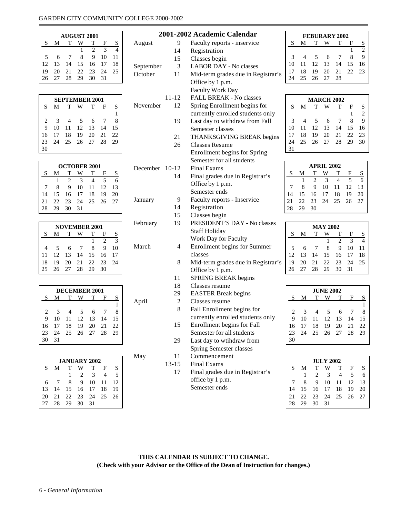#### <span id="page-6-0"></span>GARDEN CITY COMMUNITY COLLEGE 2000-2002

|    | <b>AUGUST 2001</b> |                |    |                             |               |     |  |  |
|----|--------------------|----------------|----|-----------------------------|---------------|-----|--|--|
| S  | M                  | т              |    | т                           | F             | S   |  |  |
|    |                    |                |    | $\mathcal{D}_{\mathcal{A}}$ | $\mathcal{R}$ |     |  |  |
| 5  | 6                  | $\overline{7}$ | 8  | 9                           | 10            | -11 |  |  |
| 12 |                    |                |    | 13 14 15 16 17              |               | 18  |  |  |
| 19 | 20                 | 21 22 23       |    |                             | - 24          | -25 |  |  |
| 26 | 27                 | - 28           | 29 | 30                          | 31            |     |  |  |

| <b>SEPTEMBER 2001</b> |    |    |            |             |     |    |  |  |
|-----------------------|----|----|------------|-------------|-----|----|--|--|
| S                     | М  | т  |            | т           | F   | S  |  |  |
|                       |    |    |            |             |     |    |  |  |
| 2                     | 3  |    | $\sqrt{5}$ | 6           |     | 8  |  |  |
| 9                     | 10 | 11 | 12         | -13         | -14 | 15 |  |  |
| 16                    | 17 | 18 | 19         | 20          | -21 | 22 |  |  |
| 23                    | 24 |    |            | 25 26 27 28 |     | 29 |  |  |
|                       |    |    |            |             |     |    |  |  |

| <b>OCTOBER 2001</b> |    |                |    |    |    |    |  |  |
|---------------------|----|----------------|----|----|----|----|--|--|
| S                   | м  | т              |    | т  | F  | S  |  |  |
|                     |    | $\mathfrak{D}$ | 3  |    | 5  |    |  |  |
|                     | 8  | 9              | 10 | 11 | 12 | 13 |  |  |
| 14                  | 15 | 16             | 17 | 18 | 19 | 20 |  |  |
| 21                  | 22 | 23             | 24 | 25 | 26 | 27 |  |  |
| 28                  | 29 | 30             | 31 |    |    |    |  |  |

| <b>NOVEMBER 2001</b> |    |       |                |    |                             |               |  |  |
|----------------------|----|-------|----------------|----|-----------------------------|---------------|--|--|
| S                    | M  |       |                |    | F                           | S             |  |  |
|                      |    |       |                |    | $\mathcal{D}_{\mathcal{A}}$ | $\mathcal{R}$ |  |  |
|                      | 5  | 6     | $\overline{7}$ | 8  | q                           | 10            |  |  |
| 11                   | 12 | 13 14 |                | 15 | -16                         | 17            |  |  |
| 18                   | 19 | 20    | 21 22          |    | 23                          | 24            |  |  |
| 25                   |    | 26 27 | - 28           | 29 | 30                          |               |  |  |

| DECEMBER 2001 |               |             |       |                              |    |    |  |  |  |
|---------------|---------------|-------------|-------|------------------------------|----|----|--|--|--|
| S             | М             | $\mathbf T$ |       | т                            | F  | S  |  |  |  |
|               |               |             |       |                              |    |    |  |  |  |
| 2             | $\mathcal{R}$ |             | - 5   | 6                            |    |    |  |  |  |
| 9             | 10            | 11          | 12 13 |                              | 14 | 15 |  |  |  |
| 16            | 17            | 18          | 19    | - 20                         | 21 | 22 |  |  |  |
| 23            | 24            |             |       | $25\quad 26\quad 27\quad 28$ |    | 29 |  |  |  |
|               | 31            |             |       |                              |    |    |  |  |  |

| <b>JANUARY 2002</b> |    |       |                             |               |     |                |  |  |
|---------------------|----|-------|-----------------------------|---------------|-----|----------------|--|--|
| S                   | M  | т     |                             | т             | F   | S              |  |  |
|                     |    |       | $\mathcal{D}_{\mathcal{A}}$ | $\mathcal{R}$ |     | $\overline{5}$ |  |  |
| 6                   |    | 8     | 9                           | 10            | -11 | 12             |  |  |
| 13                  | 14 |       |                             | 15 16 17 18   |     | 19             |  |  |
| 20                  | 21 | 22 23 |                             | 24            | 25  | 26             |  |  |
|                     | 28 | 29    | -30                         | 31            |     |                |  |  |

|           |                | 2001-2002 Academic Calendar        |                |                |                | <b>FEBURARY 2002</b> |                          |              |                         |
|-----------|----------------|------------------------------------|----------------|----------------|----------------|----------------------|--------------------------|--------------|-------------------------|
| August    | 9              | Faculty reports - inservice        | S              | М              | T              | W                    | T                        | F            |                         |
|           | 14             | Registration                       |                |                |                |                      |                          | $\mathbf{1}$ | $rac{S}{2}$             |
|           | 15             | Classes begin                      | $\mathfrak{Z}$ | 4              | 5              | 6                    | 7                        | 8            | 9                       |
| September | 3              | <b>LABOR DAY - No classes</b>      | 10             | 11             | 12             | 13                   | 14                       | 15           | 16                      |
| October   | 11             | Mid-term grades due in Registrar's | 17             | 18             | 19             | 20                   | 21                       | 22           | 23                      |
|           |                | Office by 1 p.m.                   | 24             | 25             | 26             | 27                   | 28                       |              |                         |
|           |                | <b>Faculty Work Day</b>            |                |                |                |                      |                          |              |                         |
|           | 11-12          | FALL BREAK - No classes            |                |                |                | <b>MARCH 2002</b>    |                          |              |                         |
| November  | 12             | Spring Enrollment begins for       | ${\bf S}$      | М              | T              | W                    | T                        | F            |                         |
|           |                | currently enrolled students only   |                |                |                |                      |                          | $\mathbf{1}$ | $rac{S}{2}$             |
|           | 19             | Last day to withdraw from Fall     | 3              | $\overline{4}$ | 5              | 6                    | 7                        | 8            | 9                       |
|           |                | Semester classes                   | 10             | 11             | 12             | 13                   | 14                       | 15           | 16                      |
|           | 21             | THANKSGIVING BREAK begins          | 17             | 18             | 19             | 20                   | 21                       | 22           | 23                      |
|           | 26             | <b>Classes Resume</b>              | 24             | 25             | 26             | 27                   | 28                       | 29           | 30                      |
|           |                | Enrollment begins for Spring       | 31             |                |                |                      |                          |              |                         |
|           |                | Semester for all students          |                |                |                |                      |                          |              |                         |
| December  | $10 - 12$      | <b>Final Exams</b>                 |                |                |                | <b>APRIL 2002</b>    |                          |              |                         |
|           | 14             | Final grades due in Registrar's    | ${\bf S}$      | М              | T              | W                    | T                        | F            | S                       |
|           |                | Office by 1 p.m.                   |                | $\mathbf{1}$   | $\overline{2}$ | 3                    | $\overline{4}$           | 5            | 6                       |
|           |                | Semester ends                      | $\overline{7}$ | 8              | 9              | 10                   | 11                       | 12           | 13                      |
|           |                |                                    | 14             | 15             | 16             | 17                   | 18                       | 19           | 20                      |
| January   | 9              | Faculty reports - Inservice        | 21             | 22             | 23             | 24                   | 25                       | 26           | 27                      |
|           | 14             | Registration                       | 28             | 29             | 30             |                      |                          |              |                         |
|           | 15             | Classes begin                      |                |                |                |                      |                          |              |                         |
| February  | 19             | PRESIDENT'S DAY - No classes       |                |                |                | <b>MAY 2002</b>      |                          |              |                         |
|           |                | <b>Staff Holiday</b>               | S              | М              | T              | W                    | T                        | F            | $\overline{\mathbf{S}}$ |
|           |                | Work Day for Faculty               |                |                |                | 1                    | $\overline{\mathcal{L}}$ | 3            | $\overline{4}$          |
| March     | 4              | Enrollment begins for Summer       | 5              | 6              | 7              | 8                    | 9                        | 10           | 11                      |
|           |                | classes                            | 12             | 13             | 14             | 15                   | 16                       | 17           | 18                      |
|           | $8\,$          | Mid-term grades due in Registrar's | 19             | 20             | 21             | 22                   | 23                       | 24           | 25                      |
|           |                | Office by 1 p.m.                   | 26             | 27             | 28             | 29                   | 30                       | 31           |                         |
|           | 11             | <b>SPRING BREAK begins</b>         |                |                |                |                      |                          |              |                         |
|           | 18             | Classes resume                     |                |                |                | <b>JUNE 2002</b>     |                          |              |                         |
|           | 29             | <b>EASTER Break begins</b>         | ${\bf S}$      | M              | T              | W                    | T                        | F            | $\mathbf S$             |
| April     | $\overline{c}$ | Classes resume                     |                |                |                |                      |                          |              | $\mathbf{1}$            |
|           | 8              | Fall Enrollment begins for         | $\mathbf{2}$   | 3              | $\overline{4}$ | 5                    | 6                        | 7            | $\,$ 8 $\,$             |
|           |                | currently enrolled students only   | 9              | 10             | 11             | 12                   | 13                       | 14           | 15                      |
|           | 15             | Enrollment begins for Fall         | 16             | 17             | 18             | 19                   | 20                       | 21           | 22                      |
|           |                | Semester for all students          | 23             | 24             | 25             | 26                   | 27                       | 28           | 29                      |
|           | 29             | Last day to wtihdraw from          | 30             |                |                |                      |                          |              |                         |
|           |                | <b>Spring Semester classes</b>     |                |                |                |                      |                          |              |                         |

- May 11 Commencement
	-
	- 13-15 Final Exams<br>17 Final grades Final grades due in Registrar's office by 1 p.m. Semester ends

|    |    |                             | <b>JULY 2002</b> |     |    |    |
|----|----|-----------------------------|------------------|-----|----|----|
| S  | М  |                             |                  | т   | F  | S  |
|    | 1  | $\mathcal{D}_{\mathcal{L}}$ | $\mathcal{R}$    |     | 5  | 6  |
| 7  | 8  | 9                           | 10               | -11 | 12 | 13 |
| 14 | 15 | 16 17                       |                  | -18 | 19 | 20 |
| 21 | 22 | - 23                        | - 24             | -25 | 26 | 27 |
| 28 | 29 | 30                          | -31              |     |    |    |

**THIS CALENDAR IS SUBJECT TO CHANGE. (Check with your Advisor or the Office of the Dean of Instruction for changes.)**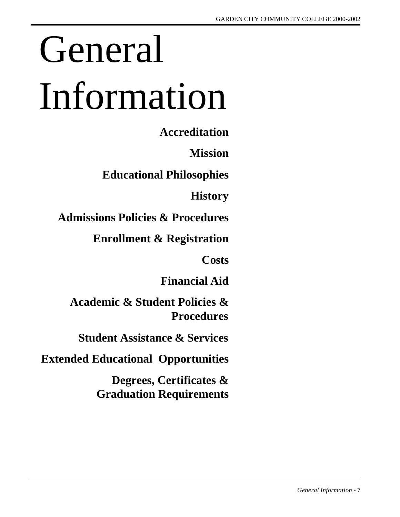# <span id="page-7-0"></span>General Information

**Accreditation**

**Mission**

**Educational Philosophies**

**History**

**Admissions Policies & Procedures**

**Enrollment & Registration**

**Costs**

**Financial Aid**

**Academic & Student Policies & Procedures**

**Student Assistance & Services**

**Extended Educational Opportunities**

**Degrees, Certificates & Graduation Requirements**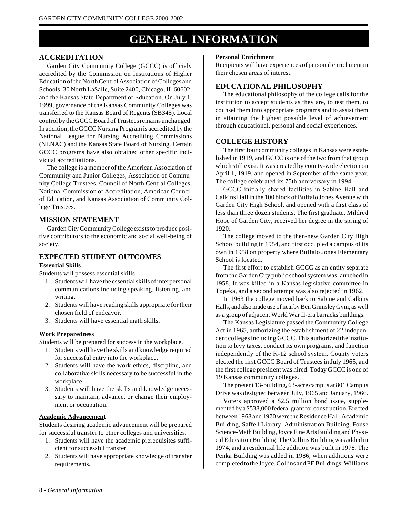## **GENERAL INFORMATION**

#### **ACCREDITATION**

Garden City Community College (GCCC) is officialy accredited by the Commission on Institutions of Higher Education of the North Central Association of Colleges and Schools, 30 North LaSalle, Suite 2400, Chicago, IL 60602, and the Kansas State Department of Education. On July 1, 1999, governance of the Kansas Community Colleges was transferred to the Kansas Board of Regents (SB345). Local control by the GCCC Board of Trustees remains unchanged. In addition, the GCCC Nursing Program is accredited by the National League for Nursing Accrediting Commissions (NLNAC) and the Kansas State Board of Nursing. Certain GCCC programs have also obtained other specific individual accreditations.

The college is a member of the American Association of Community and Junior Colleges, Association of Community College Trustees, Council of North Central Colleges, National Commission of Accreditation, American Council of Education, and Kansas Association of Community College Trustees.

#### **MISSION STATEMENT**

Garden City Community College exists to produce positive contributors to the economic and social well-being of society.

#### **EXPECTED STUDENT OUTCOMES**

#### **Essential Skills**

Students will possess essential skills.

- 1. Students will have the essential skills of interpersonal communications including speaking, listening, and writing.
- 2. Students will have reading skills appropriate for their chosen field of endeavor.
- 3. Students will have essential math skills.

#### **Work Preparedness**

Students will be prepared for success in the workplace.

- 1. Students will have the skills and knowledge required for successful entry into the workplace.
- 2. Students will have the work ethics, discipline, and collaborative skills necessary to be successful in the workplace.
- 3. Students will have the skills and knowledge necessary to maintain, advance, or change their employment or occupation.

#### **Academic Advancement**

Students desiring academic advancement will be prepared for successful transfer to other colleges and universities.

- 1. Students will have the academic prerequisites sufficient for successful transfer.
- 2. Students will have appropriate knowledge of transfer requirements.

#### **Personal Enrichment**

Recipients will have experiences of personal enrichment in their chosen areas of interest.

#### **EDUCATIONAL PHILOSOPHY**

The educational philosophy of the college calls for the institution to accept students as they are, to test them, to counsel them into appropriate programs and to assist them in attaining the highest possible level of achievement through educational, personal and social experiences.

#### **COLLEGE HISTORY**

The first four community colleges in Kansas were established in 1919, and GCCC is one of the two from that group which still exist. It was created by county-wide election on April 1, 1919, and opened in September of the same year. The college celebrated its 75th anniversary in 1994.

GCCC initially shared facilities in Sabine Hall and Calkins Hall in the 100 block of Buffalo Jones Avenue with Garden City High School, and opened with a first class of less than three dozen students. The first graduate, Mildred Hope of Garden City, received her degree in the spring of 1920.

The college moved to the then-new Garden City High School building in 1954, and first occupied a campus of its own in 1958 on property where Buffalo Jones Elementary School is located.

The first effort to establish GCCC as an entity separate from the Garden City public school system was launched in 1958. It was killed in a Kansas legislative committee in Topeka, and a second attempt was also rejected in 1962.

In 1963 the college moved back to Sabine and Calkins Halls, and also made use of nearby Ben Grimsley Gym, as well as a group of adjacent World War II-era barracks buildings.

The Kansas Legislature passed the Community College Act in 1965, authorizing the establishment of 22 independent colleges including GCCC. This authorized the institution to levy taxes, conduct its own programs, and function independently of the K-12 school system. County voters elected the first GCCC Board of Trustees in July 1965, and the first college president was hired. Today GCCC is one of 19 Kansas community colleges.

The present 13-building, 63-acre campus at 801 Campus Drive was designed between July, 1965 and January, 1966.

Voters approved a \$2.5 million bond issue, supplemented by a \$538,000 federal grant for construction. Erected between 1968 and 1970 were the Residence Hall, Academic Building, Saffell Library, Administration Building, Fouse Science-Math Building, Joyce Fine Arts Building and Physical Education Building. The Collins Building was added in 1974, and a residential life addition was built in 1978. The Penka Building was added in 1986, when additions were completed to the Joyce, Collins and PE Buildings. Williams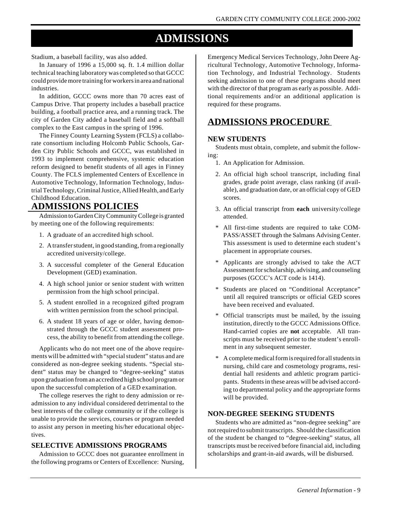## **ADMISSIONS**

Stadium, a baseball facility, was also added.

In January of 1996 a 15,000 sq. ft. 1.4 million dollar technical teaching laboratory was completed so that GCCC could provide more training for workers in area and national industries.

In addition, GCCC owns more than 70 acres east of Campus Drive. That property includes a baseball practice building, a football practice area, and a running track. The city of Garden City added a baseball field and a softball complex to the East campus in the spring of 1996.

The Finney County Learning System (FCLS) a collaborate consortium including Holcomb Public Schools, Garden City Public Schools and GCCC, was established in 1993 to implement comprehensive, systemic education reform designed to benefit students of all ages in Finney County. The FCLS implemented Centers of Excellence in Automotive Technology, Information Technology, Industrial Technology, Criminal Justice, Allied Health, and Early Childhood Education.

#### **ADMISSIONS POLICIES**

Admission to Garden City Community College is granted by meeting one of the following requirements:

- 1. A graduate of an accredited high school.
- 2. A transfer student, in good standing, from a regionally accredited university/college.
- 3. A successful completer of the General Education Development (GED) examination.
- 4. A high school junior or senior student with written permission from the high school principal.
- 5. A student enrolled in a recognized gifted program with written permission from the school principal.
- 6. A student 18 years of age or older, having demonstrated through the GCCC student assessment process, the ability to benefit from attending the college.

Applicants who do not meet one of the above requirements will be admitted with "special student" status and are considered as non-degree seeking students. "Special student" status may be changed to "degree-seeking" status upon graduation from an accredited high school program or upon the successful completion of a GED examination.

The college reserves the right to deny admission or readmission to any individual considered detrimental to the best interests of the college community or if the college is unable to provide the services, courses or program needed to assist any person in meeting his/her educational objectives.

#### **SELECTIVE ADMISSIONS PROGRAMS**

Admission to GCCC does not guarantee enrollment in the following programs or Centers of Excellence: Nursing, Emergency Medical Services Technology, John Deere Agricultural Technology, Automotive Technology, Information Technology, and Industrial Technology. Students seeking admission to one of these programs should meet with the director of that program as early as possible. Additional requirements and/or an additional application is required for these programs.

#### **ADMISSIONS PROCEDURE**

#### **NEW STUDENTS**

Students must obtain, complete, and submit the following:

- 1. An Application for Admission.
- 2. An official high school transcript, including final grades, grade point average, class ranking (if available), and graduation date, or an official copy of GED scores.
- 3. An official transcript from **each** university/college attended.
- \* All first-time students are required to take COM-PASS/ASSET through the Salmans Advising Center. This assessment is used to determine each student's placement in appropriate courses.
- \* Applicants are strongly advised to take the ACT Assessment for scholarship, advising, and counseling purposes (GCCC's ACT code is 1414).
- \* Students are placed on "Conditional Acceptance" until all required transcripts or official GED scores have been received and evaluated.
- Official transcripts must be mailed, by the issuing institution, directly to the GCCC Admissions Office. Hand-carried copies are **not** acceptable. All transcripts must be received prior to the student's enrollment in any subsequent semester.
- A complete medical form is required for all students in nursing, child care and cosmetology programs, residential hall residents and athletic program participants. Students in these areas will be advised according to departmental policy and the appropriate forms will be provided.

#### **NON-DEGREE SEEKING STUDENTS**

Students who are admitted as "non-degree seeking" are not required to submit transcripts. Should the classification of the student be changed to "degree-seeking" status, all transcripts must be received before financial aid, including scholarships and grant-in-aid awards, will be disbursed.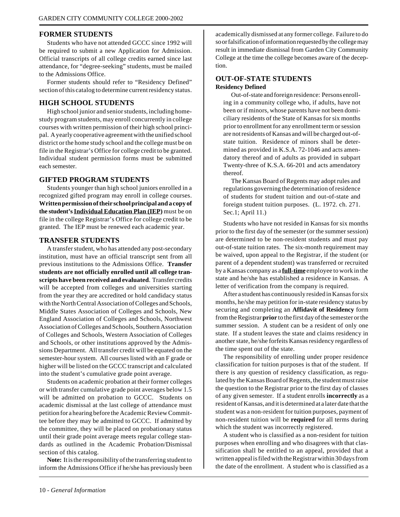#### **FORMER STUDENTS**

Students who have not attended GCCC since 1992 will be required to submit a new Application for Admission. Official transcripts of all college credits earned since last attendance, for "degree-seeking" students, must be mailed to the Admissions Office.

Former students should refer to "Residency Defined" section of this catalog to determine current residency status.

#### **HIGH SCHOOL STUDENTS**

High school junior and senior students, including homestudy program students, may enroll concurrently in college courses with written permission of their high school principal. A yearly cooperative agreement with the unified school district or the home study school and the college must be on file in the Registrar's Office for college credit to be granted. Individual student permission forms must be submitted each semester.

#### **GIFTED PROGRAM STUDENTS**

Students younger than high school juniors enrolled in a recognized gifted program may enroll in college courses. **Written permission of their school principal and a copy of the student's Individual Education Plan (IEP)** must be on file in the college Registrar's Office for college credit to be granted. The IEP must be renewed each academic year.

#### **TRANSFER STUDENTS**

A transfer student, who has attended any post-secondary institution, must have an official transcript sent from all previous institutions to the Admissions Office. **Transfer students are not officially enrolled until all college transcripts have been received and evaluated**. Transfer credits will be accepted from colleges and universities starting from the year they are accredited or hold candidacy status with the North Central Association of Colleges and Schools, Middle States Association of Colleges and Schools, New England Association of Colleges and Schools, Northwest Association of Colleges and Schools, Southern Association of Colleges and Schools, Western Association of Colleges and Schools, or other institutions approved by the Admissions Department. All transfer credit will be equated on the semester-hour system. All courses listed with an F grade or higher will be listed on the GCCC transcript and calculated into the student's cumulative grade point average.

Students on academic probation at their former colleges or with transfer cumulative grade point averages below 1.5 will be admitted on probation to GCCC. Students on academic dismissal at the last college of attendance must petition for a hearing before the Academic Review Committee before they may be admitted to GCCC. If admitted by the committee, they will be placed on probationary status until their grade point average meets regular college standards as outlined in the Academic Probation/Dismissal section of this catalog.

**Note:** It is the responsibility of the transferring student to inform the Admissions Office if he/she has previously been

academically dismissed at any former college. Failure to do so or falsification of information requested by the college may result in immediate dismissal from Garden City Community College at the time the college becomes aware of the deception.

#### **OUT-OF-STATE STUDENTS Residency Defined**

Out-of-state and foreign residence: Persons enrolling in a community college who, if adults, have not been or if minors, whose parents have not been domiciliary residents of the State of Kansas for six months prior to enrollment for any enrollment term or session are not residents of Kansas and will be charged out-ofstate tuition. Residence of minors shall be determined as provided in K.S.A. 72-1046 and acts amendatory thereof and of adults as provided in subpart Twenty-three of K.S.A. 66-201 and acts amendatory thereof.

The Kansas Board of Regents may adopt rules and regulations governing the determination of residence of students for student tuition and out-of-state and foreign student tuition purposes. (L. 1972. ch. 271. Sec.1; April 11.)

Students who have not resided in Kansas for six months prior to the first day of the semester (or the summer session) are determined to be non-resident students and must pay out-of-state tuition rates. The six-month requirement may be waived, upon appeal to the Registrar, if the student (or parent of a dependent student) was transferred or recruited by a Kansas company as a **full-time** employee to work in the state and he/she has established a residence in Kansas. A letter of verification from the company is required.

After a student has continuously resided in Kansas for six months, he/she may petition for in-state residency status by securing and completing an **Affidavit of Residency** form from the Registrar **prior** to the first day of the semester or the summer session. A student can be a resident of only one state. If a student leaves the state and claims residency in another state, he/she forfeits Kansas residency regardless of the time spent out of the state.

The responsibility of enrolling under proper residence classification for tuition purposes is that of the student. If there is any question of residency classification, as regulated by the Kansas Board of Regents, the student must raise the question to the Registrar prior to the first day of classes of any given semester. If a student enrolls **incorrectly** as a resident of Kansas, and it is determined at a later date that the student was a non-resident for tuition purposes, payment of non-resident tuition will be **required** for all terms during which the student was incorrectly registered.

A student who is classified as a non-resident for tuition purposes when enrolling and who disagrees with that classification shall be entitled to an appeal, provided that a written appeal is filed with the Registrar within 30 days from the date of the enrollment. A student who is classified as a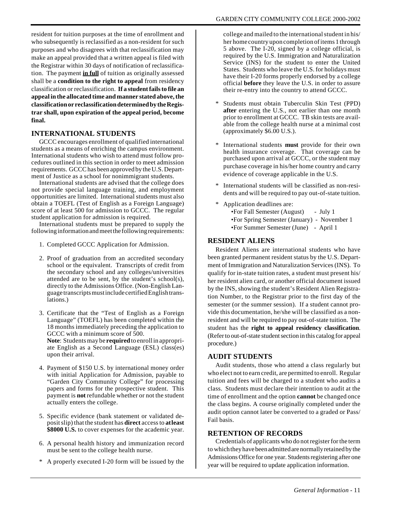resident for tuition purposes at the time of enrollment and who subsequently is reclassified as a non-resident for such purposes and who disagrees with that reclassification may make an appeal provided that a written appeal is filed with the Registrar within 30 days of notification of reclassification. The payment **in full** of tuition as originally assessed shall be a **condition to the right to appeal** from residency classification or reclassification. **If a student fails to file an appeal in the allocated time and manner stated above, the classification or reclassification determined by the Registrar shall, upon expiration of the appeal period, become final.**

#### **INTERNATIONAL STUDENTS**

GCCC encourages enrollment of qualified international students as a means of enriching the campus environment. International students who wish to attend must follow procedures outlined in this section in order to meet admission requirements. GCCC has been approved by the U.S. Department of Justice as a school for nonimmigrant students.

International students are advised that the college does not provide special language training, and employment opportunities are limited. International students must also obtain a TOEFL (Test of English as a Foreign Language) score of at least 500 for admission to GCCC. The regular student application for admission is required.

International students must be prepared to supply the following information and meet the following requirements:

- 1. Completed GCCC Application for Admission.
- 2. Proof of graduation from an accredited secondary school or the equivalent. Transcripts of credit from the secondary school and any colleges/universities attended are to be sent, by the student's school(s), directly to the Admissions Office. (Non-English Language transcripts must include certified English translations.)
- 3. Certificate that the "Test of English as a Foreign Language" (TOEFL) has been completed within the 18 months immediately preceding the application to GCCC with a minimum score of 500. **Note**: Students may be **required** to enroll in appropriate English as a Second Language (ESL) class(es) upon their arrival.
- 4. Payment of \$150 U.S. by international money order with initial Application for Admission, payable to "Garden City Community College" for processing papers and forms for the prospective student. This payment is **not** refundable whether or not the student actually enters the college.
- 5. Specific evidence (bank statement or validated deposit slip) that the student has **direct** access to **atleast \$8000 U.S.** to cover expenses for the academic year.
- 6. A personal health history and immunization record must be sent to the college health nurse.
- \* A properly executed I-20 form will be issued by the

college and mailed to the international student in his/ her home country upon completion of items 1 through 5 above. The I-20, signed by a college official, is required by the U.S. Immigration and Naturalization Service (INS) for the student to enter the United States. Students who leave the U.S. for holidays must have their I-20 forms properly endorsed by a college official **before** they leave the U.S. in order to assure their re-entry into the country to attend GCCC.

- Students must obtain Tuberculin Skin Test (PPD) **after** entering the U.S., not earlier than one month prior to enrollment at GCCC. TB skin tests are available from the college health nurse at a minimal cost (approximately \$6.00 U.S.).
- International students **must** provide for their own health insurance coverage. That coverage can be purchased upon arrival at GCCC, or the student may purchase coverage in his/her home country and carry evidence of coverage applicable in the U.S.
- \* International students will be classified as non-residents and will be required to pay out-of-state tuition.
- \* Application deadlines are: •For Fall Semester (August) - July 1 •For Spring Semester (January) - November 1 •For Summer Semester (June) - April 1

#### **RESIDENT ALIENS**

Resident Aliens are international students who have been granted permanent resident status by the U.S. Department of Immigration and Naturalization Services (INS). To qualify for in-state tuition rates, a student must present his/ her resident alien card, or another official document issued by the INS, showing the student's Resident Alien Registration Number, to the Registrar prior to the first day of the semester (or the summer session). If a student cannot provide this documentation, he/she will be classified as a nonresident and will be required to pay out-of-state tuition. The student has the **right to appeal residency classification**. (Refer to out-of-state student section in this catalog for appeal procedure.)

#### **AUDIT STUDENTS**

Audit students, those who attend a class regularly but who elect not to earn credit, are permitted to enroll. Regular tuition and fees will be charged to a student who audits a class. Students must declare their intention to audit at the time of enrollment and the option **cannot** be changed once the class begins. A course originally completed under the audit option cannot later be converted to a graded or Pass/ Fail basis.

#### **RETENTION OF RECORDS**

Credentials of applicants who do not register for the term to which they have been admitted are normally retained by the Admissions Office for one year. Students registering after one year will be required to update application information.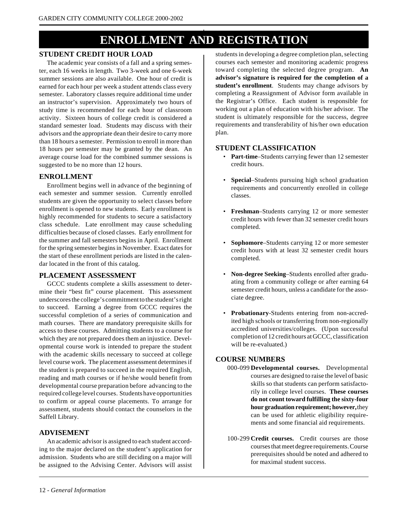## **ENROLLMENT AND REGISTRATION**

#### **STUDENT CREDIT HOUR LOAD**

The academic year consists of a fall and a spring semester, each 16 weeks in length. Two 3-week and one 6-week summer sessions are also available. One hour of credit is earned for each hour per week a student attends class every semester. Laboratory classes require additional time under an instructor's supervision. Approximately two hours of study time is recommended for each hour of classroom activity. Sixteen hours of college credit is considered a standard semester load. Students may discuss with their advisors and the appropriate dean their desire to carry more than 18 hours a semester. Permission to enroll in more than 18 hours per semester may be granted by the dean. An average course load for the combined summer sessions is suggested to be no more than 12 hours.

#### **ENROLLMENT**

Enrollment begins well in advance of the beginning of each semester and summer session. Currently enrolled students are given the opportunity to select classes before enrollment is opened to new students. Early enrollment is highly recommended for students to secure a satisfactory class schedule. Late enrollment may cause scheduling difficulties because of closed classes. Early enrollment for the summer and fall semesters begins in April. Enrollment for the spring semester begins in November. Exact dates for the start of these enrollment periods are listed in the calendar located in the front of this catalog.

#### **PLACEMENT ASSESSMENT**

GCCC students complete a skills assessment to determine their "best fit" course placement. This assessment underscores the college's commitment to the student's right to succeed. Earning a degree from GCCC requires the successful completion of a series of communication and math courses. There are mandatory prerequisite skills for access to these courses. Admitting students to a course for which they are not prepared does them an injustice. Developmental course work is intended to prepare the student with the academic skills necessary to succeed at college level course work. The placement assessment determines if the student is prepared to succeed in the required English, reading and math courses or if he/she would benefit from developmental course preparation before advancing to the required college level courses. Students have opportunities to confirm or appeal course placements. To arrange for assessment, students should contact the counselors in the Saffell Library.

#### **ADVISEMENT**

An academic advisor is assigned to each student according to the major declared on the student's application for admission. Students who are still deciding on a major will be assigned to the Advising Center. Advisors will assist

students in developing a degree completion plan, selecting courses each semester and monitoring academic progress toward completing the selected degree program. **An advisor's signature is required for the completion of a student's enrollment**. Students may change advisors by completing a Reassignment of Advisor form available in the Registrar's Office. Each student is responsible for working out a plan of education with his/her advisor. The student is ultimately responsible for the success, degree requirements and transferability of his/her own education plan.

#### **STUDENT CLASSIFICATION**

- Part-time–Students carrying fewer than 12 semester credit hours.
- **Special**–Students pursuing high school graduation requirements and concurrently enrolled in college classes.
- **Freshman**–Students carrying 12 or more semester credit hours with fewer than 32 semester credit hours completed.
- **Sophomore**–Students carrying 12 or more semester credit hours with at least 32 semester credit hours completed.
- **Non-degree Seeking**–Students enrolled after graduating from a community college or after earning 64 semester credit hours, unless a candidate for the associate degree.
- **Probationary**-Students entering from non-accredited high schools or transferring from non-regionally accredited universities/colleges. (Upon successful completion of 12 credit hours at GCCC, classification will be re-evaluated.)

#### **COURSE NUMBERS**

- 000-099 **Developmental courses.** Developmental courses are designed to raise the level of basic skills so that students can perform satisfactorily in college level courses. **These courses do not count toward fulfilling the sixty-four hour graduation requirement; however,** they can be used for athletic eligibility requirements and some financial aid requirements.
- 100-299 **Credit courses.** Credit courses are those courses that meet degree requirements. Course prerequisites should be noted and adhered to for maximal student success.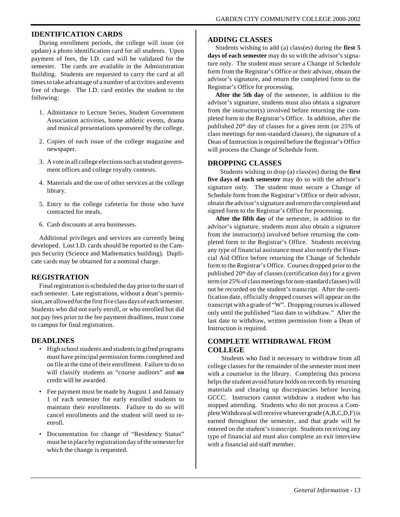#### **IDENTIFICATION CARDS**

During enrollment periods, the college will issue (or update) a photo identification card for all students. Upon payment of fees, the I.D. card will be validated for the semester. The cards are available in the Administration Building. Students are requested to carry the card at all times to take advantage of a number of activities and events free of charge. The I.D. card entitles the student to the following:

- 1. Admittance to Lecture Series, Student Government Association activities, home athletic events, drama and musical presentations sponsored by the college.
- 2. Copies of each issue of the college magazine and newspaper.
- 3. A vote in all college elections such as student government offices and college royalty contests.
- 4. Materials and the use of other services at the college library.
- 5. Entry to the college cafeteria for those who have contracted for meals.
- 6. Cash discounts at area businesses.

Additional privileges and services are currently being developed. Lost I.D. cards should be reported to the Campus Security (Science and Mathematics building). Duplicate cards may be obtained for a nominal charge.

#### **REGISTRATION**

Final registration is scheduled the day prior to the start of each semester. Late registrations, without a dean's permission, are allowed for the first five class days of each semester. Students who did not early enroll, or who enrolled but did not pay fees prior to the fee payment deadlines, must come to campus for final registration.

#### **DEADLINES**

- High school students and students in gifted programs must have principal permission forms completed and on file at the time of their enrollment. Failure to do so will classify students as "course auditors" and **no** credit will be awarded.
- Fee payment must be made by August 1 and January 1 of each semester for early enrolled students to maintain their enrollments. Failure to do so will cancel enrollments and the student will need to reenroll.
- Documentation for change of "Residency Status" must be in place by registration day of the semester for which the change is requested.

#### **ADDING CLASSES**

Students wishing to add (a) class(es) during the **first 5 days of each semester** may do so with the advisor's signature only. The student must secure a Change of Schedule form from the Registrar's Office or their advisor, obtain the advisor's signature, and return the completed form to the Registrar's Office for processing.

**After the 5th day** of the semester, in addition to the advisor's signature, students must also obtain a signature from the instructor(s) involved before returning the completed form to the Registrar's Office. In addition, after the published  $20<sup>th</sup>$  day of classes for a given term (or 25% of class meetings for non-standard classes), the signature of a Dean of Instruction is required before the Registrar's Office will process the Change of Schedule form.

#### **DROPPING CLASSES**

 Students wishing to drop (a) class(es) during the **first five days of each semester** may do so with the advisor's signature only. The student must secure a Change of Schedule form from the Registrar's Office or their advisor, obtain the advisor's signature and return the completed and signed form to the Registrar's Office for processing.

**After the fifth day** of the semester, in addition to the advisor's signature, students must also obtain a signature from the instructor(s) involved before returning the completed form to the Registrar's Office. Students receiving any type of financial assistance must also notify the Financial Aid Office before returning the Change of Schedule form to the Registrar's Office. Courses dropped prior to the published  $20<sup>th</sup>$  day of classes (certification day) for a given term (or 25% of class meetings for non-standard classes) will not be recorded on the student's transcript. After the certification date, officially dropped courses will appear on the transcript with a grade of "W". Dropping courses is allowed only until the published "last date to withdraw." After the last date to withdraw, written permission from a Dean of Instruction is required.

#### **COMPLETE WITHDRAWAL FROM COLLEGE**

 Students who find it necessary to withdraw from all college classes for the remainder of the semester must meet with a counselor in the library. Completing this process helps the student avoid future holds on records by returning materials and clearing up discrepancies before leaving GCCC. Instructors cannot withdraw a student who has stopped attending. Students who do not process a Complete Withdrawal will receive whatever grade (A,B,C,D,F) is earned throughout the semester, and that grade will be entered on the student's transcript. Students receiving any type of financial aid must also complete an exit interview with a financial aid staff member.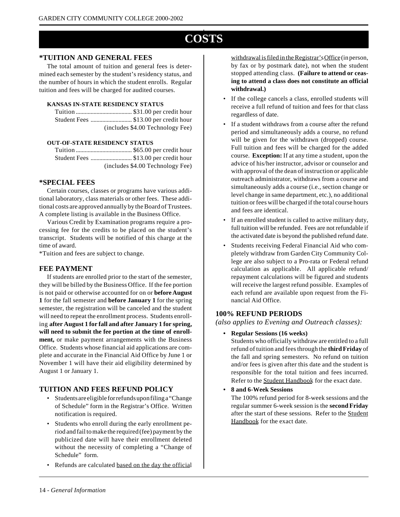## **COSTS**

#### **\*TUITION AND GENERAL FEES**

The total amount of tuition and general fees is determined each semester by the student's residency status, and the number of hours in which the student enrolls. Regular tuition and fees will be charged for audited courses.

#### **KANSAS IN-STATE RESIDENCY STATUS**

| (includes \$4.00 Technology Fee) |
|----------------------------------|

#### **OUT-OF-STATE RESIDENCY STATUS**

Tuition ...................................... \$65.00 per credit hour Student Fees ............................ \$13.00 per credit hour (includes \$4.00 Technology Fee)

#### **\*SPECIAL FEES**

Certain courses, classes or programs have various additional laboratory, class materials or other fees. These additional costs are approved annually by the Board of Trustees. A complete listing is available in the Business Office.

Various Credit by Examination programs require a processing fee for the credits to be placed on the student's transcript. Students will be notified of this charge at the time of award.

\*Tuition and fees are subject to change.

#### **FEE PAYMENT**

If students are enrolled prior to the start of the semester, they will be billed by the Business Office. If the fee portion is not paid or otherwise accounted for on or **before August 1** for the fall semester and **before January 1** for the spring semester, the registration will be canceled and the student will need to repeat the enrollment process. Students enrolling **after August 1 for fall and after January 1 for spring, will need to submit the fee portion at the time of enrollment,** or make payment arrangements with the Business Office. Students whose financial aid applications are complete and accurate in the Financial Aid Office by June 1 or November 1 will have their aid eligibility determined by August 1 or January 1.

#### **TUITION AND FEES REFUND POLICY**

- Students are eligible for refunds upon filing a "Change of Schedule" form in the Registrar's Office. Written notification is required.
- Students who enroll during the early enrollment period and fail to make the required (fee) payment by the publicized date will have their enrollment deleted without the necessity of completing a "Change of Schedule" form.
- Refunds are calculated based on the day the official

withdrawal is filed in the Registrar'sOffice (in person, by fax or by postmark date), not when the student stopped attending class. **(Failure to attend or ceasing to attend a class does not constitute an official withdrawal.)**

- If the college cancels a class, enrolled students will receive a full refund of tuition and fees for that class regardless of date.
- If a student withdraws from a course after the refund period and simultaneously adds a course, no refund will be given for the withdrawn (dropped) course. Full tuition and fees will be charged for the added course. **Exception:** If at any time a student, upon the advice of his/her instructor, advisor or counselor and with approval of the dean of instruction or applicable outreach administrator, withdraws from a course and simultaneously adds a course (i.e., section change or level change in same department, etc.), no additional tuition or fees will be charged if the total course hours and fees are identical.
- If an enrolled student is called to active military duty, full tuition will be refunded. Fees are not refundable if the activated date is beyond the published refund date.
- Students receiving Federal Financial Aid who completely withdraw from Garden City Community College are also subject to a Pro-rata or Federal refund calculation as applicable. All applicable refund/ repayment calculations will be figured and students will receive the largest refund possible. Examples of each refund are available upon request from the Financial Aid Office.

#### **100% REFUND PERIODS**

*(also applies to Evening and Outreach classes):*

**• Regular Sessions (16 weeks)**

Students who officially withdraw are entitled to a full refund of tuition and fees through the **thirdFriday** of the fall and spring semesters. No refund on tuition and/or fees is given after this date and the student is responsible for the total tuition and fees incurred. Refer to the Student Handbook for the exact date.

**• 8 and 6-Week Sessions**

The 100% refund period for 8-week sessions and the regular summer 6-week session is the **second Friday** after the start of these sessions. Refer to the Student Handbook for the exact date.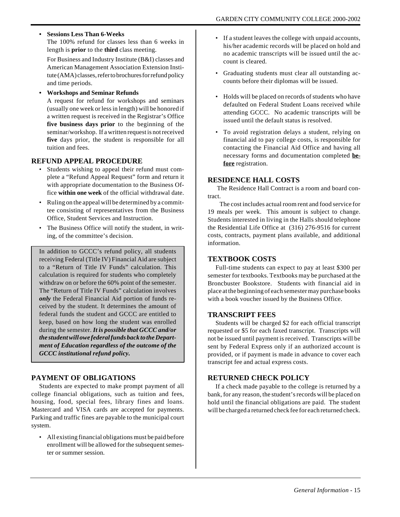#### **• Sessions Less Than 6-Weeks**

The 100% refund for classes less than 6 weeks in length is **prior** to the **third** class meeting.

For Business and Industry Institute (B&I) classes and American Management Association Extension Institute (AMA) classes, refer to brochures for refund policy and time periods.

**• Workshops and Seminar Refunds**

A request for refund for workshops and seminars (usually one week or less in length) will be honored if a written request is received in the Registrar's Office **five business days prior** to the beginning of the seminar/workshop. If a written request is not received **five** days prior, the student is responsible for all tuition and fees.

#### **REFUND APPEAL PROCEDURE**

- Students wishing to appeal their refund must complete a "Refund Appeal Request" form and return it with appropriate documentation to the Business Office **within one week** of the official withdrawal date.
- Ruling on the appeal will be determined by a committee consisting of representatives from the Business Office, Student Services and Instruction.
- The Business Office will notify the student, in writing, of the committee's decision.

In addition to GCCC's refund policy, all students receiving Federal (Title IV) Financial Aid are subject to a "Return of Title IV Funds" calculation. This calculation is required for students who completely withdraw on or before the 60% point of the semester. The "Return of Title IV Funds" calculation involves *only* the Federal Financial Aid portion of funds received by the student. It determines the amount of federal funds the student and GCCC are entitled to keep, based on how long the student was enrolled during the semester. *It is possible that GCCC and/or the student will owe federal funds back to the Department of Education regardless of the outcome of the GCCC institutional refund policy.*

#### **PAYMENT OF OBLIGATIONS**

Students are expected to make prompt payment of all college financial obligations, such as tuition and fees, housing, food, special fees, library fines and loans. Mastercard and VISA cards are accepted for payments. Parking and traffic fines are payable to the municipal court system.

• All existing financial obligations must be paid before enrollment will be allowed for the subsequent semester or summer session.

- If a student leaves the college with unpaid accounts, his/her academic records will be placed on hold and no academic transcripts will be issued until the account is cleared.
- Graduating students must clear all outstanding accounts before their diplomas will be issued.
- Holds will be placed on records of students who have defaulted on Federal Student Loans received while attending GCCC. No academic transcripts will be issued until the default status is resolved.
- To avoid registration delays a student, relying on financial aid to pay college costs, is responsible for contacting the Financial Aid Office and having all necessary forms and documentation completed **before** registration.

#### **RESIDENCE HALL COSTS**

 The Residence Hall Contract is a room and board contract.

 The cost includes actual room rent and food service for 19 meals per week. This amount is subject to change. Students interested in living in the Halls should telephone the Residential Life Office at (316) 276-9516 for current costs, contracts, payment plans available, and additional information.

#### **TEXTBOOK COSTS**

Full-time students can expect to pay at least \$300 per semester for textbooks. Textbooks may be purchased at the Broncbuster Bookstore. Students with financial aid in place at the beginning of each semester may purchase books with a book voucher issued by the Business Office.

#### **TRANSCRIPT FEES**

Students will be charged \$2 for each official transcript requested or \$5 for each faxed transcript. Transcripts will not be issued until payment is received. Transcripts will be sent by Federal Express only if an authorized account is provided, or if payment is made in advance to cover each transcript fee and actual express costs.

#### **RETURNED CHECK POLICY**

If a check made payable to the college is returned by a bank, for any reason, the student's records will be placed on hold until the financial obligations are paid. The student will be charged a returned check fee for each returned check.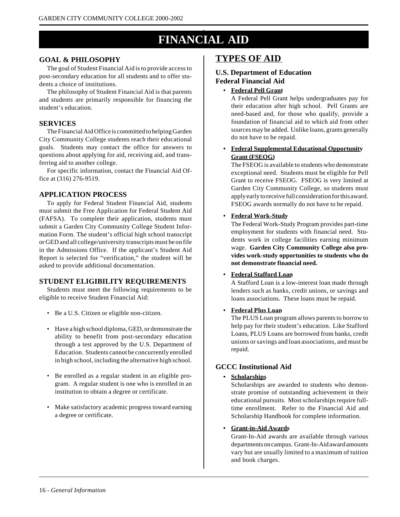## **FINANCIAL AID**

#### **GOAL & PHILOSOPHY**

The goal of Student Financial Aid is to provide access to post-secondary education for all students and to offer students a choice of institutions.

The philosophy of Student Financial Aid is that parents and students are primarily responsible for financing the student's education.

#### **SERVICES**

The Financial Aid Office is committed to helping Garden City Community College students reach their educational goals. Students may contact the office for answers to questions about applying for aid, receiving aid, and transferring aid to another college.

For specific information, contact the Financial Aid Office at (316) 276-9519.

#### **APPLICATION PROCESS**

To apply for Federal Student Financial Aid, students must submit the Free Application for Federal Student Aid (FAFSA). To complete their application, students must submit a Garden City Community College Student Information Form. The student's official high school transcript or GED and all college/university transcripts must be on file in the Admissions Office. If the applicant's Student Aid Report is selected for "verification," the student will be asked to provide additional documentation.

#### **STUDENT ELIGIBILITY REQUIREMENTS**

Students must meet the following requirements to be eligible to receive Student Financial Aid:

- Be a U.S. Citizen or eligible non-citizen.
- Have a high school diploma, GED, or demonstrate the ability to benefit from post-secondary education through a test approved by the U.S. Department of Education. Students cannot be concurrently enrolled in high school, including the alternative high school.
- Be enrolled as a regular student in an eligible program. A regular student is one who is enrolled in an institution to obtain a degree or certificate.
- Make satisfactory academic progress toward earning a degree or certificate.

#### **TYPES OF AID**

#### **U.S. Department of Education Federal Financial Aid**

**• Federal Pell Grant**

A Federal Pell Grant helps undergraduates pay for their education after high school. Pell Grants are need-based and, for those who qualify, provide a foundation of financial aid to which aid from other sources may be added. Unlike loans, grants generally do not have to be repaid.

**• Federal Supplemental Educational Opportunity Grant (FSEOG)**

The FSEOG is available to students who demonstrate exceptional need. Students must be eligible for Pell Grant to receive FSEOG. FSEOG is very limited at Garden City Community College, so students must apply early to receive full consideration for this award. FSEOG awards normally do not have to be repaid.

#### **• Federal Work-Study**

The Federal Work-Study Program provides part-time employment for students with financial need. Students work in college facilities earning minimum wage. **Garden City Community College also provides work-study opportunities to students who do not demonstrate financial need.**

#### **• Federal Stafford Loan**

A Stafford Loan is a low-interest loan made through lenders such as banks, credit unions, or savings and loans associations. These loans must be repaid.

#### **• Federal Plus Loan**

The PLUS Loan program allows parents to borrow to help pay for their student's education. Like Stafford Loans, PLUS Loans are borrowed from banks, credit unions or savings and loan associations, and must be repaid.

#### **GCCC Institutional Aid**

#### **• Scholarships**

Scholarships are awarded to students who demonstrate promise of outstanding achievement in their educational pursuits. Most scholarships require fulltime enrollment. Refer to the Financial Aid and Scholarship Handbook for complete information.

#### **• Grant-in-Aid Awards**

Grant-In-Aid awards are available through various departments on campus. Grant-In-Aid award amounts vary but are usually limited to a maximum of tuition and book charges.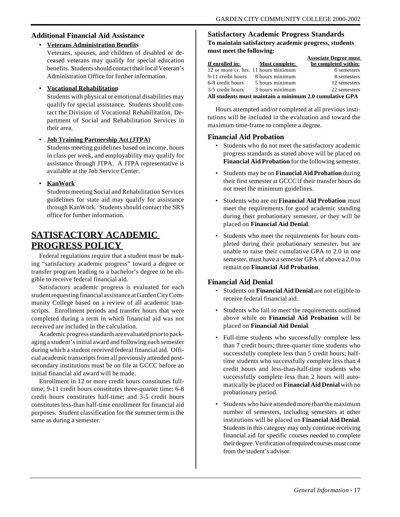#### **Additional Financial Aid Assistance**

**• Veterans Administration Benefits** Veterans, spouses, and children of disabled or deceased veterans may qualify for special education benefits. Students should contact their local Veteran's Administration Office for further information.

#### **• Vocational Rehabilitation**

Students with physical or emotional disabilities may qualify for special assistance. Students should contact the Division of Vocational Rehabilitation, Department of Social and Rehabilitation Services in their area.

#### **• Job Training Partnership Act (JTPA)**

Students meeting guidelines based on income, hours in class per week, and employability may qualify for assistance through JTPA. A JTPA representative is available at the Job Service Center.

#### **• KanWork**

Students meeting Social and Rehabilitation Services guidelines for state aid may qualify for assistance through KanWork. Students should contact the SRS office for further information.

### **SATISFACTORY ACADEMIC PROGRESS POLICY**

Federal regulations require that a student must be making "satisfactory academic progress" toward a degree or transfer program leading to a bachelor's degree to be eligible to receive federal financial aid.

Satisfactory academic progress is evaluated for each student requesting financial assistance at Garden City Community College based on a review of all academic transcripts. Enrollment periods and transfer hours that were completed during a term in which financial aid was not received are included in the calculation.

Academic progress standards are evaluated prior to packaging a student's initial award and following each semester during which a student received federal financial aid. Official academic transcripts from all previously attended postsecondary institutions must be on file at GCCC before an initial financial aid award will be made.

Enrollment in 12 or more credit hours constitutes fulltime; 9-11 credit hours constitutes three-quarter time; 6-8 credit hours constitutes half-time; and 3-5 credit hours constitutes less-than half-time enrollment for financial aid purposes. Student classification for the summer term is the same as during a semester.

#### **Satisfactory Academic Progress Standards To maintain satisfactory academic progress, students must meet the following:**

|                                                         |                       | <b>Associate Degree must</b> |  |  |  |
|---------------------------------------------------------|-----------------------|------------------------------|--|--|--|
| If enrolled in:                                         | <b>Must complete:</b> | be completed within:         |  |  |  |
| 12 or more cr. hrs. 11 hours minimum                    |                       | 6 semesters                  |  |  |  |
| 9-11 credit hours                                       | 8 hours minimum       | 8 semesters                  |  |  |  |
| 6-8 credit hours                                        | 5 hours minimum       | 12 semesters                 |  |  |  |
| 3-5 credit hours                                        | 3 hours minimum       | 22 semesters                 |  |  |  |
| All students must maintain a minimum 2.0 cumulative GPA |                       |                              |  |  |  |

Hours attempted and/or completed at all previous institutions will be included in the evaluation and toward the maximum time-frame to complete a degree.

#### **Financial Aid Probation**

- Students who do not meet the satisfactory academic progress standards as stated above will be placed on **Financial Aid Probation** for the following semester.
- Students may be on **Financial Aid Probation** during their first semester at GCCC if their transfer hours do not meet the minimum guidelines.
- Students who are on **Financial Aid Probation** must meet the requirements for good academic standing during their probationary semester, or they will be placed on **Financial Aid Denial**.
- Students who meet the requirements for hours completed during their probationary semester, but are unable to raise their cumulative GPA to 2.0 in one semester, must have a semester GPA of above a 2.0 to remain on **Financial Aid Probation**.

#### **Financial Aid Denial**

- Students on **Financial Aid Denial** are not eligible to receive federal financial aid.
- Students who fail to meet the requirements outlined above while on **Financial Aid Probation** will be placed on **Financial Aid Denial**.
- Full-time students who successfully complete less than 7 credit hours; three-quarter time students who successfully complete less than 5 credit hours; halftime students who successfully complete less than 4 credit hours and less-than-half-time students who successfully complete less than 2 hours will automatically be placed on **Financial Aid Denial** with no probationary period.
- Students who have attended more than the maximum number of semesters, including semesters at other institutions will be placed on **Financial Aid Denial**. Students in this category may only continue receiving financial aid for specific courses needed to complete their degree. Verification of required courses must come from the student's advisor.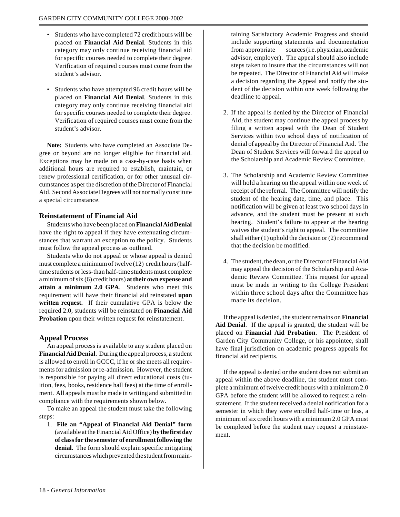- Students who have completed 72 credit hours will be placed on **Financial Aid Denial**. Students in this category may only continue receiving financial aid for specific courses needed to complete their degree. Verification of required courses must come from the student's advisor.
- Students who have attempted 96 credit hours will be placed on **Financial Aid Denial**. Students in this category may only continue receiving financial aid for specific courses needed to complete their degree. Verification of required courses must come from the student's advisor.

**Note:** Students who have completed an Associate Degree or beyond are no longer eligible for financial aid. Exceptions may be made on a case-by-case basis when additional hours are required to establish, maintain, or renew professional certification, or for other unusual circumstances as per the discretion of the Director of Financial Aid. Second Associate Degrees will not normally constitute a special circumstance.

#### **Reinstatement of Financial Aid**

Students who have been placed on **Financial Aid Denial** have the right to appeal if they have extenuating circumstances that warrant an exception to the policy. Students must follow the appeal process as outlined.

Students who do not appeal or whose appeal is denied must complete a minimum of twelve (12) credit hours (halftime students or less-than half-time students must complete a minimum of six (6) credit hours) **at their own expense and attain a minimum 2.0 GPA**. Students who meet this requirement will have their financial aid reinstated **upon written request.** If their cumulative GPA is below the required 2.0, students will be reinstated on **Financial Aid Probation** upon their written request for reinstatement.

#### **Appeal Process**

An appeal process is available to any student placed on **Financial Aid Denial**. During the appeal process, a student is allowed to enroll in GCCC, if he or she meets all requirements for admission or re-admission. However, the student is responsible for paying all direct educational costs (tuition, fees, books, residence hall fees) at the time of enrollment. All appeals must be made in writing and submitted in compliance with the requirements shown below.

To make an appeal the student must take the following steps:

1. **File an "Appeal of Financial Aid Denial" form** (available at the Financial Aid Office) **by the first day of class for the semester of enrollment following the denial.** The form should explain specific mitigating circumstances which prevented the student from main-

taining Satisfactory Academic Progress and should include supporting statements and documentation from appropriate sources (i.e. physician, academic advisor, employer). The appeal should also include steps taken to insure that the circumstances will not be repeated. The Director of Financial Aid will make a decision regarding the Appeal and notify the student of the decision within one week following the deadline to appeal.

- 2. If the appeal is denied by the Director of Financial Aid, the student may continue the appeal process by filing a written appeal with the Dean of Student Services within two school days of notification of denial of appeal by the Director of Financial Aid. The Dean of Student Services will forward the appeal to the Scholarship and Academic Review Committee.
- 3. The Scholarship and Academic Review Committee will hold a hearing on the appeal within one week of receipt of the referral. The Committee will notify the student of the hearing date, time, and place. This notification will be given at least two school days in advance, and the student must be present at such hearing. Student's failure to appear at the hearing waives the student's right to appeal. The committee shall either (1) uphold the decision or (2) recommend that the decision be modified.
- 4. The student, the dean, or the Director of Financial Aid may appeal the decision of the Scholarship and Academic Review Committee. This request for appeal must be made in writing to the College President within three school days after the Committee has made its decision.

If the appeal is denied, the student remains on **Financial Aid Denial**. If the appeal is granted, the student will be placed on **Financial Aid Probation**. The President of Garden City Community College, or his appointee, shall have final jurisdiction on academic progress appeals for financial aid recipients.

If the appeal is denied or the student does not submit an appeal within the above deadline, the student must complete a minimum of twelve credit hours with a minimum 2.0 GPA before the student will be allowed to request a reinstatement. If the student received a denial notification for a semester in which they were enrolled half-time or less, a minimum of six credit hours with a minimum 2.0 GPA must be completed before the student may request a reinstatement.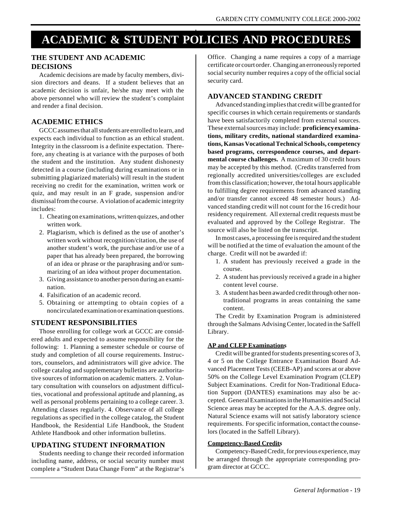## **ACADEMIC & STUDENT POLICIES AND PROCEDURES**

#### **THE STUDENT AND ACADEMIC DECISIONS**

Academic decisions are made by faculty members, division directors and deans. If a student believes that an academic decision is unfair, he/she may meet with the above personnel who will review the student's complaint and render a final decision.

#### **ACADEMIC ETHICS**

GCCC assumes that all students are enrolled to learn, and expects each individual to function as an ethical student. Integrity in the classroom is a definite expectation. Therefore, any cheating is at variance with the purposes of both the student and the institution. Any student dishonesty detected in a course (including during examinations or in submitting plagiarized materials) will result in the student receiving no credit for the examination, written work or quiz, and may result in an F grade, suspension and/or dismissal from the course. A violation of academic integrity includes:

- 1. Cheating on examinations, written quizzes, and other written work.
- 2. Plagiarism, which is defined as the use of another's written work without recognition/citation, the use of another student's work, the purchase and/or use of a paper that has already been prepared, the borrowing of an idea or phrase or the paraphrasing and/or summarizing of an idea without proper documentation.
- 3. Giving assistance to another person during an examination.
- 4. Falsification of an academic record.
- 5. Obtaining or attempting to obtain copies of a noncirculated examination or examination questions.

#### **STUDENT RESPONSIBILITIES**

Those enrolling for college work at GCCC are considered adults and expected to assume responsibility for the following: 1. Planning a semester schedule or course of study and completion of all course requirements. Instructors, counselors, and administrators will give advice. The college catalog and supplementary bulletins are authoritative sources of information on academic matters. 2. Voluntary consultation with counselors on adjustment difficulties, vocational and professional aptitude and planning, as well as personal problems pertaining to a college career. 3. Attending classes regularly. 4. Observance of all college regulations as specified in the college catalog, the Student Handbook, the Residential Life Handbook, the Student Athlete Handbook and other information bulletins.

#### **UPDATING STUDENT INFORMATION**

Students needing to change their recorded information including name, address, or social security number must complete a "Student Data Change Form" at the Registrar's Office. Changing a name requires a copy of a marriage certificate or court order. Changing an erroneously reported social security number requires a copy of the official social security card.

#### **ADVANCED STANDING CREDIT**

Advanced standing implies that credit will be granted for specific courses in which certain requirements or standards have been satisfactorily completed from external sources. These external sources may include: **proficiency examinations, military credits, national standardized examinations, Kansas Vocational Technical Schools, competency based programs, correspondence courses, and departmental course challenges.** A maximum of 30 credit hours may be accepted by this method. (Credits transferred from regionally accredited universities/colleges are excluded from this classification; however, the total hours applicable to fulfilling degree requirements from advanced standing and/or transfer cannot exceed 48 semester hours.) Advanced standing credit will not count for the 16 credit hour residency requirement. All external credit requests must be evaluated and approved by the College Registrar. The source will also be listed on the transcript.

In most cases, a processing fee is required and the student will be notified at the time of evaluation the amount of the charge. Credit will not be awarded if:

- 1. A student has previously received a grade in the course.
- 2. A student has previously received a grade in a higher content level course.
- 3. A student has been awarded credit through other nontraditional programs in areas containing the same content.

The Credit by Examination Program is administered through the Salmans Advising Center, located in the Saffell Library.

#### **AP and CLEP Examinations**

Credit will be granted for students presenting scores of 3, 4 or 5 on the College Entrance Examination Board Advanced Placement Tests (CEEB-AP) and scores at or above 50% on the College Level Examination Program (CLEP) Subject Examinations. Credit for Non-Traditional Education Support (DANTES) examinations may also be accepted. General Examinations in the Humanities and Social Science areas may be accepted for the A.A.S. degree only. Natural Science exams will not satisfy laboratory science requirements. For specific information, contact the counselors (located in the Saffell Library).

#### **Competency-Based Credits**

Competency-Based Credit, for previous experience, may be arranged through the appropriate corresponding program director at GCCC.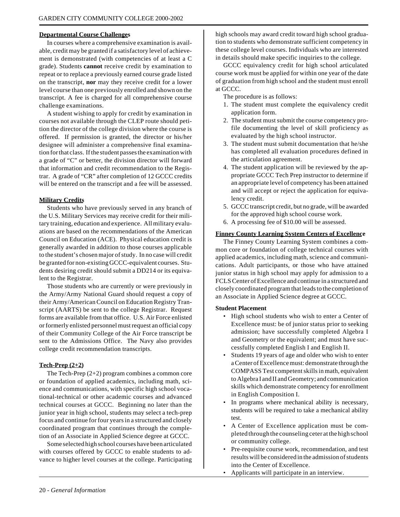#### **Departmental Course Challenges**

In courses where a comprehensive examination is available, credit may be granted if a satisfactory level of achievement is demonstrated (with competencies of at least a C grade). Students **cannot** receive credit by examination to repeat or to replace a previously earned course grade listed on the transcript, **nor** may they receive credit for a lower level course than one previously enrolled and shown on the transcript. A fee is charged for all comprehensive course challenge examinations.

A student wishing to apply for credit by examination in courses not available through the CLEP route should petition the director of the college division where the course is offered. If permission is granted, the director or his/her designee will administer a comprehensive final examination for that class. If the student passes the examination with a grade of "C" or better, the division director will forward that information and credit recommendation to the Registrar. A grade of "CR" after completion of 12 GCCC credits will be entered on the transcript and a fee will be assessed.

#### **Military Credits**

Students who have previously served in any branch of the U.S. Military Services may receive credit for their military training, education and experience. All military evaluations are based on the recommendations of the American Council on Education (ACE). Physical education credit is generally awarded in addition to those courses applicable to the student's chosen major of study. In no case will credit be granted for non-existing GCCC-equivalent courses. Students desiring credit should submit a DD214 or its equivalent to the Registrar.

Those students who are currently or were previously in the Army/Army National Guard should request a copy of their Army/American Council on Education Registry Transcript (AARTS) be sent to the college Registrar. Request forms are available from that office. U.S. Air Force enlisted or formerly enlisted personnel must request an official copy of their Community College of the Air Force transcript be sent to the Admissions Office. The Navy also provides college credit recommendation transcripts.

#### **Tech-Prep (2+2)**

The Tech-Prep (2+2) program combines a common core or foundation of applied academics, including math, science and communications, with specific high school vocational-technical or other academic courses and advanced technical courses at GCCC. Beginning no later than the junior year in high school, students may select a tech-prep focus and continue for four years in a structured and closely coordinated program that continues through the completion of an Associate in Applied Science degree at GCCC.

Some selected high school courses have been articulated with courses offered by GCCC to enable students to advance to higher level courses at the college. Participating high schools may award credit toward high school graduation to students who demonstrate sufficient competency in these college level courses. Individuals who are interested in details should make specific inquiries to the college.

GCCC equivalency credit for high school articulated course work must be applied for within one year of the date of graduation from high school and the student must enroll at GCCC.

The procedure is as follows:

- 1. The student must complete the equivalency credit application form.
- 2. The student must submit the course competency profile documenting the level of skill proficiency as evaluated by the high school instructor.
- 3. The student must submit documentation that he/she has completed all evaluation procedures defined in the articulation agreement.
- 4. The student application will be reviewed by the appropriate GCCC Tech Prep instructor to determine if an appropriate level of competency has been attained and will accept or reject the application for equivalency credit.
- 5. GCCC transcript credit, but no grade, will be awarded for the approved high school course work.
- 6. A processing fee of \$10.00 will be assessed.

#### **Finney County Learning System Centers of Excellence**

The Finney County Learning System combines a common core or foundation of college technical courses with applied academics, including math, science and communications. Adult participants, or those who have attained junior status in high school may apply for admission to a FCLS Center of Excellence and continue in a structured and closely coordinated program that leads to the completion of an Associate in Applied Science degree at GCCC.

#### **Student Placement**

- High school students who wish to enter a Center of Excellence must: be of junior status prior to seeking admission; have successfully completed Algebra I and Geometry or the equivalent; and must have successfully completed English I and English II.
- Students 19 years of age and older who wish to enter a Center of Excellence must: demonstrate through the COMPASS Test competent skills in math, equivalent to Algebra I and II and Geometry; and communication skills which demonstrate competency for enrollment in English Composition I.
- In programs where mechanical ability is necessary, students will be required to take a mechanical ability test.
- A Center of Excellence application must be completed through the counseling ceter at the high school or community college.
- Pre-requisite course work, recommendation, and test results will be considered in the admission of students into the Center of Excellence.
- Applicants will participate in an interview.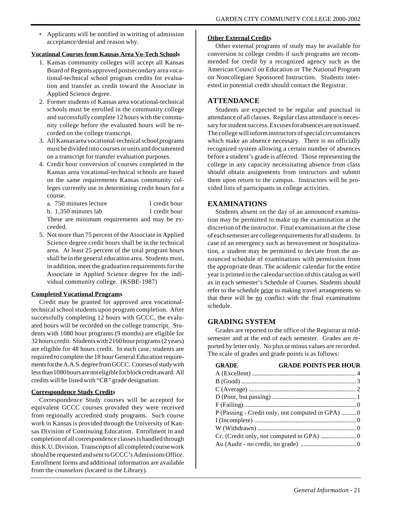• Applicants will be notified in wiriting of admission acceptance/denial and reason why.

#### **Vocational Courses from Kansas Area Vo-Tech Schools**

- 1. Kansas community colleges will accept all Kansas Board of Regents approved postsecondary area vocational-technical school program credits for evaluation and transfer as credit toward the Associate in Applied Science degree.
- 2. Former students of Kansas area vocational-technical schools must be enrolled in the community college and successfully complete 12 hours with the community college before the evaluated hours will be recorded on the college transcript.
- 3. All Kansas area vocational-technical school programs must be divided into courses or units and documented on a transcript for transfer evaluation purposes.
- 4. Credit hour conversion of courses completed in the Kansas area vocational-technical schools are based on the same requirements Kansas community colleges currently use in determining credit hours for a course.
	- a. 750 minutes lecture 1 credit hour
	- b. 1,350 minutes lab 1 credit hour

These are minimum requirements and may be exceeded.

5. Not more than 75 percent of the Associate in Applied Science degree credit hours shall be in the technical area. At least 25 percent of the total program hours shall be in the general education area. Students must, in addition, meet the graduation requirements for the Associate in Applied Science degree for the individual community college. (KSBE-1987)

#### **Completed Vocational Programs**

Credit may be granted for approved area vocationaltechnical school students upon program completion. After successfully completing 12 hours with GCCC, the evaluated hours will be recorded on the college transcript. Students with 1080 hour programs (9 months) are eligible for 32 hours credit. Students with 2160 hour programs (2 years) are eligible for 48 hours credit. In each case, students are required to complete the 18 hour General Education requirements for the A.A.S. degree from GCCC. Courses of study with less than 1080 hours are not eligible for block credit award. All credits will be listed with "CR" grade designation.

#### **Correspondence Study Credits**

Correspondence Study courses will be accepted for equivalent GCCC courses provided they were received from regionally accredited study programs. Such course work in Kansas is provided through the University of Kansas Division of Continuing Education. Enrollment in and completion of all correspondence classes is handled through this K.U. Division. Transcripts of all completed course work should be requested and sent to GCCC's Admissions Office. Enrollment forms and additional information are available from the counselors (located in the Library).

#### **Other External Credits**

Other external programs of study may be available for conversion to college credits if such programs are recommended for credit by a recognized agency such as the American Council on Education or The National Program on Noncollegiate Sponsored Instruction. Students interested in potential credit should contact the Registrar.

#### **ATTENDANCE**

Students are expected to be regular and punctual in attendance of all classes. Regular class attendance is necessary for student success. Excuses for absences are not issued. The college will inform instructors of special circumstances which make an absence necessary. There is no officially recognized system allowing a certain number of absences before a student's grade is affected. Those representing the college in any capacity necessitating absence from class should obtain assignments from instructors and submit them upon return to the campus. Instructors will be provided lists of participants in college activities.

#### **EXAMINATIONS**

Students absent on the day of an announced examination may be permitted to make up the examination at the discretion of the instructor. Final examinations at the close of each semester are college requirements for all students. In case of an emergency such as bereavement or hospitalization, a student may be permitted to deviate from the announced schedule of examinations with permission from the appropriate dean. The academic calendar for the entire year is printed in the calendar section of this catalog as well as in each semester's Schedule of Courses. Students should refer to the schedule prior to making travel arrangements so that there will be  $\underline{no}$  conflict with the final examinations schedule.

#### **GRADING SYSTEM**

Grades are reported to the office of the Registrar at midsemester and at the end of each semester. Grades are reported by letter only. No plus or minus values are recorded. The scale of grades and grade points is as follows:

| <b>GRADE</b> | <b>GRADE POINTS PER HOUR</b>                     |
|--------------|--------------------------------------------------|
|              |                                                  |
|              |                                                  |
|              |                                                  |
|              |                                                  |
|              |                                                  |
|              | P (Passing - Credit only, not computed in GPA) 0 |
|              |                                                  |
|              |                                                  |
|              |                                                  |
|              |                                                  |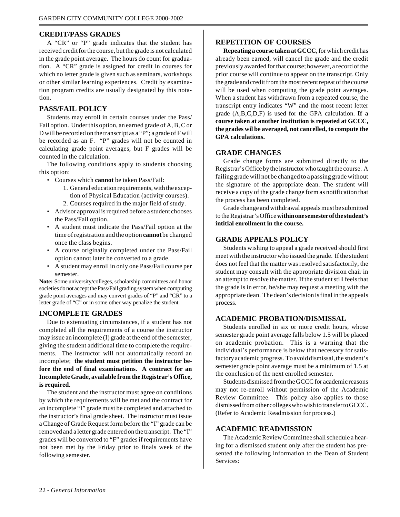#### **CREDIT/PASS GRADES**

A "CR" or "P" grade indicates that the student has received credit for the course, but the grade is not calculated in the grade point average. The hours do count for graduation. A "CR" grade is assigned for credit in courses for which no letter grade is given such as seminars, workshops or other similar learning experiences. Credit by examination program credits are usually designated by this notation.

#### **PASS/FAIL POLICY**

Students may enroll in certain courses under the Pass/ Fail option. Under this option, an earned grade of A, B, C or D will be recorded on the transcript as a "P"; a grade of F will be recorded as an F. "P" grades will not be counted in calculating grade point averages, but F grades will be counted in the calculation.

The following conditions apply to students choosing this option:

- Courses which **cannot** be taken Pass/Fail:
	- 1. General education requirements, with the exception of Physical Education (activity courses). 2. Courses required in the major field of study.
- Advisor approval is required before a student chooses the Pass/Fail option.
- A student must indicate the Pass/Fail option at the time of registration and the option **cannot** be changed once the class begins.
- A course originally completed under the Pass/Fail option cannot later be converted to a grade.
- A student may enroll in only one Pass/Fail course per semester.

**Note:** Some university/colleges, scholarship committees and honor societies do not accept the Pass/Fail grading system when computing grade point averages and may convert grades of "P" and "CR" to a letter grade of "C" or in some other way penalize the student.

#### **INCOMPLETE GRADES**

Due to extenuating circumstances, if a student has not completed all the requirements of a course the instructor may issue an incomplete (I) grade at the end of the semester, giving the student additional time to complete the requirements. The instructor will not automatically record an incomplete; **the student must petition the instructor before the end of final examinations. A contract for an Incomplete Grade, available from the Registrar's Office, is required.**

The student and the instructor must agree on conditions by which the requirements will be met and the contract for an incomplete "I" grade must be completed and attached to the instructor's final grade sheet. The instructor must issue a Change of Grade Request form before the "I" grade can be removed and a letter grade entered on the transcript. The "I" grades will be converted to "F" grades if requirements have not been met by the Friday prior to finals week of the following semester.

#### **REPETITION OF COURSES**

**Repeating a course taken at GCCC**, for which credit has already been earned, will cancel the grade and the credit previously awarded for that course; however, a record of the prior course will continue to appear on the transcript. Only the grade and credit from the most recent repeat of the course will be used when computing the grade point averages. When a student has withdrawn from a repeated course, the transcript entry indicates "W" and the most recent letter grade (A,B,C,D,F) is used for the GPA calculation. **If a course taken at another institution is repeated at GCCC, the grades wil be averaged, not cancelled, to compute the GPA calculations.**

#### **GRADE CHANGES**

Grade change forms are submitted directly to the Registrar's Office by the instructor who taught the course. A failing grade will not be changed to a passing grade without the signature of the appropriate dean. The student will receive a copy of the grade change form as notification that the process has been completed.

Grade change and withdrawal appeals must be submitted to the Registrar's Office **within one semester of the student's intitial enrollment in the course.**

#### **GRADE APPEALS POLICY**

Students wishing to appeal a grade received should first meet with the instructor who issued the grade. If the student does not feel that the matter was resolved satisfactorily, the student may consult with the appropriate division chair in an attempt to resolve the matter. If the student still feels that the grade is in error, he/she may request a meeting with the appropriate dean. The dean's decision is final in the appeals process.

#### **ACADEMIC PROBATION/DISMISSAL**

Students enrolled in six or more credit hours, whose semester grade point average falls below 1.5 will be placed on academic probation. This is a warning that the individual's performance is below that necessary for satisfactory academic progress. To avoid dismissal, the student's semester grade point average must be a minimum of 1.5 at the conclusion of the next enrolled semester.

Students dismissed from the GCCC for academic reasons may not re-enroll without permission of the Academic Review Committee. This policy also applies to those dismissed from other colleges who wish to transfer to GCCC. (Refer to Academic Readmission for process.)

#### **ACADEMIC READMISSION**

The Academic Review Committee shall schedule a hearing for a dismissed student only after the student has presented the following information to the Dean of Student Services: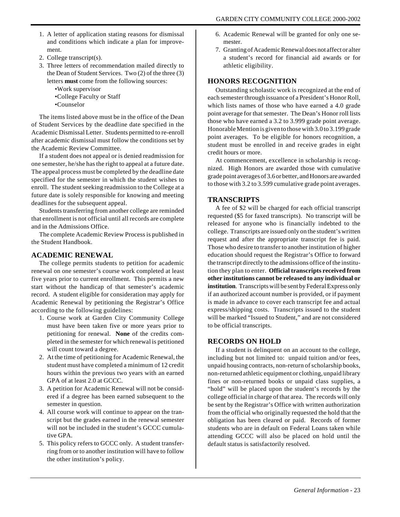- 1. A letter of application stating reasons for dismissal and conditions which indicate a plan for improvement.
- 2. College transcript(s).
- 3. Three letters of recommendation mailed directly to the Dean of Student Services. Two (2) of the three (3) letters **must** come from the following sources:
	- •Work supervisor
	- •College Faculty or Staff
	- •Counselor

The items listed above must be in the office of the Dean of Student Services by the deadline date specified in the Academic Dismissal Letter. Students permitted to re-enroll after academic dismissal must follow the conditions set by the Academic Review Committee.

If a student does not appeal or is denied readmission for one semester, he/she has the right to appeal at a future date. The appeal process must be completed by the deadline date specified for the semester in which the student wishes to enroll. The student seeking readmission to the College at a future date is solely responsible for knowing and meeting deadlines for the subsequent appeal.

Students transferring from another college are reminded that enrollment is not official until all records are complete and in the Admissions Office.

The complete Academic Review Process is published in the Student Handbook.

#### **ACADEMIC RENEWAL**

The college permits students to petition for academic renewal on one semester's course work completed at least five years prior to current enrollment. This permits a new start without the handicap of that semester's academic record. A student eligible for consideration may apply for Academic Renewal by petitioning the Registrar's Office according to the following guidelines:

- 1. Course work at Garden City Community College must have been taken five or more years prior to petitioning for renewal. **None** of the credits completed in the semester for which renewal is petitioned will count toward a degree.
- 2. At the time of petitioning for Academic Renewal, the student must have completed a minimum of 12 credit hours within the previous two years with an earned GPA of at least 2.0 at GCCC.
- 3. A petition for Academic Renewal will not be considered if a degree has been earned subsequent to the semester in question.
- 4. All course work will continue to appear on the transcript but the grades earned in the renewal semester will not be included in the student's GCCC cumulative GPA.
- 5. This policy refers to GCCC only. A student transferring from or to another institution will have to follow the other institution's policy.
- 6. Academic Renewal will be granted for only one semester.
- 7. Granting of Academic Renewal does not affect or alter a student's record for financial aid awards or for athletic eligibility.

#### **HONORS RECOGNITION**

Outstanding scholastic work is recognized at the end of each semester through issuance of a President's Honor Roll, which lists names of those who have earned a 4.0 grade point average for that semester. The Dean's Honor roll lists those who have earned a 3.2 to 3.999 grade point average. Honorable Mention is given to those with 3.0 to 3.199 grade point averages. To be eligible for honors recognition, a student must be enrolled in and receive grades in eight credit hours or more.

At commencement, excellence in scholarship is recognized. High Honors are awarded those with cumulative grade point averages of 3.6 or better, and Honors are awarded to those with 3.2 to 3.599 cumulative grade point averages.

#### **TRANSCRIPTS**

A fee of \$2 will be charged for each official transcript requested (\$5 for faxed transcripts). No transcript will be released for anyone who is financially indebted to the college. Transcripts are issued only on the student's written request and after the appropriate transcript fee is paid. Those who desire to transfer to another institution of higher education should request the Registrar's Office to forward the transcript directly to the admissions office of the institution they plan to enter. **Official transcripts received from other institutions cannot be released to any individual or institution**. Transcripts will be sent by Federal Express only if an authorized account number is provided, or if payment is made in advance to cover each transcript fee and actual express/shipping costs. Transcripts issued to the student will be marked "Issued to Student," and are not considered to be official transcripts.

#### **RECORDS ON HOLD**

If a student is delinquent on an account to the college, including but not limited to: unpaid tuition and/or fees, unpaid housing contracts, non-return of scholarship books, non-returned athletic equipment or clothing, unpaid library fines or non-returned books or unpaid class supplies, a "hold" will be placed upon the student's records by the college official in charge of that area. The records will only be sent by the Registrar's Office with written authorization from the official who originally requested the hold that the obligation has been cleared or paid. Records of former students who are in default on Federal Loans taken while attending GCCC will also be placed on hold until the default status is satisfactorily resolved.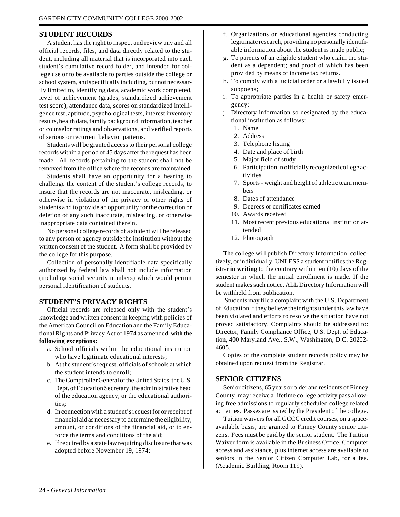#### **STUDENT RECORDS**

A student has the right to inspect and review any and all official records, files, and data directly related to the student, including all material that is incorporated into each student's cumulative record folder, and intended for college use or to be available to parties outside the college or school system, and specifically including, but not necessarily limited to, identifying data, academic work completed, level of achievement (grades, standardized achievement test score), attendance data, scores on standardized intelligence test, aptitude, psychological tests, interest inventory results, health data, family background information, teacher or counselor ratings and observations, and verified reports of serious or recurrent behavior patterns.

Students will be granted access to their personal college records within a period of 45 days after the request has been made. All records pertaining to the student shall not be removed from the office where the records are maintained.

Students shall have an opportunity for a hearing to challenge the content of the student's college records, to insure that the records are not inaccurate, misleading, or otherwise in violation of the privacy or other rights of students and to provide an opportunity for the correction or deletion of any such inaccurate, misleading, or otherwise inappropriate data contained therein.

No personal college records of a student will be released to any person or agency outside the institution without the written consent of the student. A form shall be provided by the college for this purpose.

Collection of personally identifiable data specifically authorized by federal law shall not include information (including social security numbers) which would permit personal identification of students.

#### **STUDENT'S PRIVACY RIGHTS**

Official records are released only with the student's knowledge and written consent in keeping with policies of the American Council on Education and the Family Educational Rights and Privacy Act of 1974 as amended, **with the following exceptions:**

- a. School officials within the educational institution who have legitimate educational interests;
- b. At the student's request, officials of schools at which the student intends to enroll;
- c. The Comptroller General of the United States, the U.S. Dept. of Education Secretary, the administrative head of the education agency, or the educational authorities;
- d. In connection with a student's request for or receipt of financial aid as necessary to determine the eligibility, amount, or conditions of the financial aid, or to enforce the terms and conditions of the aid;
- e. If required by a state law requiring disclosure that was adopted before November 19, 1974;
- f. Organizations or educational agencies conducting legitimate research, providing no personally identifiable information about the student is made public;
- g. To parents of an eligible student who claim the student as a dependent; and proof of which has been provided by means of income tax returns.
- h. To comply with a judicial order or a lawfully issued subpoena;
- i. To appropriate parties in a health or safety emergency;
- j. Directory information so designated by the educational institution as follows:
	- 1. Name
	- 2. Address
	- 3. Telephone listing
	- 4. Date and place of birth
	- 5. Major field of study
	- 6. Participation in officially recognized college activities
	- 7. Sports weight and height of athletic team members
	- 8. Dates of attendance
	- 9. Degrees or certificates earned
	- 10. Awards received
	- 11. Most recent previous educational institution attended
	- 12. Photograph

The college will publish Directory Information, collectively, or individually, UNLESS a student notifies the Registrar **in writing** to the contrary within ten (10) days of the semester in which the initial enrollment is made. If the student makes such notice, ALL Directory Information will be withheld from publication.

 Students may file a complaint with the U.S. Department of Education if they believe their rights under this law have been violated and efforts to resolve the situation have not proved satisfactory. Complaints should be addressed to: Director, Family Compliance Office, U.S. Dept. of Education, 400 Maryland Ave., S.W., Washington, D.C. 20202- 4605.

Copies of the complete student records policy may be obtained upon request from the Registrar.

#### **SENIOR CITIZENS**

Senior citizens, 65 years or older and residents of Finney County, may receive a lifetime college activity pass allowing free admissions to regularly scheduled college related activities. Passes are issued by the President of the college.

Tuition waivers for all GCCC credit courses, on a spaceavailable basis, are granted to Finney County senior citizens. Fees must be paid by the senior student. The Tuition Waiver form is available in the Business Office. Computer access and assistance, plus internet access are available to seniors in the Senior Citizen Computer Lab, for a fee. (Academic Building, Room 119).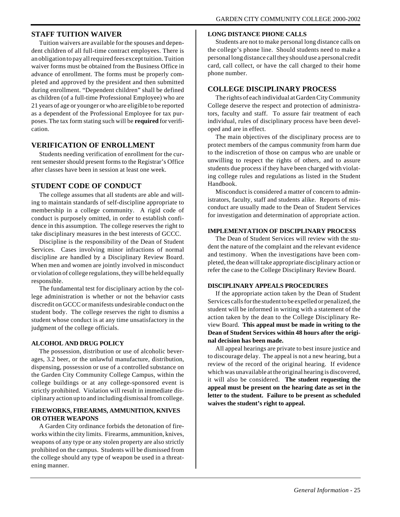#### **STAFF TUITION WAIVER**

Tuition waivers are available for the spouses and dependent children of all full-time contract employees. There is an obligation to pay all required fees except tuition. Tuition waiver forms must be obtained from the Business Office in advance of enrollment. The forms must be properly completed and approved by the president and then submitted during enrollment. "Dependent children" shall be defined as children (of a full-time Professional Employee) who are 21 years of age or younger or who are eligible to be reported as a dependent of the Professional Employee for tax purposes. The tax form stating such will be **required** for verification.

#### **VERIFICATION OF ENROLLMENT**

Students needing verification of enrollment for the current semester should present forms to the Registrar's Office after classes have been in session at least one week.

#### **STUDENT CODE OF CONDUCT**

The college assumes that all students are able and willing to maintain standards of self-discipline appropriate to membership in a college community. A rigid code of conduct is purposely omitted, in order to establish confidence in this assumption. The college reserves the right to take disciplinary measures in the best interests of GCCC.

Discipline is the responsibility of the Dean of Student Services. Cases involving minor infractions of normal discipline are handled by a Disciplinary Review Board. When men and women are jointly involved in misconduct or violation of college regulations, they will be held equally responsible.

The fundamental test for disciplinary action by the college administration is whether or not the behavior casts discredit on GCCC or manifests undesirable conduct on the student body. The college reserves the right to dismiss a student whose conduct is at any time unsatisfactory in the judgment of the college officials.

#### **ALCOHOL AND DRUG POLICY**

The possession, distribution or use of alcoholic beverages, 3.2 beer, or the unlawful manufacture, distribution, dispensing, possession or use of a controlled substance on the Garden City Community College Campus, within the college buildings or at any college-sponsored event is strictly prohibited. Violation will result in immediate disciplinary action up to and including dismissal from college.

#### **FIREWORKS, FIREARMS, AMMUNITION, KNIVES OR OTHER WEAPONS**

A Garden City ordinance forbids the detonation of fireworks within the city limits. Firearms, ammunition, knives, weapons of any type or any stolen property are also strictly prohibited on the campus. Students will be dismissed from the college should any type of weapon be used in a threatening manner.

#### **LONG DISTANCE PHONE CALLS**

Students are not to make personal long distance calls on the college's phone line. Should students need to make a personal long distance call they should use a personal credit card, call collect, or have the call charged to their home phone number.

#### **COLLEGE DISCIPLINARY PROCESS**

The rights of each individual at Garden City Community College deserve the respect and protection of administrators, faculty and staff. To assure fair treatment of each individual, rules of disciplinary process have been developed and are in effect.

The main objectives of the disciplinary process are to protect members of the campus community from harm due to the indiscretion of those on campus who are unable or unwilling to respect the rights of others, and to assure students due process if they have been charged with violating college rules and regulations as listed in the Student Handbook.

Misconduct is considered a matter of concern to administrators, faculty, staff and students alike. Reports of misconduct are usually made to the Dean of Student Services for investigation and determination of appropriate action.

#### **IMPLEMENTATION OF DISCIPLINARY PROCESS**

The Dean of Student Services will review with the student the nature of the complaint and the relevant evidence and testimony. When the investigations have been completed, the dean will take appropriate disciplinary action or refer the case to the College Disciplinary Review Board.

#### **DISCIPLINARY APPEALS PROCEDURES**

If the appropriate action taken by the Dean of Student Services calls for the student to be expelled or penalized, the student will be informed in writing with a statement of the action taken by the dean to the College Disciplinary Review Board. **This appeal must be made in writing to the Dean of Student Services within 48 hours after the original decision has been made.**

All appeal hearings are private to best insure justice and to discourage delay. The appeal is not a new hearing, but a review of the record of the original hearing. If evidence which was unavailable at the original hearing is discovered, it will also be considered. **The student requesting the appeal must be present on the hearing date as set in the letter to the student. Failure to be present as scheduled waives the student's right to appeal.**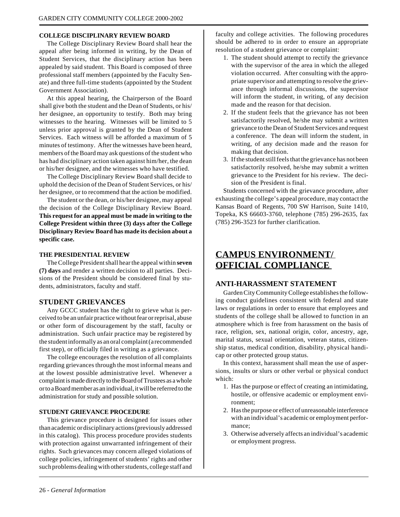#### **COLLEGE DISCIPLINARY REVIEW BOARD**

The College Disciplinary Review Board shall hear the appeal after being informed in writing, by the Dean of Student Services, that the disciplinary action has been appealed by said student. This Board is composed of three professional staff members (appointed by the Faculty Senate) and three full-time students (appointed by the Student Government Association).

At this appeal hearing, the Chairperson of the Board shall give both the student and the Dean of Students, or his/ her designee, an opportunity to testify. Both may bring witnesses to the hearing. Witnesses will be limited to 5 unless prior approval is granted by the Dean of Student Services. Each witness will be afforded a maximum of 5 minutes of testimony. After the witnesses have been heard, members of the Board may ask questions of the student who has had disciplinary action taken against him/her, the dean or his/her designee, and the witnesses who have testified.

The College Disciplinary Review Board shall decide to uphold the decision of the Dean of Student Services, or his/ her designee, or to recommend that the action be modified.

The student or the dean, or his/her designee, may appeal the decision of the College Disciplinary Review Board. **This request for an appeal must be made in writing to the College President within three (3) days after the College Disciplinary Review Board has made its decision about a specific case.**

#### **THE PRESIDENTIAL REVIEW**

The College President shall hear the appeal within **seven (7) days** and render a written decision to all parties. Decisions of the President should be considered final by students, administrators, faculty and staff.

#### **STUDENT GRIEVANCES**

Any GCCC student has the right to grieve what is perceived to be an unfair practice without fear or reprisal, abuse or other form of discouragement by the staff, faculty or administration. Such unfair practice may be registered by the student informally as an oral complaint (a recommended first step), or officially filed in writing as a grievance.

The college encourages the resolution of all complaints regarding grievances through the most informal means and at the lowest possible administrative level. Whenever a complaint is made directly to the Board of Trustees as a whole or to a Board member as an individual, it will be referred to the administration for study and possible solution.

#### **STUDENT GRIEVANCE PROCEDURE**

This grievance procedure is designed for issues other than academic or disciplinary actions (previously addressed in this catalog). This process procedure provides students with protection against unwarranted infringement of their rights. Such grievances may concern alleged violations of college policies, infringement of students' rights and other such problems dealing with other students, college staff and

faculty and college activities. The following procedures should be adhered to in order to ensure an appropriate resolution of a student grievance or complaint:

- 1. The student should attempt to rectify the grievance with the supervisor of the area in which the alleged violation occurred. After consulting with the appropriate supervisor and attempting to resolve the grievance through informal discussions, the supervisor will inform the student, in writing, of any decision made and the reason for that decision.
- 2. If the student feels that the grievance has not been satisfactorily resolved, he/she may submit a written grievance to the Dean of Student Services and request a conference. The dean will inform the student, in writing, of any decision made and the reason for making that decision.
- 3. If the student still feels that the grievance has not been satisfactorily resolved, he/she may submit a written grievance to the President for his review. The decision of the President is final.

Students concerned with the grievance procedure, after exhausting the college's appeal procedure, may contact the Kansas Board of Regents, 700 SW Harrison, Suite 1410, Topeka, KS 66603-3760, telephone (785) 296-2635, fax (785) 296-3523 for further clarification.

### **CAMPUS ENVIRONMENT/ OFFICIAL COMPLIANCE**

#### **ANTI-HARASSMENT STATEMENT**

Garden City Community College establishes the following conduct guidelines consistent with federal and state laws or regulations in order to ensure that employees and students of the college shall be allowed to function in an atmosphere which is free from harassment on the basis of race, religion, sex, national origin, color, ancestry, age, marital status, sexual orientation, veteran status, citizenship status, medical condition, disability, physical handicap or other protected group status.

In this context, harassment shall mean the use of aspersions, insults or slurs or other verbal or physical conduct which:

- 1. Has the purpose or effect of creating an intimidating, hostile, or offensive academic or employment environment;
- 2. Has the purpose or effect of unreasonable interference with an individual's academic or employment performance;
- 3. Otherwise adversely affects an individual's academic or employment progress.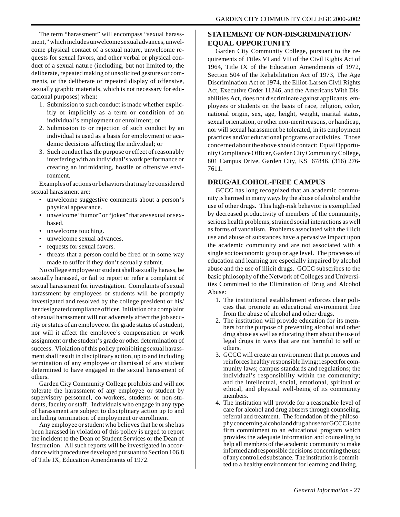The term "harassment" will encompass "sexual harassment," which includes unwelcome sexual advances, unwelcome physical contact of a sexual nature, unwelcome requests for sexual favors, and other verbal or physical conduct of a sexual nature (including, but not limited to, the deliberate, repeated making of unsolicited gestures or comments, or the deliberate or repeated display of offensive, sexually graphic materials, which is not necessary for educational purposes) when:

- 1. Submission to such conduct is made whether explicitly or implicitly as a term or condition of an individual's employment or enrollment; or
- 2. Submission to or rejection of such conduct by an individual is used as a basis for employment or academic decisions affecting the individual; or
- 3. Such conduct has the purpose or effect of reasonably interfering with an individual's work performance or creating an intimidating, hostile or offensive environment.

Examples of actions or behaviors that may be considered sexual harassment are:

- unwelcome suggestive comments about a person's physical appearance.
- unwelcome "humor" or "jokes" that are sexual or sexbased.
- unwelcome touching.
- unwelcome sexual advances.
- requests for sexual favors.
- threats that a person could be fired or in some way made to suffer if they don't sexually submit.

No college employee or student shall sexually harass, be sexually harassed, or fail to report or refer a complaint of sexual harassment for investigation. Complaints of sexual harassment by employees or students will be promptly investigated and resolved by the college president or his/ her designated compliance officer. Initiation of a complaint of sexual harassment will not adversely affect the job security or status of an employee or the grade status of a student, nor will it affect the employee's compensation or work assignment or the student's grade or other determination of success. Violation of this policy prohibiting sexual harassment shall result in disciplinary action, up to and including termination of any employee or dismissal of any student determined to have engaged in the sexual harassment of others.

Garden City Community College prohibits and will not tolerate the harassment of any employee or student by supervisory personnel, co-workers, students or non-students, faculty or staff. Individuals who engage in any type of harassment are subject to disciplinary action up to and including termination of employment or enrollment.

Any employee or student who believes that he or she has been harassed in violation of this policy is urged to report the incident to the Dean of Student Services or the Dean of Instruction. All such reports will be investigated in accordance with procedures developed pursuant to Section 106.8 of Title IX, Education Amendments of 1972.

#### **STATEMENT OF NON-DISCRIMINATION/ EQUAL OPPORTUNITY**

Garden City Community College, pursuant to the requirements of Titles VI and VII of the Civil Rights Act of 1964, Title IX of the Education Amendments of 1972, Section 504 of the Rehabilitation Act of 1973, The Age Discrimination Act of 1974, the Elliot-Larsen Civil Rights Act, Executive Order 11246, and the Americans With Disabilities Act, does not discriminate against applicants, employees or students on the basis of race, religion, color, national origin, sex, age, height, weight, marital status, sexual orientation, or other non-merit reasons, or handicap, nor will sexual harassment be tolerated, in its employment practices and/or educational programs or activities. Those concerned about the above should contact: Equal Opportunity Compliance Officer, Garden City Community College, 801 Campus Drive, Garden City, KS 67846. (316) 276- 7611.

#### **DRUG/ALCOHOL-FREE CAMPUS**

GCCC has long recognized that an academic community is harmed in many ways by the abuse of alcohol and the use of other drugs. This high-risk behavior is exemplified by decreased productivity of members of the community, serious health problems, strained social interactions as well as forms of vandalism. Problems associated with the illicit use and abuse of substances have a pervasive impact upon the academic community and are not associated with a single socioeconomic group or age level. The processes of education and learning are especially impaired by alcohol abuse and the use of illicit drugs. GCCC subscribes to the basic philosophy of the Network of Colleges and Universities Committed to the Elimination of Drug and Alcohol Abuse:

- 1. The institutional establishment enforces clear policies that promote an educational environment free from the abuse of alcohol and other drugs.
- 2. The institution will provide education for its members for the purpose of preventing alcohol and other drug abuse as well as educating them about the use of legal drugs in ways that are not harmful to self or others.
- 3. GCCC will create an environment that promotes and reinforces healthy responsible living; respect for community laws; campus standards and regulations; the individual's responsibility within the community; and the intellectual, social, emotional, spiritual or ethical, and physical well-being of its community members.
- 4. The institution will provide for a reasonable level of care for alcohol and drug abusers through counseling, referral and treatment. The foundation of the philosophy concerning alcohol and drug abuse for GCCC is the firm commitment to an educational program which provides the adequate information and counseling to help all members of the academic community to make informed and responsible decisions concerning the use of any controlled substance. The institution is committed to a healthy environment for learning and living.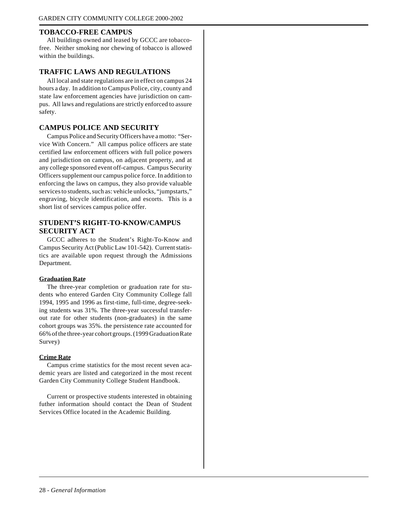#### **TOBACCO-FREE CAMPUS**

All buildings owned and leased by GCCC are tobaccofree. Neither smoking nor chewing of tobacco is allowed within the buildings.

#### **TRAFFIC LAWS AND REGULATIONS**

All local and state regulations are in effect on campus 24 hours a day. In addition to Campus Police, city, county and state law enforcement agencies have jurisdiction on campus. All laws and regulations are strictly enforced to assure safety.

#### **CAMPUS POLICE AND SECURITY**

Campus Police and Security Officers have a motto: "Service With Concern." All campus police officers are state certified law enforcement officers with full police powers and jurisdiction on campus, on adjacent property, and at any college sponsored event off-campus. Campus Security Officers supplement our campus police force. In addition to enforcing the laws on campus, they also provide valuable services to students, such as: vehicle unlocks, "jumpstarts," engraving, bicycle identification, and escorts. This is a short list of services campus police offer.

#### **STUDENT'S RIGHT-TO-KNOW/CAMPUS SECURITY ACT**

GCCC adheres to the Student's Right-To-Know and Campus Security Act (Public Law 101-542). Current statistics are available upon request through the Admissions Department.

#### **Graduation Rate**

The three-year completion or graduation rate for students who entered Garden City Community College fall 1994, 1995 and 1996 as first-time, full-time, degree-seeking students was 31%. The three-year successful transferout rate for other students (non-graduates) in the same cohort groups was 35%. the persistence rate accounted for 66% of the three-year cohort groups. (1999 Graduation Rate Survey)

#### **Crime Rate**

Campus crime statistics for the most recent seven academic years are listed and categorized in the most recent Garden City Community College Student Handbook.

Current or prospective students interested in obtaining futher information should contact the Dean of Student Services Office located in the Academic Building.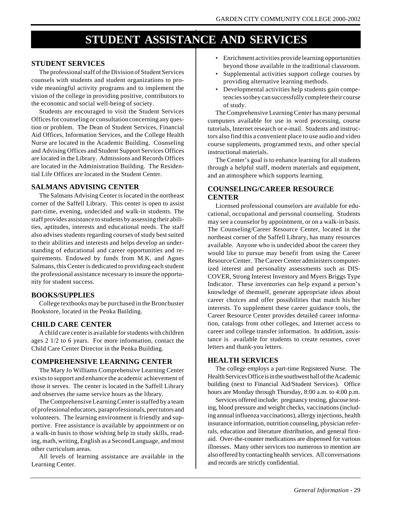## **STUDENT ASSISTANCE AND SERVICES**

#### **STUDENT SERVICES**

The professional staff of the Division of Student Services counsels with students and student organizations to provide meaningful activity programs and to implement the vision of the college in providing positive, contributors to the economic and social well-being of society.

Students are encouraged to visit the Student Services Offices for counseling or consultation concerning any question or problem. The Dean of Student Services, Financial Aid Offices, Information Services, and the College Health Nurse are located in the Academic Building. Counseling and Advising Offices and Student Support Services Offices are located in the Library. Admissions and Records Offices are located in the Administration Building. The Residential Life Offices are located in the Student Center.

#### **SALMANS ADVISING CENTER**

The Salmans Advising Center is located in the northeast corner of the Saffell Library. This center is open to assist part-time, evening, undecided and walk-in students. The staff provides assistance to students by assessing their abilities, aptitudes, interests and educational needs. The staff also advises students regarding courses of study best suited to their abilities and interests and helps develop an understanding of educational and career opportunities and requirements. Endowed by funds from M.K. and Agnes Salmans, this Center is dedicated to providing each student the professional assistance necessary to insure the opportunity for student success.

#### **BOOKS/SUPPLIES**

College textbooks may be purchased in the Broncbuster Bookstore, located in the Penka Building.

#### **CHILD CARE CENTER**

A child care center is available for students with children ages 2 1/2 to 6 years. For more information, contact the Child Care Center Director in the Penka Building.

#### **COMPREHENSIVE LEARNING CENTER**

The Mary Jo Williams Comprehensive Learning Center exists to support and enhance the academic achievement of those it serves. The center is located in the Saffell Library and observes the same service hours as the library.

The Comprehensive Learning Center is staffed by a team of professional educators, paraprofessionals, peer tutors and volunteers. The learning environment is friendly and supportive. Free assistance is available by appointment or on a walk-in basis to those wishing help in study skills, reading, math, writing, English as a Second Language, and most other curriculum areas.

All levels of learning assistance are available in the Learning Center.

- Enrichment activities provide learning opportunities beyond those available in the traditional classroom.
- Supplemental activities support college courses by providing alternative learning methods.
- Developmental activities help students gain competencies so they can successfully complete their course of study.

The Comprehensive Learning Center has many personal computers available for use in word processing, course tutorials, Internet research or e-mail. Students and instructors also find this a convenient place to use audio and video course supplements, programmed texts, and other special instructional materials.

The Center's goal is to enhance learning for all students through a helpful staff, modern materials and equipment, and an atmosphere which supports learning.

#### **COUNSELING/CAREER RESOURCE CENTER**

Licensed professional counselors are available for educational, occupational and personal counseling. Students may see a counselor by appointment, or on a walk-in basis. The Counseling/Career Resource Center, located in the northeast corner of the Saffell Library, has many resources available. Anyone who is undecided about the career they would like to pursue may benefit from using the Career Resource Center. The Career Center administers computerized interest and personality assessments such as DIS-COVER, Strong Interest Inventory and Myers Briggs Type Indicator. These inventories can help expand a person's knowledge of themself, generate appropriate ideas about career choices and offer possibilities that match his/her interests. To supplement these career guidance tools, the Career Resource Center provides detailed career information, catalogs from other colleges, and Internet access to career and college transfer information. In addition, assistance is available for students to create resumes, cover letters and thank-you letters.

#### **HEALTH SERVICES**

The college employs a part-time Registered Nurse. The Health Services Office is in the southwest hall of the Academic building (next to Financial Aid/Student Services). Office hours are Monday through Thursday, 8:00 a.m. to 4:00 p.m.

Services offered include: pregnancy testing, glucose testing, blood pressure and weight checks, vaccinations (including annual influenza vaccinations), allergy injections, health insurance information, nutrition counseling, physician referrals, education and literature distribution, and general firstaid. Over-the-counter medications are dispensed for various illnesses. Many other services too numerous to mention are also offered by contacting health services. All conversations and records are strictly confidential.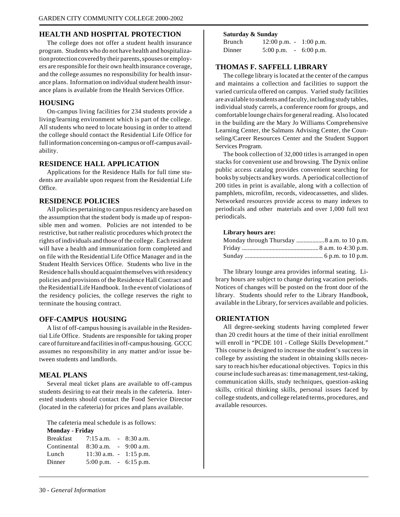#### **HEALTH AND HOSPITAL PROTECTION**

The college does not offer a student health insurance program. Students who do not have health and hospitalization protection covered by their parents, spouses or employers are responsible for their own health insurance coverage, and the college assumes no responsibility for health insurance plans. Information on individual student health insurance plans is available from the Health Services Office.

#### **HOUSING**

On-campus living facilities for 234 students provide a living/learning environment which is part of the college. All students who need to locate housing in order to attend the college should contact the Residential Life Office for full information concerning on-campus or off-campus availability.

#### **RESIDENCE HALL APPLICATION**

Applications for the Residence Halls for full time students are available upon request from the Residential Life Office.

#### **RESIDENCE POLICIES**

All policies pertaining to campus residency are based on the assumption that the student body is made up of responsible men and women. Policies are not intended to be restrictive, but rather realistic procedures which protect the rights of individuals and those of the college. Each resident will have a health and immunization form completed and on file with the Residential Life Office Manager and in the Student Health Services Office. Students who live in the Residence halls should acquaint themselves with residency policies and provisions of the Residence Hall Contract and the Residential Life Handbook. In the event of violations of the residency policies, the college reserves the right to terminate the housing contract.

#### **OFF-CAMPUS HOUSING**

A list of off-campus housing is available in the Residential Life Office. Students are responsible for taking proper care of furniture and facilities in off-campus housing. GCCC assumes no responsibility in any matter and/or issue between students and landlords.

#### **MEAL PLANS**

Several meal ticket plans are available to off-campus students desiring to eat their meals in the cafeteria. Interested students should contact the Food Service Director (located in the cafeteria) for prices and plans available.

The cafeteria meal schedule is as follows: **Monday - Friday**

| $1$ violiuay - Friuay |                                         |  |              |
|-----------------------|-----------------------------------------|--|--------------|
| Breakfast             | $7:15$ a.m.                             |  | $-8:30$ a.m. |
| Continental           | $8:30$ a.m. $-9:00$ a.m.                |  |              |
| Lunch                 | $11:30$ a.m. $-1:15$ p.m.               |  |              |
| Dinner                | $5:00 \text{ p.m.} - 6:15 \text{ p.m.}$ |  |              |
|                       |                                         |  |              |

#### **Saturday & Sunday**

| <b>Brunch</b> | $12:00 \text{ p.m.}$ - |          | $1:00$ p.m. |
|---------------|------------------------|----------|-------------|
| Dinner        | $5:00$ p.m.            | $\equiv$ | $6:00$ p.m. |

#### **THOMAS F. SAFFELL LIBRARY**

The college library is located at the center of the campus and maintains a collection and facilities to support the varied curricula offered on campus. Varied study facilities are available to students and faculty, including study tables, individual study carrels, a conference room for groups, and comfortable lounge chairs for general reading. Also located in the building are the Mary Jo Williams Comprehensive Learning Center, the Salmans Advising Center, the Counseling/Career Resources Center and the Student Support Services Program.

The book collection of 32,000 titles is arranged in open stacks for convenient use and browsing. The Dynix online public access catalog provides convenient searching for books by subjects and key words. A periodical collection of 200 titles in print is available, along with a collection of pamphlets, microfilm, records, videocassettes, and slides. Networked resources provide access to many indexes to periodicals and other materials and over 1,000 full text periodicals.

#### **Library hours are:**

| Monday through Thursday 8 a.m. to 10 p.m. |  |
|-------------------------------------------|--|
|                                           |  |
|                                           |  |

The library lounge area provides informal seating. Library hours are subject to change during vacation periods. Notices of changes will be posted on the front door of the library. Students should refer to the Library Handbook, available in the Library, for services available and policies.

#### **ORIENTATION**

All degree-seeking students having completed fewer than 20 credit hours at the time of their initial enrollment will enroll in "PCDE 101 - College Skills Development." This course is designed to increase the student's success in college by assisting the student in obtaining skills necessary to reach his/her educational objectives. Topics in this course include such areas as: time management, test-taking, communication skills, study techniques, question-asking skills, critical thinking skills, personal issues faced by college students, and college related terms, procedures, and available resources.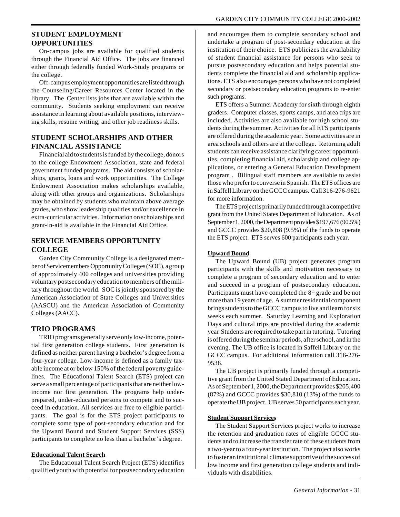#### **STUDENT EMPLOYMENT OPPORTUNITIES**

On-campus jobs are available for qualified students through the Financial Aid Office. The jobs are financed either through federally funded Work-Study programs or the college.

Off-campus employment opportunities are listed through the Counseling/Career Resources Center located in the library. The Center lists jobs that are available within the community. Students seeking employment can receive assistance in learning about available positions, interviewing skills, resume writing, and other job readiness skills.

#### **STUDENT SCHOLARSHIPS AND OTHER FINANCIAL ASSISTANCE**

Financial aid to students is funded by the college, donors to the college Endowment Association, state and federal government funded programs. The aid consists of scholarships, grants, loans and work opportunities. The College Endowment Association makes scholarships available, along with other groups and organizations. Scholarships may be obtained by students who maintain above average grades, who show leadership qualities and/or excellence in extra-curricular activities. Information on scholarships and grant-in-aid is available in the Financial Aid Office.

#### **SERVICE MEMBERS OPPORTUNITY COLLEGE**

Garden City Community College is a designated member of Servicemembers Opportunity Colleges (SOC), a group of approximately 400 colleges and universities providing voluntary postsecondary education to members of the military throughout the world. SOC is jointly sponsored by the American Association of State Colleges and Universities (AASCU) and the American Association of Community Colleges (AACC).

#### **TRIO PROGRAMS**

TRIO programs generally serve only low-income, potential first generation college students. First generation is defined as neither parent having a bachelor's degree from a four-year college. Low-income is defined as a family taxable income at or below 150% of the federal poverty guidelines. The Educational Talent Search (ETS) project can serve a small percentage of participants that are neither lowincome nor first generation. The programs help underprepared, under-educated persons to compete and to succeed in education. All services are free to eligible participants. The goal is for the ETS project participants to complete some type of post-secondary education and for the Upward Bound and Student Support Services (SSS) participants to complete no less than a bachelor's degree.

#### **Educational Talent Search**

The Educational Talent Search Project (ETS) identifies qualified youth with potential for postsecondary education and encourages them to complete secondary school and undertake a program of post-secondary education at the institution of their choice. ETS publicizes the availability of student financial assistance for persons who seek to pursue postsecondary education and helps potential students complete the financial aid and scholarship applications. ETS also encourages persons who have not completed secondary or postsecondary education programs to re-enter such programs.

ETS offers a Summer Academy for sixth through eighth graders. Computer classes, sports camps, and area trips are included. Activities are also available for high school students during the summer. Activities for all ETS participants are offered during the academic year. Some activities are in area schools and others are at the college. Returning adult students can receive assistance clarifying career opportunities, completing financial aid, scholarship and college applications, or entering a General Education Development program . Bilingual staff members are available to assist those who prefer to converse in Spanish. The ETS offices are in Saffell Library on the GCCC campus. Call 316-276-9621 for more information.

The ETS project is primarily funded through a competitive grant from the United States Department of Education. As of September 1, 2000, the Department provides \$197,676 (90.5%) and GCCC provides \$20,808 (9.5%) of the funds to operate the ETS project. ETS serves 600 participants each year.

#### **Upward Bound**

The Upward Bound (UB) project generates program participants with the skills and motivation necessary to complete a program of secondary education and to enter and succeed in a program of postsecondary education. Participants must have completed the 8<sup>th</sup> grade and be not more than 19 years of age. A summer residential component brings students to the GCCC campus to live and learn for six weeks each summer. Saturday Learning and Exploration Days and cultural trips are provided during the academic year Students are required to take part in tutoring. Tutoring is offered during the seminar periods, after school, and in the evening. The UB office is located in Saffell Library on the GCCC campus. For additional information call 316-276- 9538.

The UB project is primarily funded through a competitive grant from the United Stated Department of Education. As of September 1, 2000, the Department provides \$205,400 (87%) and GCCC provides \$30,810 (13%) of the funds to operate the UB project. UB serves 50 participants each year.

#### **Student Support Services**

The Student Support Services project works to increase the retention and graduation rates of eligible GCCC students and to increase the transfer rate of these students from a two-year to a four-year institution. The project also works to foster an institutional climate supportive of the success of low income and first generation college students and individuals with disabilities.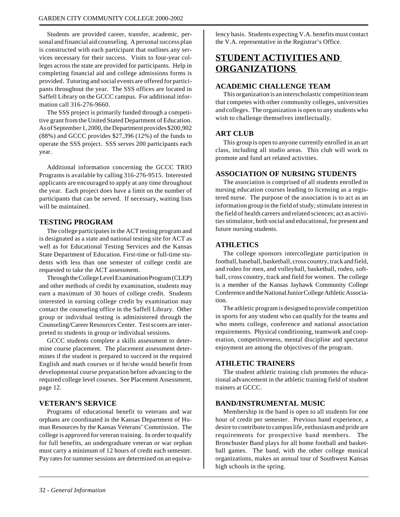Students are provided career, transfer, academic, personal and financial aid counseling. A personal success plan is constructed with each participant that outlines any services necessary for their success. Visits to four-year colleges across the state are provided for participants. Help in completing financial aid and college admissions forms is provided. Tutoring and social events are offered for participants throughout the year. The SSS offices are located in Saffell Library on the GCCC campus. For additional information call 316-276-9660.

The SSS project is primarily funded through a competitive grant from the United Stated Department of Education. As of September 1, 2000, the Department provides \$200,902 (88%) and GCCC provides \$27,396 (12%) of the funds to operate the SSS project. SSS serves 200 participants each year.

Additional information concerning the GCCC TRIO Programs is available by calling 316-276-9515. Interested applicants are encouraged to apply at any time throughout the year. Each project does have a limit on the number of participants that can be served. If necessary, waiting lists will be maintained.

#### **TESTING PROGRAM**

The college participates in the ACT testing program and is designated as a state and national testing site for ACT as well as for Educational Testing Services and the Kansas State Department of Education. First-time or full-time students with less than one semester of college credit are requested to take the ACT assessment.

Through the College Level Examination Program (CLEP) and other methods of credit by examination, students may earn a maximum of 30 hours of college credit. Students interested in earning college credit by examination may contact the counseling office in the Saffell Library. Other group or individual testing is administered through the Counseling/Career Resources Center. Test scores are interpreted to students in group or individual sessions.

GCCC students complete a skills assessment to determine course placement. The placement assessment determines if the student is prepared to succeed in the required English and math courses or if he/she would benefit from developmental course preparation before advancing to the required college level courses. See Placement Assessment, page 12.

#### **VETERAN'S SERVICE**

Programs of educational benefit to veterans and war orphans are coordinated in the Kansas Department of Human Resources by the Kansas Veterans' Commission. The college is approved for veteran training. In order to qualify for full benefits, an undergraduate veteran or war orphan must carry a minimum of 12 hours of credit each semester. Pay rates for summer sessions are determined on an equivalency basis. Students expecting V.A. benefits must contact the V.A. representative in the Registrar's Office.

## **STUDENT ACTIVITIES AND ORGANIZATIONS**

#### **ACADEMIC CHALLENGE TEAM**

This organization is an interscholastic competition team that competes with other community colleges, universities and colleges. The organization is open to any students who wish to challenge themselves intellectually.

#### **ART CLUB**

This group is open to anyone currently enrolled in an art class, including all studio areas. This club will work to promote and fund art related activities.

#### **ASSOCIATION OF NURSING STUDENTS**

The association is comprised of all students enrolled in nursing education courses leading to licensing as a registered nurse. The purpose of the association is to act as an information group in the field of study; stimulate interest in the field of health careers and related sciences; act as activities stimulator, both social and educational, for present and future nursing students.

#### **ATHLETICS**

The college sponsors intercollegiate participation in football, baseball, basketball, cross country, track and field, and rodeo for men, and volleyball, basketball, rodeo, softball, cross country, track and field for women. The college is a member of the Kansas Jayhawk Community College Conference and the National Junior College Athletic Association.

The athletic program is designed to provide competition in sports for any student who can qualify for the teams and who meets college, conference and national association requirements. Physical conditioning, teamwork and cooperation, competitiveness, mental discipline and spectator enjoyment are among the objectives of the program.

#### **ATHLETIC TRAINERS**

The student athletic training club promotes the educational advancement in the athletic training field of student trainers at GCCC.

#### **BAND/INSTRUMENTAL MUSIC**

Membership in the band is open to all students for one hour of credit per semester. Previous band experience, a desire to contribute to campus life, enthusiasm and pride are requirements for prospective band members. The Broncbuster Band plays for all home football and basketball games. The band, with the other college musical organizations, makes an annual tour of Southwest Kansas high schools in the spring.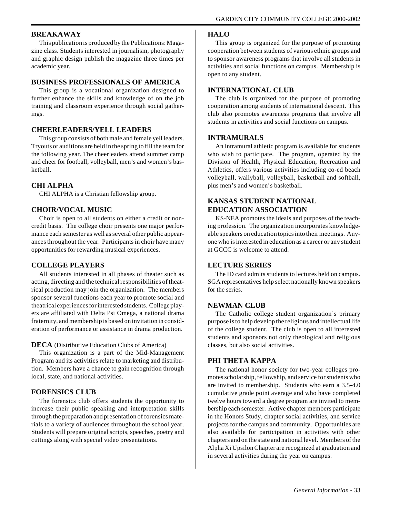#### **BREAKAWAY**

This publication is produced by the Publications: Magazine class. Students interested in journalism, photography and graphic design publish the magazine three times per academic year.

#### **BUSINESS PROFESSIONALS OF AMERICA**

This group is a vocational organization designed to further enhance the skills and knowledge of on the job training and classroom experience through social gatherings.

#### **CHEERLEADERS/YELL LEADERS**

This group consists of both male and female yell leaders. Tryouts or auditions are held in the spring to fill the team for the following year. The cheerleaders attend summer camp and cheer for football, volleyball, men's and women's basketball.

#### **CHI ALPHA**

CHI ALPHA is a Christian fellowship group.

#### **CHOIR/VOCAL MUSIC**

Choir is open to all students on either a credit or noncredit basis. The college choir presents one major performance each semester as well as several other public appearances throughout the year. Participants in choir have many opportunities for rewarding musical experiences.

#### **COLLEGE PLAYERS**

All students interested in all phases of theater such as acting, directing and the technical responsibilities of theatrical production may join the organization. The members sponsor several functions each year to promote social and theatrical experiences for interested students. College players are affiliated with Delta Psi Omega, a national drama fraternity, and membership is based on invitation in consideration of performance or assistance in drama production.

#### **DECA** (Distributive Education Clubs of America)

This organization is a part of the Mid-Management Program and its activities relate to marketing and distribution. Members have a chance to gain recognition through local, state, and national activities.

#### **FORENSICS CLUB**

The forensics club offers students the opportunity to increase their public speaking and interpretation skills through the preparation and presentation of forensics materials to a variety of audiences throughout the school year. Students will prepare original scripts, speeches, poetry and cuttings along with special video presentations.

#### **HALO**

This group is organized for the purpose of promoting cooperation between students of various ethnic groups and to sponsor awareness programs that involve all students in activities and social functions on campus. Membership is open to any student.

#### **INTERNATIONAL CLUB**

The club is organized for the purpose of promoting cooperation among students of international descent. This club also promotes awareness programs that involve all students in activities and social functions on campus.

#### **INTRAMURALS**

An intramural athletic program is available for students who wish to participate. The program, operated by the Division of Health, Physical Education, Recreation and Athletics, offers various activities including co-ed beach volleyball, wallyball, volleyball, basketball and softball, plus men's and women's basketball.

#### **KANSAS STUDENT NATIONAL EDUCATION ASSOCIATION**

KS-NEA promotes the ideals and purposes of the teaching profession. The organization incorporates knowledgeable speakers on education topics into their meetings. Anyone who is interested in education as a career or any student at GCCC is welcome to attend.

#### **LECTURE SERIES**

The ID card admits students to lectures held on campus. SGA representatives help select nationally known speakers for the series.

#### **NEWMAN CLUB**

The Catholic college student organization's primary purpose is to help develop the religious and intellectual life of the college student. The club is open to all interested students and sponsors not only theological and religious classes, but also social activities.

#### **PHI THETA KAPPA**

The national honor society for two-year colleges promotes scholarship, fellowship, and service for students who are invited to membership. Students who earn a 3.5-4.0 cumulative grade point average and who have completed twelve hours toward a degree program are invited to membership each semester. Active chapter members participate in the Honors Study, chapter social activities, and service projects for the campus and community. Opportunities are also available for participation in activities with other chapters and on the state and national level. Members of the Alpha Xi Upsilon Chapter are recognized at graduation and in several activities during the year on campus.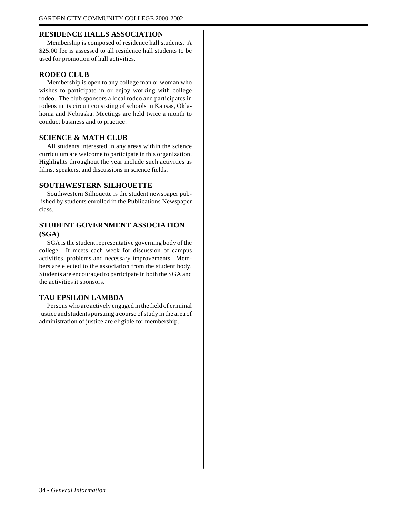#### **RESIDENCE HALLS ASSOCIATION**

Membership is composed of residence hall students. A \$25.00 fee is assessed to all residence hall students to be used for promotion of hall activities.

#### **RODEO CLUB**

Membership is open to any college man or woman who wishes to participate in or enjoy working with college rodeo. The club sponsors a local rodeo and participates in rodeos in its circuit consisting of schools in Kansas, Oklahoma and Nebraska. Meetings are held twice a month to conduct business and to practice.

#### **SCIENCE & MATH CLUB**

All students interested in any areas within the science curriculum are welcome to participate in this organization. Highlights throughout the year include such activities as films, speakers, and discussions in science fields.

#### **SOUTHWESTERN SILHOUETTE**

Southwestern Silhouette is the student newspaper published by students enrolled in the Publications Newspaper class.

#### **STUDENT GOVERNMENT ASSOCIATION (SGA)**

SGA is the student representative governing body of the college. It meets each week for discussion of campus activities, problems and necessary improvements. Members are elected to the association from the student body. Students are encouraged to participate in both the SGA and the activities it sponsors.

#### **TAU EPSILON LAMBDA**

Persons who are actively engaged in the field of criminal justice and students pursuing a course of study in the area of administration of justice are eligible for membership.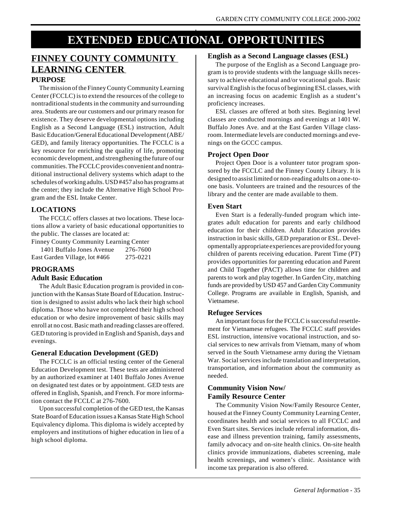## **EXTENDED EDUCATIONAL OPPORTUNITIES**

#### **FINNEY COUNTY COMMUNITY LEARNING CENTER PURPOSE**

The mission of the Finney County Community Learning Center (FCCLC) is to extend the resources of the college to nontraditional students in the community and surrounding area. Students are our customers and our primary reason for existence. They deserve developmental options including English as a Second Language (ESL) instruction, Adult Basic Education/General Educational Development (ABE/ GED), and family literacy opportunities. The FCCLC is a key resource for enriching the quality of life, promoting economic development, and strengthening the future of our communities. The FCCLC provides convenient and nontraditional instructional delivery systems which adapt to the schedules of working adults. USD #457 also has programs at the center; they include the Alternative High School Program and the ESL Intake Center.

#### **LOCATIONS**

The FCCLC offers classes at two locations. These locations allow a variety of basic educational opportunities to the public. The classes are located at:

Finney County Community Learning Center 1401 Buffalo Jones Avenue 276-7600 East Garden Village, lot #466 275-0221

#### **PROGRAMS**

#### **Adult Basic Education**

The Adult Basic Education program is provided in conjunction with the Kansas State Board of Education. Instruction is designed to assist adults who lack their high school diploma. Those who have not completed their high school education or who desire improvement of basic skills may enroll at no cost. Basic math and reading classes are offered. GED tutoring is provided in English and Spanish, days and evenings.

#### **General Education Development (GED)**

The FCCLC is an official testing center of the General Education Development test. These tests are administered by an authorized examiner at 1401 Buffalo Jones Avenue on designated test dates or by appointment. GED tests are offered in English, Spanish, and French. For more information contact the FCCLC at 276-7600.

Upon successful completion of the GED test, the Kansas State Board of Education issues a Kansas State High School Equivalency diploma. This diploma is widely accepted by employers and institutions of higher education in lieu of a high school diploma.

#### **English as a Second Language classes (ESL)**

The purpose of the English as a Second Language program is to provide students with the language skills necessary to achieve educational and/or vocational goals. Basic survival English is the focus of beginning ESL classes, with an increasing focus on academic English as a student's proficiency increases.

ESL classes are offered at both sites. Beginning level classes are conducted mornings and evenings at 1401 W. Buffalo Jones Ave. and at the East Garden Village classroom. Intermediate levels are conducted mornings and evenings on the GCCC campus.

#### **Project Open Door**

Project Open Door is a volunteer tutor program sponsored by the FCCLC and the Finney County Library. It is designed to assist limited or non-reading adults on a one-toone basis. Volunteers are trained and the resources of the library and the center are made available to them.

#### **Even Start**

Even Start is a federally-funded program which integrates adult education for parents and early childhood education for their children. Adult Education provides instruction in basic skills, GED preparation or ESL. Developmentally appropriate experiences are provided for young children of parents receiving education. Parent Time (PT) provides opportunities for parenting education and Parent and Child Together (PACT) allows time for children and parents to work and play together. In Garden City, matching funds are provided by USD 457 and Garden City Community College. Programs are available in English, Spanish, and Vietnamese.

#### **Refugee Services**

An important focus for the FCCLC is successful resettlement for Vietnamese refugees. The FCCLC staff provides ESL instruction, intensive vocational instruction, and social services to new arrivals from Vietnam, many of whom served in the South Vietnamese army during the Vietnam War. Social services include translation and interpretation, transportation, and information about the community as needed.

#### **Community Vision Now/ Family Resource Center**

The Community Vision Now/Family Resource Center, housed at the Finney County Community Learning Center, coordinates health and social services to all FCCLC and Even Start sites. Services include referral information, disease and illness prevention training, family assessments, family advocacy and on-site health clinics. On-site health clinics provide immunizations, diabetes screening, male health screenings, and women's clinic. Assistance with income tax preparation is also offered.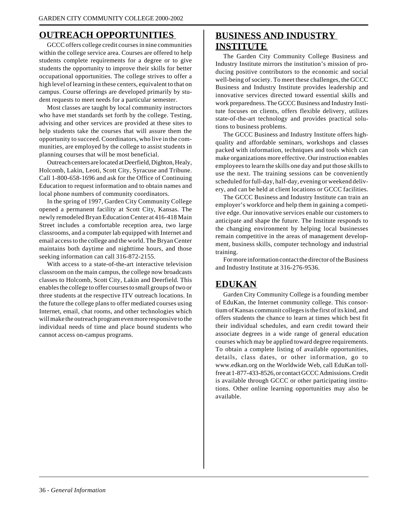# **OUTREACH OPPORTUNITIES**

GCCC offers college credit courses in nine communities within the college service area. Courses are offered to help students complete requirements for a degree or to give students the opportunity to improve their skills for better occupational opportunities. The college strives to offer a high level of learning in these centers, equivalent to that on campus. Course offerings are developed primarily by student requests to meet needs for a particular semester.

Most classes are taught by local community instructors who have met standards set forth by the college. Testing, advising and other services are provided at these sites to help students take the courses that will assure them the opportunity to succeed. Coordinators, who live in the communities, are employed by the college to assist students in planning courses that will be most beneficial.

Outreach centers are located at Deerfield, Dighton, Healy, Holcomb, Lakin, Leoti, Scott City, Syracuse and Tribune. Call 1-800-658-1696 and ask for the Office of Continuing Education to request information and to obtain names and local phone numbers of community coordinators.

In the spring of 1997, Garden City Community College opened a permanent facility at Scott City, Kansas. The newly remodeled Bryan Education Center at 416-418 Main Street includes a comfortable reception area, two large classrooms, and a computer lab equipped with Internet and email access to the college and the world. The Bryan Center maintains both daytime and nighttime hours, and those seeking information can call 316-872-2155.

With access to a state-of-the-art interactive television classroom on the main campus, the college now broadcasts classes to Holcomb, Scott City, Lakin and Deerfield. This enables the college to offer courses to small groups of two or three students at the respective ITV outreach locations. In the future the college plans to offer mediated courses using Internet, email, chat rooms, and other technologies which will make the outreach program even more responsive to the individual needs of time and place bound students who cannot access on-campus programs.

# **BUSINESS AND INDUSTRY INSTITUTE**

The Garden City Community College Business and Industry Institute mirrors the institution's mission of producing positive contributors to the economic and social well-being of society. To meet these challenges, the GCCC Business and Industry Institute provides leadership and innovative services directed toward essential skills and work preparedness. The GCCC Business and Industry Institute focuses on clients, offers flexible delivery, utilizes state-of-the-art technology and provides practical solutions to business problems.

The GCCC Business and Industry Institute offers highquality and affordable seminars, workshops and classes packed with information, techniques and tools which can make organizations more effective. Our instruction enables employees to learn the skills one day and put those skills to use the next. The training sessions can be conveniently scheduled for full-day, half-day, evening or weekend delivery, and can be held at client locations or GCCC facilities.

The GCCC Business and Industry Institute can train an employer's workforce and help them in gaining a competitive edge. Our innovative services enable our customers to anticipate and shape the future. The Institute responds to the changing environment by helping local businesses remain competitive in the areas of management development, business skills, computer technology and industrial training.

For more information contact the director of the Business and Industry Institute at 316-276-9536.

# **EDUKAN**

Garden City Community College is a founding member of EduKan, the Internet community college. This consortium of Kansas communit colleges is the first of its kind, and offers students the chance to learn at times which best fit their individual schedules, and earn credit toward their associate degrees in a wide range of general education courses which may be applied toward degree requirements. To obtain a complete listing of available opportunities, details, class dates, or other information, go to www.edkan.org on the Worldwide Web, call EduKan tollfree at 1-877-433-8526, or contact GCCC Admissions. Credit is available through GCCC or other participating institutions. Other online learning opportunities may also be available.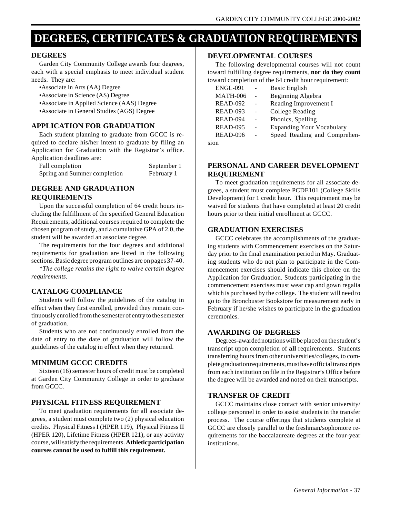# **DEGREES, CERTIFICATES & GRADUATION REQUIREMENTS**

#### **DEGREES**

Garden City Community College awards four degrees, each with a special emphasis to meet individual student needs. They are:

- •Associate in Arts (AA) Degree
- •Associate in Science (AS) Degree
- •Associate in Applied Science (AAS) Degree
- •Associate in General Studies (AGS) Degree

#### **APPLICATION FOR GRADUATION**

Each student planning to graduate from GCCC is required to declare his/her intent to graduate by filing an Application for Graduation with the Registrar's office. Application deadlines are:

| Fall completion              | September 1 |
|------------------------------|-------------|
| Spring and Summer completion | February 1  |

## **DEGREE AND GRADUATION REQUIREMENTS**

Upon the successful completion of 64 credit hours including the fulfillment of the specified General Education Requirements, additional courses required to complete the chosen program of study, and a cumulative GPA of 2.0, the student will be awarded an associate degree.

The requirements for the four degrees and additional requirements for graduation are listed in the following sections. Basic degree program outlines are on pages 37-40.

*\*The college retains the right to waive certain degree requirements.*

#### **CATALOG COMPLIANCE**

Students will follow the guidelines of the catalog in effect when they first enrolled, provided they remain continuously enrolled from the semester of entry to the semester of graduation.

Students who are not continuously enrolled from the date of entry to the date of graduation will follow the guidelines of the catalog in effect when they returned.

#### **MINIMUM GCCC CREDITS**

Sixteen (16) semester hours of credit must be completed at Garden City Community College in order to graduate from GCCC.

#### **PHYSICAL FITNESS REQUIREMENT**

To meet graduation requirements for all associate degrees, a student must complete two (2) physical education credits. Physical Fitness I (HPER 119), Physical Fitness II (HPER 120), Lifetime Fitness (HPER 121), or any activity course, will satisfy the requirements. **Athletic participation courses cannot be used to fulfill this requirement.**

## **DEVELOPMENTAL COURSES**

The following developmental courses will not count toward fulfilling degree requirements, **nor do they count** toward completion of the 64 credit hour requirement:

| ENGL-091 |        | <b>Basic English</b>             |
|----------|--------|----------------------------------|
| MATH-006 | $\sim$ | <b>Beginning Algebra</b>         |
| READ-092 |        | Reading Improvement I            |
| READ-093 |        | College Reading                  |
| READ-094 |        | Phonics, Spelling                |
| READ-095 |        | <b>Expanding Your Vocabulary</b> |
| READ-096 |        | Speed Reading and Comprehen-     |
|          |        |                                  |

sion

# **PERSONAL AND CAREER DEVELOPMENT REQUIREMENT**

To meet graduation requirements for all associate degrees, a student must complete PCDE101 (College Skills Development) for 1 credit hour. This requirement may be waived for students that have completed at least 20 credit hours prior to their initial enrollment at GCCC.

#### **GRADUATION EXERCISES**

GCCC celebrates the accomplishments of the graduating students with Commencement exercises on the Saturday prior to the final examination period in May. Graduating students who do not plan to participate in the Commencement exercises should indicate this choice on the Application for Graduation. Students participating in the commencement exercises must wear cap and gown regalia which is purchased by the college. The student will need to go to the Broncbuster Bookstore for measurement early in February if he/she wishes to participate in the graduation ceremonies.

#### **AWARDING OF DEGREES**

Degrees-awarded notations will be placed on the student's transcript upon completion of **all** requirements. Students transferring hours from other universities/colleges, to complete graduation requirements, must have official transcripts from each institution on file in the Registrar's Office before the degree will be awarded and noted on their transcripts.

#### **TRANSFER OF CREDIT**

GCCC maintains close contact with senior university/ college personnel in order to assist students in the transfer process. The course offerings that students complete at GCCC are closely parallel to the freshman/sophomore requirements for the baccalaureate degrees at the four-year institutions.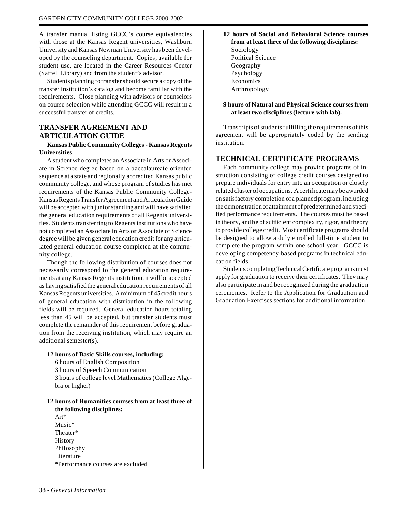A transfer manual listing GCCC's course equivalencies with those at the Kansas Regent universities, Washburn University and Kansas Newman University has been developed by the counseling department. Copies, available for student use, are located in the Career Resources Center (Saffell Library) and from the student's advisor.

Students planning to transfer should secure a copy of the transfer institution's catalog and become familiar with the requirements. Close planning with advisors or counselors on course selection while attending GCCC will result in a successful transfer of credits.

# **TRANSFER AGREEMENT AND ARTICULATION GUIDE**

**Kansas Public Community Colleges - Kansas Regents Universities**

A student who completes an Associate in Arts or Associate in Science degree based on a baccalaureate oriented sequence at a state and regionally accredited Kansas public community college, and whose program of studies has met requirements of the Kansas Public Community College-Kansas Regents Transfer Agreement and Articulation Guide will be accepted with junior standing and will have satisfied the general education requirements of all Regents universities. Students transferring to Regents institutions who have not completed an Associate in Arts or Associate of Science degree will be given general education credit for any articulated general education course completed at the community college.

Though the following distribution of courses does not necessarily correspond to the general education requirements at any Kansas Regents institution, it will be accepted as having satisfied the general education requirements of all Kansas Regents universities. A minimum of 45 credit hours of general education with distribution in the following fields will be required. General education hours totaling less than 45 will be accepted, but transfer students must complete the remainder of this requirement before graduation from the receiving institution, which may require an additional semester(s).

#### **12 hours of Basic Skills courses, including:**

6 hours of English Composition

3 hours of Speech Communication

3 hours of college level Mathematics (College Algebra or higher)

#### **12 hours of Humanities courses from at least three of the following disciplines:** Art\*

Music\* Theater\* History Philosophy Literature \*Performance courses are excluded **12 hours of Social and Behavioral Science courses from at least three of the following disciplines:** Sociology Political Science Geography Psychology Economics Anthropology

#### **9 hours of Natural and Physical Science courses from at least two disciplines (lecture with lab).**

Transcripts of students fulfilling the requirements of this agreement will be appropriately coded by the sending institution.

## **TECHNICAL CERTIFICATE PROGRAMS**

Each community college may provide programs of instruction consisting of college credit courses designed to prepare individuals for entry into an occupation or closely related cluster of occupations. A certificate may be awarded on satisfactory completion of a planned program, including the demonstration of attainment of predetermined and specified performance requirements. The courses must be based in theory, and be of sufficient complexity, rigor, and theory to provide college credit. Most certificate programs should be designed to allow a duly enrolled full-time student to complete the program within one school year. GCCC is developing competency-based programs in technical education fields.

Students completing Technical Certificate programs must apply for graduation to receive their certificates. They may also participate in and be recognized during the graduation ceremonies. Refer to the Application for Graduation and Graduation Exercises sections for additional information.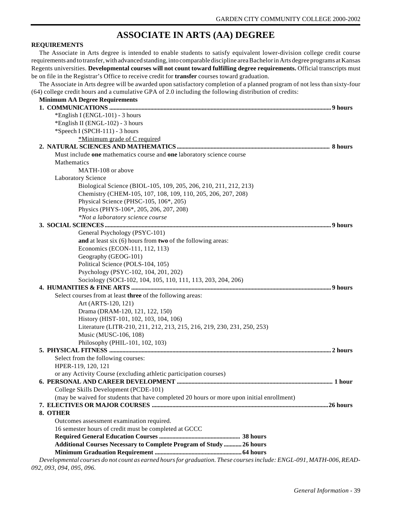# **ASSOCIATE IN ARTS (AA) DEGREE**

#### **REQUIREMENTS**

The Associate in Arts degree is intended to enable students to satisfy equivalent lower-division college credit course requirements and to transfer, with advanced standing, into comparable discipline area Bachelor in Arts degree programs at Kansas Regents universities. **Developmental courses will not count toward fulfilling degree requirements.** Official transcripts must be on file in the Registrar's Office to receive credit for **transfer** courses toward graduation.

The Associate in Arts degree will be awarded upon satisfactory completion of a planned program of not less than sixty-four<br>A selling see dit have and a sumplating CDA of 2.0 including the following distribution of and itse  $(64)$  college credit hours and a cumulative GPA of 2.0 including the following distribution

| <b>Minimum AA Degree Requirements</b><br>*English I (ENGL-101) - 3 hours<br>*English II (ENGL-102) - 3 hours<br>*Speech I (SPCH-111) - 3 hours<br>*Minimum grade of C required<br>Must include one mathematics course and one laboratory science course<br>Mathematics<br>MATH-108 or above<br>Laboratory Science<br>Biological Science (BIOL-105, 109, 205, 206, 210, 211, 212, 213)<br>Chemistry (CHEM-105, 107, 108, 109, 110, 205, 206, 207, 208)<br>Physical Science (PHSC-105, 106*, 205)<br>Physics (PHYS-106*, 205, 206, 207, 208)<br>*Not a laboratory science course<br>General Psychology (PSYC-101) |
|-----------------------------------------------------------------------------------------------------------------------------------------------------------------------------------------------------------------------------------------------------------------------------------------------------------------------------------------------------------------------------------------------------------------------------------------------------------------------------------------------------------------------------------------------------------------------------------------------------------------|
|                                                                                                                                                                                                                                                                                                                                                                                                                                                                                                                                                                                                                 |
|                                                                                                                                                                                                                                                                                                                                                                                                                                                                                                                                                                                                                 |
|                                                                                                                                                                                                                                                                                                                                                                                                                                                                                                                                                                                                                 |
|                                                                                                                                                                                                                                                                                                                                                                                                                                                                                                                                                                                                                 |
|                                                                                                                                                                                                                                                                                                                                                                                                                                                                                                                                                                                                                 |
|                                                                                                                                                                                                                                                                                                                                                                                                                                                                                                                                                                                                                 |
|                                                                                                                                                                                                                                                                                                                                                                                                                                                                                                                                                                                                                 |
|                                                                                                                                                                                                                                                                                                                                                                                                                                                                                                                                                                                                                 |
|                                                                                                                                                                                                                                                                                                                                                                                                                                                                                                                                                                                                                 |
|                                                                                                                                                                                                                                                                                                                                                                                                                                                                                                                                                                                                                 |
|                                                                                                                                                                                                                                                                                                                                                                                                                                                                                                                                                                                                                 |
|                                                                                                                                                                                                                                                                                                                                                                                                                                                                                                                                                                                                                 |
|                                                                                                                                                                                                                                                                                                                                                                                                                                                                                                                                                                                                                 |
|                                                                                                                                                                                                                                                                                                                                                                                                                                                                                                                                                                                                                 |
|                                                                                                                                                                                                                                                                                                                                                                                                                                                                                                                                                                                                                 |
|                                                                                                                                                                                                                                                                                                                                                                                                                                                                                                                                                                                                                 |
|                                                                                                                                                                                                                                                                                                                                                                                                                                                                                                                                                                                                                 |
| and at least six (6) hours from two of the following areas:                                                                                                                                                                                                                                                                                                                                                                                                                                                                                                                                                     |
| Economics (ECON-111, 112, 113)                                                                                                                                                                                                                                                                                                                                                                                                                                                                                                                                                                                  |
| Geography (GEOG-101)                                                                                                                                                                                                                                                                                                                                                                                                                                                                                                                                                                                            |
| Political Science (POLS-104, 105)                                                                                                                                                                                                                                                                                                                                                                                                                                                                                                                                                                               |
| Psychology (PSYC-102, 104, 201, 202)                                                                                                                                                                                                                                                                                                                                                                                                                                                                                                                                                                            |
| Sociology (SOCI-102, 104, 105, 110, 111, 113, 203, 204, 206)                                                                                                                                                                                                                                                                                                                                                                                                                                                                                                                                                    |
|                                                                                                                                                                                                                                                                                                                                                                                                                                                                                                                                                                                                                 |
| Select courses from at least three of the following areas:                                                                                                                                                                                                                                                                                                                                                                                                                                                                                                                                                      |
| Art (ARTS-120, 121)                                                                                                                                                                                                                                                                                                                                                                                                                                                                                                                                                                                             |
| Drama (DRAM-120, 121, 122, 150)                                                                                                                                                                                                                                                                                                                                                                                                                                                                                                                                                                                 |
| History (HIST-101, 102, 103, 104, 106)                                                                                                                                                                                                                                                                                                                                                                                                                                                                                                                                                                          |
| Literature (LITR-210, 211, 212, 213, 215, 216, 219, 230, 231, 250, 253)                                                                                                                                                                                                                                                                                                                                                                                                                                                                                                                                         |
| Music (MUSC-106, 108)                                                                                                                                                                                                                                                                                                                                                                                                                                                                                                                                                                                           |
| Philosophy (PHIL-101, 102, 103)                                                                                                                                                                                                                                                                                                                                                                                                                                                                                                                                                                                 |
|                                                                                                                                                                                                                                                                                                                                                                                                                                                                                                                                                                                                                 |
| Select from the following courses:                                                                                                                                                                                                                                                                                                                                                                                                                                                                                                                                                                              |
| HPER-119, 120, 121                                                                                                                                                                                                                                                                                                                                                                                                                                                                                                                                                                                              |
| or any Activity Course (excluding athletic participation courses)                                                                                                                                                                                                                                                                                                                                                                                                                                                                                                                                               |
|                                                                                                                                                                                                                                                                                                                                                                                                                                                                                                                                                                                                                 |
| College Skills Development (PCDE-101)                                                                                                                                                                                                                                                                                                                                                                                                                                                                                                                                                                           |
| (may be waived for students that have completed 20 hours or more upon initial enrollment)                                                                                                                                                                                                                                                                                                                                                                                                                                                                                                                       |
|                                                                                                                                                                                                                                                                                                                                                                                                                                                                                                                                                                                                                 |
| 8. OTHER                                                                                                                                                                                                                                                                                                                                                                                                                                                                                                                                                                                                        |
| Outcomes assessment examination required.                                                                                                                                                                                                                                                                                                                                                                                                                                                                                                                                                                       |
| 16 semester hours of credit must be completed at GCCC                                                                                                                                                                                                                                                                                                                                                                                                                                                                                                                                                           |
|                                                                                                                                                                                                                                                                                                                                                                                                                                                                                                                                                                                                                 |
| Additional Courses Necessary to Complete Program of Study  26 hours                                                                                                                                                                                                                                                                                                                                                                                                                                                                                                                                             |
|                                                                                                                                                                                                                                                                                                                                                                                                                                                                                                                                                                                                                 |
| Developmental courses do not count as earned hours for graduation. These courses include: ENGL-091, MATH-006, READ-                                                                                                                                                                                                                                                                                                                                                                                                                                                                                             |

*092, 093, 094, 095, 096.*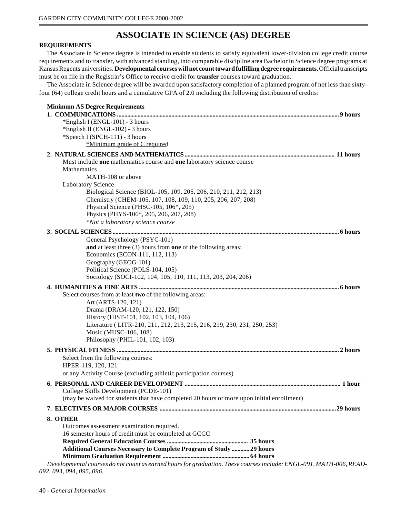# **ASSOCIATE IN SCIENCE (AS) DEGREE**

#### **REQUIREMENTS**

The Associate in Science degree is intended to enable students to satisfy equivalent lower-division college credit course requirements and to transfer, with advanced standing, into comparable discipline area Bachelor in Science degree programs at Kansas Regents universities. **Developmental courses will not count toward fulfilling degree requirements.** Official transcripts must be on file in the Registrar's Office to receive credit for **transfer** courses toward graduation.

The Associate in Science degree will be awarded upon satisfactory completion of a planned program of not less than sixtyfour (64) college credit hours and a cumulative GPA of 2.0 including the following distribution of credits:

| <b>Minimum AS Degree Requirements</b>                                                                                                           |  |
|-------------------------------------------------------------------------------------------------------------------------------------------------|--|
| *English I (ENGL-101) - 3 hours                                                                                                                 |  |
| *English II (ENGL-102) - 3 hours                                                                                                                |  |
| *Speech I (SPCH-111) - 3 hours                                                                                                                  |  |
| *Minimum grade of C required                                                                                                                    |  |
|                                                                                                                                                 |  |
| Must include one mathematics course and one laboratory science course<br>Mathematics                                                            |  |
| MATH-108 or above                                                                                                                               |  |
| <b>Laboratory Science</b>                                                                                                                       |  |
| Biological Science (BIOL-105, 109, 205, 206, 210, 211, 212, 213)                                                                                |  |
| Chemistry (CHEM-105, 107, 108, 109, 110, 205, 206, 207, 208)                                                                                    |  |
| Physical Science (PHSC-105, 106*, 205)                                                                                                          |  |
| Physics (PHYS-106*, 205, 206, 207, 208)                                                                                                         |  |
| *Not a laboratory science course                                                                                                                |  |
|                                                                                                                                                 |  |
| General Psychology (PSYC-101)                                                                                                                   |  |
| and at least three (3) hours from one of the following areas:                                                                                   |  |
| Economics (ECON-111, 112, 113)                                                                                                                  |  |
| Geography (GEOG-101)                                                                                                                            |  |
| Political Science (POLS-104, 105)                                                                                                               |  |
| Sociology (SOCI-102, 104, 105, 110, 111, 113, 203, 204, 206)                                                                                    |  |
|                                                                                                                                                 |  |
| Select courses from at least two of the following areas:                                                                                        |  |
| Art (ARTS-120, 121)                                                                                                                             |  |
| Drama (DRAM-120, 121, 122, 150)                                                                                                                 |  |
| History (HIST-101, 102, 103, 104, 106)                                                                                                          |  |
| Literature (LITR-210, 211, 212, 213, 215, 216, 219, 230, 231, 250, 253)                                                                         |  |
| Music (MUSC-106, 108)                                                                                                                           |  |
| Philosophy (PHIL-101, 102, 103)                                                                                                                 |  |
|                                                                                                                                                 |  |
| Select from the following courses:                                                                                                              |  |
| HPER-119, 120, 121                                                                                                                              |  |
| or any Activity Course (excluding athletic participation courses)                                                                               |  |
|                                                                                                                                                 |  |
| College Skills Development (PCDE-101)                                                                                                           |  |
| (may be waived for students that have completed 20 hours or more upon initial enrollment)                                                       |  |
|                                                                                                                                                 |  |
| 8. OTHER                                                                                                                                        |  |
| Outcomes assessment examination required.                                                                                                       |  |
| 16 semester hours of credit must be completed at GCCC                                                                                           |  |
|                                                                                                                                                 |  |
| Additional Courses Necessary to Complete Program of Study  29 hours                                                                             |  |
|                                                                                                                                                 |  |
| Developmental courses do not count as earned hours for graduation. These courses include: ENGL-091, MATH-006, READ-<br>092, 093, 094, 095, 096. |  |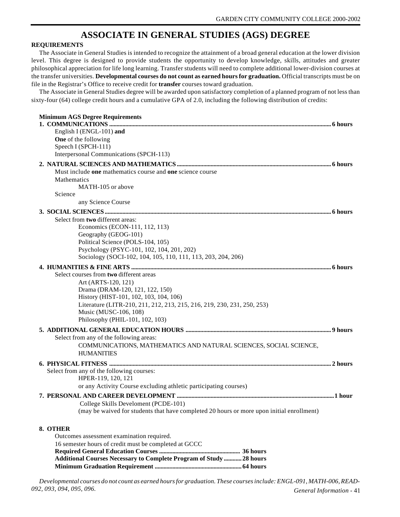# **ASSOCIATE IN GENERAL STUDIES (AGS) DEGREE**

#### **REQUIREMENTS**

The Associate in General Studies is intended to recognize the attainment of a broad general education at the lower division level. This degree is designed to provide students the opportunity to develop knowledge, skills, attitudes and greater philosophical appreciation for life long learning. Transfer students will need to complete additional lower-division courses at the transfer universities. **Developmental courses do not count as earned hours for graduation.** Official transcripts must be on file in the Registrar's Office to receive credit for **transfer** courses toward graduation.

The Associate in General Studies degree will be awarded upon satisfactory completion of a planned program of not less than sixty-four (64) college credit hours and a cumulative GPA of 2.0, including the following distribution of credits:

| <b>Minimum AGS Degree Requirements</b><br>English I (ENGL-101) and                                   |
|------------------------------------------------------------------------------------------------------|
| One of the following                                                                                 |
| Speech I (SPCH-111)                                                                                  |
| Interpersonal Communications (SPCH-113)                                                              |
|                                                                                                      |
| Must include one mathematics course and one science course                                           |
| Mathematics                                                                                          |
| MATH-105 or above                                                                                    |
| Science                                                                                              |
| any Science Course                                                                                   |
|                                                                                                      |
| Select from two different areas:                                                                     |
| Economics (ECON-111, 112, 113)                                                                       |
| Geography (GEOG-101)                                                                                 |
| Political Science (POLS-104, 105)                                                                    |
| Psychology (PSYC-101, 102, 104, 201, 202)                                                            |
| Sociology (SOCI-102, 104, 105, 110, 111, 113, 203, 204, 206)                                         |
|                                                                                                      |
| Select courses from two different areas                                                              |
| Art (ARTS-120, 121)                                                                                  |
| Drama (DRAM-120, 121, 122, 150)                                                                      |
| History (HIST-101, 102, 103, 104, 106)                                                               |
| Literature (LITR-210, 211, 212, 213, 215, 216, 219, 230, 231, 250, 253)                              |
| Music (MUSC-106, 108)                                                                                |
| Philosophy (PHIL-101, 102, 103)                                                                      |
|                                                                                                      |
| Select from any of the following areas:                                                              |
| COMMUNICATIONS, MATHEMATICS AND NATURAL SCIENCES, SOCIAL SCIENCE,                                    |
| <b>HUMANITIES</b>                                                                                    |
|                                                                                                      |
| Select from any of the following courses:                                                            |
| HPER-119, 120, 121                                                                                   |
| or any Activity Course excluding athletic participating courses)                                     |
|                                                                                                      |
| College Skills Develoment (PCDE-101)                                                                 |
| (may be waived for students that have completed 20 hours or more upon initial enrollment)            |
|                                                                                                      |
| 8. OTHER                                                                                             |
| Outcomes assessment examination required.                                                            |
| 16 semester hours of credit must be completed at GCCC                                                |
|                                                                                                      |
| <b>Additional Courses Necessary to Complete Program of Study  28 hours</b><br>$C = 1$ $\cdots$ $D$ . |

**Minimum Graduation Requirement ........................................................... 64 hours**

*General Information* - 41 *Developmental courses do not count as earned hours for graduation. These courses include: ENGL-091, MATH-006, READ-092, 093, 094, 095, 096.*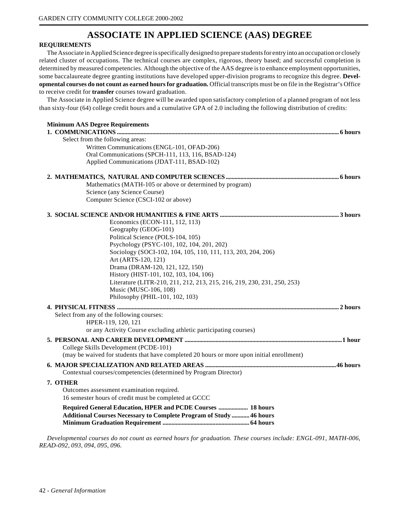# **ASSOCIATE IN APPLIED SCIENCE (AAS) DEGREE**

#### **REQUIREMENTS**

The Associate in Applied Science degree is specifically designed to prepare students for entry into an occupation or closely related cluster of occupations. The technical courses are complex, rigorous, theory based; and successful completion is determined by measured competencies. Although the objective of the AAS degree is to enhance employment opportunities, some baccalaureate degree granting institutions have developed upper-division programs to recognize this degree. **Developmental courses do not count as earned hours for graduation.** Official transcripts must be on file in the Registrar's Office to receive credit for **transfer** courses toward graduation.

The Associate in Applied Science degree will be awarded upon satisfactory completion of a planned program of not less than sixty-four (64) college credit hours and a cumulative GPA of 2.0 including the following distribution of credits:

| <b>Minimum AAS Degree Requirements</b>                                                    |
|-------------------------------------------------------------------------------------------|
| Select from the following areas:                                                          |
| Written Communications (ENGL-101, OFAD-206)                                               |
| Oral Communications (SPCH-111, 113, 116, BSAD-124)                                        |
| Applied Communications (JDAT-111, BSAD-102)                                               |
|                                                                                           |
|                                                                                           |
| Mathematics (MATH-105 or above or determined by program)                                  |
| Science (any Science Course)                                                              |
| Computer Science (CSCI-102 or above)                                                      |
|                                                                                           |
| Economics (ECON-111, 112, 113)                                                            |
| Geography (GEOG-101)                                                                      |
| Political Science (POLS-104, 105)                                                         |
| Psychology (PSYC-101, 102, 104, 201, 202)                                                 |
| Sociology (SOCI-102, 104, 105, 110, 111, 113, 203, 204, 206)                              |
| Art (ARTS-120, 121)                                                                       |
| Drama (DRAM-120, 121, 122, 150)                                                           |
| History (HIST-101, 102, 103, 104, 106)                                                    |
| Literature (LITR-210, 211, 212, 213, 215, 216, 219, 230, 231, 250, 253)                   |
| Music (MUSC-106, 108)                                                                     |
| Philosophy (PHIL-101, 102, 103)                                                           |
|                                                                                           |
| Select from any of the following courses:                                                 |
| HPER-119, 120, 121                                                                        |
| or any Activity Course excluding athletic participating courses)                          |
|                                                                                           |
|                                                                                           |
| College Skills Development (PCDE-101)                                                     |
| (may be waived for students that have completed 20 hours or more upon initial enrollment) |
|                                                                                           |
| Contextual courses/competencies (determined by Program Director)                          |
| 7. OTHER                                                                                  |
| Outcomes assessment examination required.                                                 |
| 16 semester hours of credit must be completed at GCCC                                     |
| Required General Education, HPER and PCDE Courses  18 hours                               |
| <b>Additional Courses Necessary to Complete Program of Study  46 hours</b>                |
|                                                                                           |
|                                                                                           |

*Developmental courses do not count as earned hours for graduation. These courses include: ENGL-091, MATH-006, READ-092, 093, 094, 095, 096.*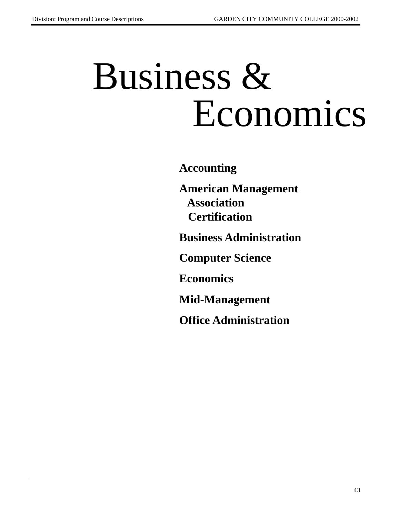# Business & Economics

**Accounting**

**American Management Association Certification**

**Business Administration**

**Computer Science**

**Economics**

**Mid-Management**

**Office Administration**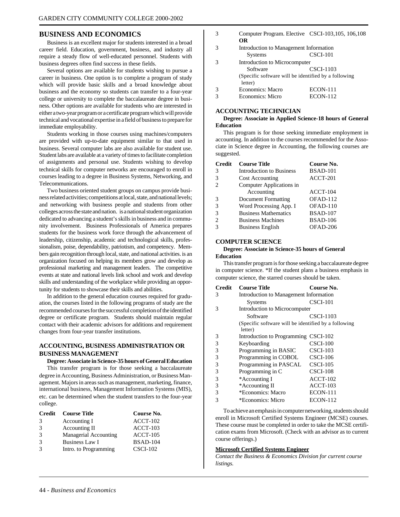#### **BUSINESS AND ECONOMICS**

Business is an excellent major for students interested in a broad career field. Education, government, business, and industry all require a steady flow of well-educated personnel. Students with business degrees often find success in these fields.

Several options are available for students wishing to pursue a career in business. One option is to complete a program of study which will provide basic skills and a broad knowledge about business and the economy so students can transfer to a four-year college or university to complete the baccalaureate degree in business. Other options are available for students who are interested in either a two-year program or a certificate program which will provide technical and vocational expertise in a field of business to prepare for immediate employability.

Students working in those courses using machines/computers are provided with up-to-date equipment similar to that used in business. Several computer labs are also available for student use. Student labs are available at a variety of times to facilitate completion of assignments and personal use. Students wishing to develop technical skills for computer networks are encouraged to enroll in courses leading to a degree in Business Systems, Networking, and Telecommunications.

Two business oriented student groups on campus provide business related activities; competitions at local, state, and national levels; and networking with business people and students from other colleges across the state and nation. is a national student organization dedicated to advancing a student's skills in business and in community involvement. Business Professionals of America prepares students for the business work force through the advancement of leadership, citizenship, academic and technological skills, professionalism, poise, dependability, patriotism, and competency. Members gain recognition through local, state, and national activities. is an organization focused on helping its members grow and develop as professional marketing and management leaders. The competitive events at state and national levels link school and work and develop skills and understanding of the workplace while providing an opportunity for students to showcase their skills and abilities.

In addition to the general education courses required for graduation, the courses listed in the following programs of study are the recommended courses for the successful completion of the identified degree or certificate program. Students should maintain regular contact with their academic advisors for additions and requirement changes from four-year transfer institutions.

#### **ACCOUNTING, BUSINESS ADMINISTRATION OR BUSINESS MANAGEMENT**

#### **Degree: Associate in Science-35 hours of General Education**

This transfer program is for those seeking a baccalaureate degree in Accounting, Business Administration, or Business Management. Majors in areas such as management, marketing, finance, international business, Management Information Systems (MIS), etc. can be determined when the student transfers to the four-year college.

| Credit        | <b>Course Title</b>          | Course No.      |
|---------------|------------------------------|-----------------|
| 3             | Accounting I                 | $ACCT-102$      |
| $\mathcal{R}$ | Accounting II                | $ACCT-103$      |
| $\mathcal{R}$ | <b>Managerial Accounting</b> | $ACCT-105$      |
| $\mathcal{R}$ | <b>Business Law I</b>        | <b>BSAD-104</b> |
|               | Intro. to Programming        | $CSCI-102$      |

| Computer Program. Elective CSCI-103, 105, 106, 108 |  |
|----------------------------------------------------|--|
| OR                                                 |  |
|                                                    |  |

| $\mathbf 3$ | Introduction to Management Information |                                                      |  |
|-------------|----------------------------------------|------------------------------------------------------|--|
|             | <b>Systems</b>                         | $CSCI-101$                                           |  |
| 3           |                                        | Introduction to Microcomputer                        |  |
|             | Software                               | CSCI-1103                                            |  |
|             |                                        | (Specific software will be identified by a following |  |
|             | letter)                                |                                                      |  |
| 3           | <b>Economics: Macro</b>                | <b>ECON-111</b>                                      |  |
|             | Economics: Micro                       | <b>ECON-112</b>                                      |  |

#### **ACCOUNTING TECHNICIAN**

#### **Degree: Associate in Applied Science-18 hours of General Education**

This program is for those seeking immediate employment in accounting. In addition to the courses recommended for the Associate in Science degree in Accounting, the following courses are suggested.

| <b>Credit</b>  | <b>Course Title</b>             | Course No.      |
|----------------|---------------------------------|-----------------|
| 3              | <b>Introduction to Business</b> | <b>BSAD-101</b> |
| 3              | <b>Cost Accounting</b>          | ACCT-201        |
| 2              | Computer Applications in        |                 |
|                | Accounting                      | $ACCT-104$      |
| 3              | <b>Document Formatting</b>      | $OFAD-112$      |
| 3              | Word Processing App. I          | OFAD-110        |
| 3              | <b>Business Mathematics</b>     | <b>BSAD-107</b> |
| $\mathfrak{D}$ | <b>Business Machines</b>        | <b>BSAD-106</b> |
| 3              | <b>Business English</b>         | OFAD-206        |

#### **COMPUTER SCIENCE**

#### **Degree: Associate in Science-35 hours of General**

#### **Education**

This transfer program is for those seeking a baccalaureate degree in computer science. \*If the student plans a business emphasis in computer science, the starred courses should be taken.

| <b>Credit</b> | <b>Course Title</b>                                             | Course No.      |  |
|---------------|-----------------------------------------------------------------|-----------------|--|
| 3             | Introduction to Management Information                          |                 |  |
|               | <b>Systems</b>                                                  | $CSCI-101$      |  |
| 3             | Introduction to Microcomputer                                   |                 |  |
|               | Software                                                        | CSCI-1103       |  |
|               | (Specific software will be identified by a following<br>letter) |                 |  |
| 3             | Introduction to Programming CSCI-102                            |                 |  |
| 3             | Keyboarding                                                     | $CSCI-100$      |  |
| 3             | Programming in BASIC                                            | $CSCI-103$      |  |
| 3             | Programming in COBOL                                            | $CSCI-106$      |  |
| 3             | Programming in PASCAL                                           | $CSCI-105$      |  |
| 3             | Programming in C                                                | $CSCI-108$      |  |
| 3             | *Accounting I                                                   | $ACCT-102$      |  |
| 3             | *Accounting II                                                  | ACCT-103        |  |
| 3             | *Economics: Macro                                               | <b>ECON-111</b> |  |
| 3             | *Economics: Micro                                               | <b>ECON-112</b> |  |

To achieve an emphasis in computer networking, students should enroll in Microsoft Certified Systems Engineer (MCSE) courses. These course must be completed in order to take the MCSE certification exams from Microsoft. (Check with an advisor as to current course offerings.)

#### **Microsoft Certified Systems Engineer**

*Contact the Business & Economics Division for current course listings.*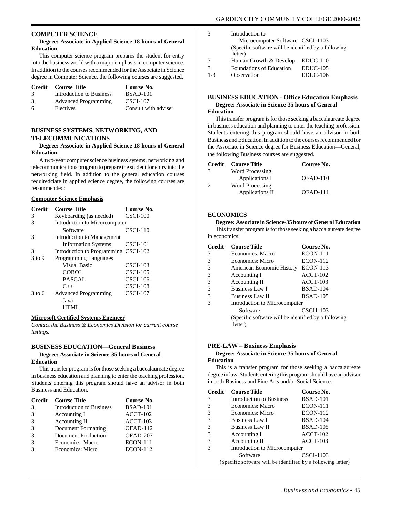#### **COMPUTER SCIENCE**

#### **Degree: Associate in Applied Science-18 hours of General Education**

This computer science program prepares the student for entry into the business world with a major emphasis in computer science. In addition to the courses recommended for the Associate in Science degree in Computer Science, the following courses are suggested.

|               | Credit Course Title         | Course No.           |
|---------------|-----------------------------|----------------------|
| $\mathcal{F}$ | Introduction to Business    | <b>BSAD-101</b>      |
| 3             | <b>Advanced Programming</b> | <b>CSCI-107</b>      |
| 6             | Electives                   | Consult with adviser |

#### **BUSINESS SYSTEMS, NETWORKING, AND TELECOMMUNICATIONS**

#### **Degree: Associate in Applied Science-18 hours of General Education**

A two-year computer science business sytems, networking and telecommunications program to prepare the student for entry into the networking field. In addition to the general education courses requiredciate in applied science degree, the following courses are recommended:

#### **Computer Science Emphasis**

| <b>Credit</b> | Course Title                  | Course No.      |
|---------------|-------------------------------|-----------------|
| 3             | Keyboarding (as needed)       | $CSCI-100$      |
| 3             | Introduction to Micorcomputer |                 |
|               | Software                      | $CSCI-110$      |
| 3             | Introduction to Management    |                 |
|               | <b>Information Systems</b>    | CSCI-101        |
| 3             | Introduction to Programming   | $CSCI-102$      |
| 3 to 9        | <b>Programming Languages</b>  |                 |
|               | Visual Basic                  | <b>CSCI-103</b> |
|               | COBOL                         | $CSCI-105$      |
|               | <b>PASCAL</b>                 | $CSCI-106$      |
|               | $C++$                         | $CSCI-108$      |
| 3 to 6        | <b>Advanced Programming</b>   | $CSCI-107$      |
|               | Java                          |                 |
|               | HTML.                         |                 |

#### **Microsoft Certified Systems Engineer**

*Contact the Business & Economics Division for current course listings.*

#### **BUSINESS EDUCATION—General Business**

#### **Degree: Associate in Science-35 hours of General Education**

This transfer program is for those seeking a baccalaureate degree in business education and planning to enter the teaching profession. Students entering this program should have an advisor in both Business and Education.

| <b>Credit</b> | <b>Course Title</b>             | Course No.      |
|---------------|---------------------------------|-----------------|
| 3             | <b>Introduction to Business</b> | <b>BSAD-101</b> |
|               | Accounting I                    | $ACCT-102$      |
| 3             | Accounting II                   | $ACCT-103$      |
|               | Document Formatting             | OFAD-112        |
|               | <b>Document Production</b>      | OFAD-207        |
|               | Economics: Macro                | <b>ECON-111</b> |
|               | Economics: Micro                | <b>ECON-112</b> |

| $\mathcal{R}$ | Introduction to                                       |            |
|---------------|-------------------------------------------------------|------------|
|               | Microcomputer Software CSCI-1103                      |            |
|               | (Specific software will be identified by a following) |            |
|               | letter)                                               |            |
| $\mathcal{R}$ | Human Growth & Develop. EDUC-110                      |            |
| $\mathcal{R}$ | <b>Foundations of Education</b>                       | $EDUC-105$ |
| $1 - 3$       | Observation                                           | EDUC-106   |

# **BUSINESS EDUCATION - Office Education Emphasis Degree: Associate in Science-35 hours of General**

#### **Education**

This transfer program is for those seeking a baccalaureate degree in business education and planning to enter the teaching profession. Students entering this program should have an advisor in both Business and Education. In addition to the courses recommended for the Associate in Science degree for Business Education—General, the following Business courses are suggested.

| Credit        | <b>Course Title</b>    | Course No. |
|---------------|------------------------|------------|
| $\mathcal{R}$ | Word Processing        |            |
|               | Applications I         | OFAD-110   |
| $\mathcal{D}$ | <b>Word Processing</b> |            |
|               | Applications II        | $OFAD-111$ |

#### **ECONOMICS**

**Degree: Associate in Science-35 hours of General Education** This transfer program is for those seeking a baccalaureate degree in economics.

| <b>Credit</b> | <b>Course Title</b>                                  | Course No.      |
|---------------|------------------------------------------------------|-----------------|
| 3             | Economics: Macro                                     | <b>ECON-111</b> |
| 3             | Economics: Micro                                     | <b>ECON-112</b> |
| 3             | American Economic History                            | <b>ECON-113</b> |
| 3             | Accounting I                                         | $ACCT-102$      |
| 3             | Accounting II                                        | $ACCT-103$      |
| 3             | Business Law I                                       | <b>BSAD-104</b> |
| 3             | <b>Business Law II</b>                               | <b>BSAD-105</b> |
| 3             | Introduction to Microcomputer                        |                 |
|               | Software                                             | CSCI1-103       |
|               | (Specific software will be identified by a following |                 |
|               | letter)                                              |                 |

#### **PRE-LAW – Business Emphasis**

#### **Degree: Associate in Science-35 hours of General Education**

This is a transfer program for those seeking a baccalaureate degree in law. Students entering this program should have an advisor in both Business and Fine Arts and/or Social Science.

| <b>Credit</b> | <b>Course Title</b>             | Course No.       |
|---------------|---------------------------------|------------------|
| 3             | <b>Introduction to Business</b> | <b>BSAD-101</b>  |
| 3             | Economics: Macro                | <b>ECON-111</b>  |
| 3             | Economics: Micro                | <b>ECON-112</b>  |
| 3             | <b>Business Law I</b>           | <b>BSAD-104</b>  |
| 3             | <b>Business Law II</b>          | <b>BSAD-105</b>  |
| 3             | Accounting I                    | $ACCT-102$       |
| 3             | Accounting II                   | $ACCT-103$       |
| 3             | Introduction to Microcomputer   |                  |
|               | Software                        | <b>CSCI-1103</b> |
|               |                                 |                  |

(Specific software will be identified by a following letter)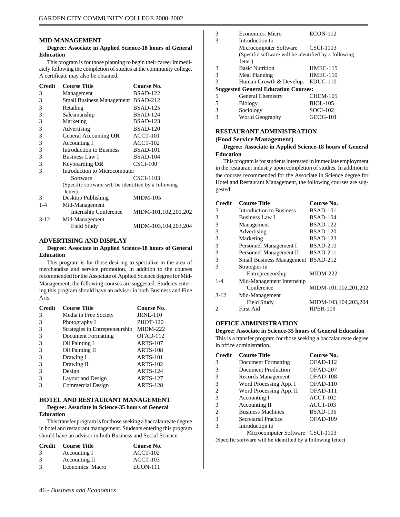#### **MID-MANAGEMENT**

#### **Degree: Associate in Applied Science-18 hours of General Education**

This program is for those planning to begin their career immediately following the completion of studies at the community college. A certificate may also be obtained.

| <b>Credit</b> | <b>Course Title</b>                                             | Course No.           |  |
|---------------|-----------------------------------------------------------------|----------------------|--|
| 3             | Management                                                      | <b>BSAD-122</b>      |  |
| 3             | Small Business Management BSAD-212                              |                      |  |
| 3             | Retailing                                                       | <b>BSAD-125</b>      |  |
| 3             | Salesmanship                                                    | <b>BSAD-124</b>      |  |
| 3             | Marketing                                                       | <b>BSAD-123</b>      |  |
| 3             | Advertising                                                     | <b>BSAD-120</b>      |  |
| 3             | General Accounting <b>OR</b>                                    | ACCT-101             |  |
| 3             | Accounting I                                                    | $ACCT-102$           |  |
| 3             | <b>Introduction to Business</b>                                 | <b>BSAD-101</b>      |  |
| 3             | <b>Business Law I</b>                                           | <b>BSAD-104</b>      |  |
| 3             | Keyboarding <b>OR</b>                                           | $CSCI-100$           |  |
| 3             | Introduction to Microcomputer                                   |                      |  |
|               | Software                                                        | CSCI-1103            |  |
|               | (Specific software will be identified by a following<br>letter) |                      |  |
| 3             | Desktop Publishing                                              | <b>MIDM-105</b>      |  |
| $1 - 4$       | Mid-Management                                                  |                      |  |
|               | <b>Internship Conference</b>                                    | MIDM-101,102,201,202 |  |
| $3-12$        | Mid-Management                                                  |                      |  |
|               | Field Study                                                     | MIDM-103,104,203,204 |  |

#### **ADVERTISING AND DISPLAY**

#### **Degree: Associate in Applied Science-18 hours of General Education**

This program is for those desiring to specialize in the area of merchandise and service promotion. In addition to the courses recommended for the Associate of Applied Science degree for Mid-Management, the following courses are suggested. Students entering this program should have an advisor in both Business and Fine Arts.

| <b>Credit</b> | <b>Course Title</b>            | Course No.      |
|---------------|--------------------------------|-----------------|
| 3             | Media in Free Society          | <b>JRNL-110</b> |
| 3             | Photography I                  | <b>PHOT-120</b> |
| 3             | Strategies in Entrepreneurship | <b>MIDM-222</b> |
|               | <b>Document Formatting</b>     | OFAD-112        |
| 3             | Oil Painting I                 | <b>ARTS-107</b> |
| 3             | Oil Painting II                | <b>ARTS-108</b> |
| 3             | Drawing I                      | <b>ARTS-101</b> |
| 3             | Drawing II                     | <b>ARTS-102</b> |
| 3             | Design                         | <b>ARTS-124</b> |
| 3             | Layout and Design              | <b>ARTS-127</b> |
|               | Commercial Design              | <b>ARTS-128</b> |

#### **HOTEL AND RESTAURANT MANAGEMENT Degree: Associate in Science-35 hours of General**

#### **Education**

This transfer program is for those seeking a baccalaureate degree in hotel and restaurant management. Students entering this program should have an advisor in both Business and Social Science.

|               | <b>Credit</b> Course Title | Course No.      |
|---------------|----------------------------|-----------------|
| $\mathcal{R}$ | Accounting I               | $ACCT-102$      |
| $\mathcal{R}$ | Accounting II              | $ACCT-103$      |
| $\mathcal{R}$ | Economics: Macro           | <b>ECON-111</b> |

| 3             | Economics: Micro                                     | <b>ECON-112</b> |
|---------------|------------------------------------------------------|-----------------|
| $\mathcal{R}$ | Introduction to                                      |                 |
|               | Microcomputer Software CSCI-1103                     |                 |
|               | (Specific software will be identified by a following |                 |
|               | letter)                                              |                 |
| 3             | <b>Basic Nutrition</b>                               | <b>HMEC-115</b> |
| 3             | Meal Planning                                        | <b>HMEC-110</b> |
| 3             | Human Growth & Develop.                              | $EDUC-110$      |
|               | <b>Suggested General Education Courses:</b>          |                 |
| 5             | <b>General Chemistry</b>                             | CHEM-105        |
| .5            | <b>Biology</b>                                       | <b>BIOL-105</b> |
| 3             | Sociology                                            | <b>SOCI-102</b> |
| 3             | World Geography                                      | GEOG-101        |

#### **RESTAURANT ADMINISTRATION**

World Geography

#### **(Food Service Management)**

#### **Degree: Associate in Applied Science-18 hours of General Education**

This program is for students interested in immediate employment in the restaurant industry upon completion of studies. In addition to the courses recommended for the Associate in Science degree for Hotel and Restaurant Management, the following courses are suggested:

| <b>Credit</b> | <b>Course Title</b>                       | Course No.           |
|---------------|-------------------------------------------|----------------------|
| 3             | Introduction to Business                  | <b>BSAD-101</b>      |
| 3             | <b>Business Law I</b>                     | <b>BSAD-104</b>      |
| 3             | Management                                | <b>BSAD-122</b>      |
| 3             | Advertising                               | <b>BSAD-120</b>      |
| 3             | Marketing                                 | <b>BSAD-123</b>      |
| 3             | Personnel Management I                    | <b>BSAD-210</b>      |
| 3             | Personnel Management II                   | <b>BSAD-211</b>      |
| 3             | <b>Small Business Management BSAD-212</b> |                      |
| 3             | Strategies in                             |                      |
|               | Entrepreneurship                          | $MIDM-222$           |
| $1 - 4$       | Mid-Management Internship                 |                      |
|               | Conference                                | MIDM-101,102,201,202 |
| $3-12$        | Mid-Management                            |                      |
|               | Field Study                               | MIDM-103,104,203,204 |
| 2             | <b>First Aid</b>                          | <b>HPER-109</b>      |
|               |                                           |                      |

#### **OFFICE ADMINISTRATION**

**Degree: Associate in Science-35 hours of General Education** This is a transfer program for those seeking a baccalaureate degree in office administration.

| <b>Credit</b> | <b>Course Title</b>              | Course No.      |
|---------------|----------------------------------|-----------------|
| 3             | Document Formatting              | OFAD-112        |
| 3             | Document Production              | OFAD-207        |
| 3             | Records Management               | OFAD-108        |
| 3             | Word Processing App. I           | OFAD-110        |
| 2             | Word Processing App. II          | OFAD-111        |
| 3             | Accounting I                     | $ACCT-102$      |
| 3             | Accounting II                    | $ACCT-103$      |
| 2             | <b>Business Machines</b>         | <b>BSAD-106</b> |
| 3             | Secretarial Practice             | $OFAD-109$      |
|               | Introduction to                  |                 |
|               | Microcomputer Software CSCI-1103 |                 |

(Specific software will be identified by a following letter)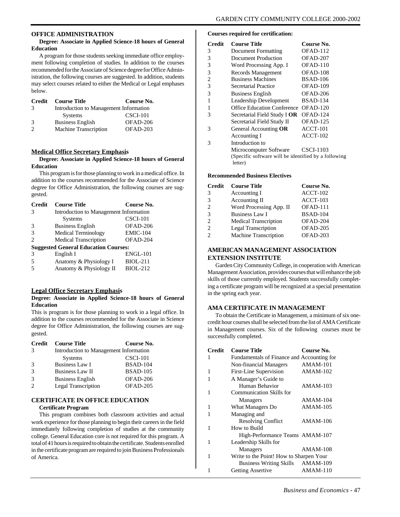#### **OFFICE ADMINISTRATION**

#### **Degree: Associate in Applied Science-18 hours of General Education**

A program for those students seeking immediate office employment following completion of studies. In addition to the courses recommended for the Associate of Science degree for Office Administration, the following courses are suggested. In addition, students may select courses related to either the Medical or Legal emphases below.

| Credit | <b>Course Title</b>                    | Course No. |
|--------|----------------------------------------|------------|
| 3      | Introduction to Management Information |            |
|        | <b>Systems</b>                         | $CSCI-101$ |
| 3      | <b>Business English</b>                | OFAD-206   |
|        | Machine Transcription                  | $OFAD-203$ |

#### **Medical Office Secretary Emphasis**

#### **Degree: Associate in Applied Science-18 hours of General Education**

This program is for those planning to work in a medical office. In addition to the courses recommended for the Associate of Science degree for Office Administration, the following courses are suggested.

| <b>Credit</b>                               | <b>Course Title</b>                    | Course No.      |  |
|---------------------------------------------|----------------------------------------|-----------------|--|
| $\mathcal{R}$                               | Introduction to Management Information |                 |  |
|                                             | <b>Systems</b>                         | CSCI-101        |  |
| 3                                           | <b>Business English</b>                | OFAD-206        |  |
| $\mathcal{R}$                               | <b>Medical Terminology</b>             | <b>EMIC-104</b> |  |
| $\mathcal{D}_{\mathcal{L}}$                 | Medical Transcription                  | OFAD-204        |  |
| <b>Suggested General Education Courses:</b> |                                        |                 |  |
| $\mathcal{R}$                               | English I                              | <b>ENGL-101</b> |  |
| 5                                           | Anatomy & Physiology I                 | <b>BIOL-211</b> |  |
|                                             | Anatomy & Physiology II                | <b>BIOL-212</b> |  |

#### **Legal Office Secretary Emphasis**

#### **Degree: Associate in Applied Science-18 hours of General Education**

This is program is for those planning to work in a legal office. In addition to the courses recommended for the Associate in Science degree for Office Administration, the following courses are suggested.

| Credit        | <b>Course Title</b>                    | Course No.      |
|---------------|----------------------------------------|-----------------|
| 3             | Introduction to Management Information |                 |
|               | <b>Systems</b>                         | $CSCI-101$      |
| $\mathcal{R}$ | <b>Business Law I</b>                  | <b>BSAD-104</b> |
| $\mathcal{R}$ | <b>Business Law II</b>                 | <b>BSAD-105</b> |
| $\mathcal{R}$ | <b>Business English</b>                | OFAD-206        |
|               | <b>Legal Transcription</b>             | OFAD-205        |

## **CERTIFICATE IN OFFICE EDUCATION**

#### **Certificate Program**

This program combines both classroom activities and actual work experience for those planning to begin their careers in the field immediately following completion of studies at the community college. General Education core is not required for this program. A total of 41 hours is required to obtain the certificate. Students enrolled in the certificate program are required to join Business Professionals of America.

#### **Courses required for certification:**

| <b>Credit</b> | <b>Course Title</b>                                             | Course No.      |
|---------------|-----------------------------------------------------------------|-----------------|
| 3             | Document Formatting                                             | OFAD-112        |
| 3             | Document Production                                             | OFAD-207        |
| 3             | Word Processing App. I                                          | $OFAD-110$      |
| 3             | Records Management                                              | OFAD-108        |
| 2             | <b>Business Machines</b>                                        | <b>BSAD-106</b> |
| 3             | Secretarial Practice                                            | OFAD-109        |
| 3             | <b>Business English</b>                                         | OFAD-206        |
| 1             | Leadership Development                                          | <b>BSAD-134</b> |
| 1             | <b>Office Education Conference</b>                              | OFAD-120        |
| 3             | Secretarial Field Study I OR                                    | OFAD-124        |
|               | Secretarial Field Study II                                      | OFAD-125        |
| 3             | General Accounting OR                                           | $ACCT-101$      |
|               | Accounting I                                                    | $ACCT-102$      |
| 3             | Introduction to                                                 |                 |
|               | Microcomputer Software                                          | CSCI-1103       |
|               | (Specific software will be identified by a following<br>letter) |                 |

#### **Recommended Business Electives**

| <b>Credit</b>                 | <b>Course Title</b>          | Course No.      |
|-------------------------------|------------------------------|-----------------|
| 3                             | Accounting I                 | $ACCT-102$      |
| 3                             | Accounting II                | ACCT-103        |
| $\mathfrak{D}_{\mathfrak{p}}$ | Word Processing App. II      | OFAD-111        |
| 3                             | <b>Business Law I</b>        | <b>BSAD-104</b> |
| $\mathfrak{D}$                | Medical Transcription        | OFAD-204        |
| $\mathcal{L}$                 | <b>Legal Transcription</b>   | OFAD-205        |
| $\mathcal{D}$                 | <b>Machine Transcription</b> | OFAD-203        |

#### **AMERICAN MANAGEMENT ASSOCIATION EXTENSION INSTITUTE**

Garden City Community College, in cooperation with American Management Association, provides courses that will enhance the job skills of those currently employed. Students successfully completing a certificate program will be recognized at a special presentation in the spring each year.

#### **AMA CERTIFICATE IN MANAGEMENT**

To obtain the Certificate in Management, a minimum of six onecredit hour courses shall be selected from the list of AMA Certificate in Management courses. Six of the following courses must be successfully completed.

| <b>Credit</b> | <b>Course Title</b>                        | Course No.      |
|---------------|--------------------------------------------|-----------------|
| 1             | Fundamentals of Finance and Accounting for |                 |
|               | Non-financial Managers                     | $AMAM-101$      |
| 1             | First-Line Supervision                     | <b>AMAM-102</b> |
| 1             | A Manager's Guide to                       |                 |
|               | Human Behavior                             | $AMAM-103$      |
| 1             | Communication Skills for                   |                 |
|               | Managers                                   | $AMAM-104$      |
| 1             | What Managers Do                           | <b>AMAM-105</b> |
| 1             | Managing and                               |                 |
|               | <b>Resolving Conflict</b>                  | AMAM-106        |
| 1             | How to Build                               |                 |
|               | High-Performance Teams AMAM-107            |                 |
| 1             | Leadership Skills for                      |                 |
|               | Managers                                   | AMAM-108        |
| 1             | Write to the Point! How to Sharpen Your    |                 |
|               | <b>Business Writing Skills</b>             | $AMAM-109$      |
| 1             | <b>Getting Assertive</b>                   | $AMAM-110$      |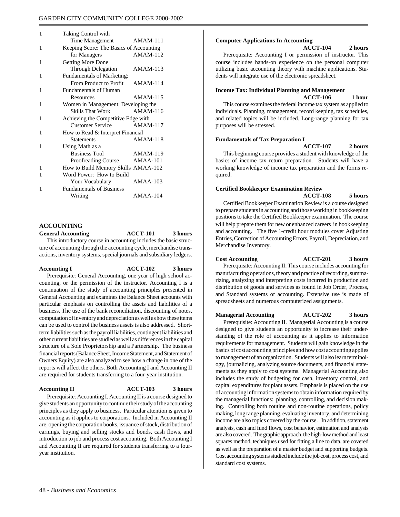| 1 | Taking Control with                     |                 |
|---|-----------------------------------------|-----------------|
|   | <b>Time Management</b>                  | AMAM-111        |
| 1 | Keeping Score: The Basics of Accounting |                 |
|   | for Managers                            | <b>AMAM-112</b> |
| 1 | <b>Getting More Done</b>                |                 |
|   | <b>Through Delegation</b>               | $AMAM-113$      |
| 1 | Fundamentals of Marketing:              |                 |
|   | From Product to Profit                  | $AMAM-114$      |
| 1 | <b>Fundamentals of Human</b>            |                 |
|   | Resources                               | AMAM-115        |
| 1 | Women in Management: Developing the     |                 |
|   | <b>Skills That Work</b>                 | $AMAM-116$      |
| 1 | Achieving the Competitive Edge with     |                 |
|   | <b>Customer Service</b>                 | $AMAM-117$      |
| 1 | How to Read & Interpret Financial       |                 |
|   | <b>Statements</b>                       | $AMAM-118$      |
| 1 | Using Math as a                         |                 |
|   | <b>Business Tool</b>                    | $AMAM-119$      |
|   | Proofreading Course                     | <b>AMAA-101</b> |
| 1 | How to Build Memory Skills AMAA-102     |                 |
| 1 | Word Power: How to Build                |                 |
|   | Your Vocabulary                         | $AMAA-103$      |
| 1 | <b>Fundamentals of Business</b>         |                 |
|   | Writing                                 | $AMAA-104$      |

# **ACCOUNTING General Accounting ACCT-101 3 hours**

This introductory course in accounting includes the basic structure of accounting through the accounting cycle, merchandise transactions, inventory systems, special journals and subsidiary ledgers.

| Accounting I                                                                 | <b>ACCT-102</b> | 3 hours |
|------------------------------------------------------------------------------|-----------------|---------|
| Prerequisite: General Accounting, one year of high school ac-                |                 |         |
| counting, or the permission of the instructor. Accounting I is a             |                 |         |
| continuation of the study of accounting principles presented in              |                 |         |
| General Accounting and examines the Balance Sheet accounts with              |                 |         |
| particular emphasis on controlling the assets and liabilities of a           |                 |         |
| business. The use of the bank reconciliation, discounting of notes,          |                 |         |
| computation of inventory and depreciation as well as how these items         |                 |         |
| can be used to control the business assets is also addressed. Short-         |                 |         |
| term liabilities such as the payroll liabilities, contingent liabilities and |                 |         |
| other current liabilities are studied as well as differences in the capital  |                 |         |
| structure of a Sole Proprietorship and a Partnership. The business           |                 |         |
| financial reports (Balance Sheet, Income Statement, and Statement of         |                 |         |
| Owners Equity) are also analyzed to see how a change in one of the           |                 |         |
| reports will affect the others. Both Accounting I and Accounting II          |                 |         |
| are required for students transferring to a four-year institution.           |                 |         |
|                                                                              |                 |         |

#### **Accounting II ACCT-103 3 hours**

Prerequisite: Accounting I. Accounting II is a course designed to give students an opportunity to continue their study of the accounting principles as they apply to business. Particular attention is given to accounting as it applies to corporations. Included in Accounting II are, opening the corporation books, issuance of stock, distribution of earnings, buying and selling stocks and bonds, cash flows, and introduction to job and process cost accounting. Both Accounting I and Accounting II are required for students transferring to a fouryear institution.

#### **Computer Applications In Accounting**

#### **ACCT-104 2 hours**

Prerequisite: Accounting I or permission of instructor. This course includes hands-on experience on the personal computer utilizing basic accounting theory with machine applications. Students will integrate use of the electronic spreadsheet.

#### **Income Tax: Individual Planning and Management ACCT-106 1 hour**

This course examines the federal income tax system as applied to individuals. Planning, management, record keeping, tax schedules, and related topics will be included. Long-range planning for tax purposes will be stressed.

#### **Fundamentals of Tax Preparation I**

**ACCT-107 2 hours**

This beginning course provides a student with knowledge of the basics of income tax return preparation. Students will have a working knowledge of income tax preparation and the forms required.

#### **Certified Bookkeeper Examination Review ACCT-108 5 hours**

Certified Bookkeeper Examination Review is a course designed to prepare students in accounting and those working in bookkeeping positions to take the Certified Bookkeeper examination. The course will help prepare them for new or enhanced careers in bookkeeping and accounting. The five 1-credit hour modules cover Adjusting Entries, Correction of Accounting Errors, Payroll, Depreciation, and Merchandise Inventory.

**Cost Accounting ACCT-201 3 hours** Prerequisite: Accounting II. This course includes accounting for manufacturing operations, theory and practice of recording, summarizing, analyzing and interpreting costs incurred in production and distribution of goods and services as found in Job Order, Process, and Standard systems of accounting. Extensive use is made of spreadsheets and numerous computerized assignments.

#### **Managerial Accounting ACCT-202 3 hours**

Prerequisite: Accounting II. Managerial Accounting is a course designed to give students an opportunity to increase their understanding of the role of accounting as it applies to information requirements for management. Students will gain knowledge in the basics of cost accounting principles and how cost accounting applies to management of an organization. Students will also learn terminology, journalizing, analyzing source documents, and financial statements as they apply to cost systems. Managerial Accounting also includes the study of budgeting for cash, inventory control, and capital expenditures for plant assets. Emphasis is placed on the use of accounting information systems to obtain information required by the managerial functions: planning, controlling, and decision making. Controlling both routine and non-routine operations, policy making, long range planning, evaluating inventory, and determining income are also topics covered by the course. In addition, statement analysis, cash and fund flows, cost behavior, estimation and analysis are also covered. The graphic approach, the high-low method and least squares method, techniques used for fitting a line to data, are covered as well as the preparation of a master budget and supporting budgets. Cost accounting systems studied include the job cost, process cost, and standard cost systems.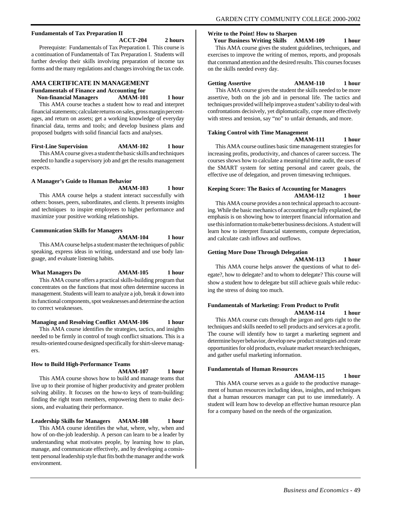#### **Fundamentals of Tax Preparation II**

**ACCT-204 2 hours**

Prerequiste: Fundamentals of Tax Preparation I. This course is a continuation of Fundamentals of Tax Preparation I. Students will further develop their skills involving preparation of income tax forms and the many regulations and changes involving the tax code.

#### **AMA CERTIFICATE IN MANAGEMENT**

**Fundamentals of Finance and Accounting for**

 **Non-financial Managers AMAM-101 1 hour** This AMA course teaches a student how to read and interpret financial statements; calculate returns on sales, gross margin percentages, and return on assets; get a working knowledge of everyday financial data, terms and tools; and develop business plans and proposed budgets with solid financial facts and analyses.

**First-Line Supervision AMAM-102 1 hour**

This AMA course gives a student the basic skills and techniques needed to handle a supervisory job and get the results management expects.

#### **A Manager's Guide to Human Behavior AMAM-103 1 hour**

This AMA course helps a student interact successfully with others: bosses, peers, subordinates, and clients. It presents insights and techniques to inspire employees to higher performance and maximize your positive working relationships.

#### **Communication Skills for Managers**

**AMAM-104 1 hour**

This AMA course helps a student master the techniques of public speaking, express ideas in writing, understand and use body language, and evaluate listening habits.

#### **What Managers Do AMAM-105 1 hour**

This AMA course offers a practical skills-building program that concentrates on the functions that most often determine success in management. Students will learn to analyze a job, break it down into its functional components, spot weaknesses and determine the action to correct weaknesses.

#### **Managing and Resolving Conflict AMAM-106 1 hour**

This AMA course identifies the strategies, tactics, and insights needed to be firmly in control of tough conflict situations. This is a results-oriented course designed specifically for shirt-sleeve managers.

#### **How to Build High-Performance Teams**

**AMAM-107 1 hour**

This AMA course shows how to build and manage teams that live up to their promise of higher productivity and greater problem solving ability. It focuses on the how-to keys of team-building: finding the right team members, empowering them to make decisions, and evaluating their performance.

#### **Leadership Skills for Managers AMAM-108 1 hour**

This AMA course identifies the what, where, why, when and how of on-the-job leadership. A person can learn to be a leader by understanding what motivates people, by learning how to plan, manage, and communicate effectively, and by developing a consistent personal leadership style that fits both the manager and the work environment.

#### **Write to the Point! How to Sharpen**

 **Your Business Writing Skills AMAM-109 1 hour**

This AMA course gives the student guidelines, techniques, and exercises to improve the writing of memos, reports, and proposals that command attention and the desired results. This courses focuses on the skills needed every day.

## **Getting Assertive AMAM-110 1 hour**

This AMA course gives the student the skills needed to be more assertive, both on the job and in personal life. The tactics and techniques provided will help improve a student's ability to deal with confrontations decisively, yet diplomatically, cope more effectively with stress and tension, say "no" to unfair demands, and more.

#### **Taking Control with Time Management**

**AMAM-111 1 hour**

This AMA course outlines basic time management strategies for increasing profits, productivity, and chances of career success. The courses shows how to calculate a meaningful time audit, the uses of the SMART system for setting personal and career goals, the effective use of delegation, and proven timesaving techniques.

#### **Keeping Score: The Basics of Accounting for Managers AMAM-112 1 hour**

This AMA course provides a non technical approach to accounting. While the basic mechanics of accounting are fully explained, the emphasis is on showing how to interpret financial information and use this information to make better business decisions. A student will learn how to interpret financial statements, compute depreciation, and calculate cash inflows and outflows.

#### **Getting More Done Through Delegation**

**AMAM-113 1 hour**

This AMA course helps answer the questions of what to delegate?, how to delegate? and to whom to delegate? This course will show a student how to delegate but still achieve goals while reducing the stress of doing too much.

#### **Fundamentals of Marketing: From Product to Profit AMAM-114 1 hour**

This AMA course cuts through the jargon and gets right to the techniques and skills needed to sell products and services at a profit. The course will identify how to target a marketing segment and determine buyer behavior, develop new product strategies and create opportunities for old products, evaluate market research techniques, and gather useful marketing information.

#### **Fundamentals of Human Resources**

#### **AMAM-115 1 hour**

This AMA course serves as a guide to the productive management of human resources including ideas, insights, and techniques that a human resources manager can put to use immediately. A student will learn how to develop an effective human resource plan for a company based on the needs of the organization.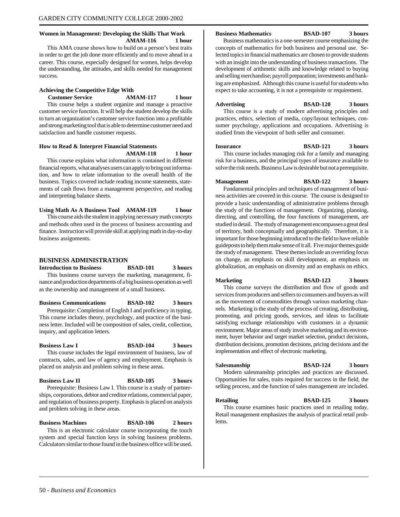#### **Women in Management: Developing the Skills That Work AMAM-116 1 hour**

This AMA course shows how to build on a person's best traits in order to get the job done more efficiently and to move ahead in a career. This course, especially designed for women, helps develop the understanding, the attitudes, and skills needed for management success.

#### **Achieving the Competitive Edge With**

satisfaction and handle customer requests.

 **Customer Service AMAM-117 1 hour** This course helps a student organize and manage a proactive customer service function. It will help the student develop the skills to turn an organization's customer service function into a profitable and strong marketing tool that is able to determine customer need and

#### **How to Read & Interpret Financial Statements**

**AMAM-118 1 hour**

This course explains what information is contained in different financial reports, what analyses users can apply to bring out information, and how to relate information to the overall health of the business. Topics covered include reading income statements, statements of cash flows from a management perspective, and reading and interpreting balance sheets.

#### **Using Math As A Business Tool AMAM-119 1 hour**

This course aids the student in applying necessary math concepts and methods often used in the process of business accounting and finance. Instruction will provide skill at applying math in day-to-day business assignments.

#### **BUSINESS ADMINISTRATION**

**Introduction to Business BSAD-101 3 hours** This business course surveys the marketing, management, finance and production departments of a big business operation as well as the ownership and management of a small business.

**Business Communications BSAD-102 3 hours** Prerequisite: Completion of English I and proficiency in typing.

This course includes theory, psychology, and practice of the business letter. Included will be composition of sales, credit, collection, inquiry, and application letters.

#### **Business Law I BSAD-104 3 hours**

This course includes the legal environment of business, law of contracts, sales, and law of agency and employment. Emphasis is placed on analysis and problem solving in these areas.

## **Business Law II BSAD-105 3 hours**

Prerequisite: Business Law I. This course is a study of partnerships, corporations, debtor and creditor relations, commercial paper, and regulation of business property. Emphasis is placed on analysis and problem solving in these areas.

**Business Machines BSAD-106 2 hours** This is an electronic calculator course incorporating the touch system and special function keys in solving business problems. Calculators similar to those found in the business office will be used.

#### **Business Mathematics BSAD-107 3 hours**

Business mathematics is a one-semester course emphasizing the concepts of mathematics for both business and personal use. Selected topics in financial mathematics are chosen to provide students with an insight into the understanding of business transactions. The development of arithmetic skills and knowledge related to buying and selling merchandise; payroll preparation; investments and banking are emphasized. Although this course is useful for students who expect to take accounting, it is not a prerequisite or requirement.

#### **Advertising BSAD-120 3 hours**

This course is a study of modern advertising principles and practices, ethics, selection of media, copy/layout techniques, consumer psychology, applications and occupations. Advertising is studied from the viewpoint of both seller and consumer.

**Insurance BSAD-121 3 hours** This course includes managing risk for a family and managing risk for a business, and the principal types of insurance available to

**Management BSAD-122 3 hours**

solve the risk needs. Business Law is desirable but not a prerequisite.

Fundamental principles and techniques of management of business activities are covered in this course. The course is designed to provide a basic understanding of administrative problems through the study of the functions of management. Organizing, planning, directing, and controlling, the four functions of management, are studied in detail. The study of management encompasses a great deal of territory, both conceptually and geographically. Therefore, it is important for those beginning introduced to the field to have reliable guideposts to help them make sense of it all. Five major themes guide the study of management. These themes include an overriding focus on change, an emphasis on skill development, an emphasis on globalization, an emphasis on diversity and an emphasis on ethics.

**Marketing BSAD-123 3 hours**

This course surveys the distribution and flow of goods and services from producers and sellers to consumers and buyers as will as the movement of commodities through various marketing channels. Marketing is the study of the process of creating, distributing, promoting, and pricing goods, services, and ideas to facilitate satisfying exchange relationships with customers in a dynamic environment. Major areas of study involve marketing and its environment, buyer behavior and target market selection, product decisions, distribution decisions, promotion decisions, pricing decisions and the implementation and effect of electronic marketing.

**Salesmanship BSAD-124 3 hours**

Modern salesmanship principles and practices are discussed. Opportunities for sales, traits required for success in the field, the selling process, and the function of sales management are included.

**Retailing BSAD-125 3 hours**

This course examines basic practices used in retailing today. Retail management emphasizes the analysis of practical retail problems.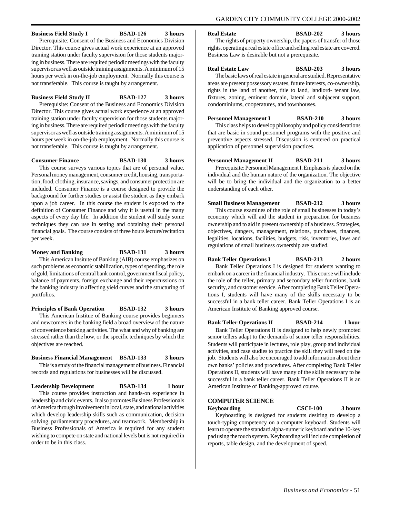#### **Business Field Study I BSAD-126 3 hours**

Prerequisite: Consent of the Business and Economics Division Director. This course gives actual work experience at an approved training station under faculty supervision for those students majoring in business. There are required periodic meetings with the faculty supervisor as well as outside training assignments. A minimum of 15 hours per week in on-the-job employment. Normally this course is not transferable. This course is taught by arrangement.

#### **Business Field Study II BSAD-127 3 hours**

Prerequisite: Consent of the Business and Economics Division Director. This course gives actual work experience at an approved training station under faculty supervision for those students majoring in business. There are required periodic meetings with the faculty supervisor as well as outside training assignments. A minimum of 15 hours per week in on-the-job employment. Normally this course is not transferable. This course is taught by arrangement.

#### **Consumer Finance BSAD-130 3 hours**

This course surveys various topics that are of personal value. Personal money management, consumer credit, housing, transportation, food, clothing, insurance, savings, and consumer protection are included. Consumer Finance is a course designed to provide the background for further studies or assist the student as they embark upon a job career. In this course the student is exposed to the definition of Consumer Finance and why it is useful in the many aspects of every day life. In addition the student will study some techniques they can use in setting and obtaining their personal financial goals. The course consists of three hours lecture/recitation per week.

#### **Money and Banking BSAD-131 3 hours**

This American Insitute of Banking (AIB) course emphasizes on such problems as economic stabilization, types of spending, the role of gold, limitations of central bank control, government fiscal policy, balance of payments, foreign exchange and their repercussions on the banking industry in affecting yield curves and the structuring of portfolios.

**Principles of Bank Operation BSAD-132 3 hours** This American Institue of Banking course provides beginners and newcomers in the banking field a broad overview of the nature of convenience banking activities. The what and why of banking are stressed rather than the how, or the specific techniques by which the objectives are reached.

#### **Business Financial Management BSAD-133 3 hours** This is a study of the financial management of business. Financial records and regulations for businesses will be discussed.

**Leadership Development BSAD-134 1 hour** This course provides instruction and hands-on experience in

leadership and civic events. It also promotes Business Professionals of America through involvement in local, state, and national activities which develop leadership skills such as communication, decision solving, parliamentary procedures, and teamwork. Membership in Business Professionals of America is required for any student wishing to compete on state and national levels but is not required in order to be in this class.

**Real Estate BSAD-202 3 hours**

The rights of property ownership, the papers of transfer of those rights, operating a real estate office and selling real estate are covered. Business Law is desirable but not a prerequisite.

**Real Estate Law BSAD-203 3 hours** The basic laws of real estate in general are studied. Representative areas are present possessory estates, future interests, co-ownership, rights in the land of another, title to land, landlord- tenant law, fixtures, zoning, eminent domain, lateral and subjacent support, condominiums, cooperatures, and townhouses.

#### **Personnel Management I BSAD-210** 3 hours

This class helps to develop philosophy and policy considerations that are basic in sound personnel programs with the positive and preventive aspects stressed. Discussion is centered on practical application of personnel supervision practices.

#### **Personnel Management II BSAD-211 3 hours**

Prerequisite: Personnel Management I. Emphasis is placed on the individual and the human nature of the organization. The objective will be to bring the individual and the organization to a better understanding of each other.

# **Small Business Management BSAD-212 3 hours**

This course examines of the role of small businesses in today's economy which will aid the student in preparation for business ownership and to aid in present ownership of a business. Strategies, objectives, dangers, management, relations, purchases, finances, legalities, locations, facilities, budgets, risk, inventories, laws and regulations of small business ownership are studied.

#### **Bank Teller Operations I BSAD-213 2 hours**

Bank Teller Operations I is designed for students wanting to embark on a career in the financial industry. This course will include the role of the teller, primary and secondary teller functions, bank security, and customer service. After completing Bank Teller Operations I, students will have many of the skills necessary to be successful in a bank teller career. Bank Teller Operations I is an American Institute of Banking approved course.

#### **Bank Teller Operations II BSAD-214 1 hour**

Bank Teller Operations II is designed to help newly promoted senior tellers adapt to the demands of senior teller responsibilities. Students will participate in lectures, role play, group and individual activities, and case studies to practice the skill they will need on the job. Students will also be encouraged to add information about their own banks' policies and procedures. After completing Bank Teller Operations II, students will have many of the skills necessary to be successful in a bank teller career. Bank Teller Operations II is an American Institute of Banking-approved course.

#### **COMPUTER SCIENCE**

**Keyboarding CSCI-100 3 hours**

Keyboarding is designed for students desiring to develop a touch-typing competency on a computer keyboard. Students will learn to operate the standard alpha-numeric keyboard and the 10-key pad using the touch system. Keyboarding will include completion of reports, table design, and the development of speed.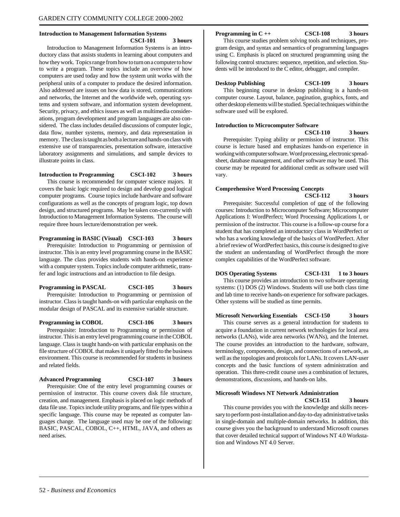#### **Introduction to Management Information Systems CSCI-101 3 hours**

Introduction to Management Information Systems is an introductory class that assists students in learning about computers and how they work. Topics range from how to turn on a computer to how to write a program. These topics include an overview of how computers are used today and how the system unit works with the peripheral units of a computer to produce the desired information. Also addressed are issues on how data is stored, communications and networks, the Internet and the worldwide web, operating systems and system software, and information system development. Security, privacy, and ethics issues as well as multimedia considerations, program development and program languages are also considered. The class includes detailed discussions of computer logic, data flow, number systems, memory, and data representation in memory. The class is taught as both a lecture and hands-on class with extensive use of transparencies, presentation software, interactive laboratory assignments and simulations, and sample devices to illustrate points in class.

**Introduction to Programming CSCI-102 3 hours**

This course is recommended for computer science majors. It covers the basic logic required to design and develop good logical computer programs. Course topics include hardware and software configurations as well as the concepts of program logic, top down design, and structured programs. May be taken con-currently with Introduction to Management Information Systems. The course will require three hours lecture/demonstration per week.

**Programming in BASIC (Visual) CSCI-103 3 hours** Prerequisite: Introduction to Programming or permission of instructor. This is an entry level programming course in the BASIC language. The class provides students with hands-on experience with a computer system. Topics include computer arithmetic, transfer and logic instructions and an introduction to file design.

**Programming in PASCAL CSCI-105 3 hours** Prerequisite: Introduction to Programming or permission of instructor. Class is taught hands-on with particular emphasis on the modular design of PASCAL and its extensive variable structure.

**Programming in COBOL CSCI-106 3 hours** Prerequisite: Introduction to Programming or permission of instructor. This is an entry level programming course in the COBOL language. Class is taught hands-on with particular emphasis on the file structure of COBOL that makes it uniquely fitted to the business environment. This course is recommended for students in business and related fields.

#### **Advanced Programming CSCI-107 3 hours**

Prerequisite: One of the entry level programming courses or permission of instructor. This course covers disk file structure, creation, and management. Emphasis is placed on logic methods of data file use. Topics include utility programs, and file types within a specific language. This course may be repeated as computer languages change. The language used may be one of the following: BASIC, PASCAL, COBOL, C++, HTML, JAVA, and others as need arises.

#### **Programming in C ++ CSCI-108 3 hours**

This course studies problem solving tools and techniques, program design, and syntax and semantics of programming languages using C. Emphasis is placed on structured programming using the following control structures: sequence, repetition, and selection. Students will be introduced to the C editor, debugger, and compiler.

**Desktop Publishing CSCI-109 3 hours**

This beginning course in desktop publishing is a hands-on computer course. Layout, balance, pagination, graphics, fonts, and other desktop elements will be studied. Special techniques within the software used will be explored.

#### **Introduction to Microcomputer Software**

**CSCI-110 3 hours**

Prerequisite: Typing ability or permission of instructor. This course is lecture based and emphasizes hands-on experience in working with computer software. Word processing, electronic spreadsheet, database management, and other software may be used. This course may be repeated for additional credit as software used will vary.

#### **Comprehensive Word Processing Concepts CSCI-112 3 hours**

Prerequisite: Successful completion of one of the following courses: Introduction to Microcomputer Software; Microcomputer Applications I: WordPerfect; Word Processing Applications I, or permission of the instructor. This course is a follow-up course for a student that has completed an introductory class in WordPerfect or who has a working knowledge of the basics of WordPerfect. After a brief review of WordPerfect basics, this course is designed to give the student an understanding of WordPerfect through the more complex capabilities of the WordPerfect software.

**DOS Operating Systems CSCI-131 1 to 3 hours** This course provides an introduction to two software operating

systems: (1) DOS (2) Windows. Students will use both class time and lab time to receive hands-on experience for software packages. Other systems will be studied as time permits.

#### **Microsoft Networking Essentials CSCI-150 3 hours**

This course serves as a general introduction for students to acquire a foundation in current network technologies for local area networks (LANs), wide area networks (WANs), and the Internet. The course provides an introduction to the hardware, software, terminology, components, design, and connections of a network, as well as the topologies and protocols for LANs. It covers LAN-user concepts and the basic functions of system administration and operation. This three-credit course uses a combination of lectures, demonstrations, discussions, and hands-on labs.

#### **Microsoft Windows NT Network Administration CSCI-151 3 hours**

This course provides you with the knowledge and skills necessary to perform post-installation and day-to-day administrative tasks in single-domain and multiple-domain networks. In addition, this course gives you the background to understand Microsoft courses that cover detailed technical support of Windows NT 4.0 Workstation and Windows NT 4.0 Server.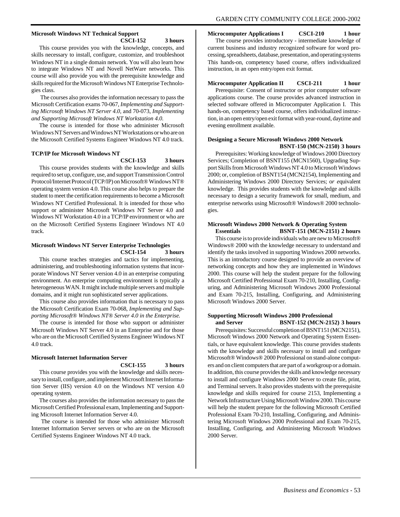# **Microsoft Windows NT Technical Support**

**CSCI-152 3 hours**

This course provides you with the knowledge, concepts, and skills necessary to install, configure, customize, and troubleshoot Windows NT in a single domain network. You will also learn how to integrate Windows NT and Novell NetWare networks. This course will also provide you with the prerequisite knowledge and skills required for the Microsoft Windows NT Enterprise Technologies class.

 The courses also provides the information necessary to pass the Microsoft Certification exams 70-067, *Implementing and Supporting Microsoft Windows NT Server 4.0,* and 70-073, *Implementing and Supporting Microsoft Windows NT Workstation 4.0.*

The course is intended for those who administer Microsoft Windows NT Servers and Windows NT Workstations or who are on the Microsoft Certified Systems Engineer Windows NT 4.0 track.

#### **TCP/IP for Microsoft Windows NT**

**CSCI-153 3 hours**

This course provides students with the knowledge and skills required to set up, configure, use, and support Transmission Control Protocol/Internet Protocol (TCP/IP) on Microsoft® Windows NT® operating system version 4.0. This course also helps to prepare the student to meet the certification requirements to become a Microsoft Windows NT Certified Professional. It is intended for those who support or administer Microsoft Windows NT Server 4.0 and Windows NT Workstation 4.0 in a TCP/IP environment or who are on the Microsoft Certified Systems Engineer Windows NT 4.0 track.

#### **Microsoft Windows NT Server Enterprise Technologies CSCI-154 3 hours**

This course teaches strategies and tactics for implementing, administering, and troubleshooting information systems that incorporate Windows NT Server version 4.0 in an enterprise computing environment. An enterprise computing environment is typically a heterogeneous WAN. It might include multiple servers and multiple domains, and it might run sophisticated server applications.

This course also provides information that is necessary to pass the Microsoft Certification Exam 70-068, *Implementing and Supporting Microsoft® Windows NT® Server 4.0 in the Enterprise.*

The course is intended for those who support or administer Microsoft Windows NT Server 4.0 in an Enterprise and for those who are on the Microsoft Certified Systems Engineer Windows NT 4.0 track.

#### **Microsoft Internet Information Server**

#### **CSCI-155 3 hours**

This course provides you with the knowledge and skills necessary to install, configure, and implement Microsoft Internet Information Server (IIS) version 4.0 on the Windows NT version 4.0 operating system.

The courses also provides the information necessary to pass the Microsoft Certified Professional exam, Implementing and Supporting Microsoft Internet Information Server 4.0.

 The course is intended for those who administer Microsoft Internet Information Server servers or who are on the Microsoft Certified Systems Engineer Windows NT 4.0 track.

#### **Microcomputer Applications I CSCI-210 1 hour**

The course provides introductory - intermediate knowledge of current business and industry recognized software for word processing, spreadsheets, database, presentation, and operating systems This hands-on, competency based course, offers individualized instruction, in an open entry/open exit format.

#### **Microcomputer Application II CSCI-211 1 hour**

Prerequisite: Consent of instructor or prior computer software applications course. The course provides advanced instruction in selected software offered in Microcomputer Application I. This hands-on, competency based course, offers individualized instruction, in an open entry/open exit format with year-round, daytime and evening enrollment available.

#### **Designing a Secure Microsoft Windows 2000 Network BSNT-150 (MCN-2150) 3 hours**

Prerequisites: Working knowledge of Windows 2000 Directory Services; Completion of BSNT155 (MCN1560), Upgrading Support Skills from Microsoft Windows NT 4.0 to Microsoft Windows 2000; or, completion of BSNT154 (MCN2154), Implementing and Administering Windows 2000 Directory Services; o*r e*quivalent knowledge. This provides students with the knowledge and skills necessary to design a security framework for small, medium, and enterprise networks using Microsoft® Windows® 2000 technologies.

#### **Microsoft Windows 2000 Network & Operating System<br>Essentials BSNT-151 (MCN-2151) 2 b Essentials BSNT-151 (MCN-2151) 2 hours**

This course is to provide individuals who are new to Microsoft® Windows® 2000 with the knowledge necessary to understand and identify the tasks involved in supporting Windows 2000 networks. This is an introductory course designed to provide an overview of networking concepts and how they are implemented in Windows 2000. This course will help the student prepare for the following Microsoft Certified Professional Exam 70-210, Installing, Configuring, and Administering Microsoft Windows 2000 Professional and Exam 70-215, Installing, Configuring, and Administering Microsoft Windows 2000 Server.

#### **Supporting Microsoft Windows 2000 Professional and Server BSNT-152 (MCN-2152) 3 hours**

Prerequisites: Successful completion of BSNT151 (MCN2151), Microsoft Windows 2000 Network and Operating System Essentials, or have equivalent knowledge. This course provides students with the knowledge and skills necessary to install and configure Microsoft® Windows® 2000 Professional on stand-alone computers and on client computers that are part of a workgroup or a domain. In addition, this course provides the skills and knowledge necessary to install and configure Windows 2000 Server to create file, print, and Terminal servers. It also provides students with the prerequisite knowledge and skills required for course 2153, Implementing a Network Infrastructure Using Microsoft Window 2000. This course will help the student prepare for the following Microsoft Certified Professional Exam 70-210, Installing, Configuring, and Administering Microsoft Windows 2000 Professional and Exam 70-215, Installing, Configuring, and Administering Microsoft Windows 2000 Server.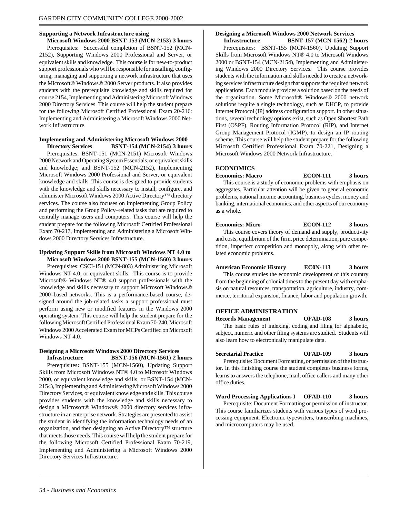#### **Supporting a Network Infrastructure using**

**Microsoft Windows 2000 BSNT-153 (MCN-2153) 3 hours** Prerequisites: Successful completion of BSNT-152 (MCN-2152), Supporting Windows 2000 Professional and Server, or equivalent skills and knowledge. This course is for new-to-product support professionals who will be responsible for installing, configuring, managing and supporting a network infrastructure that uses the Microsoft® Windows® 2000 Server products. It also provides students with the prerequisite knowledge and skills required for course 2154, Implementing and Administering Microsoft Windows 2000 Directory Services. This course will help the student prepare for the following Microsoft Certified Professional Exam 20-216: Implementing and Administering a Microsoft Windows 2000 Network Infrastructure.

#### **Implementing and Administering Microsoft Windows 2000 Directory Services BSNT-154 (MCN-2154) 3 hours**

Prerequisites: BSNT-151 (MCN-2151) Microsoft Windows 2000 Network and Operating System Essentials, or equivalent skills and knowledge; and BSNT-152 (MCN-2152), Implementing Microsoft Windows 2000 Professional and Server, or equivalent knowledge and skills. This course is designed to provide students with the knowledge and skills necessary to install, configure, and administer Microsoft Windows 2000 Active Directory™ directory services. The course also focuses on implementing Group Policy and performing the Group Policy–related tasks that are required to centrally manage users and computers. This course will help the student prepare for the following Microsoft Certified Professional Exam 70-217, Implementing and Administering a Microsoft Windows 2000 Directory Services Infrastructure.

#### **Updating Support Skills from Microsoft Windows NT 4.0 to Microsoft Windows 2000 BSNT-155 (MCN-1560) 3 hours**

Prerequisites: CSCI-151 (MCN-803) Administering Microsoft Windows NT 4.0, or equivalent skills. This course is to provide Microsoft® Windows NT® 4.0 support professionals with the knowledge and skills necessary to support Microsoft Windows® 2000–based networks. This is a performance-based course, designed around the job-related tasks a support professional must perform using new or modified features in the Windows 2000 operating system. This course will help the student prepare for the following Microsoft Certified Professional Exam 70-240, Microsoft Windows 2000 Accelerated Exam for MCPs Certified on Microsoft Windows NT 4.0.

#### **Designing a Microsoft Windows 2000 Directory Services Infrastructure BSNT-156 (MCN-1561) 2 hours**

Prerequisites**:** BSNT-155 (MCN-1560), Updating Support Skills from Microsoft Windows NT® 4.0 to Microsoft Windows 2000, or equivalent knowledge and skills or BSNT-154 (MCN-2154), Implementing and Administering Microsoft Windows 2000 Directory Services, or equivalent knowledge and skills. This course provides students with the knowledge and skills necessary to design a Microsoft® Windows® 2000 directory services infrastructure in an enterprise network. Strategies are presented to assist the student in identifying the information technology needs of an organization, and then designing an Active Directory™ structure that meets those needs. This course will help the student prepare for the following Microsoft Certified Professional Exam 70-219, Implementing and Administering a Microsoft Windows 2000 Directory Services Infrastructure.

#### **Designing a Microsoft Windows 2000 Network Services**

**Infrastructure BSNT-157 (MCN-1562) 2 hours** Prerequisites: BSNT-155 (MCN-1560), Updating Support Skills from Microsoft Windows NT® 4.0 to Microsoft Windows 2000 or BSNT-154 (MCN-2154), Implementing and Administering Windows 2000 Directory Services. This course provides students with the information and skills needed to create a networking services infrastructure design that supports the required network applications. Each module provides a solution based on the needs of the organization. Some Microsoft® Windows® 2000 network solutions require a single technology, such as DHCP, to provide Internet Protocol (IP) address configuration support. In other situations, several technology options exist, such as Open Shortest Path First (OSPF), Routing Information Protocol (RIP), and Internet Group Management Protocol (IGMP), to design an IP routing scheme. This course will help the student prepare for the following Microsoft Certified Professional Exam 70-221, Designing a Microsoft Windows 2000 Network Infrastructure.

#### **ECONOMICS**

**Economics: Macro ECON-111 3 hours** This course is a study of economic problems with emphasis on aggregates. Particular attention will be given to general economic problems, national income accounting, business cycles, money and banking, international economics, and other aspects of our economy as a whole.

## **Economics: Micro ECON-112 3 hours**

This course covers theory of demand and supply, productivity and costs, equilibrium of the firm, price determination, pure competition, imperfect competition and monopoly, along with other related economic problems.

#### **American Economic History EC0N-113 3 hours**

This course studies the economic development of this country from the beginning of colonial times to the present day with emphasis on natural resources, transportation, agriculture, industry, commerce, territorial expansion, finance, labor and population growth.

#### **OFFICE ADMINISTRATION**

**Records Management OFAD-108 3 hours** The basic rules of indexing, coding and filing for alphabetic, subject, numeric and other filing systems are studied. Students will also learn how to electronically manipulate data.

#### **Secretarial Practice OFAD-109 3 hours**

Prerequisite: Document Formatting, or permission of the instructor. In this finishing course the student completes business forms, learns to answers the telephone, mail, office callers and many other office duties.

#### **Word Processing Applications I OFAD-110 3 hours**

Prerequisite: Document Formatting or permission of instructor. This course familiarizes students with various types of word processing equipment. Electronic typewriters, transcribing machines, and microcomputers may be used.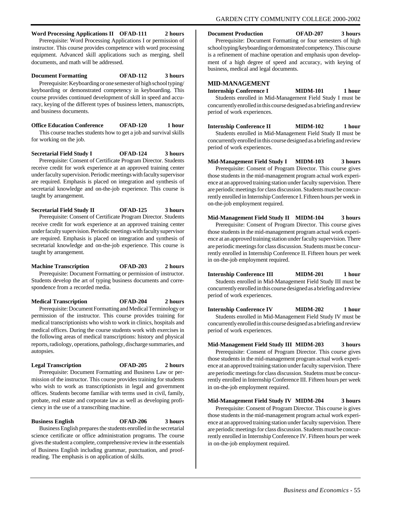#### **Word Processing Applications II OFAD-111 2 hours**

Prerequisite: Word Processing Applications I or permission of instructor. This course provides competence with word processing equipment. Advanced skill applications such as merging, shell documents, and math will be addressed.

## **Document Formatting OFAD-112 3 hours**

Prerequisite: Keyboarding or one semester of high school typing/ keyboarding or demonstrated competency in keyboarding. This course provides continued development of skill in speed and accuracy, keying of the different types of business letters, manuscripts, and business documents.

**Office Education Conference OFAD-120 1 hour**

This course teaches students how to get a job and survival skills for working on the job.

**Secretarial Field Study I OFAD-124 3 hours** Prerequisite: Consent of Certificate Program Director. Students receive credit for work experience at an approved training center under faculty supervision. Periodic meetings with faculty supervisor are required. Emphasis is placed on integration and synthesis of secretarial knowledge and on-the-job experience. This course is taught by arrangement.

**Secretarial Field Study II OFAD-125 3 hours** Prerequisite: Consent of Certificate Program Director. Students receive credit for work experience at an approved training center under faculty supervision. Periodic meetings with faculty supervisor are required. Emphasis is placed on integration and synthesis of secretarial knowledge and on-the-job experience. This course is taught by arrangement.

#### **Machine Transcription OFAD-203 2 hours** Prerequisite: Document Formatting or permission of instructor. Students develop the art of typing business documents and correspondence from a recorded media.

**Medical Transcription OFAD-204 2 hours** Prerequisite: Document Formatting and Medical Terminology or permission of the instructor. This course provides training for medical transcriptionists who wish to work in clinics, hospitals and medical offices. During the course students work with exercises in the following areas of medical transcriptions: history and physical reports, radiology, operations, pathology, discharge summaries, and autopsies.

#### **Legal Transcription OFAD-205 2 hours**

Prerequisite: Document Formatting and Business Law or permission of the instructor. This course provides training for students who wish to work as transcriptionists in legal and government offices. Students become familiar with terms used in civil, family, probate, real estate and corporate law as well as developing proficiency in the use of a transcribing machine.

**Business English OFAD-206 3 hours** Business English prepares the students enrolled in the secretarial science certificate or office administration programs. The course gives the student a complete, comprehensive review in the essentials of Business English including grammar, punctuation, and proofreading. The emphasis is on application of skills.

**Document Production OFAD-207 3 hours**

Prerequisite: Document Formatting or four semesters of high school typing/keyboarding or demonstrated competency. This course is a refinement of machine operation and emphasis upon development of a high degree of speed and accuracy, with keying of business, medical and legal documents.

#### **MID-MANAGEMENT**

**Internship Conference I MIDM-101 1 hour** Students enrolled in Mid-Management Field Study I must be concurrently enrolled in this course designed as a briefing and review period of work experiences.

# **Internship Conference II MIDM-102 1 hour**

Students enrolled in Mid-Management Field Study II must be concurrently enrolled in this course designed as a briefing and review period of work experiences.

#### **Mid-Management Field Study I MIDM-103 3 hours**

Prerequisite: Consent of Program Director. This course gives those students in the mid-management program actual work experience at an approved training station under faculty supervision. There are periodic meetings for class discussion. Students must be concurrently enrolled in Internship Conference I. Fifteen hours per week in on-the-job employment required.

#### **Mid-Management Field Study II MIDM-104 3 hours** Prerequisite: Consent of Program Director. This course gives those students in the mid-management program actual work experience at an approved training station under faculty supervision. There are periodic meetings for class discussion. Students must be concurrently enrolled in Internship Conference II. Fifteen hours per week in on-the-job employment required.

**Internship Conference III MIDM-201 1 hour** Students enrolled in Mid-Management Field Study III must be concurrently enrolled in this course designed as a briefing and review period of work experiences.

**Internship Conference IV MIDM-202 1 hour** Students enrolled in Mid-Management Field Study IV must be concurrently enrolled in this course designed as a briefing and review

period of work experiences.

## **Mid-Management Field Study III MIDM-203 3 hours**

Prerequisite: Consent of Program Director. This course gives those students in the mid-management program actual work experience at an approved training station under faculty supervision. There are periodic meetings for class discussion. Studetns must be concurrently enrolled in Internship Conference III. Fifteen hours per week in on-the-job employment required.

#### **Mid-Management Field Study IV MIDM-204 3 hours**

Prerequisite: Consent of Program Director. This course is gives those students in the mid-management program actual work experience at an approved training station under faculty supervision. There are periodic meetings for class discussion. Students must be concurrently enrolled in Internship Conference IV. Fifteen hours per week in on-the-job employment required.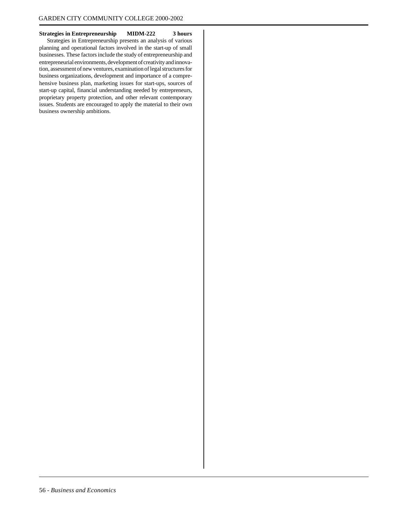**Strategies in Entrepreneurship MIDM-222 3 hours**

Strategies in Entrepreneurship presents an analysis of various planning and operational factors involved in the start-up of small businesses. These factors include the study of entrepreneurship and entrepreneurial environments, development of creativity and innovation, assessment of new ventures, examination of legal structures for business organizations, development and importance of a comprehensive business plan, marketing issues for start-ups, sources of start-up capital, financial understanding needed by entrepreneurs, proprietary property protection, and other relevant contemporary issues. Students are encouraged to apply the material to their own business ownership ambitions.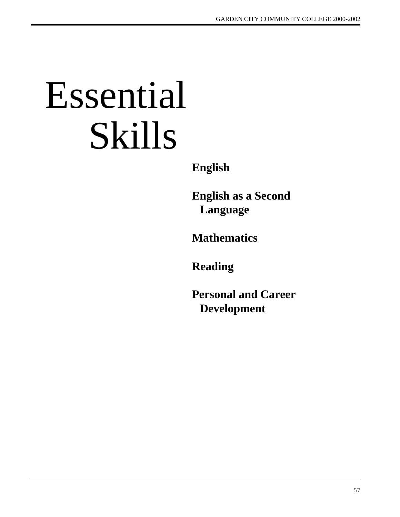# Essential Skills

**English**

**English as a Second Language**

**Mathematics**

**Reading**

**Personal and Career Development**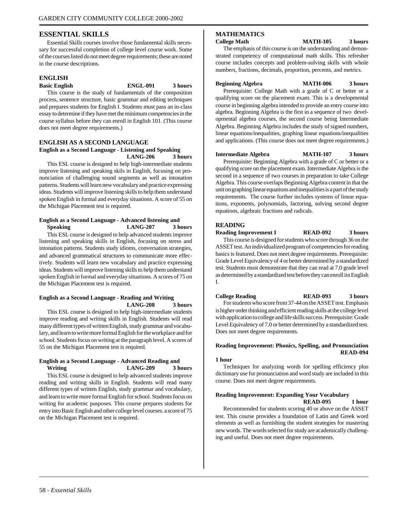#### **ESSENTIAL SKILLS**

Essential Skills courses involve those fundamental skills necessary for successful completion of college level course work. Some of the courses listed do not meet degree requirements; these are noted in the course descriptions.

#### **ENGLISH**

#### **Basic English ENGL-091 3 hours**

This course is the study of fundamentals of the composition process, sentence structure, basic grammar and editing techniques and prepares students for English I. Students must pass an in-class essay to determine if they have met the minimum competencies in the course syllabus before they can enroll in English 101. (This course does not meet degree requirements.)

#### **ENGLISH AS A SECOND LANGUAGE English as a Second Language - Listening and Speaking LANG-206 3 hours**

This ESL course is designed to help high-intermediate students improve listening and speaking skils in English, focusing on pronunciation of challenging sound segments as well as intonation patterns. Students will learn new vocabulary and practice expressing ideas. Students will improve listening skills to help them understand spoken English in formal and everyday situations. A score of 55 on the Michigan Placement test is required.

#### **English as a Second Language - Advanced listening and Speaking LANG-207 3 hours**

This ESL course is designed to help advanced students improve listening and speaking skills in English, focusing on stress and intonation patterns. Students study idioms, conversation strategies, and advanced grammatical structures to communicate more effectively. Students will learn new vocabulary and practice expressing ideas. Students will improve listening skills to help them understand spoken English in formal and everyday situations. A scores of 75 on the Michigan Placement test is required.

#### **English as a Second Language - Reading and Writing LANG-208 3 hours**

This ESL course is designed to help high-intermediate students improve reading and writing skills in English. Students will read many different types of written English, study grammar and vocabulary, and learn to write more formal English for the workplace and for school. Students focus on writing at the paragraph level. A scores of 55 on the Michigan Placement test is required.

#### **English as a Second Language - Advanced Reading and Writing LANG-209 3 hours**

This ESL course is designed to help advanced students improve reading and writing skills in English. Students will read many different types of written English, study grammar and vocabulary, and learn to write more formal English for school. Students focus on writing for academic pusposes. This course prepares students for entry into Basic English and other college level courses. a score of 75 on the Michigan Placement test is required.

#### **MATHEMATICS**

**College Math MATH-105 3 hours**

The emphasis of this course is on the understanding and demonstrated competency of computational math skills. This refresher course includes concepts and problem-solving skills with whole numbers, fractions, decimals, proportion, percents, and metrics.

#### **Beginning Algebra MATH-006 3 hours**

Prerequisite: College Math with a grade of C or better or a qualifying score on the placement exam. This is a developmental course in beginning algebra intended to provide an entry course into algebra. Beginning Algebra is the first in a sequence of two developmental algebra courses, the second course being Intermediate Algebra. Beginning Algebra includes the study of signed numbers, linear equations/inequalities, graphing linear equations/inequalities and applications. (This course does not meet degree requirements.)

#### **Intermediate Algebra MATH-107 3 hours**

Prerequisite: Beginning Algebra with a grade of C or better or a qualifying score on the placement exam. Intermediate Algebra is the second in a sequence of two courses in preparation to take College Algebra. This course overlaps Beginning Algebra content in that the unit on graphing linear equations and inequalities is a part of the study requirements. The course further includes systems of linear equations, exponents, polynomials, factoring, solving second degree equations, algebraic fractions and radicals.

#### **READING**

#### **Reading Improvement I READ-092 3 hours**

This course is designed for students who score through 36 on the ASSET test. An individualized program of competencies for reading basics is featured. Does not meet degree requirements. Prerequisite: Grade Level Equivalency of 4 or better determined by a standardized test. Students must demonstrate that they can read at 7.0 grade level as determined by a standardized test before they can enroll iin English I.

**College Reading READ-093 3 hours** For students who score from 37-44 on the ASSET test. Emphasis

is higher order thinking and efficient reading skills at the college level with application to college and life skills success. Prerequisite: Grade Level Equivalency of 7.0 or better determined by a standardized test. Does not meet degree requirements.

#### **Reading Improvement: Phonics, Spelling, and Pronunciation READ-094**

#### **1 hour**

Techniques for analyzing words for spelling efficiency plus dictionary use for pronunciation and word study are included in this course. Does not meet degree requirements.

#### **Reading Improvement: Expanding Your Vocabulary READ-095 1 hour**

Recommended for students scoring 40 or above on the ASSET test. This course provides a foundation of Latin and Greek word elements as well as furnishing the student strategies for mastering new words. The words selected for study are academically challenging and useful. Does not meet degree requirements.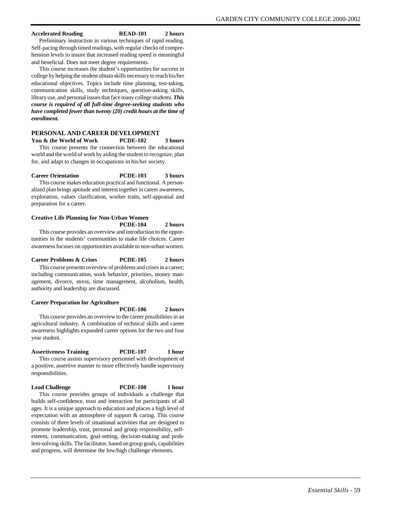#### **Accelerated Reading READ-101 2 hours**

Preliminary instruction in various techniques of rapid reading. Self-pacing through timed readings, with regular checks of comprehension levels to insure that increased reading speed is meaningful and beneficial. Does not meet degree requirements.

This course increases the student's opportunities for success in college by helping the student obtain skills necessary to reach his/her educational objectives. Topics include time planning, test-taking, communication skills, study techniques, question-asking skills, library use, and personal issues that face many college students. *This course is required of all full-time degree-seeking students who have completed fewer than twenty (20) credit hours at the time of enrollment.*

#### **PERSONAL AND CAREER DEVELOPMENT**

**You & the World of Work PCDE-102 3 hours** This course presents the connection between the educational world and the world of work by aiding the student to recognize, plan for, and adapt to changes in occupations in his/her society.

#### **Career Orientation PCDE-103 3 hours**

This course makes education practical and functional. A personalized plan brings aptitude and interest together in career awareness, exploration, values clarification, worker traits, self-appraisal and preparation for a career.

#### **Creative Life Planning for Non-Urban Women PCDE-104 2 hours**

This course provides an overview and introduction to the opportunities in the students' communities to make life choices. Career awareness focuses on opportunities available to non-urban women.

#### **Career Problems & Crises PCDE-105 2 hours** This course presents overview of problems and crises in a career; including communication, work behavior, priorities, money management, divorce, stress, time management, alcoholism, health, authority and leadership are discussed.

#### **Career Preparation for Agriculture**

**PCDE-106 2 hours** This course provides an overview to the career possibilities in an agricultural industry. A combination of technical skills and career awareness highlights expanded career options for the two and four year student.

#### **Assertiveness Training PCDE-107 1 hour**

This course assists supervisory personnel with development of a positive, assertive manner to more effectively handle supervisory responsibilities.

#### **Lead Challenge PCDE-108 1 hour**

This course provides groups of individuals a challenge that builds self-confidence, trust and interaction for participants of all ages. It is a unique approach to education and places a high level of expectation with an atmosphere of support  $\&$  caring. This course consists of three levels of situational activities that are designed to promote leadership, trust, personal and group responsibility, selfesteem, communication, goal-setting, decision-making and problem-solving skills. The facilitator, based on group goals, capabilities and progress, will determine the low/high challenge elements.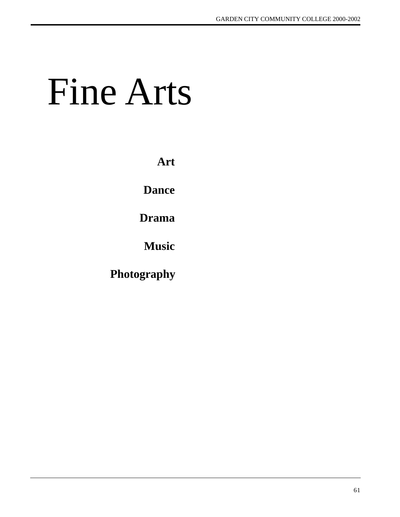# Fine Arts

**Art**

**Dance**

**Drama**

**Music**

**Photography**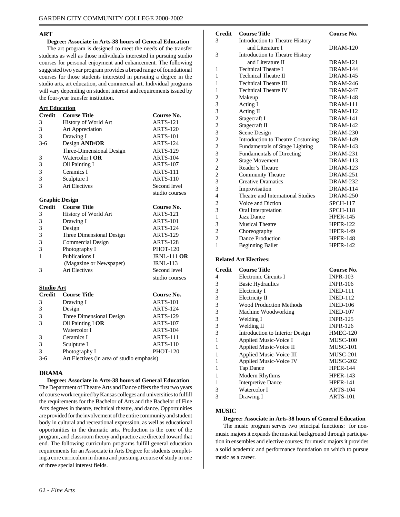#### **ART**

#### **Degree: Associate in Arts-38 hours of General Education**

The art program is designed to meet the needs of the transfer students as well as those individuals interested in pursuing studio courses for personal enjoyment and enhancement. The following suggested two year program provides a broad range of foundational courses for those students interested in pursuing a degree in the studio arts, art education, and commercial art. Individual programs will vary depending on student interest and requirements issued by the four-year transfer institution.

## **Art Education**

| <b>Credit</b> | <b>Course Title</b>      | Course No.      |
|---------------|--------------------------|-----------------|
| 3             | History of World Art     | <b>ARTS-121</b> |
| 3             | Art Appreciation         | <b>ARTS-120</b> |
| 3             | Drawing I                | <b>ARTS-101</b> |
| $3-6$         | Design AND/OR            | <b>ARTS-124</b> |
|               | Three-Dimensional Design | <b>ARTS-129</b> |
| 3             | Watercolor <b>I OR</b>   | <b>ARTS-104</b> |
| 3             | Oil Painting I           | <b>ARTS-107</b> |
| 3             | Ceramics I               | <b>ARTS-111</b> |
| 3             | Sculpture I              | <b>ARTS-110</b> |
| 3             | <b>Art Electives</b>     | Second level    |
|               |                          | studio courses  |
|               | <b>Graphic Design</b>    |                 |
| <b>Credit</b> | <b>Course Title</b>      | Course No.      |
| 3             | History of World Art     | <b>ARTS-121</b> |
| 3             | Drawing I                | <b>ARTS-101</b> |
| 3             | Design                   | <b>ARTS-124</b> |
| 3             | Three Dimensional Design | <b>ARTS-129</b> |
| 3             | <b>Commercial Design</b> | <b>ARTS-128</b> |

3 Photography I PHOT-120 1 Publications I JRNL-111 **OR**<br>(Magazine or Newspaper) JRNL-113 (Magazine or Newspaper) 3 Art Electives Second level studio courses

#### **Studio Art**

| <b>Credit</b> | <b>Course Title</b>                        | Course No.      |
|---------------|--------------------------------------------|-----------------|
| 3             | Drawing I                                  | <b>ARTS-101</b> |
| 3             | Design                                     | ARTS-124        |
| 3             | Three Dimensional Design                   | <b>ARTS-129</b> |
| 3             | Oil Painting I OR                          | <b>ARTS-107</b> |
|               | Watercolor I                               | <b>ARTS-104</b> |
| 3             | Ceramics I                                 | <b>ARTS-111</b> |
| 3             | Sculpture I                                | ARTS-110        |
| 3             | Photography I                              | <b>PHOT-120</b> |
| $3-6$         | Art Electives (in area of studio emphasis) |                 |

#### **DRAMA**

**Degree: Associate in Arts-38 hours of General Education** The Department of Theatre Arts and Dance offers the first two years of course work required by Kansas colleges and universities to fulfill the requirements for the Bachelor of Arts and the Bachelor of Fine Arts degrees in theatre, technical theatre, and dance. Opportunities are provided for the involvement of the entire community and student body in cultural and recreational expression, as well as educational opportunities in the dramatic arts. Production is the core of the program, and classroom theory and practice are directed toward that end. The following curriculum programs fulfill general education requirements for an Associate in Arts Degree for students completing a core curriculum in drama and pursuing a course of study in one of three special interest fields.

| <b>Credit</b>  | <b>Course Title</b>                   | Course No.      |
|----------------|---------------------------------------|-----------------|
| 3              | Introduction to Theatre History       |                 |
|                | and Literature I                      | <b>DRAM-120</b> |
| 3              | Introduction to Theatre History       |                 |
|                | and Literature II                     | <b>DRAM-121</b> |
| 1              | <b>Technical Theatre I</b>            | <b>DRAM-144</b> |
| 1              | <b>Technical Theatre II</b>           | <b>DRAM-145</b> |
| 1              | <b>Technical Theatre III</b>          | <b>DRAM-246</b> |
| 1              | <b>Technical Theatre IV</b>           | <b>DRAM-247</b> |
| 2              | Makeup                                | <b>DRAM-148</b> |
| 3              | Acting I                              | <b>DRAM-111</b> |
| 3              | Acting II                             | <b>DRAM-112</b> |
| $\overline{c}$ | Stagecraft I                          | <b>DRAM-141</b> |
| $\overline{c}$ | Stagecraft II                         | <b>DRAM-142</b> |
| 3              | Scene Design                          | <b>DRAM-230</b> |
| $\overline{c}$ | Introduction to Theatre Costuming     | <b>DRAM-149</b> |
| $\overline{c}$ | <b>Fundamentals of Stage Lighting</b> | <b>DRAM-143</b> |
| 3              | <b>Fundamentals of Directing</b>      | <b>DRAM-231</b> |
| $\overline{c}$ | <b>Stage Movement</b>                 | <b>DRAM-113</b> |
| $\overline{c}$ | Reader's Theatre                      | <b>DRAM-123</b> |
| $\overline{c}$ | Community Theatre                     | <b>DRAM-251</b> |
| 3              | <b>Creative Dramatics</b>             | <b>DRAM-232</b> |
| 3              | Improvisation                         | <b>DRAM-114</b> |
| $\overline{4}$ | Theatre and International Studies     | <b>DRAM-250</b> |
| $\overline{c}$ | Voice and Diction                     | <b>SPCH-117</b> |
| 3              | Oral Interpretation                   | <b>SPCH-118</b> |
| $\mathbf{1}$   | Jazz Dance                            | <b>HPER-145</b> |
| 3              | <b>Musical Theatre</b>                | <b>HPER-122</b> |
| $\overline{c}$ | Choreography                          | <b>HPER-149</b> |
| $\overline{c}$ | Dance Production                      | <b>HPER-148</b> |
| $\mathbf{1}$   | <b>Beginning Ballet</b>               | <b>HPER-142</b> |

#### **Related Art Electives:**

| <b>Credit</b> | <b>Course Title</b>             | Course No.      |
|---------------|---------------------------------|-----------------|
| 4             | Electronic Circuits I           | <b>INPR-103</b> |
| 3             | <b>Basic Hydraulics</b>         | <b>INPR-106</b> |
| 3             | Electricity I                   | <b>INED-111</b> |
| 3             | Electricity II                  | <b>INED-112</b> |
| 3             | <b>Wood Production Methods</b>  | <b>INED-106</b> |
| 3             | Machine Woodworking             | <b>INED-107</b> |
| 3             | Welding I                       | <b>INPR-125</b> |
| 3             | Welding II                      | <b>INPR-126</b> |
| 3             | Introduction to Interior Design | <b>HMEC-120</b> |
| 1             | Applied Music-Voice I           | <b>MUSC-100</b> |
| 1             | Applied Music-Voice II          | MUSC-101        |
| 1             | Applied Music-Voice III         | MUSC-201        |
| 1             | <b>Applied Music-Voice IV</b>   | MUSC-202        |
| 1             | Tap Dance                       | <b>HPER-144</b> |
| 1             | Modern Rhythms                  | <b>HPER-143</b> |
| 1             | Interpretive Dance              | <b>HPER-141</b> |
| 3             | Watercolor I                    | ARTS-104        |
| 3             | Drawing I                       | ARTS-101        |

#### **MUSIC**

#### **Degree: Associate in Arts-38 hours of General Education**

The music program serves two principal functions: for nonmusic majors it expands the musical background through participation in ensembles and elective courses; for music majors it provides a solid academic and performance foundation on which to pursue music as a career.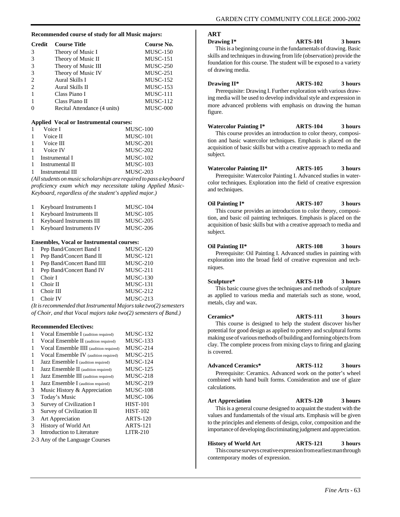#### **Recommended course of study for all Music majors:**

| <b>Credit</b> | <b>Course Title</b>          | Course No.      |
|---------------|------------------------------|-----------------|
| 3             | Theory of Music I            | <b>MUSC-150</b> |
| 3             | Theory of Music II           | MUSC-151        |
| 3             | Theory of Music III          | $MUSC-250$      |
| 3             | Theory of Music IV           | MUSC-251        |
| 2             | Aural Skills I               | MUSC-152        |
| $\mathcal{L}$ | Aural Skills II              | <b>MUSC-153</b> |
|               | Class Piano I                | MUSC-111        |
|               | Class Piano II               | $MUSC-112$      |
|               | Recital Attendance (4 units) | MUSC-000        |

#### **Applied Vocal or Instrumental courses:**

|   | Voice I          | MUSC-100        |
|---|------------------|-----------------|
|   | Voice II         | MUSC-101        |
| 1 | Voice III        | MUSC-201        |
|   | Voice IV         | <b>MUSC-202</b> |
| 1 | Instrumental I   | <b>MUSC-102</b> |
| 1 | Instrumental II  | <b>MUSC-103</b> |
|   | Instrumental III | MUSC-203        |

*(All students on music scholarships are required to pass a keyboard proficiency exam which may necessitate taking Applied Music-Keyboard, regardless of the student's applied major.)*

| $\mathbf{1}$ | Keyboard Instruments I   | <b>MUSC-104</b> |
|--------------|--------------------------|-----------------|
| $\mathbf{1}$ | Keyboard Instruments II  | <b>MUSC-105</b> |
| $\mathbf{1}$ | Keyboard Instruments III | <b>MUSC-205</b> |
| $\mathbf{1}$ | Keyboard Instruments IV  | <b>MUSC-206</b> |

#### **Ensembles, Vocal or Instrumental courses:**

|              | 1 Pep Band/Concert Band I  | <b>MUSC-120</b> |
|--------------|----------------------------|-----------------|
| 1            | Pep Band/Concert Band II   | <b>MUSC-121</b> |
| 1            | Pep Band/Concert Band IIII | $MUSC-210$      |
|              | 1 Pep Band/Concert Band IV | MUSC-211        |
| $\mathbf{1}$ | Choir I                    | <b>MUSC-130</b> |
| $\mathbf{1}$ | Choir II                   | <b>MUSC-131</b> |
| $\mathbf{1}$ | Choir III                  | $MUSC-212$      |
| $\mathbf{1}$ | Choir IV                   | $MUSC-213$      |
|              |                            |                 |

*(It is recommended that Instrumental Majors take two(2) semesters of Choir, and that Vocal majors take two(2) semesters of Band.)*

#### **Recommended Electives:**

| 1 | Vocal Ensemble I (audition required)    | <b>MUSC-132</b> |
|---|-----------------------------------------|-----------------|
| 1 | Vocal Ensemble II (audition required)   | <b>MUSC-133</b> |
| 1 | Vocal Ensemble IIII (audition required) | $MUSC-214$      |
| 1 | Vocal Ensemble IV (audition required)   | $MUSC-215$      |
| 1 | Jazz Ensemble I (audition required)     | <b>MUSC-124</b> |
| 1 | Jazz Ensemble II (audition required)    | <b>MUSC-125</b> |
| 1 | Jazz Ensemble III (audition required)   | $MUSC-218$      |
| 1 | Jazz Ensemble I (audition required)     | $MUSC-219$      |
| 3 | Music History & Appreciation            | <b>MUSC-108</b> |
| 3 | Today's Music                           | <b>MUSC-106</b> |
| 3 | Survey of Civilization I                | <b>HIST-101</b> |
| 3 | Survey of Civilization II               | <b>HIST-102</b> |
| 3 | Art Appreciation                        | <b>ARTS-120</b> |
| 3 | History of World Art                    | <b>ARTS-121</b> |
| 3 | Introduction to Literature              | $LITR-210$      |
|   | 2-3 Any of the Language Courses         |                 |

**ART**

**Drawing I\* ARTS-101 3 hours**

This is a beginning course in the fundamentals of drawing. Basic skills and techniques in drawing from life (observation) provide the foundation for this course. The student will be exposed to a variety of drawing media.

#### **Drawing II\* ARTS-102 3 hours**

Prerequisite: Drawing I. Further exploration with various drawing media will be used to develop individual style and expression in more advanced problems with emphasis on drawing the human figure.

**Watercolor Painting I\* ARTS-104 3 hours** This course provides an introduction to color theory, composi-

tion and basic watercolor techniques. Emphasis is placed on the acquisition of basic skills but with a creative approach to media and subject.

**Watercolor Painting II\* ARTS-105 3 hours**

Prerequisite: Watercolor Painting I. Advanced studies in watercolor techniques. Exploration into the field of creative expression and techniques.

**Oil Painting I\* ARTS-107 3 hours** This course provides an introduction to color theory, composition, and basic oil painting techniques. Emphasis is placed on the acquisition of basic skills but with a creative approach to media and subject.

#### **Oil Painting II\* ARTS-108 3 hours** Prerequisite: Oil Painting I. Advanced studies in painting with exploration into the broad field of creative expression and techniques.

**Sculpture\* ARTS-110 3 hours** This basic course gives the techniques and methods of sculpture as applied to various media and materials such as stone, wood, metals, clay and wax.

**Ceramics\* ARTS-111 3 hours** This course is designed to help the student discover his/her potential for good design as applied to pottery and sculptural forms making use of various methods of building and forming objects from clay. The complete process from mixing clays to firing and glazing is covered.

**Advanced Ceramics\* ARTS-112 3 hours** Prerequisite: Ceramics. Advanced work on the potter's wheel combined with hand built forms. Consideration and use of glaze calculations.

**Art Appreciation ARTS-120 3 hours**

This is a general course designed to acquaint the student with the values and fundamentals of the visual arts. Emphasis will be given to the principles and elements of design, color, composition and the importance of developing discriminating judgment and appreciation.

**History of World Art ARTS-121 3 hours**

This course surveys creative expression from earliest man through contemporary modes of expression.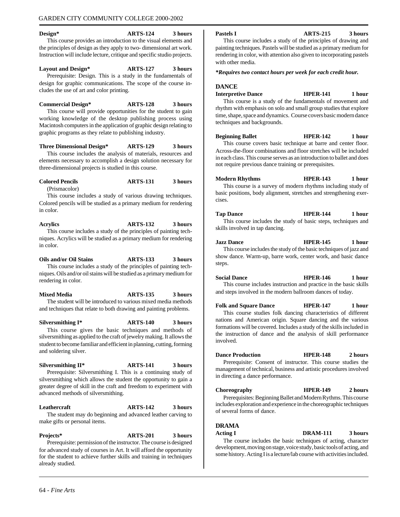#### **Design\* ARTS-124 3 hours** This course provides an introduction to the visual elements and the principles of design as they apply to two- dimensional art work. Instruction will include lecture, critique and specific studio projects.

**Layout and Design\* ARTS-127 3 hours** Prerequisite: Design. This is a study in the fundamentals of design for graphic communications. The scope of the course includes the use of art and color printing.

**Commercial Design\* ARTS-128 3 hours** This course will provide opportunities for the student to gain working knowledge of the desktop publishing process using Macintosh computers in the application of graphic design relating to graphic programs as they relate to publishing industry.

**Three Dimensional Design\* ARTS-129 3 hours** This course includes the analysis of materials, resources and

elements necessary to accomplish a design solution necessary for three-dimensional projects is studied in this course.

# **Colored Pencils ARTS-131 3 hours**

(Prismacolor)

This course includes a study of various drawing techniques. Colored pencils will be studied as a primary medium for rendering in color.

**Acrylics ARTS-132 3 hours** This course includes a study of the principles of painting techniques. Acrylics will be studied as a primary medium for rendering in color.

**Oils and/or Oil Stains ARTS-133 3 hours** This course includes a study of the principles of painting techniques. Oils and/or oil stains will be studied as a primary medium for rendering in color.

**Mixed Media ARTS-135 3 hours** The student will be introduced to various mixed media methods and techniques that relate to both drawing and painting problems.

**Silversmithing I\* ARTS-140 3 hours** This course gives the basic techniques and methods of silversmithing as applied to the craft of jewelry making. It allows the student to become familiar and efficient in planning, cutting, forming and soldering silver.

**Silversmithing II\* ARTS-141 3 hours** Prerequisite: Silversmithing I. This is a continuing study of silversmithing which allows the student the opportunity to gain a greater degree of skill in the craft and freedom to experiment with advanced methods of silversmithing.

**Leathercraft ARTS-142 3 hours** The student may do beginning and advanced leather carving to make gifts or personal items.

**Projects\* ARTS-201 3 hours** Prerequisite: permission of the instructor. The course is designed for advanced study of courses in Art. It will afford the opportunity for the student to achieve further skills and training in techniques already studied.

**Pastels I ARTS-215 3 hours**

This course includes a study of the principles of drawing and painting techniques. Pastels will be studied as a primary medium for rendering in color, with attention also given to incorporating pastels with other media.

*\*Requires two contact hours per week for each credit hour.*

#### **DANCE**

**Interpretive Dance HPER-141 1 hour**

This course is a study of the fundamentals of movement and rhythm with emphasis on solo and small group studies that explore time, shape, space and dynamics. Course covers basic modern dance techniques and backgrounds.

**Beginning Ballet HPER-142 1 hour** This course covers basic technique at barre and center floor. Across-the-floor combinations and floor stretches will be included in each class. This course serves as an introduction to ballet and does not require previous dance training or prerequisites.

**Modern Rhythms HPER-143 1 hour** This course is a survey of modern rhythms including study of basic positions, body alignment, stretches and strengthening exercises.

#### **Tap Dance HPER-144 1 hour**

This course includes the study of basic steps, techniques and skills involved in tap dancing.

**Jazz Dance HPER-145 1 hour** This course includes the study of the basic techniques of jazz and show dance. Warm-up, barre work, center work, and basic dance steps.

**Social Dance HPER-146 1 hour** This course includes instruction and practice in the basic skills and steps involved in the modern ballroom dances of today.

**Folk and Square Dance HPER-147 1 hour** This course studies folk dancing characteristics of different nations and American origin. Square dancing and the various formations will be covered. Includes a study of the skills included in the instruction of dance and the analysis of skill performance involved.

**Dance Production HPER-148 2 hours** Prerequisite: Consent of instructor. This course studies the management of technical, business and artistic procedures involved in directing a dance performance.

#### **Choreography HPER-149 2 hours**

Prerequisites: Beginning Ballet and Modern Rythms. This course includes exploration and experience in the choreographic techniques of several forms of dance.

#### **DRAMA**

#### **Acting I DRAM-111 3 hours**

The course includes the basic techniques of acting, character development, moving on stage, voice study, basic tools of acting, and some history. Acting I is a lecture/lab course with activities included.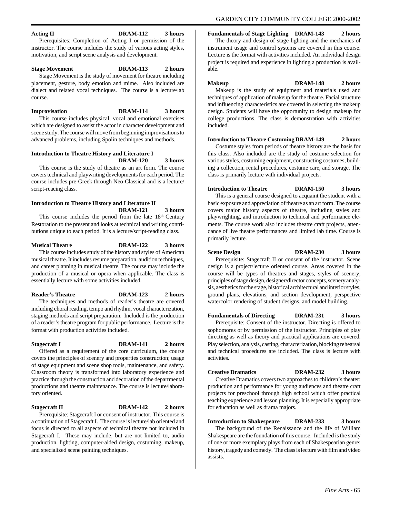## **Acting II DRAM-112 3 hours**

Prerequisites: Completion of Acting I or permission of the instructor. The course includes the study of various acting styles, motivation, and script scene analysis and development.

#### **Stage Movement DRAM-113 2 hours**

Stage Movement is the study of movement for theatre including placement, gesture, body emotion and mime. Also included are dialect and related vocal techniques. The course is a lecture/lab course.

#### **Improvisation DRAM-114 3 hours**

This course includes physical, vocal and emotional exercises which are designed to assist the actor in character development and scene study. The course will move from beginning improvisations to advanced problems, including Spolin techniques and methods.

#### **Introduction to Theatre History and Literature I DRAM-120 3 hours**

This course is the study of theatre as an art form. The course covers technical and playwriting developments for each period. The course includes pre-Greek through Neo-Classical and is a lecture/ script-reacing class.

#### **Introduction to Theatre History and Literature II DRAM-121 3 hours**

This course includes the period from the late  $18<sup>th</sup>$  Century Restoration to the present and looks at technical and writing contributions unique to each period. It is a lecture/script-reading class.

#### **Musical Theatre DRAM-122 3 hours** This course includes study of the history and styles of American

musical theatre. It includes resume preparation, audition techniques, and career planning in musical theatre. The course may include the production of a musical or opera when applicable. The class is essentially lecture with some activities included.

# **Reader's Theatre DRAM-123 2 hours**

The techniques and methods of reader's theatre are covered including choral reading, tempo and rhythm, vocal characterization, staging methods and script preparation. Included is the production of a reader's theatre program for public performance. Lecture is the format with production activities included.

**Stagecraft I DRAM-141 2 hours**

Offered as a requirement of the core curriculum, the course covers the principles of scenery and properties construction; usage of stage equipment and scene shop tools, maintenance, and safety. Classroom theory is transformed into laboratory experience and practice through the construction and decoration of the departmental productions and theatre maintenance. The course is lecture/laboratory oriented.

#### **Stagecraft II DRAM-142 2 hours**

assists.

Prerequisite: Stagecraft I or consent of instructor. This course is a continuation of Stagecraft I. The course is lecture/lab oriented and focus is directed to all aspects of technical theatre not included in Stagecraft I. These may include, but are not limited to, audio production, lighting, computer-aided design, costuming, makeup, and specialized scene painting techniques.

## **Fundamentals of Stage Lighting DRAM-143 2 hours**

The theory and design of stage lighting and the mechanics of instrument usage and control systems are covered in this course. Lecture is the format with activities included. An individual design project is required and experience in lighting a production is available.

#### **Makeup DRAM-148 2 hours**

Makeup is the study of equipment and materials used and techniques of application of makeup for the theatre. Facial structure and influencing characteristics are covered in selecting the makeup design. Students will have the opportunity to design makeup for college productions. The class is demonstration with activities included.

#### **Introduction to Theatre Costuming DRAM-149 2 hours**

Costume styles from periods of theatre history are the basis for this class. Also included are the study of costume selection for various styles, costuming equipment, constructing costumes, building a collection, rental procedures, costume care, and storage. The class is primarily lecture with individual projects.

#### **Introduction to Theatre DRAM-150 3 hours**

This is a general course designed to acquaint the student with a basic exposure and appreciation of theatre as an art form. The course covers major history aspects of theatre, including styles and playwrighting, and introduction to technical and performance elements. The course work also includes theatre craft projects, attendance of live theatre performances and limited lab time. Course is primarily lecture.

#### **Scene Design DRAM-230 3 hours** Prerequisite: Stagecraft II or consent of the instructor. Scene

design is a project/lecture oriented course. Areas covered in the course will be types of theatres and stages, styles of scenery, principles of stage design, designer/director concepts, scenery analysis, aesthetics for the stage, historical architectural and interior styles, ground plans, elevations, and section development, perspective watercolor rendering of student designs, and model building.

#### **Fundamentals of Directing DRAM-231 3 hours**

Prerequisite: Consent of the instructor. Directing is offered to sophomores or by permission of the instructor. Principles of play directing as well as theory and practical applications are covered. Play selection, analysis, casting, characterization, blocking rehearsal and technical procedures are included. The class is lecture with activities.

# **Creative Dramatics DRAM-232 3 hours**

Creative Dramatics covers two approaches to children's theater: production and performance for young audiences and theatre craft projects for preschool through high school which offer practical teaching experience and lesson planning. It is especially appropriate for education as well as drama majors.

#### **Introduction to Shakespeare DRAM-233 3 hours** The background of the Renaissance and the life of William Shakespeare are the foundation of this course. Included is the study of one or more exemplary plays from each of Shakespearian genre: history, tragedy and comedy. The class is lecture with film and video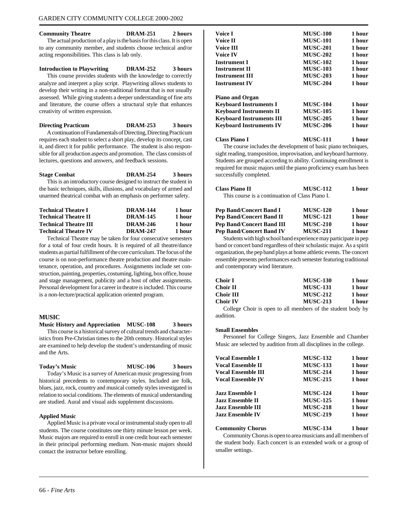**Community Theatre DRAM-251 2 hours** The actual production of a play is the basis for this class. It is open to any community member, and students choose technical and/or acting responsibilities. This class is lab only.

#### **Introduction to Playwriting DRAM-252 3 hours**

This course provides students with the knowledge to correctly analyze and interpret a play script. Playwriting allows students to develop their writing in a non-traditional format that is not usually assessed. While giving students a deeper understanding of fine arts and literature, the course offers a structural style that enhances creativity of written expression.

#### **Directing Practicum DRAM-253 3 hours**

A continuation of Fundamentals of Directing, Directing Practicum requires each student to select a short play, develop its concept, cast it, and direct it for public performance. The student is also responsible for all production aspects and promotion. The class consists of lectures, questions and answers, and feedback sessions.

# **Stage Combat DRAM-254 3 hours**

This is an introductory course designed to instruct the student in the basic techniques, skills, illusions, and vocabulary of armed and unarmed theatrical combat with an emphasis on performer safety.

| <b>Technical Theatre I</b>   | <b>DRAM-144</b> | 1 hour |
|------------------------------|-----------------|--------|
| <b>Technical Theatre II</b>  | <b>DRAM-145</b> | 1 hour |
| <b>Technical Theatre III</b> | <b>DRAM-246</b> | 1 hour |
| <b>Technical Theatre IV</b>  | <b>DRAM-247</b> | 1 hour |

Technical Theatre may be taken for four consecutive semesters for a total of four credit hours. It is required of all theatre/dance students as partial fulfillment of the core curriculum. The focus of the course is on non-performance theatre production and theatre maintenance, operation, and procedures. Assignments include set construction, painting, properties, costuming, lighting, box office, house and stage management, publicity and a host of other assignments. Personal development for a career in theatre is included. This course is a non-lecture/practical application oriented program.

#### **MUSIC**

#### **Music History and Appreciation MUSC-108 3 hours** This course is a historical survey of cultural trends and character-

istics from Pre-Christian times to the 20th century. Historical styles are examined to help develop the student's understanding of music and the Arts.

# **Today's Music MUSC-106 3 hours**

Today's Music is a survey of American music progressing from historical precedents to contemporary styles. Included are folk, blues, jazz, rock, country and musical comedy styles investigated in relation to social conditions. The elements of musical understanding are studied. Aural and visual aids supplement discussions.

## **Applied Music**

Applied Music is a private vocal or instrumental study open to all students. The course constitutes one thirty minute lesson per week. Music majors are required to enroll in one credit hour each semester in their principal performing medium. Non-music majors should contact the instructor before enrolling.

| Voice I                         | <b>MUSC-100</b> | 1 hour |
|---------------------------------|-----------------|--------|
| Voice II                        | <b>MUSC-101</b> | 1 hour |
| <b>Voice III</b>                | <b>MUSC-201</b> | 1 hour |
| Voice IV                        | <b>MUSC-202</b> | 1 hour |
| <b>Instrument I</b>             | <b>MUSC-102</b> | 1 hour |
| <b>Instrument II</b>            | <b>MUSC-103</b> | 1 hour |
| <b>Instrument III</b>           | <b>MUSC-203</b> | 1 hour |
| <b>Instrument IV</b>            | <b>MUSC-204</b> | 1 hour |
| <b>Piano and Organ</b>          |                 |        |
| <b>Keyboard Instruments I</b>   | <b>MUSC-104</b> | 1 hour |
| <b>Keyboard Instruments II</b>  | <b>MUSC-105</b> | 1 hour |
| <b>Keyboard Instruments III</b> | <b>MUSC-205</b> | 1 hour |
| <b>Keyboard Instruments IV</b>  | <b>MUSC-206</b> | 1 hour |
| <b>Class Piano I</b>            | MUSC-111        | 1 hour |

The course includes the development of basic piano techniques, sight reading, transposition, improvisation, and keyboard harmony. Students are grouped according to ability. Continuing enrollment is required for music majors until the piano proficiency exam has been successfully completed.

| <b>Class Piano II</b>                           | <b>MUSC-112</b> | 1 hour |
|-------------------------------------------------|-----------------|--------|
| This course is a continuation of Class Piano I. |                 |        |

| <b>MUSC-120</b> | 1 hour |
|-----------------|--------|
| <b>MUSC-121</b> | 1 hour |
| <b>MUSC-210</b> | 1 hour |
| <b>MUSC-211</b> | 1 hour |
|                 |        |

Students with high school band experience may participate in pep band or concert band regardless of their scholastic major. As a spirit organization, the pep band plays at home athletic events. The concert ensemble presents performances each semester featuring traditional and contemporary wind literature.

| Choir I   | <b>MUSC-130</b> | 1 hour |
|-----------|-----------------|--------|
| Choir II  | <b>MUSC-131</b> | 1 hour |
| Choir III | <b>MUSC-212</b> | 1 hour |
| Choir IV  | <b>MUSC-213</b> | 1 hour |
|           |                 |        |

College Choir is open to all members of the student body by audition.

#### **Small Ensembles**

Personnel for College Singers, Jazz Ensemble and Chamber Music are selected by audition from all disciplines in the college.

| Vocal Ensemble I          | <b>MUSC-132</b> | 1 hour |
|---------------------------|-----------------|--------|
| <b>Vocal Ensemble II</b>  | <b>MUSC-133</b> | 1 hour |
| <b>Vocal Ensemble III</b> | <b>MUSC-214</b> | 1 hour |
| <b>Vocal Ensemble IV</b>  | <b>MUSC-215</b> | 1 hour |
| Jazz Ensemble I           | <b>MUSC-124</b> | 1 hour |
| Jazz Ensemble II          | <b>MUSC-125</b> | 1 hour |
| <b>Jazz Ensemble III</b>  | <b>MUSC-218</b> | 1 hour |
| <b>Jazz Ensemble IV</b>   | <b>MUSC-219</b> | 1 hour |

#### **Community Chorus MUSC-134 1 hour**

Community Chorus is open to area musicians and all members of the student body. Each concert is an extended work or a group of smaller settings.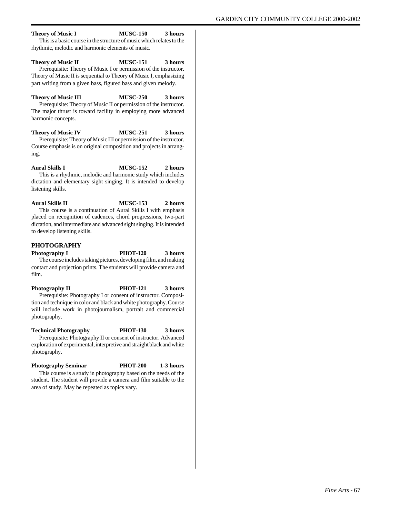#### **Theory of Music I MUSC-150 3 hours** This is a basic course in the structure of music which relates to the rhythmic, melodic and harmonic elements of music.

**Theory of Music II MUSC-151 3 hours** Prerequisite: Theory of Music I or permission of the instructor. Theory of Music II is sequential to Theory of Music I, emphasizing part writing from a given bass, figured bass and given melody.

**Theory of Music III MUSC-250 3 hours** Prerequisite: Theory of Music II or permission of the instructor. The major thrust is toward facility in employing more advanced harmonic concepts.

**Theory of Music IV MUSC-251 3 hours** Prerequisite: Theory of Music III or permission of the instructor. Course emphasis is on original composition and projects in arranging.

**Aural Skills I MUSC-152 2 hours** This is a rhythmic, melodic and harmonic study which includes

dictation and elementary sight singing. It is intended to develop listening skills.

**Aural Skills II MUSC-153 2 hours** This course is a continuation of Aural Skills I with emphasis placed on recognition of cadences, chord progressions, two-part dictation, and intermediate and advanced sight singing. It is intended to develop listening skills.

#### **PHOTOGRAPHY**

**Photography I PHOT-120 3 hours** The course includes taking pictures, developing film, and making contact and projection prints. The students will provide camera and film.

**Photography II PHOT-121 3 hours** Prerequisite: Photography I or consent of instructor. Composition and technique in color and black and white photography. Course will include work in photojournalism, portrait and commercial photography.

**Technical Photography PHOT-130 3 hours** Prerequisite: Photography II or consent of instructor. Advanced exploration of experimental, interpretive and straight black and white photography.

**Photography Seminar PHOT-200 1-3 hours** This course is a study in photography based on the needs of the student. The student will provide a camera and film suitable to the area of study. May be repeated as topics vary.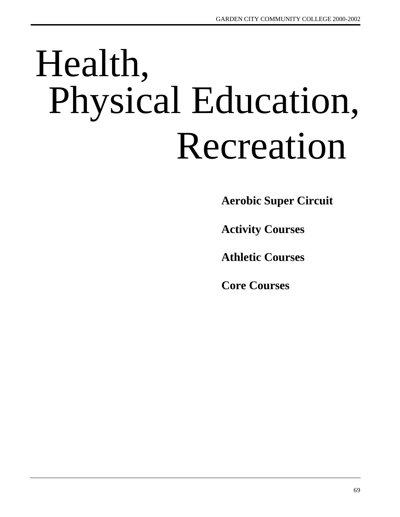# Health, Physical Education, Recreation

**Aerobic Super Circuit**

**Activity Courses**

**Athletic Courses**

**Core Courses**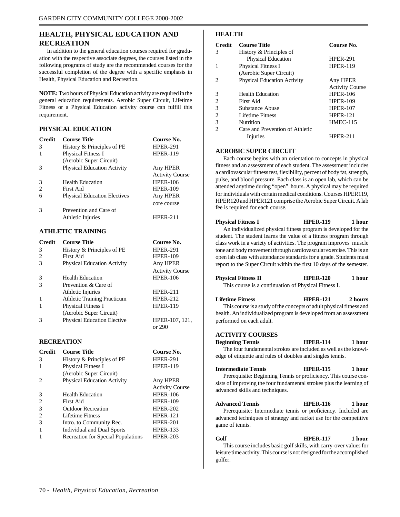# **HEALTH, PHYSICAL EDUCATION AND RECREATION**

In addition to the general education courses required for graduation with the respective associate degrees, the courses listed in the following programs of study are the recommended courses for the successful completion of the degree with a specific emphasis in Health, Physical Education and Recreation.

**NOTE:** Two hours of Physical Education activity are required in the general education requirements. Aerobic Super Circuit, Lifetime Fitness or a Physical Education activity course can fulfill this requirement.

#### **PHYSICAL EDUCATION**

| <b>Credit</b> | <b>Course Title</b>                 | Course No.             |
|---------------|-------------------------------------|------------------------|
| 3             | History & Principles of PE          | <b>HPER-291</b>        |
| 1             | <b>Physical Fitness I</b>           | <b>HPER-119</b>        |
|               | (Aerobic Super Circuit)             |                        |
| 3             | <b>Physical Education Activity</b>  | Any HPER               |
|               |                                     | <b>Activity Course</b> |
| 3             | <b>Health Education</b>             | <b>HPER-106</b>        |
| 2             | First Aid                           | <b>HPER-109</b>        |
| 6             | <b>Physical Education Electives</b> | Any HPER               |
|               |                                     | core course            |
| 3             | Prevention and Care of              |                        |
|               | Athletic Injuries                   | <b>HPER-211</b>        |
|               | <b>ATHLETIC TRAINING</b>            |                        |
| <b>Credit</b> | <b>Course Title</b>                 | Course No.             |
| 3             | History & Principles of PE          | <b>HPER-291</b>        |

| C            | $\pi$ and $\alpha$ principles of $r_{\text{L}}$ | HPEK-291               |
|--------------|-------------------------------------------------|------------------------|
| 2            | <b>First Aid</b>                                | <b>HPER-109</b>        |
| 3            | <b>Physical Education Activity</b>              | Any HPER               |
|              |                                                 | <b>Activity Course</b> |
| 3            | <b>Health Education</b>                         | <b>HPER-106</b>        |
| 3            | Prevention & Care of                            |                        |
|              | Athletic Injuries                               | <b>HPER-211</b>        |
| 1            | <b>Athletic Training Practicum</b>              | <b>HPER-212</b>        |
| $\mathbf{1}$ | <b>Physical Fitness I</b>                       | <b>HPER-119</b>        |
|              | (Aerobic Super Circuit)                         |                        |
| 3            | <b>Physical Education Elective</b>              | HPER-107, 121,         |
|              |                                                 | or 290                 |

#### **RECREATION**

| <b>Credit</b>               | <b>Course Title</b>                | Course No.             |
|-----------------------------|------------------------------------|------------------------|
| 3                           | History & Principles of PE         | <b>HPER-291</b>        |
| $\mathbf{1}$                | Physical Fitness I                 | <b>HPER-119</b>        |
|                             | (Aerobic Super Circuit)            |                        |
| $\mathcal{D}_{\mathcal{L}}$ | <b>Physical Education Activity</b> | Any HPER               |
|                             |                                    | <b>Activity Course</b> |
| 3                           | <b>Health Education</b>            | <b>HPER-106</b>        |
| $\overline{c}$              | First Aid                          | <b>HPER-109</b>        |
| 3                           | Outdoor Recreation                 | <b>HPER-202</b>        |
| 2                           | Lifetime Fitness                   | <b>HPER-121</b>        |
| 3                           | Intro. to Community Rec.           | <b>HPER-201</b>        |
| 1                           | Individual and Dual Sports         | <b>HPER-133</b>        |
|                             | Recreation for Special Populations | <b>HPER-203</b>        |
|                             |                                    |                        |

#### **HEALTH**

| <b>Credit</b>               | <b>Course Title</b>                | Course No.             |
|-----------------------------|------------------------------------|------------------------|
| 3                           | History & Principles of            |                        |
|                             | <b>Physical Education</b>          | <b>HPER-291</b>        |
|                             | <b>Physical Fitness I</b>          | <b>HPER-119</b>        |
|                             | (Aerobic Super Circuit)            |                        |
| $\mathcal{D}_{\mathcal{L}}$ | <b>Physical Education Activity</b> | Any HPER               |
|                             |                                    | <b>Activity Course</b> |
| 3                           | <b>Health Education</b>            | <b>HPER-106</b>        |
| 2                           | First Aid                          | <b>HPER-109</b>        |
| 3                           | Substance Abuse                    | <b>HPER-107</b>        |
| 2                           | Lifetime Fitness                   | <b>HPER-121</b>        |
| 3                           | Nutrition                          | <b>HMEC-115</b>        |
| $\mathcal{D}_{\mathcal{L}}$ | Care and Prevention of Athletic    |                        |
|                             | Injuries                           | <b>HPER-211</b>        |

#### **AEROBIC SUPER CIRCUIT**

Each course begins with an orientation to concepts in physical fitness and an assessment of each student. The assessment includes a cardiovascular fitness test, flexibility, percent of body fat, strength, pulse, and blood pressure. Each class is an open lab, which can be attended anytime during "open" hours. A physical may be required for individuals with certain medical conditions. Courses HPER119, HPER120 and HPER121 comprise the Aerobic Super Circuit. A lab fee is required for each course.

| <b>Physical Fitness I</b>                                             | <b>HPER-119</b> | 1 hour |
|-----------------------------------------------------------------------|-----------------|--------|
| An individualized physical fitness program is developed for the       |                 |        |
| student. The student learns the value of a fitness program through    |                 |        |
| class work in a variety of activities. The program improves muscle    |                 |        |
| tone and body movement through cardiovascular exercise. This is an    |                 |        |
| open lab class with attendance standards for a grade. Students must   |                 |        |
| report to the Super Circuit within the first 10 days of the semester. |                 |        |
|                                                                       |                 |        |

**Physical Fitness II HPER-120 1 hour**

| і пумсаі і піцем п                                                   | 111 EA-140      | .       |
|----------------------------------------------------------------------|-----------------|---------|
| This course is a continuation of Physical Fitness I.                 |                 |         |
| Lifetime Fitness                                                     | <b>HPER-121</b> | 2 hours |
| This course is a study of the concepts of adult physical fitness and |                 |         |
| health. An individualized program is developed from an assessment    |                 |         |
| performed on each adult.                                             |                 |         |
| <b>ACTIVITY COURSES</b><br><b>Beginning Tennis</b>                   | <b>HPER-114</b> | 1 hour  |
| The four fundamental strokes are included as well as the knowl-      |                 |         |
|                                                                      |                 |         |
| edge of etiquette and rules of doubles and singles tennis.           |                 |         |
|                                                                      |                 |         |
| <b>Intermediate Tennis</b>                                           | <b>HPER-115</b> | 1 hour  |
| Prerequisite: Beginning Tennis or proficiency. This course con-      |                 |         |

sists of improving the four fundamental strokes plus the learning of advanced skills and techniques.

## **Advanced Tennis HPER-116 1 hour**

Prerequisite: Intermediate tennis or proficiency. Included are advanced techniques of strategy and racket use for the competitive game of tennis.

**Golf HPER-117 1 hour** This course includes basic golf skills, with carry-over values for leisure time activity. This course is not designed for the accomplished golfer.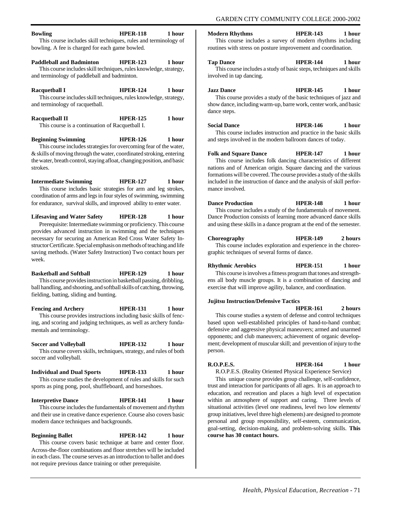# **Bowling HPER-118 1 hour**

This course includes skill techniques, rules and terminology of bowling. A fee is charged for each game bowled.

#### **Paddleball and Badminton HPER-123 1 hour**

This course includes skill techniques, rules knowledge, strategy, and terminology of paddleball and badminton.

**Racquetball I HPER-124 1 hour** This course includes skill techniques, rules knowledge, strategy, and terminology of racquetball.

| <b>Racquetball II</b>                           | <b>HPER-125</b> | 1 hour |
|-------------------------------------------------|-----------------|--------|
| This course is a continuation of Racquetball I. |                 |        |

**Beginning Swimming HPER-126 1 hour** This course includes strategies for overcoming fear of the water, & skills of moving through the water, coordinated stroking, entering the water, breath control, staying afloat, changing position, and basic strokes.

**Intermediate Swimming HPER-127 1 hour** This course includes basic strategies for arm and leg strokes, coordination of arms and legs in four styles of swimming, swimming for endurance, survival skills, and improved ability to enter water.

**Lifesaving and Water Safety HPER-128 1 hour** Prerequisite: Intermediate swimming or proficiency. This course provides advanced instruction in swimming and the techniques necessary for securing an American Red Cross Water Safety Instructor Certificate. Special emphasis on methods of teaching and life saving methods. (Water Safety Instruction) Two contact hours per week.

**Basketball and Softball HPER-129 1 hour** This course provides instruction in basketball passing, dribbling, ball handling, and shooting, and softball skills of catching, throwing, fielding, batting, sliding and bunting.

**Fencing and Archery HPER-131 1 hour** This course provides instructions including basic skills of fencing, and scoring and judging techniques, as well as archery fundamentals and terminology.

**Soccer and Volleyball HPER-132 1 hour** This course covers skills, techniques, strategy, and rules of both soccer and volleyball.

**Individual and Dual Sports HPER-133 1 hour** This course studies the development of rules and skills for such sports as ping pong, pool, shuffleboard, and horseshoes.

## **Interpretive Dance HPER-141 1 hour**

This course includes the fundamentals of movement and rhythm and their use in creative dance experience. Course also covers basic modern dance techniques and backgrounds.

**Beginning Ballet HPER-142 1 hour** This course covers basic technique at barre and center floor. Across-the-floor combinations and floor stretches will be included in each class. The course serves as an introduction to ballet and does not require previous dance training or other prerequisite.

#### **Modern Rhythms HPER-143 1 hour**

This course includes a survey of modern rhythms including routines with stress on posture improvement and coordination.

#### **Tap Dance HPER-144 1 hour**

This course includes a study of basic steps, techniques and skills involved in tap dancing.

#### **Jazz Dance HPER-145 1 hour**

This course provides a study of the basic techniques of jazz and show dance, including warm-up, barre work, center work, and basic dance steps.

#### **Social Dance HPER-146 1 hour**

This course includes instruction and practice in the basic skills and steps involved in the modern ballroom dances of today.

**Folk and Square Dance HPER-147 1 hour** This course includes folk dancing characteristics of different nations and of American origin. Square dancing and the various formations will be covered. The course provides a study of the skills included in the instruction of dance and the analysis of skill performance involved.

**Dance Production HPER-148 1 hour** This course includes a study of the fundamentals of movement. Dance Production consists of learning more advanced dance skills and using these skills in a dance program at the end of the semester.

**Choreography HPER-149 2 hours** This course includes exploration and experience in the choreographic techniques of several forms of dance.

## **Rhythmic Aerobics HPER-151 1 hour**

This course is involves a fitness program that tones and strengthens all body muscle groups. It is a combination of dancing and exercise that will improve agility, balance, and coordination.

#### **Jujitsu Instruction/Defensive Tactics**

**HPER-161 2 hours** This course studies a **s**ystem of defense and control techniques based upon well-established principles of hand-to-hand combat; defensive and aggressive physical maneuvers; armed and unarmed opponents; and club maneuvers; achievement of organic development; development of muscular skill; and prevention of injury to the person.

#### **R.O.P.E.S. HPER-164 1 hour**

R.O.P.E.S. (Reality Oriented Physical Experience Service)

This unique course provides group challenge, self-confidence, trust and interaction for participants of all ages. It is an approach to education, and recreation and places a high level of expectation within an atmosphere of support and caring. Three levels of situational activities (level one readiness, level two low elements/ group initiatives, level three high elements) are designed to promote personal and group responsibility, self-esteem, communication, goal-setting, decision-making, and problem-solving skills. **This course has 30 contact hours.**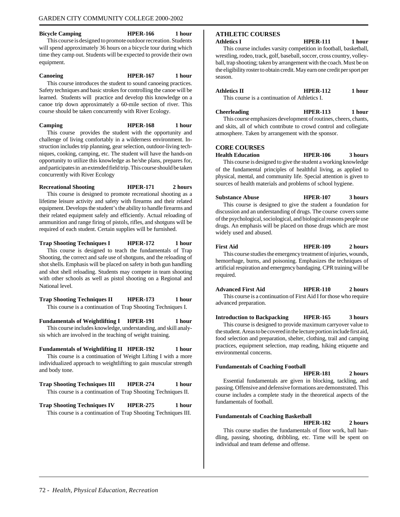#### **Bicycle Camping HPER-166 1 hour**

This course is designed to promote outdoor recreation. Students will spend approximately 36 hours on a bicycle tour during which time they camp out. Students will be expected to provide their own equipment.

#### **Canoeing HPER-167 1 hour**

This course introduces the student to sound canoeing practices. Safety techniques and basic strokes for controlling the canoe will be learned. Students will practice and develop this knowledge on a canoe trip down approximately a 60-mile section of river. This course should be taken concurrently with River Ecology.

**Camping HPER-168 1 hour** This course provides the student with the opportunity and challenge of living comfortably in a wilderness environment. In-

struction includes trip planning, gear selection, outdoor-living techniques, cooking, camping, etc. The student will have the hands-on opportunity to utilize this knowledge as he/she plans, prepares for, and participates in an extended field trip. This course should be taken concurrently with River Ecology

**Recreational Shooting HPER-171 2 hours** This course is designed to promote recreational shooting as a lifetime leisure activity and safety with firearms and their related equipment. Develops the student's the ability to handle firearms and their related equipment safely and efficiently. Actual reloading of ammunition and range firing of pistols, rifles, and shotguns will be required of each student. Certain supplies will be furnished.

**Trap Shooting Techniques I HPER-172 1 hour** This course is designed to teach the fundamentals of Trap Shooting, the correct and safe use of shotguns, and the reloading of shot shells. Emphasis will be placed on safety in both gun handling and shot shell reloading. Students may compete in team shooting with other schools as well as pistol shooting on a Regional and National level.

**Trap Shooting Techniques II HPER-173 1 hour** This course is a continuation of Trap Shooting Techniques I.

**Fundamentals of Weightlifting I HPER-191 1 hour** This course includes knowledge, understanding, and skill analysis which are involved in the teaching of weight training.

**Fundamentals of Weightlifting II HPER-192 1 hour**

This course is a continuation of Weight Lifting I with a more individualized approach to weightlifting to gain muscular strength and body tone.

**Trap Shooting Techniques III HPER-274 1 hour** This course is a continuation of Trap Shooting Techniques II.

**Trap Shooting Techniques IV HPER-275 1 hour** This course is a continuation of Trap Shooting Techniques III.

# **ATHLETIC COURSES**

**Athletics I HPER-111 1 hour**

This course includes varsity competition in football, basketball, wrestling, rodeo, track, golf, baseball, soccer, cross country, volleyball, trap shooting; taken by arrangement with the coach. Must be on the eligibility roster to obtain credit. May earn one credit per sport per season.

**Athletics II HPER-112 1 hour**

This course is a continuation of Athletics I.

atmosphere. Taken by arrangement with the sponsor.

**Cheerleading HPER-113 1 hour** This course emphasizes development of routines, cheers, chants, and skits, all of which contribute to crowd control and collegiate

#### **CORE COURSES**

**Health Education HPER-106 3 hours** This course is designed to give the student a working knowledge

of the fundamental principles of healthful living, as applied to physical, mental, and community life. Special attention is given to sources of health materials and problems of school hygiene.

**Substance Abuse HPER-107 3 hours** This course is designed to give the student a foundation for discussion and an understanding of drugs. The course covers some of the psychological, sociological, and biological reasons people use drugs. An emphasis will be placed on those drugs which are most widely used and abused.

**First Aid HPER-109 2 hours** This course studies the emergency treatment of injuries, wounds, hemorrhage, burns, and poisoning. Emphasizes the techniques of artificial respiration and emergency bandaging. CPR training will be required.

**Advanced First Aid HPER-110 2 hours** This course is a continuation of First Aid I for those who require advanced preparation.

**Introduction to Backpacking HPER-165 3 hours** This course is designed to provide maximum carryover value to the student. Areas to be covered in the lecture portion include first aid, food selection and preparation, shelter, clothing, trail and camping practices, equipment selection, map reading, hiking etiquette and environmental concerns.

#### **Fundamentals of Coaching Football**

**HPER-181 2 hours**

Essential fundamentals are given in blocking, tackling, and passing. Offensive and defensive formations are demonstrated. This course includes a complete study in the theoretical aspects of the fundamentals of football.

#### **Fundamentals of Coaching Basketball**

#### **HPER-182 2 hours**

This course studies the fundamentals of floor work, ball handling, passing, shooting, dribbling, etc. Time will be spent on individual and team defense and offense.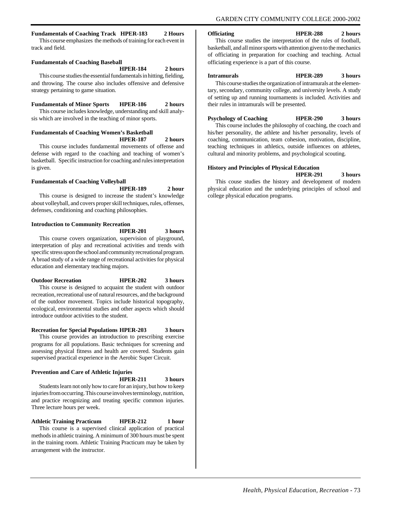#### **Fundamentals of Coaching Track HPER-183 2 Hours**

This course emphasizes the methods of training for each event in track and field.

#### **Fundamentals of Coaching Baseball**

#### **HPER-184 2 hours**

This course studies the essential fundamentals in hitting, fielding, and throwing. The course also includes offensive and defensive strategy pertaining to game situation.

#### **Fundamentals of Minor Sports HPER-186 2 hours**

This course includes knowledge, understanding and skill analysis which are involved in the teaching of minor sports.

#### **Fundamentals of Coaching Women's Basketball HPER-187 2 hours**

This course includes fundamental movements of offense and defense with regard to the coaching and teaching of women's basketball. Specific instruction for coaching and rules interpretation is given.

#### **Fundamentals of Coaching Volleyball**

#### **HPER-189 2 hour**

This course is designed to increase the student's knowledge about volleyball, and covers proper skill techniques, rules, offenses, defenses, conditioning and coaching philosophies.

# **Introduction to Community Recreation**

**HPER-201 3 hours**

This course covers organization, supervision of playground, interpretation of play and recreational activities and trends with specific stress upon the school and community recreational program. A broad study of a wide range of recreational activities for physical education and elementary teaching majors.

#### **Outdoor Recreation HPER-202 3 hours**

This course is designed to acquaint the student with outdoor recreation, recreational use of natural resources, and the background of the outdoor movement. Topics include historical topography, ecological, environmental studies and other aspects which should introduce outdoor activities to the student.

#### **Recreation for Special Populations HPER-203 3 hours**

This course provides an introduction to prescribing exercise programs for all populations. Basic techniques for screening and assessing physical fitness and health are covered. Students gain supervised practical experience in the Aerobic Super Circuit.

#### **Prevention and Care of Athletic Injuries**

**HPER-211 3 hours**

Students learn not only how to care for an injury, but how to keep injuries from occurring. This course involves terminology, nutrition, and practice recognizing and treating specific common injuries. Three lecture hours per week.

#### **Athletic Training Practicum HPER-212 1 hour**

This course is a supervised clinical application of practical methods in athletic training. A minimum of 300 hours must be spent in the training room. Athletic Training Practicum may be taken by arrangement with the instructor.

#### **Officiating HPER-288 2 hours**

This course studies the interpretation of the rules of football, basketball, and all minor sports with attention given to the mechanics of officiating in preparation for coaching and teaching. Actual officiating experience is a part of this course.

#### **Intramurals HPER-289 3 hours**

This course studies the organization of intramurals at the elementary, secondary, community college, and university levels. A study of setting up and running tournaments is included. Activities and their rules in intramurals will be presented.

#### **Psychology of Coaching HPER-290 3 hours**

This course includes the philosophy of coaching, the coach and his/her personality, the athlete and his/her personality, levels of coaching, communication, team cohesion, motivation, discipline, teaching techniques in athletics, outside influences on athletes, cultural and minority problems, and psychological scouting.

#### **History and Principles of Physical Education**

**HPER-291 3 hours**

This couse studies the history and development of modern physical education and the underlying principles of school and college physical education programs.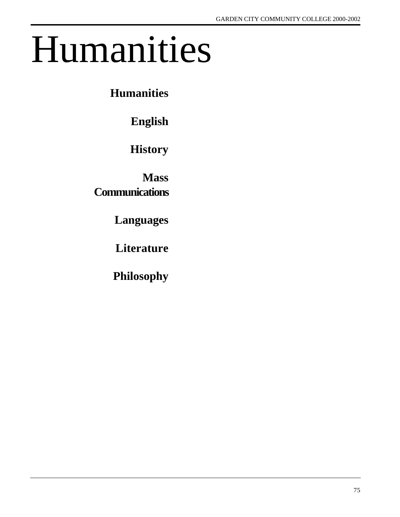# Humanities

**Humanities**

**English**

**History**

**Mass Communications**

**Languages**

**Literature**

**Philosophy**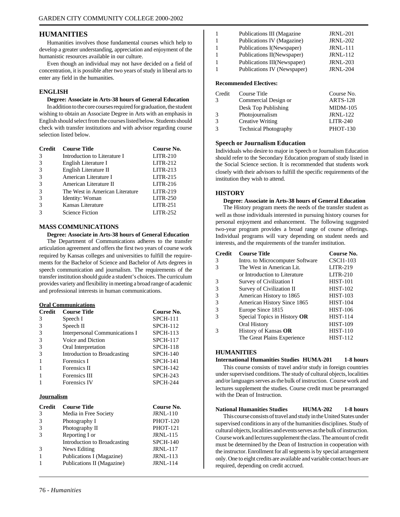#### **HUMANITIES**

Humanities involves those fundamental courses which help to develop a greater understanding, appreciation and enjoyment of the humanistic resources available in our culture.

Even though an individual may not have decided on a field of concentration, it is possible after two years of study in liberal arts to enter any field in the humanities.

#### **ENGLISH**

#### **Degree: Associate in Arts-38 hours of General Education**

In addition to the core courses required for graduation, the student wishing to obtain an Associate Degree in Arts with an emphasis in English should select from the courses listed below. Students should check with transfer institutions and with advisor regarding course selection listed below.

| <b>Credit</b> | <b>Course Title</b>             | Course No. |
|---------------|---------------------------------|------------|
| 3             | Introduction to Literature I    | $LITR-210$ |
| 3             | English Literature I            | $LITR-212$ |
| 3             | English Literature II           | $LITR-213$ |
| 3             | American Literature I           | $LITR-215$ |
| $\mathcal{R}$ | American Literature II          | $LITR-216$ |
| 3             | The West in American Literature | $LITR-219$ |
| 3             | Identity: Woman                 | $LITR-250$ |
| 3             | Kansas Literature               | $LITR-251$ |
| 3             | <b>Science Fiction</b>          | $LITR-252$ |

#### **MASS COMMUNICATIONS**

#### **Degree: Associate in Arts-38 hours of General Education**

The Department of Communications adheres to the transfer articulation agreement and offers the first two years of course work required by Kansas colleges and universities to fulfill the requirements for the Bachelor of Science and Bachelor of Arts degrees in speech communication and journalism. The requirements of the transfer institution should guide a student's choices. The curriculum provides variety and flexibility in meeting a broad range of academic and professional interests in human communications.

#### **Oral Communications**

| <b>Credit</b> | <b>Course Title</b>            | Course No.      |
|---------------|--------------------------------|-----------------|
| 3             | Speech I                       | <b>SPCH-111</b> |
| 3             | Speech II                      | <b>SPCH-112</b> |
| 3             | Interpersonal Communications I | $SPCH-113$      |
| $\mathcal{R}$ | Voice and Diction              | <b>SPCH-117</b> |
| 3             | Oral Interpretation            | <b>SPCH-118</b> |
| 3             | Introduction to Broadcasting   | <b>SPCH-140</b> |
|               | Forensics I                    | <b>SPCH-141</b> |
|               | Forensics II                   | <b>SPCH-142</b> |
|               | Forensics III                  | <b>SPCH-243</b> |
|               | <b>Forensics IV</b>            | <b>SPCH-244</b> |

#### **Journalism**

| <b>Credit</b> | <b>Course Title</b>          | Course No.      |
|---------------|------------------------------|-----------------|
| 3             | Media in Free Society        | <b>JRNL-110</b> |
|               | Photography I                | <b>PHOT-120</b> |
|               | Photography II               | <b>PHOT-121</b> |
|               | Reporting I or               | <b>JRNL-115</b> |
|               | Introduction to Broadcasting | <b>SPCH-140</b> |
|               | News Editing                 | <b>JRNL-117</b> |
|               | Publications I (Magazine)    | <b>JRNL-113</b> |
|               | Publications II (Magazine)   | <b>JRNL-114</b> |
|               |                              |                 |

|                | Publications III (Magazine  | <b>JRNL-201</b> |
|----------------|-----------------------------|-----------------|
|                | Publications IV (Magazine)  | <b>JRNL-202</b> |
|                | Publications I(Newspaper)   | <b>JRNL-111</b> |
|                | Publications II(Newspaper)  | <b>JRNL-112</b> |
|                | Publications III(Newspaper) | <b>JRNL-203</b> |
|                | Publications IV (Newspaper) | <b>JRNL-204</b> |
|                |                             |                 |
| $\blacksquare$ |                             |                 |

#### **Recommended Electives:**

| Credit | Course Title                 | Course No.      |
|--------|------------------------------|-----------------|
| 3      | Commercial Design or         | <b>ARTS-128</b> |
|        | Desk Top Publishing          | $MIDM-105$      |
| 3      | Photojournalism              | <b>JRNL-122</b> |
| 3      | <b>Creative Writing</b>      | $LITR-240$      |
| 3      | <b>Technical Photography</b> | <b>PHOT-130</b> |

#### **Speech or Journalism Education**

Individuals who desire to major in Speech or Journalism Education should refer to the Secondary Education program of study listed in the Social Science section. It is recommended that students work closely with their advisors to fulfill the specific requirements of the institution they wish to attend.

#### **HISTORY**

#### **Degree: Associate in Arts-38 hours of General Education**

The History program meets the needs of the transfer student as well as those individuals interested in pursuing history courses for personal enjoyment and enhancement. The following suggested two-year program provides a broad range of course offerings. Individual programs will vary depending on student needs and interests, and the requirements of the transfer institution.

| <b>Credit</b> | <b>Course Title</b>              | Course No.       |
|---------------|----------------------------------|------------------|
| 3             | Intro. to Microcomputer Software | <b>CSCI1-103</b> |
| 3             | The West in American Lit.        | $LITR-219$       |
|               | or Introduction to Literature    | $LITR-210$       |
| 3             | Survey of Civilization I         | <b>HIST-101</b>  |
| 3             | Survey of Civilization II        | <b>HIST-102</b>  |
| 3             | American History to 1865         | <b>HIST-103</b>  |
| 3             | American History Since 1865      | <b>HIST-104</b>  |
| 3             | Europe Since 1815                | <b>HIST-106</b>  |
| 3             | Special Topics in History OR     | <b>HIST-114</b>  |
|               | Oral History                     | <b>HIST-109</b>  |
| 3             | History of Kansas OR             | <b>HIST-110</b>  |
|               | The Great Plains Experience      | <b>HIST-112</b>  |

#### **HUMANITIES**

#### **International Humanities Studies HUMA-201 1-8 hours**

This course consists of travel and/or study in foreign countries under supervised conditions. The study of cultural objects, localities and/or languages serves as the bulk of instruction. Course work and lectures supplement the studies. Course credit must be prearranged with the Dean of Instruction.

#### **National Humanities Studies HUMA-202 1-8 hours**

This course consists of travel and study in the United States under supervised conditions in any of the humanities disciplines. Study of cultural objects, localities and events serves as the bulk of instruction. Course work and lectures supplement the class. The amount of credit must be determined by the Dean of Instruction in cooperation with the instructor. Enrollment for all segments is by special arrangement only. One to eight credits are available and variable contact hours are required, depending on credit accrued.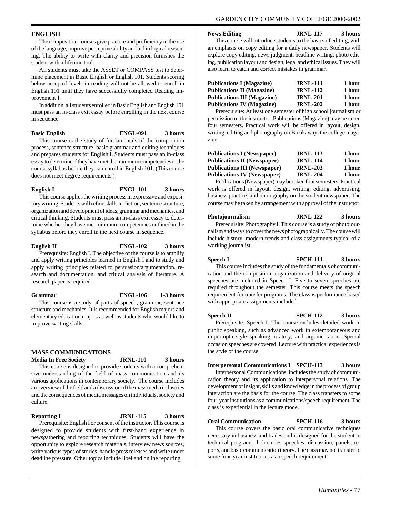#### **ENGLISH**

The composition courses give practice and proficiency in the use of the language, improve perceptive ability and aid in logical reasoning. The ability to write with clarity and precision furnishes the student with a lifetime tool.

All students must take the ASSET or COMPASS test to determine placement in Basic English or English 101. Students scoring below accepted levels in reading will not be allowed to enroll in English 101 until they have successfully completed Reading Improvement I.

In addition, all students enrolled in Basic English and English 101 must pass an in-class exit essay before enrolling in the next course in sequence.

#### **Basic English ENGL-091 3 hours**

This course is the study of fundamentals of the composition process, sentence structure, basic grammar and editing techniques and prepares students for English I. Students must pass an in-class essay to determine if they have met the minimum competencies in the course syllabus before they can enroll in English 101. (This course does not meet degree requirements.)

#### **English I ENGL-101 3 hours**

This course applies the writing process in expressive and expository writing. Students will refine skills in diction, sentence structure, organization and development of ideas, grammar and mechanics, and critical thinking. Students must pass an in-class exit essay to determine whether they have met minimum competencies outlined in the syllabus before they enroll in the next course in sequence.

**English II ENGL-102 3 hours**

Prerequisite: English I. The objective of the course is to amplify and apply writing principles learned in English I and to study and apply writing principles related to persuasion/argumentation, research and documentation, and critical analysis of literature. A research paper is required.

**Grammar ENGL-106 1-3 hours** This course is a study of parts of speech, grammar, sentence structure and mechanics. It is recommended for English majors and elementary education majors as well as students who would like to

#### **MASS COMMUNICATIONS**

improve writing skills.

**Media In Free Society JRNL-110 3 hours**

This course is designed to provide students with a comprehensive understanding of the field of mass communication and its various applications in contemporary society. The course includes an overview of the field and a discussion of the mass media industries and the consequences of media messages on individuals, society and culture.

#### **Reporting I JRNL-115 3 hours** Prerequisite: English I or consent of the instructor. This course is designed to provide students with first-hand experience in newsgathering and reporting techniques. Students will have the opportunity to explore research materials, interview news sources,

write various types of stories, handle press releases and write under deadline pressure. Other topics include libel and online reporting.

**News Editing JRNL-117 3 hours**

This course will introduce students to the basics of editing, with an emphasis on copy editing for a daily newspaper. Students will explore copy editing, news judgment, headline writing, photo editing, publication layout and design, legal and ethical issues. They will also learn to catch and correct mistakes in grammar.

| <b>Publications I (Magazine)</b>   | <b>JRNL-111</b> | 1 hour |
|------------------------------------|-----------------|--------|
| <b>Publications II (Magazine)</b>  | <b>JRNL-112</b> | 1 hour |
| <b>Publications III (Magazine)</b> | <b>JRNL-201</b> | 1 hour |
| <b>Publications IV (Magazine)</b>  | <b>JRNL-202</b> | 1 hour |

Prerequisite: At least one semester of high school journalism or permission of the instructor. Publications (Magazine) may be taken four semesters. Practical work will be offered in layout, design, writing, editing and photography on Breakaway, the college magazine.

| <b>JRNL-113</b> | 1 hour |
|-----------------|--------|
| <b>JRNL-114</b> | 1 hour |
| <b>JRNL-203</b> | 1 hour |
| <b>JRNL-204</b> | 1 hour |
|                 |        |

Publications (Newspaper) may be taken four semesters. Practical work is offered in layout, design, writing, editing, advertising, business practice, and photography on the student newspaper. The course may be taken by arrangement with approval of the instructor.

#### **Photojournalism JRNL-122 3 hours**

Prerequisite: Photography I. This course is a study of photojournalism and ways to cover the news photographically. The course will include history, modern trends and class assignments typical of a working journalist.

**Speech I SPCH-111 3 hours** This course includes the study of the fundamentals of communication and the composition, organization and delivery of original speeches are included in Speech I. Five to seven speeches are required throughout the semester. This course meets the speech requirement for transfer programs. The class is performance based with appropriate assignments included.

**Speech II SPCH-112 3 hours** Prerequisite: Speech I. The course includes detailed work in public speaking, such as advanced work in extemporaneous and impromptu style speaking, oratory, and argumentation. Special occasion speeches are covered. Lecture with practical experiences is the style of the course.

#### **Interpersonal Communications I SPCH-113 3 hours**

Interpersonal Communications includes the study of communication theory and its application to interpersonal relations. The development of insight, skills and knowledge in the process of group interaction are the basis for the course. The class transfers to some four-year institutions as a communications/speech requirement. The class is experiential in the lecture mode.

#### **Oral Communication SPCH-116 3 hours**

This course covers the basic oral communicative techniques necessary in business and trades and is designed for the student in technical programs. It includes speeches, discussion, panels, reports, and basic communication theory. The class may not transfer to some four-year institutions as a speech requirement.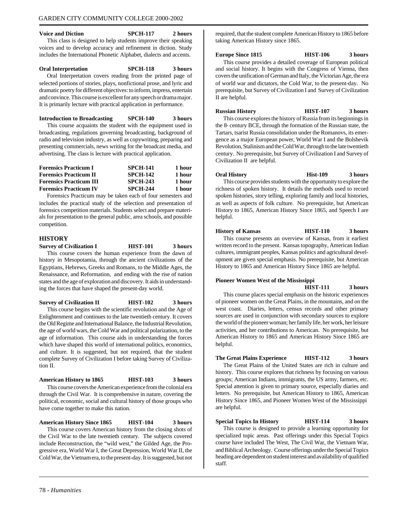#### **Voice and Diction SPCH-117 2 hours** This class is designed to help students improve their speaking voices and to develop accuracy and refinement in diction. Study includes the International Phonetic Alphabet, dialects and accents.

#### **Oral Interpretation SPCH-118 3 hours**

Oral Interpretation covers reading from the printed page of selected portions of stories, plays, nonfictional prose, and lyric and dramatic poetry for different objectives: to inform, impress, entertain and convince. This course is excellent for any speech or drama major. It is primarily lecture with practical application in performance.

**Introduction to Broadcasting SPCH-140 3 hours** This course acquaints the student with the equipment used in broadcasting, regulations governing broadcasting, background of radio and television industry, as well as copywriting, preparing and presenting commercials, news writing for the broadcast media, and advertising. The class is lecture with practical application.

| <b>SPCH-141</b> | 1 hour |
|-----------------|--------|
| <b>SPCH-142</b> | 1 hour |
| <b>SPCH-243</b> | 1 hour |
| <b>SPCH-244</b> | 1 hour |
|                 |        |

Forensics Practicum may be taken each of four semesters and includes the practical study of the selection and presentation of forensics competition materials. Students select and prepare materials for presentation to the general public, area schools, and possible competition.

#### **HISTORY**

**Survey of Civilization I HIST-101 3 hours** This course covers the human experience from the dawn of history in Mesopotamia, through the ancient civilizations of the Egyptians, Hebrews, Greeks and Romans, to the Middle Ages, the Renaissance, and Reformation, and ending with the rise of nation states and the age of exploration and discovery. It aids in understanding the forces that have shaped the present-day world.

**Survey of Civilization II HIST-102 3 hours** This course begins with the scientific revolution and the Age of Enlightenment and continues to the late twentieth century. It covers the Old Regime and International Balance, the Industrial Revolution, the age of world wars, the Cold War and political polarization, to the age of information. This course aids in understanding the forces which have shaped this world of international politics, economics, and culture. It is suggested, but not required, that the student complete Survey of Civilization I before taking Survey of Civilization II.

### **American History to 1865 HIST-103 3 hours**

This course covers the American experience from the colonial era through the Civil War. It is comprehensive in nature, covering the political, economic, social and cultural history of those groups who have come together to make this nation.

**American History Since 1865 HIST-104 3 hours** This course covers American history from the closing shots of the Civil War to the late twentieth century. The subjects covered include Reconstruction, the "wild west," the Gilded Age, the Progressive era, World War I, the Great Depression, World War II, the Cold War, the Vietnam era, to the present-day. It is suggested, but not

required, that the student complete American History to 1865 before taking American History since 1865.

#### **Europe Since 1815 HIST-106 3 hours**

This course provides a detailed coverage of European political and social history. It begins with the Congress of Vienna, then covers the unification of German and Italy, the Victorian Age, the era of world war and dictators, the Cold War, to the present-day. No prerequisite, but Survey of Civilization I and Survey of Civilization II are helpful.

**Russian History HIST-107 3 hours** This course explores the history of Russia from its beginnings in

the  $8<sub>th</sub>$  century BCE, through the formation of the Russian state, the Tartars, tsarist Russia consolidation under the Romanovs, its emergence as a major European power, World War I and the Bolshevik Revolution, Stalinism and the Cold War, through to the late twentieth century. No prerequisite, but Survey of Civilization I and Survey of Civilization II are helpful.

**Oral History Hist-109 3 hours** This course provides students with the opportunity to explore the richness of spoken history. It details the methods used to record spoken histories, story telling, exploring family and local histories, as well as aspects of folk culture. No prerequisite, but American History to 1865, American History Since 1865, and Speech I are helpful.

#### **History of Kansas HIST-110 3 hours**

This course presents an overview of Kansas, from it earliest written record to the present. Kansas topography, American Indian cultures, immigrant peoples, Kansas politics and agricultural development are given special emphasis. No prerequisite, but American History to 1865 and American History Since 1865 are helpful.

#### **Pioneer Women West of the Mississippi**

helpful.

**HIST-111 3 hours** This course places special emphasis on the historic experiences of pioneer women on the Great Plains, in the mountains, and on the west coast. Diaries, letters, census records and other primary sources are used in conjunction with secondary sources to explore the world of the pioneer woman; her family life, her work, her leisure activities, and her contributions to American. No prerequisite, but American History to 1865 and American History Since 1865 are

**The Great Plains Experience HIST-112 3 hours**

The Great Plains of the United States are rich in culture and history. This course explores that richness by focusing on various groups; American Indians, immigrants, the US army, farmers, etc. Special attention is given to primary source, especially diaries and letters. No prerequisite, but American History to 1865, American History Since 1865, and Pioneer Women West of the Mississippi are helpful.

**Special Topics In History HIST-114 3 hours** This course is designed to provide a learning opportunity for specialized topic areas. Past offerings under this Special Topics course have included The West, The Civil War, the Vietnam War, and Biblical Archeology. Course offerings under the Special Topics heading are dependent on student interest and availability of qualified staff.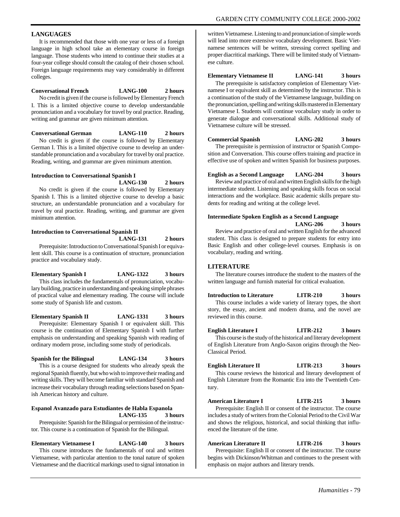#### **LANGUAGES**

It is recommended that those with one year or less of a foreign language in high school take an elementary course in foreign language. Those students who intend to continue their studies at a four-year college should consult the catalog of their chosen school. Foreign language requirements may vary considerably in different colleges.

#### **Conversational French LANG-100 2 hours**

No credit is given if the course is followed by Elementary French I. This is a limited objective course to develop understandable pronunciation and a vocabulary for travel by oral practice. Reading, writing and grammar are given minimum attention.

**Conversational German LANG-110 2 hours**

No credit is given if the course is followed by Elementary German I. This is a limited objective course to develop an understandable pronunciation and a vocabulary for travel by oral practice. Reading, writing, and grammar are given minimum attention.

#### **Introduction to Conversational Spanish I**

**LANG-130 2 hours** No credit is given if the course is followed by Elementary Spanish I. This is a limited objective course to develop a basic structure, an understandable pronunciation and a vocabulary for travel by oral practice. Reading, writing, and grammar are given minimum attention.

#### **Introduction to Conversational Spanish II**

**LANG-131 2 hours**

Prerequisite: Introduction to Conversational Spanish I or equivalent skill. This course is a continuation of structure, pronunciation practice and vocabulary study.

**Elementary Spanish I LANG-1322 3 hours**

This class includes the fundamentals of pronunciation, vocabulary building, practice in understanding and speaking simple phrases of practical value and elementary reading. The course will include some study of Spanish life and custom.

**Elementary Spanish II LANG-1331 3 hours** Prerequisite: Elementary Spanish I or equivalent skill. This course is the continuation of Elementary Spanish I with further emphasis on understanding and speaking Spanish with reading of ordinary modern prose, including some study of periodicals.

**Spanish for the Bilingual LANG-134 3 hours** This is a course designed for students who already speak the regional Spanish fluently, but who wish to improve their reading and writing skills. They will become familiar with standard Spanish and increase their vocabulary through reading selections based on Spanish American history and culture.

#### **Espanol Avanzado para Estudiantes de Habla Espanola LANG-135 3 hours**

Prerequisite: Spanish for the Bilingual or permission of the instructor. This course is a continuation of Spanish for the Bilingual.

### **Elementary Vietnamese I LANG-140 3 hours**

This course introduces the fundamentals of oral and written Vietnamese, with particular attention to the tonal nature of spoken Vietnamese and the diacritical markings used to signal intonation in

written Vietnamese. Listening to and pronunciation of simple words will lead into more extensive vocabulary development. Basic Vietnamese sentences will be written, stressing correct spelling and proper diacritical markings. There will be limited study of Vietnamese culture.

#### **Elementary Vietnamese II LANG-141 3 hours**

The prerequisite is satisfactory completion of Elementary Vietnamese I or equivalent skill as determined by the instructor. This is a continuation of the study of the Vietnamese language, building on the pronunciation, spelling and writing skills mastered in Elementary Vietnamese I. Students will continue vocabulary study in order to generate dialogue and conversational skills. Additional study of Vietnamese culture will be stressed.

**Commercial Spanish LANG-202 3 hours**

The prerequisite is permission of instructor or Spanish Composition and Conversation. This course offers training and practice in effective use of spoken and written Spanish for business purposes.

#### **English as a Second Language LANG-204 3 hours**

Review and practice of oral and written English skills for the high intermediate student. Listening and speaking skills focus on social interactions and the workplace. Basic academic skills prepare students for reading and writing at the college level.

#### **Intermediate Spoken English as a Second Language**

**LANG-206 3 hours** Review and practice of oral and written English for the advanced

student. This class is designed to prepare students for entry into Basic English and other college-level courses. Emphasis is on vocabulary, reading and writing.

#### **LITERATURE**

The literature courses introduce the student to the masters of the written language and furnish material for critical evaluation.

**Introduction to Literature LITR-210 3 hours**

This course includes a wide variety of literary types, the short story, the essay, ancient and modern drama, and the novel are reviewed in this course.

**English Literature I LITR-212 3 hours** This course is the study of the historical and literary development of English Literature from Anglo-Saxon origins through the Neo-Classical Period.

**English Literature II LITR-213 3 hours**

This course reviews the historical and literary development of English Literature from the Romantic Era into the Twentieth Century.

**American Literature I LITR-215 3 hours** Prerequisite: English II or consent of the instructor. The course

includes a study of writers from the Colonial Period to the Civil War and shows the religious, historical, and social thinking that influenced the literature of the time.

**American Literature II LITR-216 3 hours** Prerequisite: English II or consent of the instructor. The course begins with Dickinson/Whitman and continues to the present with emphasis on major authors and literary trends.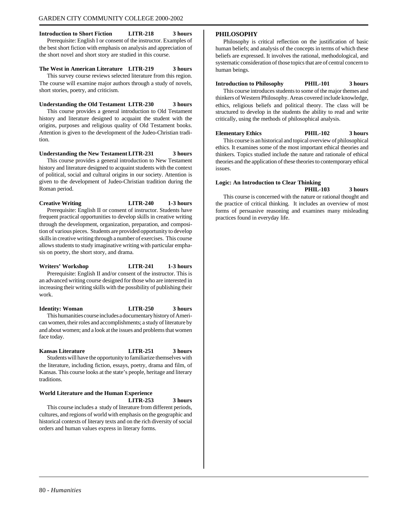**Introduction to Short Fiction LITR-218 3 hours** Prerequisite: English I or consent of the instructor. Examples of the best short fiction with emphasis on analysis and appreciation of the short novel and short story are studied in this course.

#### **The West in American Literature LITR-219 3 hours**

This survey course reviews selected literature from this region. The course will examine major authors through a study of novels, short stories, poetry, and criticism.

#### **Understanding the Old Testament LITR-230 3 hours**

This course provides a general introduction to Old Testament history and literature designed to acquaint the student with the origins, purposes and religious quality of Old Testament books. Attention is given to the development of the Judeo-Christian tradition.

#### **Understanding the New TestamentLITR-231 3 hours**

This course provides a general introduction to New Testament history and literature designed to acquaint students with the context of political, social and cultural origins in our society. Attention is given to the development of Judeo-Christian tradition during the Roman period.

#### **Creative Writing LITR-240 1-3 hours**

Prerequisite: English II or consent of instructor. Students have frequent practical opportunities to develop skills in creative writing through the development, organization, preparation, and composition of various pieces. Students are provided opportunity to develop skills in creative writing through a number of exercises. This course allows students to study imaginative writing with particular emphasis on poetry, the short story, and drama.

## **Writers' Workshop LITR-241 1-3 hours** Prerequisite: English II and/or consent of the instructor. This is

an advanced writing course designed for those who are interested in increasing their writing skills with the possibility of publishing their work.

**Identity: Woman LITR-250 3 hours** This humanities course includes a documentary history of American women, their roles and accomplishments; a study of literature by and about women; and a look at the issues and problems that women face today.

## **Kansas Literature LITR-251 3 hours**

Students will have the opportunity to familiarize themselves with the literature, including fiction, essays, poetry, drama and film, of Kansas. This course looks at the state's people, heritage and literary traditions.

#### **World Literature and the Human Experience**

#### **LITR-253 3 hours**

This course includes a study of literature from different periods, cultures, and regions of world with emphasis on the geographic and historical contexts of literary texts and on the rich diversity of social orders and human values express in literary forms.

#### **PHILOSOPHY**

Philosophy is critical reflection on the justification of basic human beliefs; and analysis of the concepts in terms of which these beliefs are expressed. It involves the rational, methodological, and systematic consideration of those topics that are of central concern to human beings.

#### **Introduction to Philosophy PHIL-101 3 hours**

This course introduces students to some of the major themes and thinkers of Western Philosophy. Areas covered include knowledge, ethics, religious beliefs and political theory. The class will be structured to develop in the students the ability to read and write critically, using the methods of philosophical analysis.

#### **Elementary Ethics PHIL-102 3 hours**

This course is an historical and topical overview of philosophical ethics. It examines some of the most important ethical theories and thinkers. Topics studied include the nature and rationale of ethical theories and the application of these theories to contemporary ethical issues.

#### **Logic: An Introduction to Clear Thinking**

**PHIL-103 3 hours** This course is concerned with the nature or rational thought and the practice of critical thinking. It includes an overview of most forms of persuasive reasoning and examines many misleading practices found in everyday life.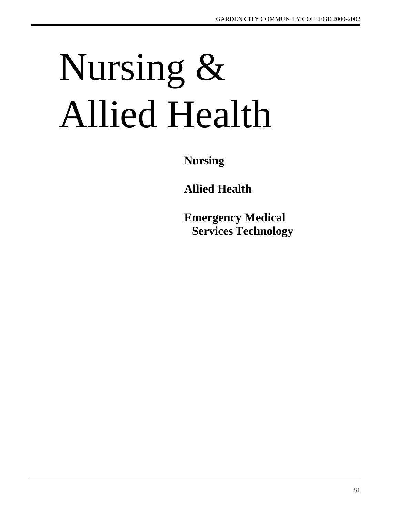# Nursing & Allied Health

**Nursing**

**Allied Health**

**Emergency Medical Services Technology**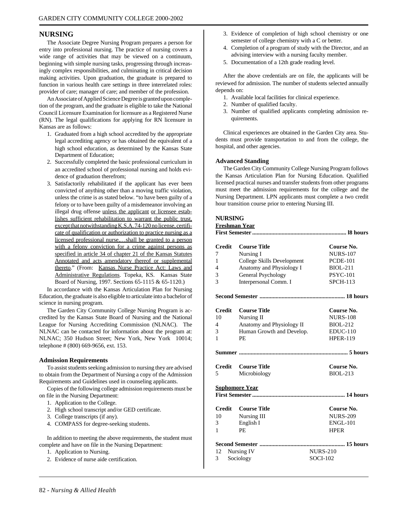#### **NURSING**

The Associate Degree Nursing Program prepares a person for entry into professional nursing. The practice of nursing covers a wide range of activities that may be viewed on a continuum, beginning with simple nursing tasks, progressing through increasingly complex responsibilities, and culminating in critical decision making activities. Upon graduation, the graduate is prepared to function in various health care settings in three interrelated roles: provider of care; manager of care; and member of the profession.

An Associate of Applied Science Degree is granted upon completion of the program, and the graduate is eligible to take the National Council Licensure Examination for licensure as a Registered Nurse (RN). The legal qualifications for applying for RN licensure in Kansas are as follows:

- 1. Graduated from a high school accredited by the appropriate legal accrediting agency or has obtained the equivalent of a high school education, as determined by the Kansas State Department of Education;
- 2. Successfully completed the basic professional curriculum in an accredited school of professional nursing and holds evidence of graduation therefrom;
- 3. Satisfactorily rehabilitated if the applicant has ever been convicted of anything other than a moving traffic violation, unless the crime is as stated below. "to have been guilty of a felony or to have been guilty of a misdemeanor involving an illegal drug offense unless the applicant or licensee establishes sufficient rehabilitation to warrant the public trust, except that notwithstanding K.S.A. 74-120 no license, certificate of qualification or authorization to practice nursing as a licensed professional nurse,…shall be granted to a person with a felony conviction for a crime against persons as specified in article 34 of chapter 21 of the Kansas Statutes Annotated and acts amendatory thereof or supplemental thereto." (From: Kansas Nurse Practice Act: Laws and Administrative Regulations. Topeka, KS. Kansas State Board of Nursing, 1997. Sections 65-1115 & 65-1120.)

In accordance with the Kansas Articulation Plan for Nursing Education, the graduate is also eligible to articulate into a bachelor of science in nursing program.

The Garden City Community College Nursing Program is accredited by the Kansas State Board of Nursing and the National League for Nursing Accrediting Commission (NLNAC). The NLNAC can be contacted for information about the program at: NLNAC; 350 Hudson Street; New York, New York 10014; telephone # (800) 669-9656, ext. 153.

#### **Admission Requirements**

To assist students seeking admission to nursing they are advised to obtain from the Department of Nursing a copy of the Admission Requirements and Guidelines used in counseling applicants.

Copies of the following college admission requirements must be on file in the Nursing Department:

- 1. Application to the College.
- 2. High school transcript and/or GED certificate.
- 3. College transcripts (if any).
- 4. COMPASS for degree-seeking students.

In addition to meeting the above requirements, the student must complete and have on file in the Nursing Department:

- 1. Application to Nursing.
- 2. Evidence of nurse aide certification.
- 3. Evidence of completion of high school chemistry or one semester of college chemistry with a C or better.
- 4. Completion of a program of study with the Director, and an advising interview with a nursing faculty member.
- 5. Documentation of a 12th grade reading level.

After the above credentials are on file, the applicants will be reviewed for admission. The number of students selected annually depends on:

- 1. Available local facilities for clinical experience.
- 2. Number of qualified faculty.
- 3. Number of qualified applicants completing admission requirements.

Clinical experiences are obtained in the Garden City area. Students must provide transportation to and from the college, the hospital, and other agencies.

#### **Advanced Standing**

The Garden City Community College Nursing Program follows the Kansas Articulation Plan for Nursing Education. Qualified licensed practical nurses and transfer students from other programs must meet the admission requirements for the college and the Nursing Department. LPN applicants must complete a two credit hour transition course prior to entering Nursing III.

#### **NURSING**

**Freshman Year**

| <b>Credit</b> | <b>Course Title</b>        | Course No.      |
|---------------|----------------------------|-----------------|
| 7             | Nursing I                  | <b>NURS-107</b> |
| 1             | College Skills Development | <b>PCDE-101</b> |
| 4             | Anatomy and Physiology I   | <b>BIOL-211</b> |
| 3             | <b>General Psychology</b>  | <b>PSYC-101</b> |
| 3             | Interpersonal Comm. I      | <b>SPCH-113</b> |
|               |                            |                 |
| <b>Credit</b> | <b>Course Title</b>        | Course No.      |
| 10            | Nursing II                 | <b>NURS-108</b> |
| 4             | Anatomy and Physiology II  | <b>BIOL-212</b> |
| 3             | Human Growth and Develop.  | $EDUC-110$      |
| 1             | PE.                        | <b>HPER-119</b> |
|               |                            |                 |
| <b>Credit</b> | <b>Course Title</b>        | Course No.      |
| 5             | Microbiology               | <b>BIOL-213</b> |
|               | <b>Sophomore Year</b>      |                 |
|               |                            |                 |
| <b>Credit</b> | <b>Course Title</b>        | Course No.      |
| 10            | Nursing III                | <b>NURS-209</b> |
| 3             | English I                  | <b>ENGL-101</b> |
| 1             | <b>PE</b>                  | <b>HPER</b>     |
|               |                            |                 |
| 12            | Nursing IV                 | <b>NURS-210</b> |
| 3             | Sociology                  | <b>SOCI-102</b> |
|               |                            |                 |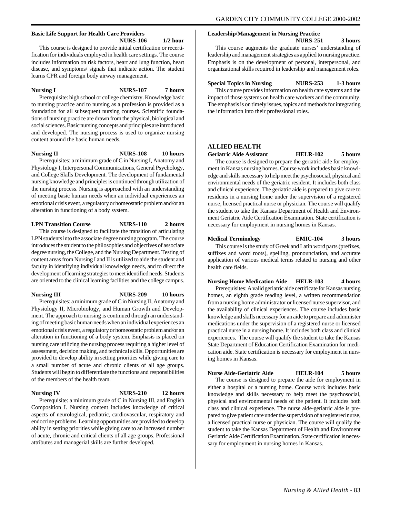#### **Basic Life Support for Health Care Providers NURS-106 1/2 hour**

This course is designed to provide initial certification or recertification for individuals employed in health care settings. The course includes information on risk factors, heart and lung function, heart disease, and symptoms/ signals that indicate action. The student learns CPR and foreign body airway management.

**Nursing I NURS-107 7 hours**

Prerequisite: high school or college chemistry. Knowledge basic to nursing practice and to nursing as a profession is provided as a foundation for all subsequent nursing courses. Scientific foundations of nursing practice are drawn from the physical, biological and social sciences. Basic nursing concepts and principles are introduced and developed. The nursing process is used to organize nursing content around the basic human needs.

#### **Nursing II NURS-108 10 hours**

Prerequisites: a minimum grade of C in Nursing I, Anatomy and Physiology I, Interpersonal Communications, General Psychology, and College Skills Development. The development of fundamental nursing knowledge and principles is continued through utilization of the nursing process. Nursing is approached with an understanding of meeting basic human needs when an individual experiences an emotional crisis event, a regulatory or homeostatic problem and/or an alteration in functioning of a body system.

#### **LPN Transition Course NURS-110 2 hours**

This course is designed to facilitate the transition of articulating LPN students into the associate degree nursing program. The course introduces the student to the philosophies and objectives of associate degree nursing, the College, and the Nursing Department. Testing of content areas from Nursing I and II is utilized to aide the student and faculty in identifying individual knowledge needs, and to direct the development of learning strategies to meet identified needs. Students are oriented to the clinical learning facilities and the college campus.

## **Nursing III NURS-209 10 hours**

Prerequisites: a minimum grade of C in Nursing II, Anatomy and Physiology II, Microbiology, and Human Growth and Development. The approach to nursing is continued through an understanding of meeting basic human needs when an individual experiences an emotional crisis event, a regulatory or homeostatic problem and/or an alteration in functioning of a body system. Emphasis is placed on nursing care utilizing the nursing process requiring a higher level of assessment, decision making, and technical skills. Opportunities are provided to develop ability in setting priorities while giving care to a small number of acute and chronic clients of all age groups. Students will begin to differentiate the functions and responsibilities of the members of the health team.

**Nursing IV NURS-210 12 hours**

Prerequisite: a minimum grade of C in Nursing III, and English Composition I. Nursing content includes knowledge of critical aspects of neurological, pediatric, cardiovascular, respiratory and endocrine problems. Learning opportunities are provided to develop ability in setting priorities while giving care to an increased number of acute, chronic and critical clients of all age groups. Professional attributes and managerial skills are further developed.

#### **Leadership/Management in Nursing Practice**

**NURS-251 3 hours**

This course augments the graduate nurses' understanding of leadership and management strategies as applied to nursing practice. Emphasis is on the development of personal, interpersonal, and organizational skills required in leadership and management roles.

## **Special Topics in Nursing NURS-253 1-3 hours**

This course provides information on health care systems and the impact of those systems on health care workers and the community. The emphasis is on timely issues, topics and methods for integrating the information into their professional roles.

#### **ALLIED HEALTH**

**Geriatric Aide Assistant HELR-102 5 hours**

The course is designed to prepare the geriatric aide for employment in Kansas nursing homes. Course work includes basic knowledge and skills necessary to help meet the psychosocial, physical and environmental needs of the geriatric resident. It includes both class and clinical experience. The geriatric aide is prepared to give care to residents in a nursing home under the supervision of a registered nurse, licensed practical nurse or physician. The course will qualify the student to take the Kansas Department of Health and Environment Geriatric Aide Certification Examination. State certification is necessary for employment in nursing homes in Kansas.

#### **Medical Terminology EMIC-104 3 hours**

This course is the study of Greek and Latin word parts (prefixes, suffixes and word roots), spelling, pronounciation, and accurate application of various medical terms related to nursing and other health care fields.

#### **Nursing Home Medication Aide HELR-103 4 hours**

Prerequisites: A valid geriatric aide certificate for Kansas nursing homes, an eighth grade reading level, a written recommendation from a nursing home administrator or licensed nurse supervisor, and the availability of clinical experiences. The course includes basic knowledge and skills necessary for an aide to prepare and administer medications under the supervision of a registered nurse or licensed practical nurse in a nursing home. It includes both class and clinical experiences. The course will qualify the student to take the Kansas State Department of Education Certification Examination for medication aide. State certification is necessary for employment in nursing homes in Kansas.

#### **Nurse Aide-Geriatric Aide HELR-104 5 hours**

The course is designed to prepare the aide for employment in either a hospital or a nursing home. Course work includes basic knowledge and skills necessary to help meet the psychosocial, physical and environmental needs of the patient. It includes both class and clinical experience. The nurse aide-geriatric aide is prepared to give patient care under the supervision of a registered nurse, a licensed practical nurse or physician. The course will qualify the student to take the Kansas Department of Health and Environment Geriatric Aide Certification Examination. State certification is necessary for employment in nursing homes in Kansas.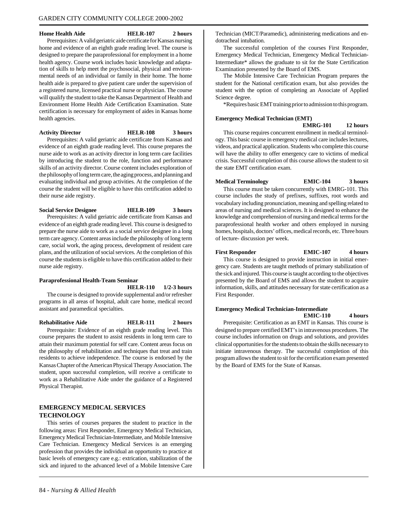#### **Home Health Aide HELR-107 2 hours**

Prerequisites: A valid geriatric aide certificate for Kansas nursing home and evidence of an eighth grade reading level. The course is designed to prepare the paraprofessional for employment in a home health agency. Course work includes basic knowledge and adaptation of skills to help meet the psychosocial, physical and environmental needs of an individual or family in their home. The home health aide is prepared to give patient care under the supervision of a registered nurse, licensed practical nurse or physician. The course will qualify the student to take the Kansas Department of Health and Environment Home Health Aide Certification Examination. State certification is necessary for employment of aides in Kansas home health agencies.

#### **Activity Director HELR-108 3 hours**

Prerequisites: A valid geriatric aide certificate from Kansas and evidence of an eighth grade reading level. This course prepares the nurse aide to work as an activity director in long term care facilities by introducing the student to the role, function and performance skills of an activity director. Course content includes exploration of the philosophy of long term care, the aging process, and planning and evaluating individual and group activities. At the completion of the course the student will be eligible to have this certification added to their nurse aide registry.

**Social Service Designee HELR-109 3 hours**

Prerequisites: A valid geriatric aide certificate from Kansas and evidence of an eighth grade reading level. This course is designed to prepare the nurse aide to work as a social service designee in a long term care agency. Content areas include the philosophy of long term care, social work, the aging process, development of resident care plans, and the utilization of social services. At the completion of this course the students is eligible to have this certification added to their nurse aide registry.

# **Paraprofessional Health-Team Seminar**

**HELR-110 1/2-3 hours**

The course is designed to provide supplemental and/or refresher programs in all areas of hospital, adult care home, medical record assistant and paramedical specialties.

**Rehabilitative Aide HELR-111 2 hours** Prerequisite: Evidence of an eighth grade reading level. This course prepares the student to assist residents in long term care to attain their maximum potential for self care. Content areas focus on the philosophy of rehabilitation and techniques that treat and train residents to achieve independence. The course is endorsed by the Kansas Chapter of the American Physical Therapy Association. The student, upon successful completion, will receive a certificate to work as a Rehabilitative Aide under the guidance of a Registered Physical Therapist.

#### **EMERGENCY MEDICAL SERVICES TECHNOLOGY**

This series of courses prepares the student to practice in the following areas: First Responder, Emergency Medical Technician, Emergency Medical Technician-Intermediate, and Mobile Intensive Care Technician. Emergency Medical Services is an emerging profession that provides the individual an opportunity to practice at basic levels of emergency care e.g.: extrication, stabilization of the sick and injured to the advanced level of a Mobile Intensive Care

Technician (MICT/Paramedic), administering medications and endotracheal intubation.

The successful completion of the courses First Responder, Emergency Medical Technician, Emergency Medical Technician-Intermediate\* allows the graduate to sit for the State Certification Examination presented by the Board of EMS.

The Mobile Intensive Care Technician Program prepares the student for the National certification exam, but also provides the student with the option of completing an Associate of Applied Science degree.

\*Requires basic EMT training prior to admission to this program.

#### **Emergency Medical Technician (EMT)**

**EMRG-101 12 hours**

This course requires concurrent enrollment in medical terminology. This basic course in emergency medical care includes lectures, videos, and practical application. Students who complete this course will have the ability to offer emergency care to victims of medical crisis. Successful completion of this course allows the student to sit the state EMT certification exam.

#### **Medical Terminology EMIC-104 3 hours**

This course must be taken concurrently with EMRG-101. This course includes the study of prefixes, suffixes, root words and vocabulary including pronunciation, meaning and spelling related to areas of nursing and medical sciences. It is designed to enhance the knowledge and comprehension of nursing and medical terms for the paraprofessional health worker and others employed in nursing homes, hospitals, doctors' offices, medical records, etc. Three hours of lecture- discussion per week.

#### **First Responder EMIC-107 4 hours**

This course is designed to provide instruction in initial emergency care. Students are taught methods of primary stabilization of the sick and injured. This course is taught according to the objectives presented by the Board of EMS and allows the student to acquire information, skills, and attitudes necessary for state certification as a First Responder.

#### **Emergency Medical Technician-Intermediate EMIC-110 4 hours**

Prerequisite: Certification as an EMT in Kansas. This course is designed to prepare certified EMT's in intravenous procedures. The course includes information on drugs and solutions, and provides clinical opportunities for the students to obtain the skills necessary to initiate intravenous therapy. The successful completion of this program allows the student to sit for the certification exam presented by the Board of EMS for the State of Kansas.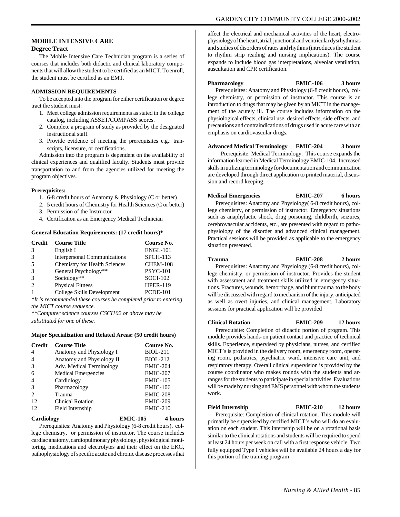#### **MOBILE INTENSIVE CARE Degree Tract**

The Mobile Intensive Care Technician program is a series of courses that includes both didactic and clinical laboratory components that will allow the student to be certified as an MICT. To enroll, the student must be certified as an EMT.

#### **ADMISSION REQUIREMENTS**

To be accepted into the program for either certification or degree tract the student must:

- 1. Meet college admission requirements as stated in the college catalog, including ASSET/COMPASS scores.
- 2. Complete a program of study as provided by the designated instructional staff.
- 3. Provide evidence of meeting the prerequisites e.g.: transcripts, licensure, or certifications.

Admission into the program is dependent on the availability of clinical experiences and qualified faculty. Students must provide transportation to and from the agencies utilized for meeting the program objectives.

#### **Prerequisites:**

- 1. 6-8 credit hours of Anatomy & Physiology (C or better)
- 2. 5 credit hours of Chemistry for Health Sciences (C or better)
- 3. Permission of the Instructor
- 4. Certification as an Emergency Medical Technician

#### **General Education Requirements: (17 credit hours)\***

| Credit        | <b>Course Title</b>                  | Course No.      |
|---------------|--------------------------------------|-----------------|
| $\mathcal{R}$ | English I                            | <b>ENGL-101</b> |
| $\mathcal{R}$ | <b>Interpersonal Communications</b>  | $SPCH-113$      |
| -5            | <b>Chemistry for Health Sciences</b> | CHEM-108        |
| 3             | General Psychology**                 | <b>PSYC-101</b> |
| $\mathcal{R}$ | Sociology**                          | <b>SOCI-102</b> |
| $\mathcal{L}$ | <b>Physical Fitness</b>              | <b>HPER-119</b> |
|               | College Skills Development           | <b>PCDE-101</b> |
|               |                                      |                 |

*\*It is recommended these courses be completed prior to entering the MICT course sequence.*

*\*\*Computer science courses CSCI102 or above may be substituted for one of these.*

#### **Major Specialization and Related Areas: (50 credit hours)**

| <b>Credit</b>               | <b>Course Title</b>        | Course No.      |
|-----------------------------|----------------------------|-----------------|
| 4                           | Anatomy and Physiology I   | <b>BIOL-211</b> |
| 4                           | Anatomy and Physiology II  | <b>BIOL-212</b> |
| 3                           | Adv. Medical Terminology   | <b>EMIC-204</b> |
| 6                           | <b>Medical Emergencies</b> | EMIC-207        |
| 4                           | Cardiology                 | <b>EMIC-105</b> |
| 3                           | Pharmacology               | <b>EMIC-106</b> |
| $\mathcal{D}_{\mathcal{L}}$ | Trauma                     | EMIC-208        |
| 12                          | Clinical Rotation          | <b>EMIC-209</b> |
| 12                          | Field Internship           | $EMIC-210$      |

**Cardiology EMIC-105 4 hours**

Prerequisites: Anatomy and Physiology (6-8 credit hours), college chemistry, or permission of instructor. The course includes cardiac anatomy, cardiopulmonary physiology, physiological monitoring, medications and electrolytes and their effect on the EKG, pathophysiology of specific acute and chronic disease processes that

affect the electrical and mechanical activities of the heart, electrophysiology of the heart, atrial, junctional and ventricular dysrhythmias and studies of disorders of rates and rhythms (introduces the student to rhythm strip reading and nursing implications). The course expands to include blood gas interpretations, alveolar ventilation, auscultation and CPR certification.

#### **Pharmacology EMIC-106 3 hours**

Prerequisites: Anatomy and Physiology (6-8 credit hours), college chemistry, or permission of instructor. This course is an introduction to drugs that may be given by an MICT in the management of the acutely ill. The course includes information on the physiological effects, clinical use, desired effects, side effects, and precautions and contraindications of drugs used in acute care with an emphasis on cardiovascular drugs.

#### **Advanced Medical Terminology EMIC-204 3 hours**

 Prerequisite: Medical Terminology. This course expands the information learned in Medical Terminology EMIC-104. Increased skills in utilizing terminology for documentation and communication are developed through direct application to printed material, discussion and record keeping.

#### **Medical Emergencies EMIC-207 6 hours**

Prerequisites: Anatomy and Physiology( 6-8 credit hours), college chemistry, or permission of instructor. Emergency situations such as anaphylactic shock, drug poisoning, childbirth, seizures, cerebrovascular accidents, etc., are presented with regard to pathophysiology of the disorder and advanced clinical management. Practical sessions will be provided as applicable to the emergency situation presented.

#### **Trauma EMIC-208 2 hours**

Prerequisites: Anatomy and Physiology (6-8 credit hours), college chemistry, or permission of instructor. Provides the student with assessment and treatment skills utilized in emergency situations. Fractures, wounds, hemorrhage, and blunt trauma to the body will be discussed with regard to mechanism of the injury, anticipated as well as overt injuries, and clinical management. Laboratory sessions for practical application will be provided

#### **Clinical Rotation EMIC-209 12 hours**

Prerequisite: Completion of didactic portion of program. This module provides hands-on patient contact and practice of technical skills. Experience, supervised by physicians, nurses, and certified MICT's is provided in the delivery room, emergency room, operating room, pediatrics, psychiatric ward, intensive care unit, and respiratory therapy. Overall clinical supervision is provided by the course coordinator who makes rounds with the students and arranges for the students to participate in special activities. Evaluations will be made by nursing and EMS personnel with whom the students work.

**Field Internship EMIC-210 12 hours**

Prerequisite: Completion of clinical rotation. This module will primarily be supervised by certified MICT's who will do an evaluation on each student. This internship will be on a rotational basis similar to the clinical rotations and students will be required to spend at least 24 hours per week on call with a first response vehicle. Two fully equipped Type I vehicles will be available 24 hours a day for this portion of the training program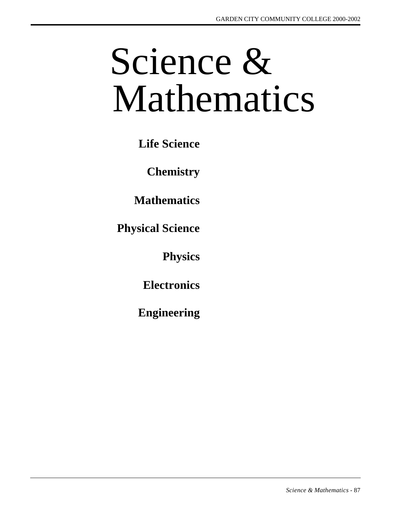# Science & Mathematics

**Life Science**

**Chemistry**

**Mathematics**

**Physical Science**

**Physics**

**Electronics**

**Engineering**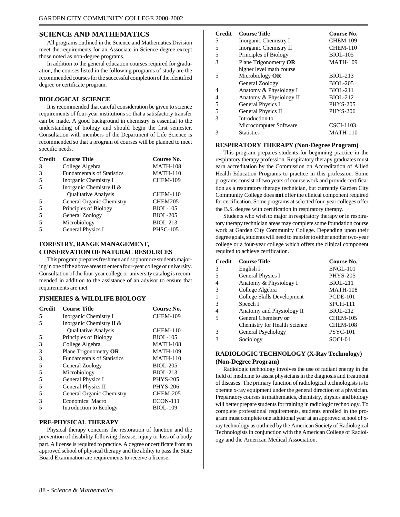#### **SCIENCE AND MATHEMATICS**

All programs outlined in the Science and Mathematics Division meet the requirements for an Associate in Science degree except those noted as non-degree programs.

In addition to the general education courses required for graduation, the courses listed in the following programs of study are the recommended courses for the successful completion of the identified degree or certificate program.

#### **BIOLOGICAL SCIENCE**

It is recommended that careful consideration be given to science requirements of four-year institutions so that a satisfactory transfer can be made. A good background in chemistry is essential to the understanding of biology and should begin the first semester. Consultation with members of the Department of Life Science is recommended so that a program of courses will be planned to meet specific needs.

| <b>Credit</b>  | <b>Course Title</b>               | Course No.      |
|----------------|-----------------------------------|-----------------|
| 3              | College Algebra                   | <b>MATH-108</b> |
| 3              | <b>Fundamentals of Statistics</b> | <b>MATH-110</b> |
| .5             | Inorganic Chemistry I             | <b>CHEM-109</b> |
| $\overline{5}$ | Inorganic Chemistry II &          |                 |
|                | <b>Qualitative Analysis</b>       | CHEM-110        |
| .5             | General Organic Chemistry         | CHEM205         |
| 5              | Principles of Biology             | <b>BIOL-105</b> |
| 5              | General Zoology                   | <b>BIOL-205</b> |
| 5              | Microbiology                      | <b>BIOL-213</b> |
| 5              | <b>General Physics I</b>          | <b>PHSC-105</b> |

#### **FORESTRY, RANGE MANAGEMENT, CONSERVATION OF NATURAL RESOURCES**

This program prepares freshmen and sophomore students majoring in one of the above areas to enter a four-year college or university. Consultation of the four-year college or university catalog is recommended in addition to the assistance of an advisor to ensure that requirements are met.

#### **FISHERIES & WILDLIFE BIOLOGY**

| <b>Credit</b> | <b>Course Title</b>               | Course No.      |
|---------------|-----------------------------------|-----------------|
| 5             | Inorganic Chemistry I             | <b>CHEM-109</b> |
| 5             | Inorganic Chemistry II &          |                 |
|               | <b>Oualitative Analysis</b>       | <b>CHEM-110</b> |
| 5             | Principles of Biology             | <b>BIOL-105</b> |
| 3             | College Algebra                   | <b>MATH-108</b> |
| 3             | Plane Trigonometry OR             | <b>MATH-109</b> |
| 3             | <b>Fundamentals of Statistics</b> | <b>MATH-110</b> |
| 5             | General Zoology                   | <b>BIOL-205</b> |
| 5             | Microbiology                      | <b>BIOL-213</b> |
| 5             | General Physics I                 | <b>PHYS-205</b> |
| 5             | General Physics II                | <b>PHYS-206</b> |
| 5             | General Organic Chemistry         | <b>CHEM-205</b> |
| 3             | Economics: Macro                  | <b>ECON-111</b> |
| 5             | Introduction to Ecology           | <b>BIOL-109</b> |

#### **PRE-PHYSICAL THERAPY**

Physical therapy concerns the restoration of function and the prevention of disability following disease, injury or loss of a body part. A license is required to practice. A degree or certificate from an approved school of physical therapy and the ability to pass the State Board Examination are requirements to receive a license.

| <b>Credit</b> | <b>Course Title</b>      | Course No.       |
|---------------|--------------------------|------------------|
| 5             | Inorganic Chemistry I    | <b>CHEM-109</b>  |
| 5             | Inorganic Chemistry II   | <b>CHEM-110</b>  |
| 5             | Principles of Biology    | <b>BIOL-105</b>  |
| $\mathcal{R}$ | Plane Trigonometry OR    | <b>MATH-109</b>  |
|               | higher level math course |                  |
| 5             | Microbiology OR          | <b>BIOL-213</b>  |
|               | General Zoology          | <b>BIOL-205</b>  |
| 4             | Anatomy & Physiology I   | <b>BIOL-211</b>  |
| 4             | Anatomy & Physiology II  | <b>BIOL-212</b>  |
| 5             | General Physics I        | <b>PHYS-205</b>  |
| 5             | General Physics II       | <b>PHYS-206</b>  |
| 3             | Introduction to          |                  |
|               | Microcomputer Software   | <b>CSCI-1103</b> |
|               | <b>Statistics</b>        | <b>MATH-110</b>  |

#### **RESPIRATORY THERAPY (Non-Degree Program)**

This program prepares students for beginning practice in the respiratory therapy profession. Respiratory therapy graduates must earn accreditation by the Commission on Accreditation of Allied Health Education Programs to practice in this profession. Some programs consist of two years of course work and provide certification as a respiratory therapy technician, but currently Garden City Community College does **not** offer the clinical component required for certification. Some programs at selected four-year colleges offer the B.S. degree with certification in respiratory therapy.

Students who wish to major in respiratory therapy or in respiratory therapy technician areas may complete some foundation course work at Garden City Community College. Depending upon their degree goals, students will need to transfer to either another two-year college or a four-year college which offers the clinical component required to achieve certification.

| <b>Credit</b> | <b>Course Title</b>          | Course No.      |
|---------------|------------------------------|-----------------|
| 3             | English I                    | <b>ENGL-101</b> |
| 5             | General Physics I            | <b>PHYS-205</b> |
|               | Anatomy & Physiology I       | <b>BIOL-211</b> |
| 3             | College Algebra              | <b>MATH-108</b> |
|               | College Skills Development   | <b>PCDE-101</b> |
| 3             | Speech I                     | <b>SPCH-111</b> |
|               | Anatomy and Physiology II    | <b>BIOL-212</b> |
| 5             | General Chemistry or         | CHEM-105        |
|               | Chemistry for Health Science | CHEM-108        |
| 3             | General Psychology           | <b>PSYC-101</b> |
| 3             | Sociology                    | SOCI-01         |

#### **RADIOLOGIC TECHNOLOGY (X-Ray Technology) (Non-Degree Program)**

Radiologic technology involves the use of radiant energy in the field of medicine to assist physicians in the diagnosis and treatment of diseases. The primary function of radiological technologists is to operate x-ray equipment under the general direction of a physician. Preparatory courses in mathematics, chemistry, physics and biology will better prepare students for training in radiologic technology. To complete professional requirements, students enrolled in the program must complete one additional year at an approved school of xray technology as outlined by the American Society of Radiological Technologists in conjunction with the American College of Radiology and the American Medical Association.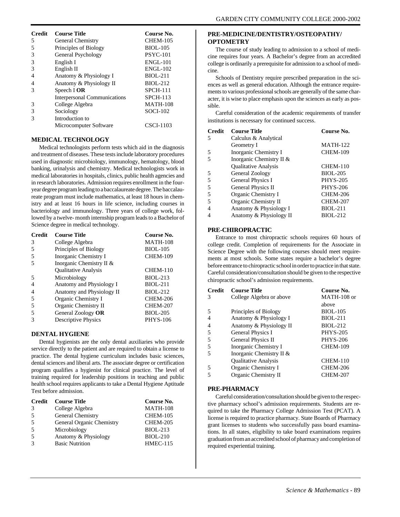| <b>Credit</b> | <b>Course Title</b>                 | Course No.      |
|---------------|-------------------------------------|-----------------|
| 5             | General Chemistry                   | <b>CHEM-105</b> |
| 5             | Principles of Biology               | <b>BIOL-105</b> |
| 3             | General Psychology                  | <b>PSYC-101</b> |
| 3             | English I                           | <b>ENGL-101</b> |
| 3             | English II                          | <b>ENGL-102</b> |
|               | Anatomy & Physiology I              | <b>BIOL-211</b> |
|               | Anatomy & Physiology II             | <b>BIOL-212</b> |
|               | Speech I <b>OR</b>                  | <b>SPCH-111</b> |
|               | <b>Interpersonal Communications</b> | <b>SPCH-113</b> |
| 3             | College Algebra                     | <b>MATH-108</b> |
| 3             | Sociology                           | $SOCI-102$      |
|               | Introduction to                     |                 |
|               | Microcomputer Software              | CSCI-1103       |

#### **MEDICAL TECHNOLOGY**

Medical technologists perform tests which aid in the diagnosis and treatment of diseases. These tests include laboratory procedures used in diagnostic microbiology, immunology, hematology, blood banking, urinalysis and chemistry. Medical technologists work in medical laboratories in hospitals, clinics, public health agencies and in research laboratories. Admission requires enrollment in the fouryear degree program leading to a baccalaureate degree. The baccalaureate program must include mathematics, at least 18 hours in chemistry and at least 16 hours in life science, including courses in bacteriology and immunology. Three years of college work, followed by a twelve- month internship program leads to a Bachelor of Science degree in medical technology.

| <b>Credit</b> | <b>Course Title</b>       | Course No.      |
|---------------|---------------------------|-----------------|
| 3             | College Algebra           | <b>MATH-108</b> |
| 5             | Principles of Biology     | <b>BIOL-105</b> |
|               | Inorganic Chemistry I     | <b>CHEM-109</b> |
|               | Inorganic Chemistry II &  |                 |
|               | Qualitative Analysis      | <b>CHEM-110</b> |
|               | Microbiology              | <b>BIOL-213</b> |
|               | Anatomy and Physiology I  | <b>BIOL-211</b> |
| 4             | Anatomy and Physiology II | <b>BIOL-212</b> |
| 5             | Organic Chemistry I       | <b>CHEM-206</b> |
|               | Organic Chemistry II      | <b>CHEM-207</b> |
|               | General Zoology OR        | <b>BIOL-205</b> |
|               | Descriptive Physics       | <b>PHYS-106</b> |
|               |                           |                 |

#### **DENTAL HYGIENE**

Dental hygienists are the only dental auxiliaries who provide service directly to the patient and are required to obtain a license to practice. The dental hygiene curriculum includes basic sciences, dental sciences and liberal arts. The associate degree or certification program qualifies a hygienist for clinical practice. The level of training required for leadership positions in teaching and public health school requires applicants to take a Dental Hygiene Aptitude Test before admission.

| <b>Credit</b> | <b>Course Title</b>       | Course No.      |
|---------------|---------------------------|-----------------|
| 3             | College Algebra           | <b>MATH-108</b> |
|               | General Chemistry         | <b>CHEM-105</b> |
|               | General Organic Chemistry | <b>CHEM-205</b> |
|               | Microbiology              | <b>BIOL-213</b> |
|               | Anatomy & Physiology      | <b>BIOL-210</b> |
|               | <b>Basic Nutrition</b>    | <b>HMEC-115</b> |

#### **PRE-MEDICINE/DENTISTRY/OSTEOPATHY/ OPTOMETRY**

The course of study leading to admission to a school of medicine requires four years. A Bachelor's degree from an accredited college is ordinarily a prerequisite for admission to a school of medicine.

Schools of Dentistry require prescribed preparation in the sciences as well as general education. Although the entrance requirements to various professional schools are generally of the same character, it is wise to place emphasis upon the sciences as early as possible.

Careful consideration of the academic requirements of transfer institutions is necessary for continued success.

| <b>Credit</b> | <b>Course Title</b>         | Course No.      |
|---------------|-----------------------------|-----------------|
| 5             | Calculus & Analytical       |                 |
|               | Geometry I                  | <b>MATH-122</b> |
| 5             | Inorganic Chemistry I       | <b>CHEM-109</b> |
| 5             | Inorganic Chemistry II &    |                 |
|               | <b>Qualitative Analysis</b> | <b>CHEM-110</b> |
| 5             | General Zoology             | <b>BIOL-205</b> |
| 5             | General Physics I           | <b>PHYS-205</b> |
| 5             | General Physics II          | <b>PHYS-206</b> |
| 5             | Organic Chemistry I         | <b>CHEM-206</b> |
| 5             | Organic Chemistry II        | <b>CHEM-207</b> |
|               | Anatomy & Physiology I      | <b>BIOL-211</b> |
|               | Anatomy & Physiology II     | <b>BIOL-212</b> |

#### **PRE-CHIROPRACTIC**

Entrance to most chiropractic schools requires 60 hours of college credit. Completion of requirements for the Associate in Science Degree with the following courses should meet requirements at most schools. Some states require a bachelor's degree before entrance to chiropractic school in order to practice in that state. Careful consideration/consultation should be given to the respective chiropractic school's admission requirements.

| <b>Credit</b> | <b>Course Title</b>         | Course No.      |
|---------------|-----------------------------|-----------------|
| 3             | College Algebra or above    | MATH-108 or     |
|               |                             | above           |
|               | Principles of Biology       | <b>BIOL-105</b> |
|               | Anatomy & Physiology I      | <b>BIOL-211</b> |
|               | Anatomy & Physiology II     | <b>BIOL-212</b> |
|               | General Physics I           | <b>PHYS-205</b> |
| 5             | General Physics II          | <b>PHYS-206</b> |
|               | Inorganic Chemistry I       | <b>CHEM-109</b> |
|               | Inorganic Chemistry II &    |                 |
|               | <b>Qualitative Analysis</b> | <b>CHEM-110</b> |
| 5             | Organic Chemistry I         | <b>CHEM-206</b> |
|               | Organic Chemistry II        | CHEM-207        |

#### **PRE-PHARMACY**

Careful consideration/consultation should be given to the respective pharmacy school's admission requirements. Students are required to take the Pharmacy College Admission Test (PCAT). A license is required to practice pharmacy. State Boards of Pharmacy grant licenses to students who successfully pass board examinations. In all states, eligibility to take board examinations requires graduation from an accredited school of pharmacy and completion of required experiential training.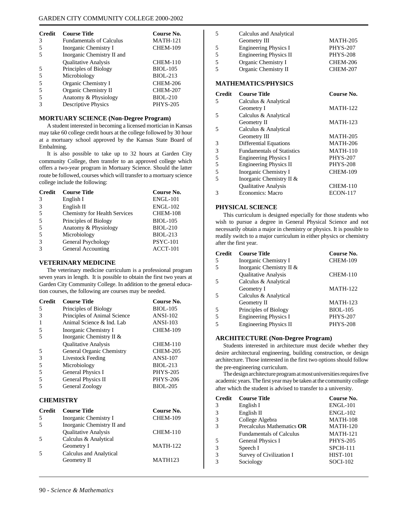| <b>Credit</b> | <b>Course Title</b>             | Course No.      |
|---------------|---------------------------------|-----------------|
| 3             | <b>Fundamentals of Calculus</b> | <b>MATH-121</b> |
| 5             | Inorganic Chemistry I           | <b>CHEM-109</b> |
|               | Inorganic Chemistry II and      |                 |
|               | <b>Oualitative Analysis</b>     | <b>CHEM-110</b> |
|               | Principles of Biology           | <b>BIOL-105</b> |
|               | Microbiology                    | <b>BIOL-213</b> |
| 5             | Organic Chemistry I             | CHEM-206        |
|               | Organic Chemistry II            | <b>CHEM-207</b> |
|               | Anatomy & Physiology            | <b>BIOL-210</b> |
|               | <b>Descriptive Physics</b>      | <b>PHYS-205</b> |

#### **MORTUARY SCIENCE (Non-Degree Program)**

A student interested in becoming a licensed mortician in Kansas may take 60 college credit hours at the college followed by 30 hour at a mortuary school approved by the Kansas State Board of Embalming.

It is also possible to take up to 32 hours at Garden City community College, then transfer to an approved college which offers a two-year program in Mortuary Science. Should the latter route be followed, courses which will transfer to a mortuary science college include the following:

| <b>Credit</b> | <b>Course Title</b>           | Course No.      |
|---------------|-------------------------------|-----------------|
| 3             | English I                     | <b>ENGL-101</b> |
| 3             | English II                    | <b>ENGL-102</b> |
| 5             | Chemistry for Health Services | CHEM-108        |
| 5             | Principles of Biology         | <b>BIOL-105</b> |
| 5             | Anatomy & Physiology          | <b>BIOL-210</b> |
| 5             | Microbiology                  | <b>BIOL-213</b> |
| 3             | General Psychology            | <b>PSYC-101</b> |
| 3             | General Accounting            | $ACCT-101$      |

#### **VETERINARY MEDICINE**

The veterinary medicine curriculum is a professional program seven years in length. It is possible to obtain the first two years at Garden City Community College. In addition to the general education courses, the following are courses may be needed.

| <b>Credit</b> | <b>Course Title</b>          | Course No.      |
|---------------|------------------------------|-----------------|
| 5             | Principles of Biology        | <b>BIOL-105</b> |
| 3             | Principles of Animal Science | <b>ANSI-102</b> |
|               | Animal Science & Ind. Lab    | <b>ANSI-103</b> |
| 5             | Inorganic Chemistry I        | <b>CHEM-109</b> |
|               | Inorganic Chemistry II &     |                 |
|               | <b>Qualitative Analysis</b>  | <b>CHEM-110</b> |
| 5             | General Organic Chemistry    | <b>CHEM-205</b> |
| 3             | Livestock Feeding            | <b>ANSI-107</b> |
| 5             | Microbiology                 | <b>BIOL-213</b> |
| 5             | General Physics I            | <b>PHYS-205</b> |
| 5             | General Physics II           | <b>PHYS-206</b> |
|               | General Zoology              | <b>BIOL-205</b> |

### **CHEMISTRY**

| <b>Credit</b> | <b>Course Title</b>         | Course No.      |
|---------------|-----------------------------|-----------------|
|               | Inorganic Chemistry I       | <b>CHEM-109</b> |
|               | Inorganic Chemistry II and  |                 |
|               | <b>Oualitative Analysis</b> | <b>CHEM-110</b> |
|               | Calculus & Analytical       |                 |
|               | Geometry I                  | <b>MATH-122</b> |
|               | Calculus and Analytical     |                 |
|               | Geometry II                 | <b>MATH123</b>  |
|               |                             |                 |

|                            | Calculus and Analytical      |                 |
|----------------------------|------------------------------|-----------------|
|                            | Geometry III                 | <b>MATH-205</b> |
| 5                          | <b>Engineering Physics I</b> | <b>PHYS-207</b> |
| 5                          | Engineering Physics II       | <b>PHYS-208</b> |
| 5                          | Organic Chemistry I          | <b>CHEM-206</b> |
| 5                          | Organic Chemistry II         | <b>CHEM-207</b> |
| <b>MATHEMATICS/PHYSICS</b> |                              |                 |

| <b>Credit</b> | <b>Course Title</b>               | Course No.      |
|---------------|-----------------------------------|-----------------|
| 5             | Calculus & Analytical             |                 |
|               | Geometry I                        | <b>MATH-122</b> |
| 5             | Calculus & Analytical             |                 |
|               | Geometry II                       | <b>MATH-123</b> |
| 5             | Calculus & Analytical             |                 |
|               | Geometry III                      | <b>MATH-205</b> |
| 3             | <b>Differential Equations</b>     | <b>MATH-206</b> |
| 3             | <b>Fundamentals of Statistics</b> | <b>MATH-110</b> |
| 5             | <b>Engineering Physics I</b>      | <b>PHYS-207</b> |
| 5             | <b>Engineering Physics II</b>     | <b>PHYS-208</b> |
| 5             | Inorganic Chemistry I             | <b>CHEM-109</b> |
| 5             | Inorganic Chemistry II &          |                 |
|               | Qualitative Analysis              | <b>CHEM-110</b> |
| 3             | Economics: Macro                  | <b>ECON-117</b> |

#### **PHYSICAL SCIENCE**

This curriculum is designed especially for those students who wish to pursue a degree in General Physical Science and not necessarily obtain a major in chemistry or physics. It is possible to readily switch to a major curriculum in either physics or chemistry after the first year.

| <b>Credit</b> | <b>Course Title</b>           | Course No.      |
|---------------|-------------------------------|-----------------|
| 5             | Inorganic Chemistry I         | <b>CHEM-109</b> |
|               | Inorganic Chemistry II &      |                 |
|               | <b>Qualitative Analysis</b>   | CHEM-110        |
| 5             | Calculus & Analytical         |                 |
|               | Geometry I                    | <b>MATH-122</b> |
| 5             | Calculus & Analytical         |                 |
|               | Geometry II                   | <b>MATH-123</b> |
| 5             | Principles of Biology         | <b>BIOL-105</b> |
|               | <b>Engineering Physics I</b>  | <b>PHYS-207</b> |
|               | <b>Engineering Physics II</b> | <b>PHYS-208</b> |

#### **ARCHITECTURE (Non-Degree Program)**

Students interested in architecture must decide whether they desire architectural engineering, building construction, or design architecture. Those interested in the first two options should follow the pre-engineering curriculum.

The design architecture program at most universities requires five academic years. The first year may be taken at the community college after which the student is advised to transfer to a university.

| <b>Credit</b> | <b>Course Title</b>             | Course No.      |
|---------------|---------------------------------|-----------------|
| 3             | English I                       | <b>ENGL-101</b> |
| 3             | English II                      | <b>ENGL-102</b> |
|               | College Algebra                 | <b>MATH-108</b> |
|               | Precalculus Mathematics OR      | <b>MATH-120</b> |
|               | <b>Fundamentals of Calculus</b> | <b>MATH-121</b> |
| 5             | General Physics I               | <b>PHYS-205</b> |
| 3             | Speech I                        | <b>SPCH-111</b> |
|               | Survey of Civilization I        | <b>HIST-101</b> |
|               | Sociology                       | $SOCI-102$      |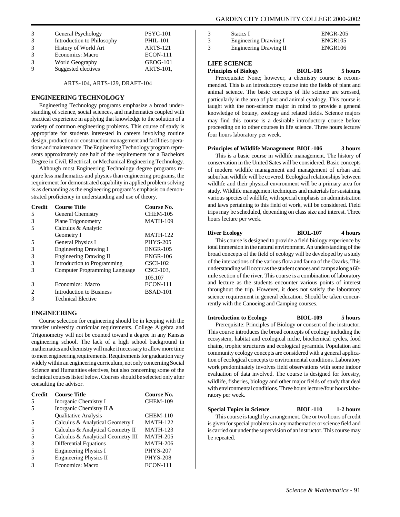| 3 | General Psychology         | <b>PSYC-101</b> |
|---|----------------------------|-----------------|
| 3 | Introduction to Philosophy | <b>PHIL-101</b> |
| 3 | History of World Art       | <b>ARTS-121</b> |
| 3 | <b>Economics: Macro</b>    | <b>ECON-111</b> |
| 3 | World Geography            | <b>GEOG-101</b> |
| 9 | Suggested electives        | ARTS-101,       |

ARTS-104, ARTS-129, DRAFT-104

#### **ENGINEERING TECHNOLOGY**

Engineering Technology programs emphasize a broad understanding of science, social sciences, and mathematics coupled with practical experience in applying that knowledge to the solution of a variety of common engineering problems. This course of study is appropriate for students interested in careers involving routine design, production or construction management and facilities operations and maintenance. The Engineering Technology program represents approximately one half of the requirements for a Bachelors Degree in Civil, Electrical, or Mechanical Engineering Technology.

Although most Engineering Technology degree programs require less mathematics and physics than engineering programs, the requirement for demonstrated capability in applied problem solving is as demanding as the engineering program's emphasis on demonstrated proficiency in understanding and use of theory.

| <b>Credit</b> | <b>Course Title</b>                  | Course No.      |
|---------------|--------------------------------------|-----------------|
| 5             | General Chemistry                    | <b>CHEM-105</b> |
| 3             | <b>Plane Trigonometry</b>            | <b>MATH-109</b> |
|               | Calculus & Analytic                  |                 |
|               | Geometry I                           | <b>MATH-122</b> |
|               | <b>General Physics I</b>             | <b>PHYS-205</b> |
| 3             | <b>Engineering Drawing I</b>         | <b>ENGR-105</b> |
| 3             | <b>Engineering Drawing II</b>        | <b>ENGR-106</b> |
| 3             | Introduction to Programming          | $CSCI-102$      |
|               | <b>Computer Programming Language</b> | CSCI-103,       |
|               |                                      | 105,107         |
| 3             | Economics: Macro                     | <b>ECON-111</b> |
|               | Introduction to Business             | <b>BSAD-101</b> |
|               | <b>Technical Elective</b>            |                 |

#### **ENGINEERING**

Course selection for engineering should be in keeping with the transfer university curricular requirements. College Algebra and Trigonometry will not be counted toward a degree in any Kansas engineering school. The lack of a high school background in mathematics and chemistry will make it necessary to allow more time to meet engineering requirements. Requirements for graduation vary widely within an engineering curriculum, not only concerning Social Science and Humanities electives, but also concerning some of the technical courses listed below. Courses should be selected only after consulting the advisor.

| <b>Credit</b> | <b>Course Title</b>                | Course No.      |
|---------------|------------------------------------|-----------------|
| .5            | Inorganic Chemistry I              | <b>CHEM-109</b> |
|               | Inorganic Chemistry II &           |                 |
|               | <b>Oualitative Analysis</b>        | <b>CHEM-110</b> |
| 5             | Calculus & Analytical Geometry I   | <b>MATH-122</b> |
| 5             | Calculus & Analytical Geometry II  | <b>MATH-123</b> |
| 5             | Calculus & Analytical Geometry III | <b>MATH-205</b> |
| 3             | <b>Differential Equations</b>      | <b>MATH-206</b> |
|               | <b>Engineering Physics I</b>       | <b>PHYS-207</b> |
|               | Engineering Physics II             | <b>PHYS-208</b> |
|               | <b>Economics: Macro</b>            | <b>ECON-111</b> |

| 3 | Statics I                     | <b>ENGR-205</b>     |
|---|-------------------------------|---------------------|
| 3 | Engineering Drawing I         | ENGR <sub>105</sub> |
| 3 | <b>Engineering Drawing II</b> | <b>ENGR106</b>      |

#### **LIFE SCIENCE**

**Principles of Biology BIOL-105 5 hours** Prerequisite: None; however, a chemistry course is recommended. This is an introductory course into the fields of plant and animal science. The basic concepts of life science are stressed, particularly in the area of plant and animal cytology. This course is taught with the non-science major in mind to provide a general knowledge of botany, zoology and related fields. Science majors may find this course is a desirable introductory course before proceeding on to other courses in life science. Three hours lecture/ four hours laboratory per week.

#### **Principles of Wildlife Management BIOL-106 3 hours**

This is a basic course in wildlife management. The history of conservation in the United Sates will be considered. Basic concepts of modern wildlife management and management of urban and suburban wildlife will be covered. Ecological relationships between wildlife and their physical environment will be a primary area for study. Wildlife management techniques and materials for sustaining various species of wildlife, with special emphasis on administration and laws pertaining to this field of work, will be considered. Field trips may be scheduled, depending on class size and interest. Three hours lecture per week.

#### **River Ecology BlOL-107 4 hours**

This course is designed to provide a field biology experience by total immersion in the natural environment. An understanding of the broad concepts of the field of ecology will be developed by a study of the interactions of the various flora and fauna of the Ozarks. This understanding will occur as the student canoes and camps along a 60 mile section of the river. This course is a combination of laboratory and lecture as the students encounter various points of interest throughout the trip. However, it does not satisfy the laboratory science requirement in general education. Should be taken concurrently with the Canoeing and Camping courses.

#### **Introduction to Ecology BIOL-109 5 hours**

Prerequisite: Principles of Biology or consent of the instructor. This course introduces the broad concepts of ecology including the ecosystem, habitat and ecological niche, biochemical cycles, food chains, trophic structures and ecological pyramids. Population and community ecology concepts are considered with a general application of ecological concepts to environmental conditions. Laboratory work predominately involves field observations with some indoor evaluation of data involved. The course is designed for forestry, wildlife, fisheries, biology and other major fields of study that deal with environmental conditions. Three hours lecture/four hours laboratory per week.

#### **Special Topics in Science BIOL-110 1-2 hours**

This course is taught by arrangement. One or two hours of credit is given for special problems in any mathematics or science field and is carried out under the supervision of an instructor. This course may be repeated.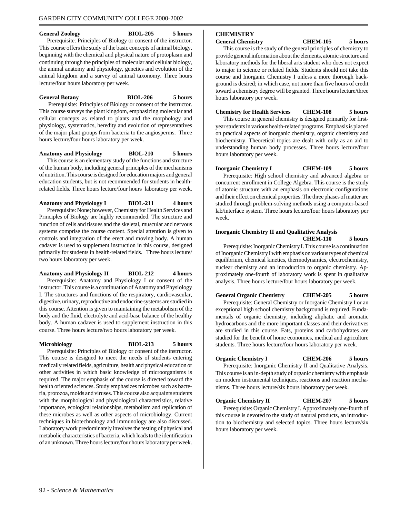#### **General Zoology BIOL-205 5 hours**

Prerequisite: Principles of Biology or consent of the instructor. This course offers the study of the basic concepts of animal biology, beginning with the chemical and physical nature of protoplasm and continuing through the principles of molecular and cellular biology, the animal anatomy and physiology, genetics and evolution of the animal kingdom and a survey of animal taxonomy. Three hours lecture/four hours laboratory per week.

**General Botany BIOL-206 5 hours** Prerequisite: Principles of Biology or consent of the instructor. This course surveys the plant kingdom, emphasizing molecular and cellular concepts as related to plants and the morphology and physiology, systematics, heredity and evolution of representatives of the major plant groups from bacteria to the angiosperms. Three hours lecture/four hours laboratory per week.

**Anatomy and Physiology BlOL-210 5 hours** This course is an elementary study of the functions and structure of the human body, including general principles of the mechanisms of nutrition. This course is designed for education majors and general education students, but is not recommended for students in healthrelated fields. Three hours lecture/four hours laboratory per week.

**Anatomy and Physiology I BIOL-211 4 hours** Prerequisite: None; however, Chemistry for Health Services and Principles of Biology are highly recommended. The structure and function of cells and tissues and the skeletal, muscular and nervous systems comprise the course content. Special attention is given to controls and integration of the erect and moving body. A human cadaver is used to supplement instruction in this course, designed primarily for students in health-related fields. Three hours lecture/ two hours laboratory per week.

**Anatomy and Physiology II BIOL-212 4 hours** Prerequisite: Anatomy and Physiology I or consent of the instructor. This course is a continuation of Anatomy and Physiology I. The structures and functions of the respiratory, cardiovascular, digestive, urinary, reproductive and endocrine systems are studied in this course. Attention is given to maintaining the metabolism of the body and the fluid, electrolyte and acid-base balance of the healthy body. A human cadaver is used to supplement instruction in this course. Three hours lecture/two hours laboratory per week.

**Microbiology BIOL-213 5 hours**

Prerequisite: Principles of Biology or consent of the instructor. This course is designed to meet the needs of students entering medically related fields, agriculture, health and physical education or other activities in which basic knowledge of microorganisms is required. The major emphasis of the course is directed toward the health oriented sciences. Study emphasizes microbes such as bacteria, protozoa, molds and viruses. This course also acquaints students with the morphological and physiological characteristics, relative importance, ecological relationships, metabolism and replication of these microbes as well as other aspects of microbiology. Current techniques in biotechnology and immunology are also discussed. Laboratory work predominately involves the testing of physical and metabolic characteristics of bacteria, which leads to the identification of an unknown. Three hours lecture/four hours laboratory per week.

## **CHEMISTRY**

**General Chemistry CHEM-105 5 hours**

This course is the study of the general principles of chemistry to provide general information about the elements, atomic structure and laboratory methods for the liberal arts student who does not expect to major in science or related fields. Students should not take this course and Inorganic Chemistry I unless a more thorough background is desired; in which case, not more than five hours of credit toward a chemistry degree will be granted. Three hours lecture/three hours laboratory per week.

**Chemistry for Health Services CHEM-108 5 hours**

This course in general chemistry is designed primarily for firstyear students in various health-related programs. Emphasis is placed on practical aspects of inorganic chemistry, organic chemistry and biochemistry. Theoretical topics are dealt with only as an aid to understanding human body processes. Three hours lecture/four hours laboratory per week.

**Inorganic Chemistry I CHEM-109 5 hours** Prerequisite: High school chemistry and advanced algebra or concurrent enrollment in College Algebra. This course is the study of atomic structure with an emphasis on electronic configurations and their effect on chemical properties. The three phases of matter are studied through problem-solving methods using a computer-based lab/interface system. Three hours lecture/four hours laboratory per week.

#### **Inorganic Chemistry II and Qualitative Analysis CHEM-110 5 hours**

Prerequisite: Inorganic Chemistry I. This course is a continuation of Inorganic Chemistry I with emphasis on various types of chemical equilibrium, chemical kinetics, thermodynamics, electrochemistry, nuclear chemistry and an introduction to organic chemistry. Approximately one-fourth of laboratory work is spent in qualitative analysis. Three hours lecture/four hours laboratory per week.

**General Organic Chemistry CHEM-205 5 hours**

Prerequisite: General Chemistry or Inorganic Chemistry I or an exceptional high school chemistry background is required. Fundamentals of organic chemistry, including aliphatic and aromatic hydrocarbons and the more important classes and their derivatives are studied in this course. Fats, proteins and carbohydrates are studied for the benefit of home economics, medical and agriculture students. Three hours lecture/four hours laboratory per week.

**Organic Chemistry I CHEM-206 5 hours** Prerequisite: Inorganic Chemistry II and Qualitative Analysis. This course is an in-depth study of organic chemistry with emphasis on modern instrumental techniques, reactions and reaction mechanisms. Three hours lecture/six hours laboratory per week.

**Organic Chemistry II CHEM-207 5 hours**

Prerequisite: Organic Chemistry I. Approximately one-fourth of this course is devoted to the study of natural products, an introduction to biochemistry and selected topics. Three hours lecture/six hours laboratory per week.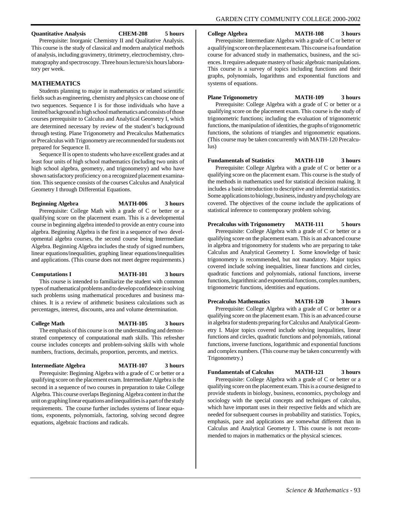#### **Quantitative Analysis CHEM-208 5 hours**

Prerequisite: Inorganic Chemistry II and Qualitative Analysis. This course is the study of classical and modern analytical methods of analysis, including gravimetry, titrimetry, electrochemistry, chromatography and spectroscopy. Three hours lecture/six hours laboratory per week.

#### **MATHEMATICS**

Students planning to major in mathematics or related scientific fields such as engineering, chemistry and physics can choose one of two sequences. Sequence I is for those individuals who have a limited background in high school mathematics and consists of those courses prerequisite to Calculus and Analytical Geometry I, which are determined necessary by review of the student's background through testing. Plane Trigonometry and Precalculus Mathematics or Precalculus with Trigonometry are recommended for students not prepared for Sequence II.

Sequence II is open to students who have excellent grades and at least four units of high school mathematics (including two units of high school algebra, geometry, and trigonometry) and who have shown satisfactory proficiency on a recognized placement examination. This sequence consists of the courses Calculus and Analytical Geometry I through Differential Equations.

**Beginning Algebra MATH-006 3 hours** Prerequisite: College Math with a grade of C or better or a qualifying score on the placement exam. This is a developmental course in beginning algebra intended to provide an entry course into algebra. Beginning Algebra is the first in a sequence of two developmental algebra courses, the second course being Intermediate Algebra. Beginning Algebra includes the study of signed numbers, linear equations/inequalities, graphing linear equations/inequalities and applications. (This course does not meet degree requirements.)

#### **Computations I MATH-101 3 hours**

This course is intended to familiarize the student with common types of mathematical problems and to develop confidence in solving such problems using mathematical procedures and business machines. It is a review of arithmetic business calculations such as percentages, interest, discounts, area and volume determination.

## **College Math MATH-105 3 hours**

The emphasis of this course is on the understanding and demonstrated competency of computational math skills. This refresher course includes concepts and problem-solving skills with whole numbers, fractions, decimals, proportion, percents, and metrics.

### **Intermediate Algebra MATH-107 3 hours**

Prerequisite: Beginning Algebra with a grade of C or better or a qualifying score on the placement exam. Intermediate Algebra is the second in a sequence of two courses in preparation to take College Algebra. This course overlaps Beginning Algebra content in that the unit on graphing linear equations and inequalities is a part of the study requirements. The course further includes systems of linear equations, exponents, polynomials, factoring, solving second degree equations, algebraic fractions and radicals.

**College Algebra MATH-108 3 hours**

Prerequisite: Intermediate Algebra with a grade of C or better or a qualifying score on the placement exam. This course is a foundation course for advanced study in mathematics, business, and the sciences. It requires adequate mastery of basic algebraic manipulations. This course is a survey of topics including functions and their graphs, polynomials, logarithms and exponential functions and systems of equations.

**Plane Trigonometry MATH-109 3 hours** Prerequisite: College Algebra with a grade of C or better or a qualifying score on the placement exam. This course is the study of trigonometric functions; including the evaluation of trigonometric functions, the manipulation of identities, the graphs of trigonometric functions, the solutions of triangles and trigonometric equations. (This course may be taken concurrently with MATH-120 Precalculus)

**Fundamentals of Statistics MATH-110 3 hours** Prerequisite: College Algebra with a grade of C or better or a qualifying score on the placement exam. This course is the study of the methods in mathematics used for statistical decision making. It includes a basic introduction to descriptive and inferential statistics. Some applications to biology, business, industry and psychology are covered. The objectives of the course include the applications of statistical inference to contemporary problem solving.

### **Precalculus with Trigonometry MATH-111 5 hours**

Prerequisite: College Algebra with a grade of C or better or a qualifying score on the placement exam. This is an advanced course in algebra and trigonometry for students who are preparing to take Calculus and Analytical Geometry I. Some knowledge of basic trigonometry is recommended, but not mandatory. Major topics covered include solving inequalities, linear functions and circles, quadratic functions and polynomials, rational functions, inverse functions, logarithmic and exponential functions, complex numbers, trigonometric functions, identities and equations.

#### **Precalculus Mathematics MATH-120 3 hours**

Prerequisite: College Algebra with a grade of C or better or a qualifying score on the placement exam. This is an advanced course in algebra for students preparing for Calculus and Analytical Geometry I. Major topics covered include solving inequalities, linear functions and circles, quadratic functions and polynomials, rational functions, inverse functions, logarithmic and exponential functions and complex numbers. (This course may be taken concurrently with Trigonometry.)

### **Fundamentals of Calculus MATH-121 3 hours**

Prerequisite: College Algebra with a grade of C or better or a qualifying score on the placement exam. This is a course designed to provide students in biology, business, economics, psychology and sociology with the special concepts and techniques of calculus, which have important uses in their respective fields and which are needed for subsequent courses in probability and statistics. Topics, emphasis, pace and applications are somewhat different than in Calculus and Analytical Geometry I. This course is not recommended to majors in mathematics or the physical sciences.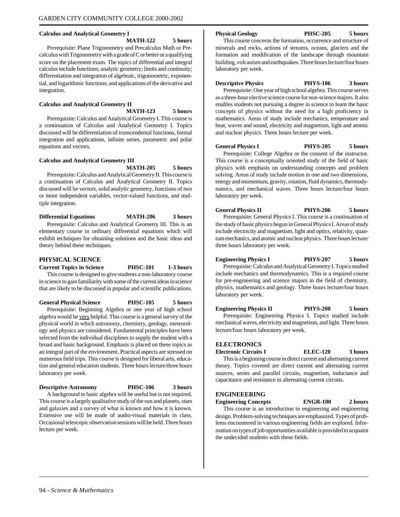#### **Calculus and Analytical Geometry I**

**MATH-122 5 hours**

Prerequisite: Plane Trigonometry and Precalculus Math or Precalculus with Trigonometry with a grade of C or better or a qualifying score on the placement exam. The topics of differential and integral calculus include functions; analytic geometry; limits and continuity; differentiation and integration of algebraic, trigonometric, exponential, and logarithmic functions; and applications of the derivative and integration.

#### **Calculus and Analytical Geometry II**

**MATH-123 5 hours**

Prerequisite: Calculus and Analytical Geometry I. This course is a continuation of Calculus and Analytical Geometry I. Topics discussed will be differentiation of transcendental functions, formal integration and applications, infinite series, parametric and polar equations and vectors.

#### **Calculus and Analytical Geometry III**

**MATH-205 5 hours**

Prerequisite: Calculus and Analytical Geometry II. This course is a continuation of Calculus and Analytical Geometry II. Topics discussed will be vectors, solid analytic geometry, functions of two or more independent variables, vector-valued functions, and multiple integration.

**Differential Equations MATH-206 3 hours** Prerequisite: Calculus and Analytical Geometry III. This is an elementary course in ordinary differential equations which will exhibit techniques for obtaining solutions and the basic ideas and theory behind these techniques.

#### **PHYSICAL SCIENCE**

**Current Topics in Science PHSC-101 1-3 hours** This course is designed to give students a non-laboratory course in science to gain familiarity with some of the current ideas in science that are likely to be discussed in popular and scientific publications.

**General Physical Science PHSC-105 5 hours** Prerequisite: Beginning Algebra or one year of high school algebra would be very helpful. This course is a general survey of the physical world in which astronomy, chemistry, geology, meteorology and physics are considered. Fundamental principles have been selected from the individual disciplines to supply the student with a broad and basic background. Emphasis is placed on these topics as

an integral part of the environment. Practical aspects are stressed on numerous field trips. This course is designed for liberal arts, education and general education students. Three hours lecture/three hours laboratory per week.

**Descriptive Astronomy PHSC-106 3 hours**

A background in basic algebra will be useful but is not required. This course is a largely qualitative study of the sun and planets, stars and galaxies and a survey of what is known and how it is known. Extensive use will be made of audio-visual materials in class. Occasional telescopic observation sessions will be held. Three hours lecture per week.

#### **Physical Geology PHSC-205 5 hours**

This course concerns the formation, occurrence and structure of minerals and rocks, actions of streams, oceans, glaciers and the formation and modification of the landscape through mountain building, volcanism and earthquakes. Three hours lecture/four hours laboratory per week.

**Descriptive Physics PHYS-106 3 hours**

Prerequisite: One year of high school algebra. This course serves as a three-hour elective science course for non-science majors. It also enables students not pursuing a degree in science to learn the basic concepts of physics without the need for a high proficiency in mathematics. Areas of study include mechanics, temperature and heat, waves and sound, electricity and magnetism, light and atomic and nuclear physics. Three hours lecture per week.

**General Physics I PHYS-205 5 hours**

Prerequisite: College Algebra or the consent of the instructor. This course is a conceptually oriented study of the field of basic physics with emphasis on understanding concepts and problem solving. Areas of study include motion in one and two dimensions, energy and momentum, gravity, rotation, fluid dynamics, thermodynamics, and mechanical waves. Three hours lecture/four hours laboratory per week.

**General Physics II PHYS-206 5 hours** Prerequisite: General Physics I. This course is a continuation of the study of basic physics begun in General Physics I. Areas of study include electricity and magnetism, light and optics, relativity, quantum mechanics, and atomic and nuclear physics. Three hours lecture/ three hours laboratory per week.

**Engineering Physics I PHYS-207 5 hours** Prerequisite: Calculus and Analytical Geometry I. Topics studied include mechanics and thermodynamics. This is a required course for pre-engineering and science majors in the field of chemistry, physics, mathematics and geology. Three hours lecture/four hours laboratory per week.

**Engineering Physics II PHYS-208 5 hours** Prerequisite: Engineering Physics I. Topics studied include mechanical waves, electricity and magnetism, and light. Three hours lecture/four hours laboratory per week.

#### **ELECTRONICS**

**Electronic Circuits I ELEC-120 3 hours** This is a beginning course in direct current and alternating current theory. Topics covered are direct current and alternating current sources, series and parallel circuits, magnetism, inductance and capacitance and resistance in alternating current circuits.

#### **ENGINEEERING**

**Engineering Concepts ENGR-100 2 hours**

This course is an introduction to engineering and engineering design. Problem-solving techniques are emphasized. Types of problems encountered in various engineering fields are explored. Information on types of job opportunities available is provided to acquaint the undecided students with these fields.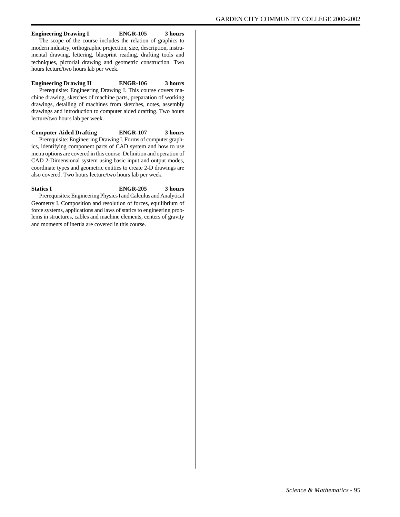#### **Engineering Drawing I ENGR-105 3 hours**

The scope of the course includes the relation of graphics to modern industry, orthographic projection, size, description, instrumental drawing, lettering, blueprint reading, drafting tools and techniques, pictorial drawing and geometric construction. Two hours lecture/two hours lab per week.

#### **Engineering Drawing II ENGR-106 3 hours**

Prerequisite: Engineering Drawing I. This course covers machine drawing, sketches of machine parts, preparation of working drawings, detailing of machines from sketches, notes, assembly drawings and introduction to computer aided drafting. Two hours lecture/two hours lab per week.

#### **Computer Aided Drafting ENGR-107 3 hours** Prerequisite: Engineering Drawing I. Forms of computer graph-

ics, identifying component parts of CAD system and how to use menu options are covered in this course. Definition and operation of CAD 2-Dimensional system using basic input and output modes, coordinate types and geometric entities to create 2-D drawings are also covered. Two hours lecture/two hours lab per week.

#### **Statics I ENGR-205 3 hours**

Prerequisites: Engineering Physics I and Calculus and Analytical Geometry I. Composition and resolution of forces, equilibrium of force systems, applications and laws of statics to engineering problems in structures, cables and machine elements, centers of gravity and moments of inertia are covered in this course.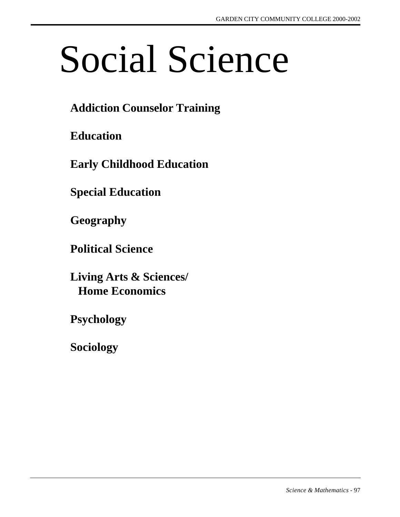# Social Science

# **Addiction Counselor Training**

**Education**

**Early Childhood Education**

**Special Education**

**Geography**

**Political Science**

**Living Arts & Sciences/ Home Economics**

**Psychology**

**Sociology**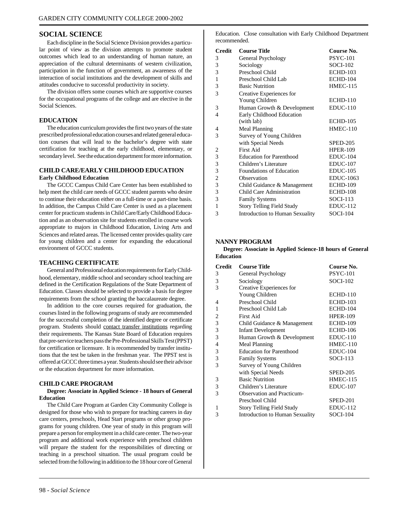#### **SOCIAL SCIENCE**

Each discipline in the Social Science Division provides a particular point of view as the division attempts to promote student outcomes which lead to an understanding of human nature, an appreciation of the cultural determinants of western civilization, participation in the function of government, an awareness of the interaction of social institutions and the development of skills and attitudes conducive to successful productivity in society.

The division offers some courses which are supportive courses for the occupational programs of the college and are elective in the Social Sciences.

#### **EDUCATION**

The education curriculum provides the first two years of the state prescribed professional education courses and related general education courses that will lead to the bachelor's degree with state certification for teaching at the early childhood, elementary, or secondary level. See the education department for more information.

#### **CHILD CARE/EARLY CHILDHOOD EDUCATION Early Childhood Education**

The GCCC Campus Child Care Center has been established to help meet the child care needs of GCCC student parents who desire to continue their education either on a full-time or a part-time basis. In addition, the Campus Child Care Center is used as a placement center for practicum students in Child Care/Early Childhood Education and as an observation site for students enrolled in course work appropriate to majors in Childhood Education, Living Arts and Sciences and related areas. The licensed center provides quality care for young children and a center for expanding the educational environment of GCCC students.

#### **TEACHING CERTIFICATE**

General and Professional education requirements for Early Childhood, elementary, middle school and secondary school teaching are defined in the Certification Regulations of the State Department of Education. Classes should be selected to provide a basis for degree requirements from the school granting the baccalaureate degree.

In addition to the core courses required for graduation, the courses listed in the following programs of study are recommended for the successful completion of the identified degree or certificate program. Students should contact transfer institutions regarding their requirements. The Kansas State Board of Education requires that pre-service teachers pass the Pre-Professional Skills Test (PPST) for certification or licensure. It is recommended by transfer institutions that the test be taken in the freshman year. The PPST test is offered at GCCC three times a year. Students should see their advisor or the education department for more information.

#### **CHILD CARE PROGRAM**

#### **Degree: Associate in Applied Science - 18 hours of General Education**

The Child Care Program at Garden City Community College is designed for those who wish to prepare for teaching careers in day care centers, preschools, Head Start programs or other group programs for young children. One year of study in this program will prepare a person for employment in a child care center. The two-year program and additional work experience with preschool children will prepare the student for the responsibilities of directing or teaching in a preschool situation. The usual program could be selected from the following in addition to the 18 hour core of General

Education. Close consultation with Early Childhood Department recommended.

| <b>Credit</b>           | <b>Course Title</b>              | Course No.       |
|-------------------------|----------------------------------|------------------|
| 3                       | General Psychology               | <b>PSYC-101</b>  |
| 3                       | Sociology                        | <b>SOCI-102</b>  |
| 3                       | Preschool Child                  | <b>ECHD-103</b>  |
| $\,1$                   | Preschool Child Lab              | <b>ECHD-104</b>  |
| 3                       | <b>Basic Nutrition</b>           | <b>HMEC-115</b>  |
| 3                       | Creative Experiences for         |                  |
|                         | Young Children                   | <b>ECHD-110</b>  |
| 3                       | Human Growth & Development       | <b>EDUC-110</b>  |
| 4                       | Early Childhood Education        |                  |
|                         | (with lab)                       | <b>ECHD-105</b>  |
| 4                       | Meal Planning                    | <b>HMEC-110</b>  |
| 3                       | Survey of Young Children         |                  |
|                         | with Special Needs               | <b>SPED-205</b>  |
| 2                       | <b>First Aid</b>                 | <b>HPER-109</b>  |
| 3                       | <b>Education for Parenthood</b>  | EDUC-104         |
| 3                       | Children's Literature            | <b>EDUC-107</b>  |
| 3                       | Foundations of Education         | $EDUC-105$       |
| $\overline{\mathbf{c}}$ | Observation                      | <b>EDUC-1063</b> |
| $\overline{\mathbf{3}}$ | Child Guidance & Management      | <b>ECHD-109</b>  |
| 3                       | <b>Child Care Administration</b> | ECHD-108         |
| 3                       | <b>Family Systems</b>            | $SOCI-113$       |
| 1                       | Story Telling Field Study        | <b>EDUC-112</b>  |
| 3                       | Introduction to Human Sexuality  | <b>SOCI-104</b>  |

#### **NANNY PROGRAM**

**Degree: Associate in Applied Science-18 hours of General Education**

| <b>Credit</b>  | <b>Course Title</b>               | Course No.      |
|----------------|-----------------------------------|-----------------|
| 3              | General Psychology                | <b>PSYC-101</b> |
| 3              | Sociology                         | <b>SOCI-102</b> |
| 3              | Creative Experiences for          |                 |
|                | Young Children                    | <b>ECHD-110</b> |
| 4              | Preschool Child                   | <b>ECHD-103</b> |
| 1              | Preschool Child Lab               | <b>ECHD-104</b> |
| 2              | First Aid                         | <b>HPER-109</b> |
| 3              | Child Guidance & Management       | <b>ECHD-109</b> |
| 3              | <b>Infant Development</b>         | <b>ECHD-106</b> |
| 3              | Human Growth & Development        | $EDUC-110$      |
| $\overline{4}$ | Meal Planning                     | $HMEC-110$      |
| 3              | <b>Education for Parenthood</b>   | EDUC-104        |
| 3              | <b>Family Systems</b>             | $SOCI-113$      |
| 3              | Survey of Young Children          |                 |
|                | with Special Needs                | <b>SPED-205</b> |
| 3              | <b>Basic Nutrition</b>            | <b>HMEC-115</b> |
| 3              | Children's Literature             | $EDUC-107$      |
| 3              | <b>Observation and Practicum-</b> |                 |
|                | Preschool Child                   | SPED-201        |
| 1              | Story Telling Field Study         | $EDUC-112$      |
| 3              | Introduction to Human Sexuality   | <b>SOCI-104</b> |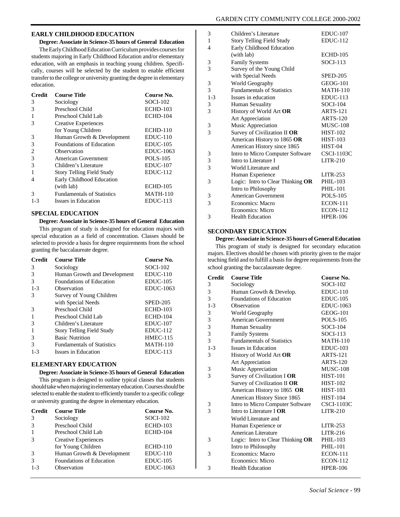#### **EARLY CHILDHOOD EDUCATION**

#### **Degree: Associate in Science-35 hours of General Education**

The Early Childhood Education Curriculum provides courses for students majoring in Early Childhood Education and/or elementary education, with an emphasis in teaching young children. Specifically, courses will be selected by the student to enable efficient transfer to the college or university granting the degree in elementary education.

| Credit  | <b>Course Title</b>               | Course No.       |
|---------|-----------------------------------|------------------|
| 3       | Sociology                         | <b>SOCI-102</b>  |
| 3       | Preschool Child                   | <b>ECHD-103</b>  |
|         | Preschool Child Lab               | <b>ECHD-104</b>  |
| 3       | Creative Experiences              |                  |
|         | for Young Children                | <b>ECHD-110</b>  |
| 3       | Human Growth & Development        | $EDUC-110$       |
| 3       | Foundations of Education          | $EDUC-105$       |
| 2       | Observation                       | <b>EDUC-1063</b> |
| 3       | American Government               | <b>POLS-105</b>  |
| 3       | Children's Literature             | $EDUC-107$       |
|         | <b>Story Telling Field Study</b>  | $EDUC-112$       |
| 4       | Early Childhood Education         |                  |
|         | (with lab)                        | <b>ECHD-105</b>  |
| 3       | <b>Fundamentals of Statistics</b> | <b>MATH-110</b>  |
| $1 - 3$ | Issues in Education               | $EDUC-113$       |

#### **SPECIAL EDUCATION**

#### **Degree: Associate in Science-35 hours of General Education**

This program of study is designed for education majors with special education as a field of concentration. Classes should be selected to provide a basis for degree requirements from the school granting the baccalaureate degree.

| <b>Credit</b> | <b>Course Title</b>               | Course No.       |
|---------------|-----------------------------------|------------------|
| 3             | Sociology                         | <b>SOCI-102</b>  |
| 3             | Human Growth and Development      | $EDUC-110$       |
| $\mathcal{R}$ | Foundations of Education          | $EDUC-105$       |
| $1 - 3$       | Observation                       | <b>EDUC-1063</b> |
| 3             | Survey of Young Children          |                  |
|               | with Special Needs                | <b>SPED-205</b>  |
| 3             | Preschool Child                   | <b>ECHD-103</b>  |
|               | Preschool Child Lab               | <b>ECHD-104</b>  |
| 3             | Children's Literature             | $EDUC-107$       |
|               | Story Telling Field Study         | $EDUC-112$       |
| 3             | <b>Basic Nutrition</b>            | <b>HMEC-115</b>  |
| 3             | <b>Fundamentals of Statistics</b> | <b>MATH-110</b>  |
| $1 - 3$       | Issues in Education               | $EDUC-113$       |

#### **ELEMENTARY EDUCATION**

#### **Degree: Associate in Science-35 hours of General Education**

This program is designed to outline typical classes that students should take when majoring in elementary education. Courses should be selected to enable the student to efficiently transfer to a specific college or university granting the degree in elementary education.

| <b>Credit</b> | <b>Course Title</b>         | Course No.       |
|---------------|-----------------------------|------------------|
| 3             | Sociology                   | <b>SOCI-102</b>  |
|               | Preschool Child             | $ECHD-103$       |
|               | Preschool Child Lab         | <b>ECHD-104</b>  |
| 3             | <b>Creative Experiences</b> |                  |
|               | for Young Children          | <b>ECHD-110</b>  |
|               | Human Growth & Development  | $EDUC-110$       |
| 3             | Foundations of Education    | $EDUC-105$       |
| $1 - 3$       | Observation                 | <b>EDUC-1063</b> |

| 3              | Children's Literature             | $EDUC-107$        |
|----------------|-----------------------------------|-------------------|
| 1              | <b>Story Telling Field Study</b>  | <b>EDUC-112</b>   |
| $\overline{4}$ | Early Childhood Education         |                   |
|                | (with lab)                        | <b>ECHD-105</b>   |
| 3              | <b>Family Systems</b>             | $SOCI-113$        |
| 3              | Survey of the Young Child         |                   |
|                | with Special Needs                | <b>SPED-205</b>   |
| 3              | World Geography                   | <b>GEOG-101</b>   |
| 3              | <b>Fundamentals of Statistics</b> | <b>MATH-110</b>   |
| $1-3$          | Issues in education               | $EDUC-113$        |
| 3              | Human Sexuality                   | <b>SOCI-104</b>   |
| 3              | History of World Art OR           | <b>ARTS-121</b>   |
|                | Art Appreciation                  | <b>ARTS-120</b>   |
| 3              | Music Appreciation                | <b>MUSC-108</b>   |
| 3              | Survey of Civilization II OR      | <b>HIST-102</b>   |
|                | American History to 1865 OR       | <b>HIST-103</b>   |
|                | American History since 1865       | HIST-04           |
| 3              | Intro to Micro Computer Software  | <b>CSCI-1103C</b> |
| 3              | Intro to Literature I             | $LITR-210$        |
| 3              | World Literature and              |                   |
|                | Human Experience                  | $LITR-253$        |
| 3              | Logic: Intro to Clear Thinking OR | <b>PHIL-103</b>   |
|                | Intro to Philosophy               | <b>PHIL-101</b>   |
| 3              | American Government               | <b>POLS-105</b>   |
| 3              | Economics: Macro                  | <b>ECON-111</b>   |
|                | Economics: Micro                  | <b>ECON-112</b>   |
| 3              | <b>Health Education</b>           | <b>HPER-106</b>   |

#### **SECONDARY EDUCATION**

**Degree: Associate in Science-35 hours of General Education** This program of study is designed for secondary education majors. Electives should be chosen with priority given to the major teaching field and to fulfill a basis for degree requirements from the school granting the baccalaureate degree.

| <b>Credit</b> | <b>Course Title</b>               | Course No.        |
|---------------|-----------------------------------|-------------------|
| 3             | Sociology                         | $SOCI-102$        |
| 3             | Human Growth & Develop.           | $EDUC-110$        |
| 3             | Foundations of Education          | $EDUC-105$        |
| $1 - 3$       | Observation                       | <b>EDUC-1063</b>  |
| 3             | World Geography                   | <b>GEOG-101</b>   |
| 3             | <b>American Government</b>        | <b>POLS-105</b>   |
| 3             | Human Sexuality                   | $SOCI-104$        |
| 3             | <b>Family Systems</b>             | $SOCI-113$        |
| 3             | <b>Fundamentals of Statistics</b> | <b>MATH-110</b>   |
| $1-3$         | Issues in Education               | $EDUC-103$        |
| 3             | History of World Art OR           | <b>ARTS-121</b>   |
|               | Art Appreciation                  | <b>ARTS-120</b>   |
| 3             | Music Appreciation                | <b>MUSC-108</b>   |
| 3             | Survey of Civilization I OR       | <b>HIST-101</b>   |
|               | Survey of Civilization II OR      | <b>HIST-102</b>   |
|               | American History to 1865 OR       | <b>HIST-103</b>   |
|               | American History Since 1865       | <b>HIST-104</b>   |
| 3             | Intro to Micro Computer Software  | <b>CSCI-1103C</b> |
| 3             | Intro to Literature I OR          | $LITR-210$        |
|               | World Literature and              |                   |
|               | Human Experience or               | $LITR-253$        |
|               | American Literature               | $LITR-216$        |
| 3             | Logic: Intro to Clear Thinking OR | <b>PHIL-103</b>   |
|               | Intro to Philosophy               | <b>PHIL-101</b>   |
| 3             | Economics: Macro                  | <b>ECON-111</b>   |
|               | Economics: Micro                  | <b>ECON-112</b>   |
| 3             | <b>Health Education</b>           | <b>HPER-106</b>   |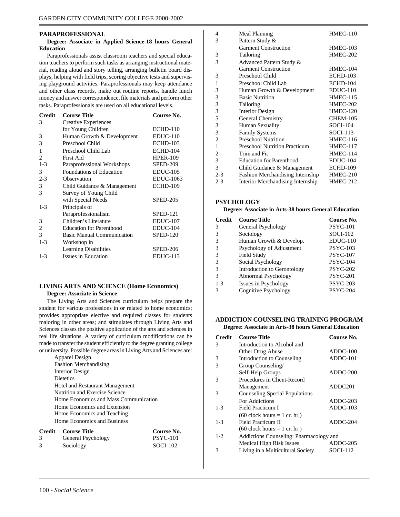#### **PARAPROFESSIONAL**

#### **Degree: Associate in Applied Science-18 hours General Education**

Paraprofessionals assist classroom teachers and special education teachers to perform such tasks as arranging instructional material, reading aloud and story telling, arranging bulletin board displays, helping with field trips, scoring objective tests and supervising playground activities. Paraprofessionals may keep attendance and other class records, make out routine reports, handle lunch money and answer correspondence, file materials and perform other tasks. Paraprofessionals are used on all educational levels.

| <b>Credit</b> | <b>Course Title</b>               | Course No.       |
|---------------|-----------------------------------|------------------|
| 3             | Creative Experiences              |                  |
|               | for Young Children                | <b>ECHD-110</b>  |
| 3             | Human Growth & Development        | $EDUC-110$       |
| 3             | Preschool Child                   | <b>ECHD-103</b>  |
| 1             | Preschool Child Lab               | <b>ECHD-104</b>  |
| 2             | First Aid                         | <b>HPER-109</b>  |
| $1 - 3$       | Paraprofessional Workshops        | <b>SPED-209</b>  |
| 3             | Foundations of Education          | $EDUC-105$       |
| $2 - 3$       | Observation                       | <b>EDUC-1063</b> |
| 3             | Child Guidance & Management       | <b>ECHD-109</b>  |
| 3             | Survey of Young Child             |                  |
|               | with Special Needs                | <b>SPED-205</b>  |
| $1-3$         | Principals of                     |                  |
|               | Paraprofessionalism               | <b>SPED-121</b>  |
| 3             | Children's Literature             | <b>EDUC-107</b>  |
| 2             | <b>Education for Parenthood</b>   | $EDUC-104$       |
| 3             | <b>Basic Manual Communication</b> | <b>SPED-120</b>  |
| $1 - 3$       | Workshop in                       |                  |
|               | <b>Learning Disabilities</b>      | SPED-206         |
| $1 - 3$       | Issues in Education               | $EDUC-113$       |

# **LIVING ARTS AND SCIENCE (Home Economics)**

### **Degree: Associate in Science**

The Living Arts and Sciences curriculum helps prepare the student for various professions in or related to home economics; provides appropriate elective and required classes for students majoring in other areas; and stimulates through Living Arts and Sciences classes the positive application of the arts and sciences in real life situations. A variety of curriculum modifications can be made to transfer the student efficiently to the degree granting college or university. Possible degree areas in Living Arts and Sciences are:

| - Course Title<br>Credit               | Course No. |
|----------------------------------------|------------|
| Home Economics and Business            |            |
| Home Economics and Teaching            |            |
| Home Economics and Extension           |            |
| Home Economics and Mass Communication  |            |
| Nutrition and Exercise Science         |            |
| <b>Hotel and Restaurant Management</b> |            |
| <b>Dietetics</b>                       |            |
| Interior Design                        |            |
| <b>Fashion Merchandising</b>           |            |
| <b>Apparel Design</b>                  |            |

| General Psychology | $PSYC-101$ |
|--------------------|------------|
| Sociology          | SOCI-102   |

| 4              | Meal Planning                        | $HMEC-110$      |
|----------------|--------------------------------------|-----------------|
| 3              | Pattern Study &                      |                 |
|                | <b>Garment Construction</b>          | <b>HMEC-103</b> |
| 3              | Tailoring                            | <b>HMEC-202</b> |
| 3              | Advanced Pattern Study &             |                 |
|                | <b>Garment Construction</b>          | HMEC-104        |
| 3              | Preschool Child                      | <b>ECHD-103</b> |
| 1              | Preschool Child Lab                  | <b>ECHD-104</b> |
| 3              | Human Growth & Development           | $EDUC-110$      |
| 3              | <b>Basic Nutrition</b>               | HMEC-115        |
| 3              | Tailoring                            | <b>HMEC-202</b> |
| 3              | <b>Interior Design</b>               | <b>HMEC-120</b> |
| 5              | General Chemistry                    | <b>CHEM-105</b> |
| 3              | Human Sexuality                      | $SOCI-104$      |
| 3              | <b>Family Systems</b>                | $SOCI-113$      |
| $\overline{2}$ | <b>Preschool Nutrition</b>           | <b>HMEC-116</b> |
| 1              | <b>Preschool Nutrition Practicum</b> | <b>HMEC-117</b> |
| 2              | Trim and Fit                         | <b>HMEC-114</b> |
| 3              | <b>Education for Parenthood</b>      | $EDUC-104$      |
| 3              | Child Guidance & Management          | <b>ECHD-109</b> |
| $2 - 3$        | Fashion Merchandising Internship     | HMEC-210        |
| $2 - 3$        | Interior Merchandising Internship    | HMEC-212        |
|                |                                      |                 |

### **PSYCHOLOGY**

#### **Degree: Associate in Arts-38 hours General Education**

| <b>Credit</b> | <b>Course Title</b>         | Course No.      |
|---------------|-----------------------------|-----------------|
| 3             | General Psychology          | <b>PSYC-101</b> |
| 3             | Sociology                   | $SOCI-102$      |
| 3             | Human Growth & Develop.     | $EDUC-110$      |
| 3             | Psychology of Adjustment    | <b>PSYC-103</b> |
| 3             | Field Study                 | <b>PSYC-107</b> |
| 3             | Social Psychology           | <b>PSYC-104</b> |
| 3             | Introduction to Gerontology | <b>PSYC-202</b> |
| 3             | Abnormal Psychology         | <b>PSYC-201</b> |
| $1 - 3$       | Issues in Psychology        | $PSYC-203$      |
| 3             | <b>Cognitive Psychology</b> | <b>PSYC-204</b> |

#### **ADDICTION COUNSELING TRAINING PROGRAM Degree: Associate in Arts-38 hours General Education**

| <b>Credit</b> | <b>Course Title</b>                     | Course No.          |
|---------------|-----------------------------------------|---------------------|
| 3             | Introduction to Alcohol and             |                     |
|               | Other Drug Abuse                        | $ADDC-100$          |
| 3             | Introduction to Counseling              | $ADDC-101$          |
| 3             | Group Counseling/                       |                     |
|               | Self-Help Groups                        | $ADDC-200$          |
| 3             | Procedures in Client-Record             |                     |
|               | Management                              | ADDC <sub>201</sub> |
| 3             | <b>Counseling Special Populations</b>   |                     |
|               | For Addictions                          | $ADDC-203$          |
| $1 - 3$       | Field Practicum I                       | $ADDC-103$          |
|               | $(60$ clock hours = 1 cr. hr.)          |                     |
| $1 - 3$       | Field Practicum II                      | $ADDC-204$          |
|               | $(60$ clock hours = 1 cr. hr.)          |                     |
| $1-2$         | Addictions Counseling: Pharmacology and |                     |
|               | Medical High Risk Issues                | $ADDC-205$          |
| 3             | Living in a Multicultural Society       | SOCI-112            |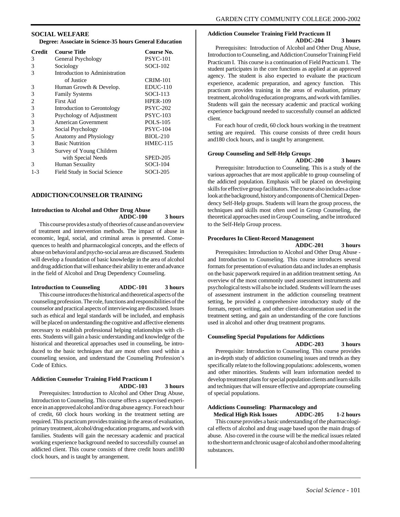#### **SOCIAL WELFARE**

**Degree: Associate in Science-35 hours General Education**

| <b>Credit</b> | <b>Course Title</b>            | Course No.      |
|---------------|--------------------------------|-----------------|
| 3             | General Psychology             | <b>PSYC-101</b> |
| 3             | Sociology                      | $SOCI-102$      |
| 3             | Introduction to Administration |                 |
|               | of Justice                     | <b>CRIM-101</b> |
| 3             | Human Growth & Develop.        | $EDUC-110$      |
| 3             | <b>Family Systems</b>          | $SOCI-113$      |
| 2             | First Aid                      | <b>HPER-109</b> |
| 3             | Introduction to Gerontology    | <b>PSYC-202</b> |
| 3             | Psychology of Adjustment       | <b>PSYC-103</b> |
| 3             | American Government            | POLS-105        |
| 3             | Social Psychology              | <b>PSYC-104</b> |
| 5             | Anatomy and Physiology         | <b>BIOL-210</b> |
| 3             | <b>Basic Nutrition</b>         | <b>HMEC-115</b> |
| 3             | Survey of Young Children       |                 |
|               | with Special Needs             | <b>SPED-205</b> |
| 3             | Human Sexuality                | <b>SOCI-104</b> |
| $1 - 3$       | Field Study in Social Science  | SOCI-205        |

#### **ADDICTION/COUNSELOR TRAINING**

#### **Introduction to Alcohol and Other Drug Abuse ADDC-100 3 hours**

This course provides a study of theories of cause and an overview of treatment and intervention methods. The impact of abuse in economic, legal, social, and criminal areas is presented. Consequences to health and pharmacological concepts, and the effects of abuse on behavioral and psycho-social areas are discussed. Students will develop a foundation of basic knowledge in the area of alcohol and drug addiction that will enhance their ability to enter and advance in the field of Alcohol and Drug Dependency Counseling.

**Introduction to Counseling ADDC-101 3 hours**

This course introduces the historical and theoretical aspects of the counseling profession. The role, functions and responsibilities of the counselor and practical aspects of interviewing are discussed. Issues such as ethical and legal standards will be included, and emphasis will be placed on understanding the cognitive and affective elements necessary to establish professional helping relationships with clients. Students will gain a basic understanding and knowledge of the historical and theoretical approaches used in counseling, be introduced to the basic techniques that are most often used within a counseling session, and understand the Counseling Profession's Code of Ethics.

#### **Addiction Counselor Training Field Practicum I ADDC-103 3 hours**

Prerequisites: Introduction to Alcohol and Other Drug Abuse, Introduction to Counseling. This course offers a supervised experience in an approved alcohol and/or drug abuse agency. For each hour of credit, 60 clock hours working in the treatment setting are required. This practicum provides training in the areas of evaluation, primary treatment, alcohol/drug education programs, and work with families. Students will gain the necessary academic and practical working experience background needed to successfully counsel an addicted client. This course consists of three credit hours and180 clock hours, and is taught by arrangement.

## **Addiction Counselor Training Field Practicum II**

**ADDC-204 3 hours**

Prerequisites: Introduction of Alcohol and Other Drug Abuse, Introduction to Counseling, and Addiction Counselor Training Field Practicum I. This course is a continuation of Field Practicum I. The student participates in the core functions as applied at an approved agency. The student is also expected to evaluate the practicum experience, academic preparation, and agency function. This practicum provides training in the areas of evaluation, primary treatment, alcohol/drug education programs, and work with families. Students will gain the necessary academic and practical working experience background needed to successfully counsel an addicted client.

For each hour of credit, 60 clock hours working in the treatment setting are required. This course consists of three credit hours and180 clock hours, and is taught by arrangement.

#### **Group Counseling and Self-Help Groups**

**ADDC-200 3 hours**

Prerequisite: Introduction to Counseling. This is a study of the various approaches that are most applicable to group counseling of the addicted population. Emphasis will be placed on developing skills for effective group facilitators. The course also includes a close look at the background, history and components of Chemical Dependency Self-Help groups. Students will learn the group process, the techniques and skills most often used in Group Counseling, the theoretical approaches used in Group Counseling, and be introduced to the Self-Help Group process.

#### **Procedures In Client-Record Management**

**ADDC-201 3 hours**

Prerequisites: Introduction to Alcohol and Other Drug Abuse and Introduction to Counseling. This course introduces several formats for presentation of evaluation data and includes an emphasis on the basic paperwork required in an addition treatment setting. An overview of the most commonly used assessment instruments and psychological tests will also be included. Students will learn the uses of assessment instrument in the addiction counseling treatment setting, be provided a comprehensive introductory study of the formats, report writing, and other client-documentation used in the treatment setting, and gain an understanding of the core functions used in alcohol and other drug treatment programs.

#### **Counseling Special Populations for Addictions ADDC-203 3 hours**

Prerequisite: Introduction to Counseling. This course provides an in-depth study of addiction counseling issues and trends as they specifically relate to the following populations: adolescents, women and other minorities. Students will learn information needed to develop treatment plans for special population clients and learn skills and techniques that will ensure effective and appropriate counseling of special populations.

## **Addictions Counseling: Pharmacology and**

 **Medical High Risk Issues ADDC-205 1-2 hours** This course provides a basic understanding of the pharmacological effects of alcohol and drug usage based upon the main drugs of abuse. Also covered in the course will be the medical issues related to the short term and chronic usage of alcohol and other mood altering substances.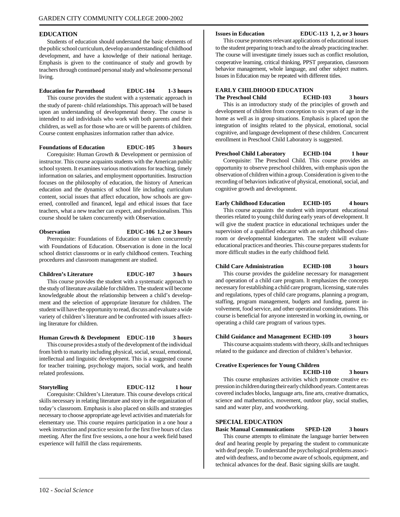#### **EDUCATION**

Students of education should understand the basic elements of the public school curriculum, develop an understanding of childhood development, and have a knowledge of their national heritage. Emphasis is given to the continuance of study and growth by teachers through continued personal study and wholesome personal living.

#### **Education for Parenthood EDUC-104 1-3 hours**

This course provides the student with a systematic approach in the study of parent- child relationships. This approach will be based upon an understanding of developmental theory. The course is intended to aid individuals who work with both parents and their children, as well as for those who are or will be parents of children. Course content emphasizes information rather than advice.

#### **Foundations of Education EDUC-105 3 hours**

Corequisite: Human Growth & Development or permission of instructor. This course acquaints students with the American public school system. It examines various motivations for teaching, timely information on salaries, and employment opportunities. Instruction focuses on the philosophy of education, the history of American education and the dynamics of school life including curriculum content, social issues that affect education, how schools are governed, controlled and financed, legal and ethical issues that face teachers, what a new teacher can expect, and professionalism. This course should be taken concurrently with Observation.

#### **Observation EDUC-106 1,2 or 3 hours**

Prerequisite: Foundations of Education or taken concurrently with Foundations of Education. Observation is done in the local school district classrooms or in early childhood centers. Teaching procedures and classroom management are studied.

#### **Children's Literature EDUC-107 3 hours**

This course provides the student with a systematic approach to the study of literature available for children. The student will become knowledgeable about the relationship between a child's development and the selection of appropriate literature for children. The student will have the opportunity to read, discuss and evaluate a wide variety of children's literature and be confronted with issues affecting literature for children.

#### **Human Growth & Development EDUC-110 3 hours**

This course provides a study of the development of the individual from birth to maturity including physical, social, sexual, emotional, intellectual and linguistic development. This is a suggested course for teacher training, psychology majors, social work, and health related professions.

#### **Storytelling EDUC-112 1 hour**

Corequisite: Children's Literature. This course develops critical skills necessary in relating literature and story in the organization of today's classroom. Emphasis is also placed on skills and strategies necessary to choose appropriate age level activities and materials for elementary use. This course requires participation in a one hour a week instruction and practice session for the first five hours of class meeting. After the first five sessions, a one hour a week field based experience will fulfill the class requirements.

**Issues in Education EDUC-113 1, 2, or 3 hours**

This course promotes relevant applications of educational issues to the student preparing to teach and to the already practicing teacher. The course will investigate timely issues such as conflict resolution, cooperative learning, critical thinking, PPST preparation, classroom behavior management, whole language, and other subject matters. Issues in Education may be repeated with different titles.

#### **EARLY CHILDHOOD EDUCATION**

**The Preschool Child ECHD-103 3 hours** This is an introductory study of the principles of growth and development of children from conception to six years of age in the home as well as in group situations. Emphasis is placed upon the integration of insights related to the physical, emotional, social cognitive, and language development of these children. Concurrent enrollment in Preschool Child Laboratory is suggested.

## **Preschool Child Laboratory ECHD-104 1 hour** Corequisite: The Preschool Child. This course provides an

opportunity to observe preschool children, with emphasis upon the observation of children within a group. Consideration is given to the recording of behaviors indicative of physical, emotional, social, and cognitive growth and development.

### **Early Childhood Education ECHD-105 4 hours**

This course acquaints the student with important educational theories related to young child during early years of development. It will give the student practice in educational techniques under the supervision of a qualified educator with an early childhood classroom or developmental kindergarten. The student will evaluate educational practices and theories. This course prepares students for more difficult studies in the early childhood field.

#### **Child Care Administration ECHD-108 3 hours**

This course provides the guideline necessary for management and operation of a child care program. It emphasizes the concepts necessary for establishing a child care program, licensing, state rules and regulations, types of child care programs, planning a program, staffing, program management, budgets and funding, parent involvement, food service, and other operational considerations. This course is beneficial for anyone interested in working in, owning, or operating a child care program of various types.

#### **Child Guidance and Management ECHD-109 3 hours**

This course acquaints students with theory, skills and techniques related to the guidance and direction of children's behavior.

#### **Creative Experiences for Young Children**

#### **ECHD-110 3 hours**

This course emphasizes activities which promote creative expression in children during their early childhood years. Content areas covered includes blocks, language arts, fine arts, creative dramatics, science and mathematics, movement, outdoor play, social studies, sand and water play, and woodworking.

#### **SPECIAL EDUCATION**

#### **Basic Manual Communications SPED-120 3 hours**

This course attempts to eliminate the language barrier between deaf and hearing people by preparing the student to communicate with deaf people. To understand the psychological problems associated with deafness, and to become aware of schools, equipment, and technical advances for the deaf. Basic signing skills are taught.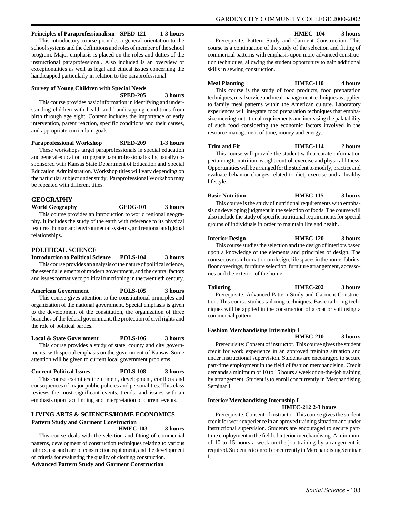GARDEN CITY COMMUNITY COLLEGE 2000-2002

## **Principles of Paraprofessionalism SPED-121 1-3 hours**

This introductory course provides a general orientation to the school systems and the definitions and roles of member of the school program. Major emphasis is placed on the roles and duties of the instructional paraprofessional. Also included is an overview of exceptionalities as well as legal and ethical issues concerning the handicapped particularly in relation to the paraprofessional.

## **Survey of Young Children with Special Needs**

**SPED-205 3 hours**

This course provides basic information in identifying and understanding children with health and handicapping conditions from birth through age eight. Content includes the importance of early intervention, parent reaction, specific conditions and their causes, and appropriate curriculum goals.

**Paraprofessional Workshop SPED-209 1-3 hours**

These workshops target paraprofessionals in special education and general education to upgrade paraprofessional skills, usually cosponsored with Kansas State Department of Education and Special Education Administration. Workshop titles will vary depending on the particular subject under study. Paraprofessional Workshop may be repeated with different titles.

## **GEOGRAPHY**

**World Geography GEOG-101 3 hours**

This course provides an introduction to world regional geography. It includes the study of the earth with reference to its physical features, human and environmental systems, and regional and global relationships.

#### **POLITICAL SCIENCE**

**Introduction to Political Science POLS-104 3 hours** This course provides an analysis of the nature of political science, the essential elements of modern government, and the central factors and issues formative to political functioning in the twentieth century.

**American Government POLS-105 3 hours**

This course gives attention to the constitutional principles and organization of the national government. Special emphasis is given to the development of the constitution, the organization of three branches of the federal government, the protection of civil rights and the role of political parties.

#### **Local & State Government POLS-106 3 hours**

This course provides a study of state, county and city governments, with special emphasis on the government of Kansas. Some attention will be given to current local government problems.

#### **Current Political Issues POLS-108 3 hours**

This course examines the content, development, conflicts and consequences of major public policies and personalities. This class reviews the most significant events, trends, and issues with an emphasis upon fact finding and interpretation of current events.

#### **LIVING ARTS & SCIENCES/HOME ECONOMICS Pattern Study and Garment Construction**

#### **HMEC-103 3 hours**

This course deals with the selection and fitting of commercial patterns, development of construction techniques relating to various fabrics, use and care of construction equipment, and the development of criteria for evaluating the quality of clothing construction. **Advanced Pattern Study and Garment Construction**

**HMEC -104 3 hours**

Prerequisite: Pattern Study and Garment Construction. This course is a continuation of the study of the selection and fitting of commercial patterns with emphasis upon more advanced construction techniques, allowing the student opportunity to gain additional skills in sewing construction.

#### **Meal Planning HMEC-110 4 hours**

This course is the study of food products, food preparation techniques, meal service and meal management techniques as applied to family meal patterns within the American culture. Laboratory experiences will integrate food preparation techniques that emphasize meeting nutritional requirements and increasing the palatability of such food considering the economic factors involved in the resource management of time, money and energy.

#### **Trim and Fit HMEC-114 2 hours**

This course will provide the student with accurate information pertaining to nutrition, weight control, exercise and physical fitness. Opportunities will be arranged for the student to modify, practice and evaluate behavior changes related to diet, exercise and a healthy lifestyle.

## **Basic Nutrition HMEC-115 3 hours** This course is the study of nutritional requirements with empha-

sis on developing judgment in the selection of foods. The course will also include the study of specific nutritional requirements for special groups of individuals in order to maintain life and health.

#### **Interior Design HMEC-120 3 hours**

This course studies the selection and the design of interiors based upon a knowledge of the elements and principles of design. The course covers information on design, life spaces in the home, fabrics, floor coverings, furniture selection, furniture arrangement, accessories and the exterior of the home.

#### **Tailoring HMEC-202 3 hours**

Prerequisite: Advanced Pattern Study and Garment Construction. This course studies tailoring techniques. Basic tailoring techniques will be applied in the construction of a coat or suit using a commercial pattern.

#### **Fashion Merchandising Internship I**

**HMEC-210 3 hours**

Prerequisite: Consent of instructor. This course gives the student credit for work experience in an approved training situation and under instructional supervision. Students are encouraged to secure part-time employment in the field of fashion merchandising. Credit demands a minimum of 10 to 15 hours a week of on-the-job training by arrangement. Student is to enroll concurrently in Merchandising Seminar I.

### **Interior Merchandising Internship I**

**HMEC-212 2-3 hours**

Prerequisite: Consent of instructor. This course gives the student credit for work experience in an aproved training situation and under instructional supervision. Students are encouraged to secure parttime employment in the field of interior merchandising. A minimum of 10 to 15 hours a week on-the-job training by arrangement is required. Student is to enroll concurrently in Merchandising Seminar I.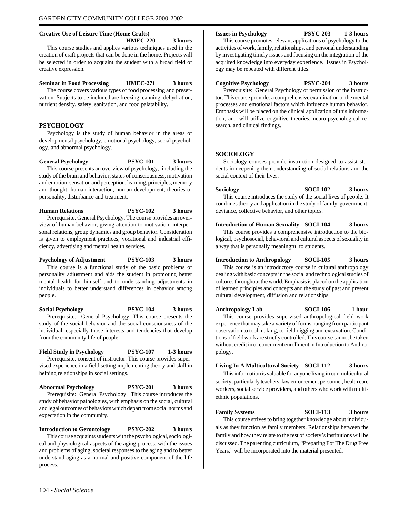#### **Creative Use of Leisure Time (Home Crafts)**

**HMEC-220 3 hours**

This course studies and applies various techniques used in the creation of craft projects that can be done in the home. Projects will be selected in order to acquaint the student with a broad field of creative expression.

#### **Seminar in Food Processing HMEC-271 3 hours**

The course covers various types of food processing and preservation. Subjects to be included are freezing, canning, dehydration, nutrient density, safety, sanitation, and food palatability.

#### **PSYCHOLOGY**

Psychology is the study of human behavior in the areas of developmental psychology, emotional psychology, social psychology, and abnormal psychology.

**General Psychology PSYC-101 3 hours**

This course presents an overview of psychology, including the study of the brain and behavior, states of consciousness, motivation and emotion, sensation and perception, learning, principles, memory and thought, human interaction, human development, theories of personality, disturbance and treatment.

**Human Relations PSYC-102 3 hours** Prerequisite: General Psychology. The course provides an overview of human behavior, giving attention to motivation, interpersonal relations, group dynamics and group behavior. Consideration is given to employment practices, vocational and industrial efficiency, advertising and mental health services.

**Psychology of Adjustment PSYC-103 3 hours** This course is a functional study of the basic problems of personality adjustment and aids the student in promoting better mental health for himself and to understanding adjustments in individuals to better understand differences in behavior among people.

**Social Psychology PSYC-104 3 hours** Prerequisite: General Psychology. This course presents the study of the social behavior and the social consciousness of the individual, especially those interests and tendencies that develop from the community life of people.

**Field Study in Psychology PSYC-107 1-3 hours** Prerequisite: consent of instructor. This course provides supervised experience in a field setting implementing theory and skill in helping relationships in social settings.

**Abnormal Psychology PSYC-201 3 hours** Prerequisite: General Psychology. This course introduces the study of behavior pathologies, with emphasis on the social, cultural and legal outcomes of behaviors which depart from social norms and expectation in the community.

**Introduction to Gerontology PSYC-202 3 hours** This course acquaints students with the psychological, sociological and physiological aspects of the aging process, with the issues and problems of aging, societal responses to the aging and to better understand aging as a normal and positive component of the life process.

#### **Issues in Psychology PSYC-203 1-3 hours**

This course promotes relevant applications of psychology to the activities of work, family, relationships, and personal understanding by investigating timely issues and focusing on the integration of the acquired knowledge into everyday experience. Issues in Psychology may be repeated with different titles.

**Cognitive Psychology PSYC-204 3 hours**

Prerequisite: General Psychology or permission of the instructor. This course provides a comprehensive examination of the mental processes and emotional factors which influence human behavior. Emphasis will be placed on the clinical application of this information, and will utilize cognitive theories, neuro-psychological research, and clinical findings.

#### **SOCIOLOGY**

Sociology courses provide instruction designed to assist students in deepening their understanding of social relations and the social context of their lives.

**Sociology SOCI-102 3 hours** This course introduces the study of the social lives of people. It combines theory and application in the study of family, government, deviance, collective behavior, and other topics.

#### **Introduction of Human Sexuality SOCI-104 3 hours**

This course provides a comprehensive introduction to the biological, psychosocial, behavioral and cultural aspects of sexuality in a way that is personally meaningful to students.

#### **Introduction to Anthropology SOCI-105 3 hours**

This course is an introductory course in cultural anthropology dealing with basic concepts in the social and technological studies of cultures throughout the world. Emphasis is placed on the application of learned principles and concepts and the study of past and present cultural development, diffusion and relationships.

**Anthropology Lab SOCI-106 1 hour** This course provides supervised anthropological field work experience that may take a variety of forms, ranging from participant observation to tool making, to field digging and excavation. Conditions of field work are strictly controlled. This course cannot be taken without credit in or concurrent enrollment in Introduction to Anthropology.

#### **Living In A Multicultural Society SOCI-112 3 hours**

This information is valuable for anyone living in our multicultural society, particularly teachers, law enforcement personnel, health care workers, social service providers, and others who work with multiethnic populations.

**Family Systems SOCI-113 3 hours**

This course strives to bring together knowledge about individuals as they function as family members. Relationships between the family and how they relate to the rest of society's institutions will be discussed. The parenting curriculum, "Preparing For The Drug Free Years," will be incorporated into the material presented.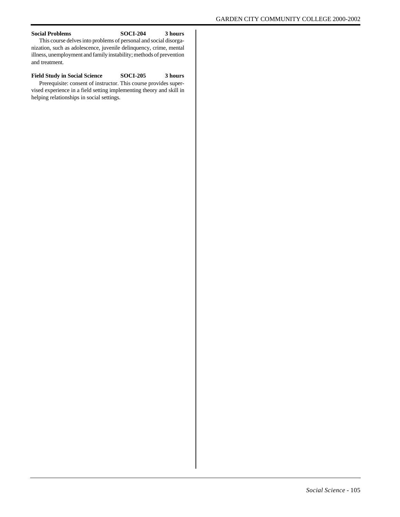#### **Social Problems SOCI-204 3 hours**

This course delves into problems of personal and social disorganization, such as adolescence, juvenile delinquency, crime, mental illness, unemployment and family instability; methods of prevention and treatment.

#### **Field Study in Social Science SOCI-205 3 hours** Prerequisite: consent of instructor. This course provides supervised experience in a field setting implementing theory and skill in helping relationships in social settings.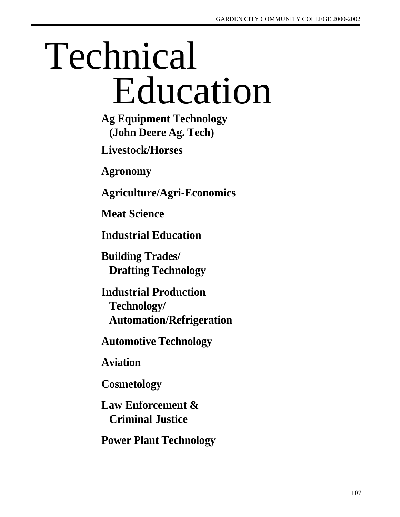# Education Technical

**Ag Equipment Technology (John Deere Ag. Tech)**

**Livestock/Horses**

**Agronomy**

**Agriculture/Agri-Economics**

**Meat Science**

**Industrial Education**

**Building Trades/ Drafting Technology**

**Industrial Production Technology/ Automation/Refrigeration**

**Automotive Technology**

**Aviation**

**Cosmetology**

**Law Enforcement & Criminal Justice**

**Power Plant Technology**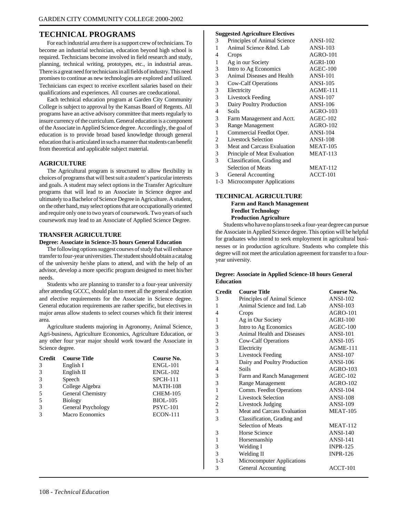### **TECHNICAL PROGRAMS**

For each industrial area there is a support crew of technicians. To become an industrial technician, education beyond high school is required. Technicians become involved in field research and study, planning, technical writing, prototypes, etc., in industrial areas. There is a great need for technicians in all fields of industry. This need promises to continue as new technologies are explored and utilized. Technicians can expect to receive excellent salaries based on their qualifications and experiences. All courses are coeducational.

Each technical education program at Garden City Community College is subject to approval by the Kansas Board of Regents. All programs have an active advisory committee that meets regularly to insure currency of the curriculum. General education is a component of the Associate in Applied Science degree. Accordingly, the goal of education is to provide broad based knowledge through general education that is articulated in such a manner that students can benefit from theoretical and applicable subject material.

#### **AGRICULTURE**

The Agricultural program is structured to allow flexibility in choices of programs that will best suit a student's particular interests and goals. A student may select options in the Transfer Agriculture programs that will lead to an Associate in Science degree and ultimately to a Bachelor of Science Degree in Agriculture. A student, on the other hand, may select options that are occupationally oriented and require only one to two years of coursework. Two years of such coursework may lead to an Associate of Applied Science Degree.

#### **TRANSFER AGRICULTURE**

#### **Degree: Associate in Science-35 hours General Education**

The following options suggest courses of study that will enhance transfer to four-year universities. The student should obtain a catalog of the university he/she plans to attend, and with the help of an advisor, develop a more specific program designed to meet his/her needs.

Students who are planning to transfer to a four-year university after attending GCCC, should plan to meet all the general education and elective requirements for the Associate in Science degree. General education requirements are rather specific, but electives in major areas allow students to select courses which fit their interest area.

Agriculture students majoring in Agronomy, Animal Science, Agri-business, Agriculture Economics, Agriculture Education, or any other four year major should work toward the Associate in Science degree.

| <b>Credit</b> | <b>Course Title</b>    | Course No.      |
|---------------|------------------------|-----------------|
| 3             | English I              | <b>ENGL-101</b> |
| $\mathcal{R}$ | English II             | <b>ENGL-102</b> |
| 3             | Speech                 | <b>SPCH-111</b> |
| $\mathcal{R}$ | College Algebra        | <b>MATH-108</b> |
| .5            | General Chemistry      | <b>CHEM-105</b> |
| .5            | <b>Biology</b>         | <b>BIOL-105</b> |
| 3             | General Psychology     | <b>PSYC-101</b> |
| 3             | <b>Macro Economics</b> | <b>ECON-111</b> |

#### **Suggested Agriculture Electives**

|                | buggesieu Agriculture Electrics |                 |
|----------------|---------------------------------|-----------------|
| 3              | Principles of Animal Science    | <b>ANSI-102</b> |
| 1              | Animal Science & Ind. Lab       | <b>ANSI-103</b> |
| 4              | Crops                           | <b>AGRO-101</b> |
| 1              | Ag in our Society               | $AGRI-100$      |
| 3              | Intro to Ag Economics           | $AGEC-100$      |
| 3              | Animal Diseases and Health      | <b>ANSI-101</b> |
| 3              | Cow-Calf Operations             | <b>ANSI-105</b> |
| 3              | Electricity                     | $AGME-111$      |
| 3              | <b>Livestock Feeding</b>        | <b>ANSI-107</b> |
| 3              | Dairy Poultry Production        | <b>ANSI-106</b> |
| $\overline{4}$ | Soils                           | AGRO-103        |
| 3              | Farm Management and Acct.       | <b>AGEC-102</b> |
| 3              | Range Management                | <b>AGRO-102</b> |
| 1              | Commercial Feedlot Oper.        | $ANSI-104$      |
| $\overline{2}$ | <b>Livestock Selection</b>      | <b>ANSI-108</b> |
| 3              | Meat and Carcass Evaluation     | <b>MEAT-105</b> |
| 3              | Principle of Meat Evaluation    | <b>MEAT-113</b> |
| 3              | Classification, Grading and     |                 |
|                | <b>Selection of Meats</b>       | <b>MEAT-112</b> |
| 3              | General Accounting              | ACCT-101        |
| $1-3$          | Microcomputer Applications      |                 |

#### **TECHNICAL AGRICULTURE Farm and Ranch Management Feedlot Technology**

## **Production Agriculture**

Students who have no plans to seek a four-year degree can pursue the Associate in Applied Science degree. This option will be helpful for graduates who intend to seek employment in agricultural businesses or in production agriculture. Students who complete this degree will not meet the articulation agreement for transfer to a fouryear university.

#### **Degree: Associate in Applied Science-18 hours General Education**

| <b>Credit</b>  | <b>Course Title</b>          | Course No.      |
|----------------|------------------------------|-----------------|
| 3              | Principles of Animal Science | $ANSI-102$      |
| 1              | Animal Science and Ind. Lab  | $ANSI-103$      |
| 4              | Crops                        | $AGRO-101$      |
| 1              | Ag in Our Society            | <b>AGRI-100</b> |
| 3              | Intro to Ag Economics        | $AGEC-100$      |
| 3              | Animal Health and Diseases   | <b>ANSI-101</b> |
| 3              | Cow-Calf Operations          | <b>ANSI-105</b> |
| 3              | Electricity                  | $AGME-111$      |
| 3              | <b>Livestock Feeding</b>     | <b>ANSI-107</b> |
| 3              | Dairy and Poultry Production | <b>ANSI-106</b> |
| $\overline{4}$ | Soils                        | $AGRO-103$      |
| 3              | Farm and Ranch Management    | $AGEC-102$      |
| 3              | Range Management             | <b>AGRO-102</b> |
| $\mathbf{1}$   | Comm. Feedlot Operations     | <b>ANSI-104</b> |
| $\overline{c}$ | <b>Livestock Selection</b>   | <b>ANSI-108</b> |
| $\overline{c}$ | Livestock Judging            | <b>ANSI-109</b> |
| 3              | Meat and Carcass Evaluation  | <b>MEAT-105</b> |
| 3              | Classification, Grading and  |                 |
|                | <b>Selection of Meats</b>    | <b>MEAT-112</b> |
| 3              | Horse Science                | $ANSI-140$      |
| $\mathbf{1}$   | Horsemanship                 | <b>ANSI-141</b> |
| 3              | Welding I                    | <b>INPR-125</b> |
| 3              | Welding II                   | <b>INPR-126</b> |
| $1-3$          | Microcomputer Applications   |                 |
| 3              | <b>General Accounting</b>    | $ACCT-101$      |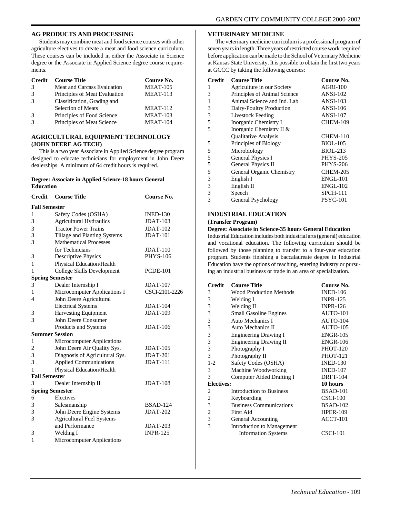#### **AG PRODUCTS AND PROCESSING**

Students may combine meat and food science courses with other agriculture electives to create a meat and food science curriculum. These courses can be included in either the Associate in Science degree or the Associate in Applied Science degree course requirements.

| <b>Credit</b> | <b>Course Title</b>           | Course No.      |
|---------------|-------------------------------|-----------------|
| $\mathcal{R}$ | Meat and Carcass Evaluation   | <b>MEAT-105</b> |
| 3             | Principles of Meat Evaluation | <b>MEAT-113</b> |
|               | Classification, Grading and   |                 |
|               | <b>Selection of Meats</b>     | <b>MEAT-112</b> |
| $\mathcal{R}$ | Principles of Food Science    | <b>MEAT-103</b> |
|               | Principles of Meat Science    | <b>MEAT-104</b> |

#### **AGRICULTURAL EQUIPMENT TECHNOLOGY (JOHN DEERE AG TECH)**

This is a two year Associate in Applied Science degree program designed to educate technicians for employment in John Deere dealerships. A minimum of 64 credit hours is required.

#### **Degree: Associate in Applied Science-18 hours General Education**

| <b>Credit</b>        | <b>Course Title</b>              | Course No.      |
|----------------------|----------------------------------|-----------------|
| <b>Fall Semester</b> |                                  |                 |
| 1                    | Safety Codes (OSHA)              | <b>INED-130</b> |
| 3                    | <b>Agricultural Hydraulics</b>   | <b>JDAT-103</b> |
| 3                    | <b>Tractor Power Trains</b>      | $JDATA-102$     |
| 3                    | Tillage and Planting Systems     | <b>JDAT-101</b> |
| 3                    | <b>Mathematical Processes</b>    |                 |
|                      | for Technicians                  | $JDAT-110$      |
| 3                    | <b>Descriptive Physics</b>       | <b>PHYS-106</b> |
| 1                    | Physical Education/Health        |                 |
| 1                    | College Skills Development       | <b>PCDE-101</b> |
|                      | <b>Spring Semester</b>           |                 |
| 3                    | Dealer Internship I              | <b>JDAT-107</b> |
| 1                    | Microcomputer Applications I     | CSCI-2101-2226  |
| $\overline{4}$       | John Deere Agricultural          |                 |
|                      | <b>Electrical Systems</b>        | <b>JDAT-104</b> |
| 3                    | <b>Harvesting Equipment</b>      | <b>JDAT-109</b> |
| 3                    | John Deere Consumer              |                 |
|                      | Products and Systems             | $JDAT-106$      |
|                      | <b>Summer Session</b>            |                 |
| 1                    | Microcomputer Applications       |                 |
| $\overline{c}$       | John Deere Air Quality Sys.      | $JDAT-105$      |
| 3                    | Diagnosis of Agricultural Sys.   | <b>JDAT-201</b> |
| 3                    | <b>Applied Communications</b>    | $JDATA-111$     |
| 1                    | Physical Education/Health        |                 |
| <b>Fall Semester</b> |                                  |                 |
| 3                    | Dealer Internship II             | <b>JDAT-108</b> |
|                      | <b>Spring Semester</b>           |                 |
| 6                    | Electives                        |                 |
| 3                    | Salesmanship                     | <b>BSAD-124</b> |
| 3                    | John Deere Engine Systems        | <b>JDAT-202</b> |
| 3                    | <b>Agricultural Fuel Systems</b> |                 |
|                      | and Performance                  | <b>JDAT-203</b> |
| 3                    | Welding I                        | <b>INPR-125</b> |
| 1                    | Microcomputer Applications       |                 |
|                      |                                  |                 |

#### **VETERINARY MEDICINE**

The veterinary medicine curriculum is a professional program of seven years in length. Three years of restricted course work required before application can be made to the School of Veterinary Medicine at Kansas State University. It is possible to obtain the first two years at GCCC by taking the following courses:

| <b>Credit</b> | <b>Course Title</b>          | Course No.      |
|---------------|------------------------------|-----------------|
| 1             | Agriculture in our Society   | <b>AGRI-100</b> |
| 3             | Principles of Animal Science | <b>ANSI-102</b> |
|               | Animal Science and Ind. Lab  | <b>ANSI-103</b> |
| 3             | Dairy-Poultry Production     | <b>ANSI-106</b> |
| 3             | <b>Livestock Feeding</b>     | <b>ANSI-107</b> |
| 5             | Inorganic Chemistry I        | <b>CHEM-109</b> |
| 5             | Inorganic Chemistry II &     |                 |
|               | <b>Oualitative Analysis</b>  | <b>CHEM-110</b> |
| 5             | Principles of Biology        | <b>BIOL-105</b> |
| 5             | Microbiology                 | <b>BIOL-213</b> |
| 5             | General Physics I            | <b>PHYS-205</b> |
| 5             | General Physics II           | <b>PHYS-206</b> |
| 5             | General Organic Chemistry    | <b>CHEM-205</b> |
| 3             | English I                    | <b>ENGL-101</b> |
| 3             | English II                   | <b>ENGL-102</b> |
| 3             | Speech                       | <b>SPCH-111</b> |
| 3             | General Psychology           | <b>PSYC-101</b> |

#### **INDUSTRIAL EDUCATION (Transfer Program)**

**Degree: Associate in Science-35 hours General Education** Industrial Education includes both industrial arts (general) education and vocational education. The following curriculum should be followed by those planning to transfer to a four-year education program. Students finishing a baccalaureate degree in Industrial Education have the options of teaching, entering industry or pursuing an industrial business or trade in an area of specialization.

| <b>Credit</b>     | <b>Course Title</b>             | Course No.      |
|-------------------|---------------------------------|-----------------|
| 3                 | <b>Wood Production Methods</b>  | <b>INED-106</b> |
| 3                 | Welding I                       | <b>INPR-125</b> |
| 3                 | Welding II                      | <b>INPR-126</b> |
| 3                 | <b>Small Gasoline Engines</b>   | <b>AUTO-101</b> |
| 3                 | Auto Mechanics I                | AUTO-104        |
| 3                 | Auto Mechanics II               | AUTO-105        |
| 3                 | <b>Engineering Drawing I</b>    | <b>ENGR-105</b> |
| 3                 | <b>Engineering Drawing II</b>   | <b>ENGR-106</b> |
| 3                 | Photography I                   | <b>PHOT-120</b> |
| 3                 | Photography II                  | <b>PHOT-121</b> |
| $1-2$             | Safety Codes (OSHA)             | <b>INED-130</b> |
| 3                 | Machine Woodworking             | <b>INED-107</b> |
| 3                 | Computer Aided Drafting I       | <b>DRFT-104</b> |
| <b>Electives:</b> |                                 | 10 hours        |
| 2                 | <b>Introduction to Business</b> | <b>BSAD-101</b> |
| $\overline{2}$    | Keyboarding                     | $CSCI-100$      |
| 3                 | <b>Business Communications</b>  | <b>BSAD-102</b> |
| $\overline{c}$    | First Aid                       | <b>HPER-109</b> |
| 3                 | General Accounting              | ACCT-101        |
| 3                 | Introduction to Management      |                 |
|                   | <b>Information Systems</b>      | <b>CSCI-101</b> |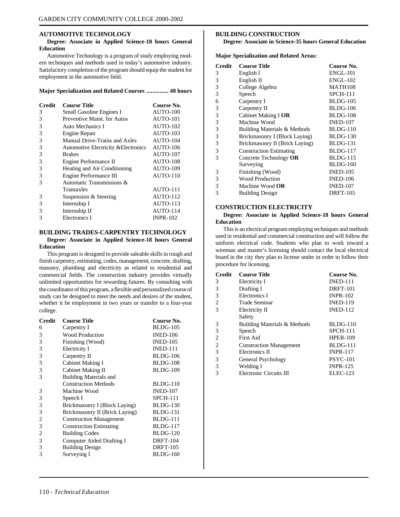#### **AUTOMOTIVE TECHNOLOGY**

#### **Degree: Associate in Applied Science-18 hours General Education**

Automotive Technology is a program of study employing modern techniques and methods used in today's automotive industry. Satisfactory completion of the program should equip the student for employment in the automotive field.

#### **Major Specialization and Related Courses ............... 48 hours**

| <b>Credit</b> | <b>Course Title</b>                  | Course No.      |
|---------------|--------------------------------------|-----------------|
| 3             | Small Gasoline Engines I             | AUTO-100        |
| 3             | Preventive Maint, for Autos          | AUTO-101        |
| 3             | Auto Mechanics I                     | AUTO-102        |
| 3             | Engine Repair                        | AUTO-103        |
| 3             | Manual Drive-Trains and Axles        | AUTO-104        |
| 3             | Automotive Electricity & Electronics | AUTO-106        |
| 3             | <b>Brakes</b>                        | AUTO-107        |
| 3             | Engine Performance II                | AUTO-108        |
| 3             | Heating and Air Conditioning         | AUTO-109        |
| 3             | Engine Performance III               | AUTO-110        |
| 3             | Automatic Transmissions &            |                 |
|               | Transaxles                           | AUTO-111        |
| 3             | Suspension & Steering                | AUTO-112        |
| 3             | Internship I                         | AUTO-113        |
| 3             | Internship II                        | AUTO-114        |
| 3             | Electronics I                        | <b>INPR-102</b> |

#### **BUILDING TRADES-CARPENTRY TECHNOLOGY**

#### **Degree: Associate in Applied Science-18 hours General Education**

This program is designed to provide saleable skills in rough and finish carpentry, estimating, codes, management, concrete, drafting, masonry, plumbing and electricity as related to residential and commercial fields. The construction industry provides virtually unlimited opportunities for rewarding futures. By consulting with the coordinator of this program, a flexible and personalized course of study can be designed to meet the needs and desires of the student, whether it be employment in two years or transfer to a four-year college.

| <b>Credit</b> | <b>Course Title</b>              | Course No.      |
|---------------|----------------------------------|-----------------|
| 6             | Carpentry I                      | <b>BLDG-105</b> |
| 3             | <b>Wood Production</b>           | <b>INED-106</b> |
| 3             | Finishing (Wood)                 | <b>INED-105</b> |
| 3             | Electricity I                    | <b>INED-111</b> |
| 3             | Carpentry II                     | <b>BLDG-106</b> |
| 3             | Cabinet Making I                 | <b>BLDG-108</b> |
| 3             | Cabinet Making II                | <b>BLDG-109</b> |
| 3             | <b>Building Materials and</b>    |                 |
|               | <b>Construction Methods</b>      | BLDG-110        |
| 3             | Machine Wood                     | <b>INED-107</b> |
| 3             | Speech I                         | <b>SPCH-111</b> |
| 3             | Brickmasonry I (Block Laying)    | <b>BLDG-130</b> |
| 3             | Brickmasonry II (Brick Laying)   | <b>BLDG-131</b> |
| 2             | <b>Construction Management</b>   | BLDG-111        |
| 3             | <b>Construction Estimating</b>   | <b>BLDG-117</b> |
| 2             | <b>Building Codes</b>            | <b>BLDG-120</b> |
| 3             | <b>Computer Aided Drafting I</b> | <b>DRFT-104</b> |
| 3             | <b>Building Design</b>           | <b>DRFT-105</b> |
| 3             | Surveying I                      | <b>BLDG-160</b> |
|               |                                  |                 |

#### **BUILDING CONSTRUCTION**

**Degree: Associate in Science-35 hours General Education**

**Major Specialization and Related Areas:**

| <b>Credit</b> | <b>Course Title</b>            | Course No.      |
|---------------|--------------------------------|-----------------|
| 3             | English I                      | <b>ENGL-101</b> |
| 3             | English II                     | <b>ENGL-102</b> |
| 3             | College Algebra                | <b>MATH108</b>  |
| 3             | Speech                         | <b>SPCH-111</b> |
| 6             | Carpentry I                    | <b>BLDG-105</b> |
| 3             | Carpentry II                   | <b>BLDG-106</b> |
| 3             | Cabinet Making I OR            | <b>BLDG-108</b> |
| 3             | Machine Wood                   | <b>INED-107</b> |
| 3             | Building Materials & Methods   | <b>BLDG-110</b> |
| 3             | Brickmasonry I (Block Laying)  | <b>BLDG-130</b> |
| 3             | Brickmasonry II (Brick Laying) | <b>BLDG-131</b> |
| 3             | <b>Construction Estimating</b> | <b>BLDG-117</b> |
| 3             | Concrete Technology OR         | <b>BLDG-115</b> |
|               | Surveying                      | <b>BLDG-160</b> |
| 3             | Finishing (Wood)               | <b>INED-105</b> |
| 3             | <b>Wood Production</b>         | <b>INED-106</b> |
| 3             | Machine Wood OR                | <b>INED-107</b> |
| 3             | <b>Building Design</b>         | <b>DRFT-105</b> |

#### **CONSTRUCTION ELECTRICITY**

#### **Degree: Associate in Applied Science-18 hours General Education**

This is an electrical program employing techniques and methods used in residential and commercial construction and will follow the uniform electrical code. Students who plan to work toward a wireman and master's licensing should contact the local electrical board in the city they plan to license under in order to follow their procedure for licensing.

| <b>Credit</b> | <b>Course Title</b>            | Course No.      |
|---------------|--------------------------------|-----------------|
| 3             | Electricity I                  | <b>INED-111</b> |
| 3             | Drafting I                     | <b>DRFT-101</b> |
| 3             | Electronics I                  | <b>INPR-102</b> |
| 2             | Trade Seminar                  | <b>INED-119</b> |
| 3             | Electricity II                 | <b>INED-112</b> |
|               | Safety                         |                 |
| 3             | Building Materials & Methods   | <b>BLDG-110</b> |
| 3             | Speech                         | <b>SPCH-111</b> |
| 2             | <b>First Aid</b>               | <b>HPER-109</b> |
| 2             | <b>Construction Management</b> | BLDG-111        |
| 3             | Electronics II                 | <b>INPR-117</b> |
| 3             | General Psychology             | <b>PSYC-101</b> |
| 3             | Welding I                      | <b>INPR-125</b> |
| 3             | Electronic Circuits III        | <b>ELEC-123</b> |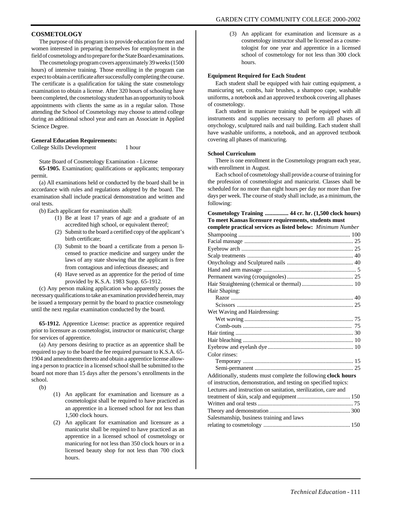#### **COSMETOLOGY**

The purpose of this program is to provide education for men and women interested in preparing themselves for employment in the field of cosmetology and to prepare for the State Board examinations.

The cosmetology program covers approximately 39 weeks (1500 hours) of intensive training. Those enrolling in the program can expect to obtain a certificate after successfully completing the course. The certificate is a qualification for taking the state cosmetology examination to obtain a license. After 320 hours of schooling have been completed, the cosmetology student has an opportunity to book appointments with clients the same as in a regular salon. Those attending the School of Cosmetology may choose to attend college during an additional school year and earn an Associate in Applied Science Degree.

#### **General Education Requirements:**

College Skills Development 1 hour

State Board of Cosmetology Examination - License

**65-1905.** Examination; qualifications or applicants; temporary permit.

(a) All examinations held or conducted by the board shall be in accordance with rules and regulations adopted by the board. The examination shall include practical demonstration and written and oral tests.

(b) Each applicant for examination shall:

- (1) Be at least 17 years of age and a graduate of an accredited high school, or equivalent thereof;
- (2) Submit to the board a certified copy of the applicant's birth certificate;
- (3) Submit to the board a certificate from a person licensed to practice medicine and surgery under the laws of any state showing that the applicant is free from contagious and infectious diseases; and
- (4) Have served as an apprentice for the period of time provided by K.S.A. 1983 Supp. 65-1912.

(c) Any person making application who apparently posses the necessary qualifications to take an examination provided herein, may be issued a temporary permit by the board to practice cosmetology until the next regular examination conducted by the board.

**65-1912.** Apprentice License: practice as apprentice required prior to licensure as cosmetologist, instructor or manicurist; charge for services of apprentice.

(a) Any persons desiring to practice as an apprentice shall be required to pay to the board the fee required pursuant to K.S.A. 65- 1904 and amendments thereto and obtain a apprentice license allowing a person to practice in a licensed school shall be submitted to the board not more than 15 days after the persons's enrollments in the school.

 $(h)$ 

- (1) An applicant for examination and licensure as a cosmetologist shall be required to have practiced as an apprentice in a licensed school for not less than 1,500 clock hours.
- (2) An applicant for examination and licensure as a manicurist shall be required to have practiced as an apprentice in a licensed school of cosmetology or manicuring for not less than 350 clock hours or in a licensed beauty shop for not less than 700 clock hours.

(3) An applicant for examination and licensure as a cosmetology instructor shall be licensed as a cosmetologist for one year and apprentice in a licensed school of cosmetology for not less than 300 clock hours.

#### **Equipment Required for Each Student**

Each student shall be equipped with hair cutting equipment, a manicuring set, combs, hair brushes, a shampoo cape, washable uniforms, a notebook and an approved textbook covering all phases of cosmetology.

Each student in manicure training shall be equipped with all instruments and supplies necessary to perform all phases of onychology, sculptured nails and nail building. Each student shall have washable uniforms, a notebook, and an approved textbook covering all phases of manicuring.

#### **School Curriculum**

There is one enrollment in the Cosmetology program each year, with enrollment in August.

Each school of cosmetology shall provide a course of training for the profession of cosmetologist and manicurist. Classes shall be scheduled for no more than eight hours per day nor more than five days per week. The course of study shall include, as a minimum, the following:

| Cosmetology Training  44 cr. hr. (1,500 clock hours)            |  |
|-----------------------------------------------------------------|--|
| To meet Kansas licensure requirements, students must            |  |
| complete practical services as listed below: Minimum Number     |  |
|                                                                 |  |
|                                                                 |  |
|                                                                 |  |
|                                                                 |  |
|                                                                 |  |
|                                                                 |  |
|                                                                 |  |
|                                                                 |  |
| Hair Shaping:                                                   |  |
|                                                                 |  |
|                                                                 |  |
| Wet Waving and Hairdressing:                                    |  |
|                                                                 |  |
|                                                                 |  |
|                                                                 |  |
|                                                                 |  |
|                                                                 |  |
| Color rinses:                                                   |  |
|                                                                 |  |
|                                                                 |  |
| Additionally, students must complete the following clock hours  |  |
| of instruction, demonstration, and testing on specified topics: |  |
| Lectures and instruction on sanitation, sterilization, care and |  |
|                                                                 |  |
|                                                                 |  |
|                                                                 |  |
| Salesmanship, business training and laws                        |  |
|                                                                 |  |
|                                                                 |  |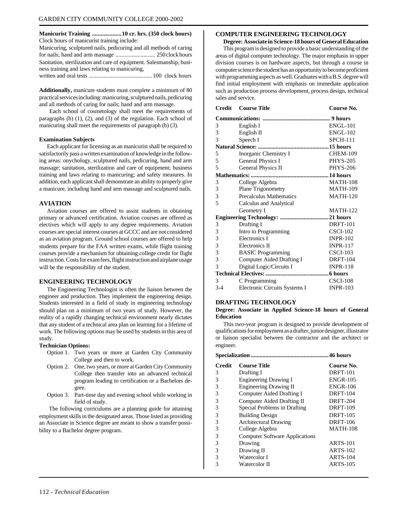**Manicurist Training ....................10 cr. hrs. (350 clock hours)** Clock hours of manicurist training include: Manicuring, sculptured nails, pedicuring and all methods of caring for nails; hand and arm massage ........................... 250 clock hours Sanitation, sterilization and care of equipment. Salesmanship, business training and laws relating to manicuring, written and oral tests ...........................................100 clock hours

**Additionally,** manicure students must complete a minimum of 80 practical services including: manicuring, sculptured nails, pedicuring and all methods of caring for nails; hand and arm massage.

 Each school of cosmetology shall meet the requirements of paragraphs (b) (1), (2), and (3) of the regulation. Each school of manicuring shall meet the requirements of paragraph (b) (3).

#### **Examination Subjects**

Each applicant for licensing as an manicurist shall be required to satisfactorily pass a written examination of knowledge in the following areas: onychology, sculptured nails, pedicuring, hand and arm massage; sanitation, sterilization and care of equipment; business training and laws relating to manicuring; and safety measures. In addition, each applicant shall demonstrate an ability to properly give a manicure, including hand and arm massage and sculptured nails.

#### **AVIATION**

Aviation courses are offered to assist students in obtaining primary or advanced certification. Aviation courses are offered as electives which will apply to any degree requirements. Aviation courses are special interest courses at GCCC and are not considered as an aviation program. Ground school courses are offered to help students prepare for the FAA written exams, while flight training courses provide a mechanism for obtaining college credit for flight instruction. Costs for exam fees, flight instruction and airplane usage will be the responsibility of the student.

#### **ENGINEERING TECHNOLOGY**

The Engineering Technologist is often the liaison between the engineer and production. They implement the engineering design. Students interested in a field of study in engineering technology should plan on a minimum of two years of study. However, the reality of a rapidly changing technical environment nearly dictates that any student of a technical area plan on learning for a lifetime of work. The following options may be used by students in this area of study.

#### **Technician Options:**

- Option 1. Two years or more at Garden City Community College and then to work.
- Option 2. One, two years, or more at Garden City Community College then transfer into an advanced technical program leading to certification or a Bachelors degree.
- Option 3. Part-time day and evening school while working in field of study.

 The following curriculums are a planning guide for attaining employment skills in the designated areas. Those listed as providing an Associate in Science degree are meant to show a transfer possibility to a Bachelor degree program.

#### **COMPUTER ENGINEERING TECHNOLOGY**

**Degree: Associate in Science-18 hours of General Education** This program is designed to provide a basic understanding of the areas of digital computer technology. The major emphasis in upper division courses is on hardware aspects, but through a course in computer science the student has an opportunity to become proficient with programming aspects as well. Graduates with a B.S. degree will find initial employment with emphasis on immediate application such as production process development, process design, technical sales and service.

| <b>Credit</b> | <b>Course Title</b>           | Course No.      |
|---------------|-------------------------------|-----------------|
|               |                               |                 |
| 3             | English I                     | <b>ENGL-101</b> |
| 3             | English II                    | <b>ENGL-102</b> |
| 3             | Speech I                      | <b>SPCH-111</b> |
|               |                               |                 |
| 5             | Inorganic Chemistry I         | <b>CHEM-109</b> |
| 5             | <b>General Physics I</b>      | <b>PHYS-205</b> |
| 5             | <b>General Physics II</b>     | <b>PHYS-206</b> |
|               |                               |                 |
| 3             | College Algebra               | <b>MATH-108</b> |
| 3             | Plane Trigonometry            | <b>MATH-109</b> |
| 3             | Precalculus Mathematics       | <b>MATH-120</b> |
| 5             | Calculus and Analytical       |                 |
|               | Geometry I                    | <b>MATH-122</b> |
|               |                               |                 |
| 3             | Drafting I                    | <b>DRFT-101</b> |
| 3             | Intro to Programming          | $CSCI-102$      |
| 3             | <b>Electronics I</b>          | <b>INPR-102</b> |
| 3             | <b>Electronics II</b>         | <b>INPR-117</b> |
| 3             | <b>BASIC</b> Programming      | $CSCI-103$      |
| 3             | Computer Aided Drafting I     | <b>DRFT-104</b> |
| 3             | Digital Logic/Circuits I      | <b>INPR-118</b> |
|               |                               |                 |
| 3             | C Programming                 | <b>CSCI-108</b> |
| $3 - 4$       | Electronic Circuits Systems I | <b>INPR-103</b> |

#### **DRAFTING TECHNOLOGY**

#### **Degree: Associate in Applied Science-18 hours of General Education**

This two-year program is designed to provide development of qualifications for employment as a drafter, junior designer, illustrator or liaison specialist between the contractor and the architect or engineer.

| .46 hours |                                       |                 |  |
|-----------|---------------------------------------|-----------------|--|
| Credit    | <b>Course Title</b>                   | Course No.      |  |
| 3         | Drafting I                            | <b>DRFT-101</b> |  |
| 3         | <b>Engineering Drawing I</b>          | <b>ENGR-105</b> |  |
| 3         | <b>Engineering Drawing II</b>         | <b>ENGR-106</b> |  |
| 3         | Computer Aided Drafting I             | <b>DRFT-104</b> |  |
| 3         | Computer Aided Drafting II            | <b>DRFT-204</b> |  |
| 3         | Special Problems in Drafting          | <b>DRFT-109</b> |  |
| 3         | <b>Building Design</b>                | <b>DRFT-105</b> |  |
| 3         | <b>Architectural Drawing</b>          | <b>DRFT-106</b> |  |
| 3         | College Algebra                       | <b>MATH-108</b> |  |
| 3         | <b>Computer Software Applications</b> |                 |  |
| 3         | Drawing                               | <b>ARTS-101</b> |  |
| 3         | Drawing II                            | <b>ARTS-102</b> |  |
| 3         | Watercolor I                          | <b>ARTS-104</b> |  |
| 3         | Watercolor II                         | <b>ARTS-105</b> |  |
|           |                                       |                 |  |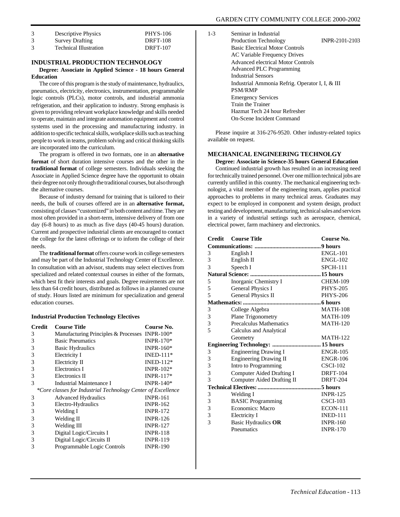| <b>Descriptive Physics</b>    | <b>PHYS-106</b> |
|-------------------------------|-----------------|
| <b>Survey Drafting</b>        | <b>DRFT-108</b> |
| <b>Technical Illustration</b> | <b>DRFT-107</b> |

#### **INDUSTRIAL PRODUCTION TECHNOLOGY**

#### **Degree: Associate in Applied Science - 18 hours General Education**

The core of this program is the study of maintenance, hydraulics, pneumatics, electricity, electronics, instrumentation, programmable logic controls (PLCs), motor controls, and industrial ammonia refrigeration, and their application to industry. Strong emphasis is given to providing relevant workplace knowledge and skills needed to operate, maintain and integrate automation equipment and control systems used in the processing and manufacturing industry. in addition to specific technical skills, workplace skills such as teaching people to work in teams, problem solving and critical thinking skills are incorporated into the curriculum.

The program is offered in two formats, one in an **alternative format** of short duration intensive courses and the other in the **traditional format** of college semesters. Individuals seeking the Associate in Applied Science degree have the opportunit to obtain their degree not only through the traditional courses, but also through the alternative courses.

Because of industry demand for training that is tailored to their needs, the bulk of courses offered are in an **alternative format,** consisting of classes "customized" in both content and time. They are most often provided in a short-term, intensive delivery of from one day (6-8 hours) to as much as five days (40-45 hours) duration. Current and prospective industrial clients are encouraged to contact the college for the latest offerings or to inform the college of their needs.

The **traditional format** offers course work in college semesters and may be part of the Industrial Technology Center of Excellence. In consultation with an advisor, students may select electives from specialized and related contextual courses in either of the formats, which best fit their interests and goals. Degree reuirements are not less than 64 credit hours, distributed as follows in a planned course of study. Hours listed are minimum for specialization and general education courses.

#### **Industrial Production Technology Electives**

| Credit                                                       | <b>Course Title</b>                            | Course No.      |  |
|--------------------------------------------------------------|------------------------------------------------|-----------------|--|
| 3                                                            | Manufacturing Principles & Processes INPR-100* |                 |  |
| 3                                                            | <b>Basic Pneumatics</b>                        | INPR-170 $*$    |  |
| 3                                                            | <b>Basic Hydraulics</b>                        | $INPR-160*$     |  |
| 3                                                            | Electricity I                                  | $INED-111*$     |  |
| 3                                                            | Electricity II                                 | INED-112 $*$    |  |
| 3                                                            | Electronics I                                  | INPR- $102*$    |  |
| 3                                                            | Electronics II                                 | INPR-117 $*$    |  |
| 3                                                            | Industrial Maintenance I                       | INPR- $140*$    |  |
| *Core classes for Industrial Technology Center of Excellence |                                                |                 |  |
| 3                                                            | <b>Advanced Hydraulics</b>                     | <b>INPR-161</b> |  |
| 3                                                            | Electro-Hydraulics                             | <b>INPR-162</b> |  |
| 3                                                            | Welding I                                      | <b>INPR-172</b> |  |
| 3                                                            | Welding II                                     | <b>INPR-126</b> |  |
| 3                                                            | Welding III                                    | <b>INPR-127</b> |  |
| 3                                                            | Digital Logic/Circuits I                       | <b>INPR-118</b> |  |
| 3                                                            | Digital Logic/Circuits II                      | <b>INPR-119</b> |  |
| 3                                                            | Programmable Logic Controls                    | <b>INPR-190</b> |  |

| $1 - 3$ | Seminar in Industrial                           |                |
|---------|-------------------------------------------------|----------------|
|         | Production Technology                           | INPR-2101-2103 |
|         | <b>Basic Electrical Motor Controls</b>          |                |
|         | AC Variable Frequency Drives                    |                |
|         | Advanced electrical Motor Controls              |                |
|         | <b>Advanced PLC Programming</b>                 |                |
|         | Industrial Sensors                              |                |
|         | Industrial Ammonia Refrig. Operator I, I, & III |                |
|         | <b>PSM/RMP</b>                                  |                |
|         | <b>Emergency Services</b>                       |                |
|         | Train the Trainer                               |                |
|         | Hazmat Tech 24 hour Refresher                   |                |
|         | On-Scene Incident Command                       |                |

Please inquire at 316-276-9520. Other industry-related topics available on request.

#### **MECHANICAL ENGINEERING TECHNOLGY**

**Degree: Associate in Science-35 hours General Education** Continued industrial growth has resulted in an increasing need

for technically trained personnel. Over one million technical jobs are currently unfilled in this country. The mechanical engineering technologist, a vital member of the engineering team, applies practical approaches to problems in many technical areas. Graduates may expect to be employed in component and system design, product testing and development, manufacturing, technical sales and services in a variety of industrial settings such as aerospace, chemical, electrical power, farm machinery and electronics.

| <b>Credit</b> | <b>Course Title</b>               | Course No.      |  |
|---------------|-----------------------------------|-----------------|--|
|               |                                   |                 |  |
| 3             | English I                         | <b>ENGL-101</b> |  |
| 3             | English II                        | <b>ENGL-102</b> |  |
| 3             | Speech I                          | <b>SPCH-111</b> |  |
|               |                                   |                 |  |
| 5             | Inorganic Chemistry I             | <b>CHEM-109</b> |  |
| 5             | General Physics I                 | <b>PHYS-205</b> |  |
| 5             | General Physics II                | <b>PHYS-206</b> |  |
|               |                                   |                 |  |
| 3             | College Algebra                   | <b>MATH-108</b> |  |
| 3             | <b>Plane Trigonometry</b>         | <b>MATH-109</b> |  |
| 3             | Precalculus Mathematics           | <b>MATH-120</b> |  |
| 5             | Calculus and Analytical           |                 |  |
|               | Geometry                          | <b>MATH-122</b> |  |
|               | Engineering Technology:  15 hours |                 |  |
| 3             | <b>Engineering Drawing I</b>      | <b>ENGR-105</b> |  |
| 3             | <b>Engineering Drawing II</b>     | <b>ENGR-106</b> |  |
| 3             | Intro to Programming              | $CSCI-102$      |  |
| 3             | <b>Computer Aided Drafting I</b>  | <b>DRFT-104</b> |  |
| 3             | Computer Aided Drafting II        | <b>DRFT-204</b> |  |
|               |                                   |                 |  |
| 3             | Welding I                         | <b>INPR-125</b> |  |
| 3             | <b>BASIC</b> Programming          | $CSCI-103$      |  |
| 3             | Economics: Macro                  | <b>ECON-111</b> |  |
| 3             | Electricity I                     | <b>INED-111</b> |  |
| 3             | Basic Hydraulics OR               | <b>INPR-160</b> |  |
|               | Pneumatics                        | <b>INPR-170</b> |  |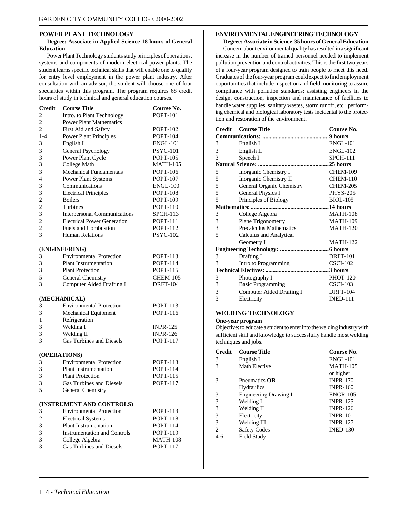#### <span id="page-108-0"></span>**POWER PLANT TECHNOLOGY**

#### **Degree: Associate in Applied Science-18 hours of General Education**

Power Plant Technology students study principles of operations, systems and components of modern electrical power plants. The student learns specific technical skills that will enable one to qualify for entry level employment in the power plant industry. After consultation with an advisor, the student will choose one of four specialties within this program. The program requires 68 credit hours of study in technical and general education courses.

| <b>Credit</b>  | <b>Course Title</b>                 | Course No.      |
|----------------|-------------------------------------|-----------------|
| 2              | Intro. to Plant Technology          | <b>POPT-101</b> |
| 2              | <b>Power Plant Mathematics</b>      |                 |
| 2              | First Aid and Safety                | <b>POPT-102</b> |
| $1 - 4$        | <b>Power Plant Principles</b>       | <b>POPT-104</b> |
| 3              | English I                           | <b>ENGL-101</b> |
| 3              | General Psychology                  | <b>PSYC-101</b> |
| 3              | Power Plant Cycle                   | POPT-105        |
| 3              | College Math                        | MATH-105        |
| 3              | <b>Mechanical Fundamentals</b>      | POPT-106        |
| 4              | <b>Power Plant Systems</b>          | <b>POPT-107</b> |
| 3              | Communications                      | <b>ENGL-100</b> |
| 3              | <b>Electrical Principles</b>        | <b>POPT-108</b> |
| $\overline{c}$ | <b>Boilers</b>                      | POPT-109        |
| $\overline{c}$ | Turbines                            | POPT-110        |
| 3              | Interpersonal Communications        | <b>SPCH-113</b> |
| $\overline{c}$ | <b>Electrical Power Generation</b>  | POPT-111        |
| $\overline{c}$ | <b>Fuels and Combustion</b>         | POPT-112        |
| 3              | <b>Human Relations</b>              | <b>PSYC-102</b> |
|                | (ENGINEERING)                       |                 |
| 3              | <b>Environmental Protection</b>     | POPT-113        |
| 3              | <b>Plant Instrumentation</b>        | POPT-114        |
| 3              | <b>Plant Protection</b>             | POPT-115        |
| 5              | General Chemistry                   | <b>CHEM-105</b> |
| 3              | <b>Computer Aided Drafting I</b>    | <b>DRFT-104</b> |
|                | (MECHANICAL)                        |                 |
| 3              | <b>Environmental Protection</b>     | POPT-113        |
| 3              | Mechanical Equipment                | <b>POPT-116</b> |
| 1              | Refrigeration                       |                 |
| 3              | Welding I                           | <b>INPR-125</b> |
| 3              | Welding II                          | <b>INPR-126</b> |
| 3              | <b>Gas Turbines and Diesels</b>     | POPT-117        |
|                |                                     |                 |
| (OPERATIONS)   |                                     |                 |
| 3              | <b>Environmental Protection</b>     | POPT-113        |
| 3              | <b>Plant Instrumentation</b>        | POPT-114        |
| 3              | <b>Plant Protection</b>             | POPT-115        |
| 3              | <b>Gas Turbines and Diesels</b>     | <b>POPT-117</b> |
| 5              | General Chemistry                   |                 |
|                | (INSTRUMENT AND CONTROLS)           |                 |
| 3              | <b>Environmental Protection</b>     | <b>POPT-113</b> |
| 2              | <b>Electrical Systems</b>           | <b>POPT-118</b> |
| 3              | Plant Instrumentation               | <b>POPT-114</b> |
| 3              | <b>Instrumentation and Controls</b> | POPT-119        |
| 3              | College Algebra                     | <b>MATH-108</b> |
| 3              | <b>Gas Turbines and Diesels</b>     | <b>POPT-117</b> |

#### **ENVIRONMENTAL ENGINEERING TECHNOLOGY**

**Degree: Associate in Science-35 hours of General Education** Concern about environmental quality has resulted in a significant increase in the number of trained personnel needed to implement pollution prevention and control activities. This is the first two years of a four-year program designed to train people to meet this need. Graduates of the four-year program could expect to find employment opportunities that include inspection and field monitoring to assure compliance with pollution standards; assisting engineers in the design, construction, inspection and maintenance of facilities to handle water supplies, sanitary wastes, storm runoff, etc.; performing chemical and biological laboratory tests incidental to the protection and restoration of the environment.

| <b>Credit</b> | <b>Course Title</b>       | Course No.      |
|---------------|---------------------------|-----------------|
|               |                           |                 |
| 3             | English I                 | <b>ENGL-101</b> |
| 3             | English II                | <b>ENGL-102</b> |
| 3             | Speech I                  | <b>SPCH-111</b> |
|               |                           |                 |
| 5             | Inorganic Chemistry I     | <b>CHEM-109</b> |
| 5             | Inorganic Chemistry II    | <b>CHEM-110</b> |
| 5             | General Organic Chemistry | <b>CHEM-205</b> |
| 5             | <b>General Physics I</b>  | <b>PHYS-205</b> |
| 5             | Principles of Biology     | <b>BIOL-105</b> |
|               |                           |                 |
| 3             | College Algebra           | <b>MATH-108</b> |
| 3             | Plane Trigonometry        | <b>MATH-109</b> |
| 3             | Precalculus Mathematics   | <b>MATH-120</b> |
| 5             | Calculus and Analytical   |                 |
|               | Geometry I                | <b>MATH-122</b> |
|               |                           |                 |
| 3             | Drafting I                | <b>DRFT-101</b> |
| 3             | Intro to Programming      | <b>CSCI-102</b> |
|               |                           |                 |
| 3             | Photography I             | <b>PHOT-120</b> |
| 3             | <b>Basic Programming</b>  | $CSCI-103$      |
| 3             | Computer Aided Drafting I | <b>DRFT-104</b> |
| 3             | Electricity               | <b>INED-111</b> |

#### **WELDING TECHNOLOGY**

#### **One-year program**

Objective: to educate a student to enter into the welding industry with sufficient skill and knowledge to successfully handle most welding techniques and jobs.

| <b>Credit</b> | <b>Course Title</b>          | Course No.      |
|---------------|------------------------------|-----------------|
| 3             | English I                    | <b>ENGL-101</b> |
| 3             | Math Elective                | <b>MATH-105</b> |
|               |                              | or higher       |
| 3             | Pneumatics <b>OR</b>         | <b>INPR-170</b> |
|               | <b>Hydraulics</b>            | <b>INPR-160</b> |
| 3             | <b>Engineering Drawing I</b> | <b>ENGR-105</b> |
| 3             | Welding I                    | <b>INPR-125</b> |
| 3             | Welding II                   | <b>INPR-126</b> |
| 3             | Electricity                  | <b>INPR-101</b> |
| 3             | Welding III                  | <b>INPR-127</b> |
| $\mathcal{L}$ | <b>Safety Codes</b>          | <b>INED-130</b> |
| 4-6           | Field Study                  |                 |
|               |                              |                 |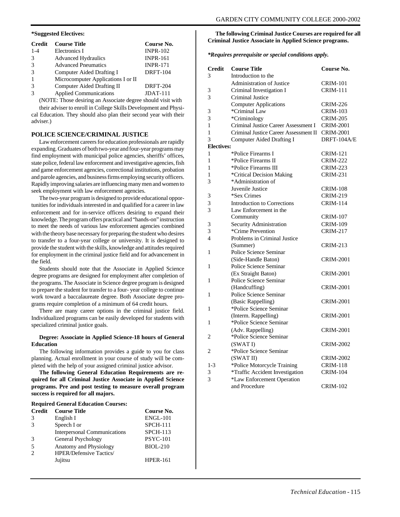#### <span id="page-109-0"></span>**\*Suggested Electives:**

| <b>Credit</b> | <b>Course Title</b>                | Course No.      |
|---------------|------------------------------------|-----------------|
| $1 - 4$       | Electronics I                      | <b>INPR-102</b> |
| 3             | <b>Advanced Hydraulics</b>         | <b>INPR-161</b> |
| $\mathcal{R}$ | <b>Advanced Pneumatics</b>         | <b>INPR-171</b> |
| $\mathcal{R}$ | Computer Aided Drafting I          | <b>DRFT-104</b> |
| $\mathbf{1}$  | Microcomputer Applications I or II |                 |
| 3             | Computer Aided Drafting II         | <b>DRFT-204</b> |
|               | <b>Applied Communications</b>      | $JDATA-111$     |

(NOTE: Those desiring an Associate degree should visit with

their adviser to enroll in College Skills Development and Physical Education. They should also plan their second year with their adviser.)

#### **POLICE SCIENCE/CRIMINAL JUSTICE**

Law enforcement careers for education professionals are rapidly expanding. Graduates of both two-year and four-year programs may find employment with municipal police agencies, sheriffs' offices, state police, federal law enforcement and investigative agencies, fish and game enforcement agencies, correctional institutions, probation and parole agencies, and business firms employing security officers. Rapidly improving salaries are influencing many men and women to seek employment with law enforcement agencies.

The two-year program is designed to provide educational opportunities for individuals interested in and qualified for a career in law enforcement and for in-service officers desiring to expand their knowledge. The program offers practical and "hands-on" instruction to meet the needs of various law enforcement agencies combined with the theory base necessary for preparing the student who desires to transfer to a four-year college or university. It is designed to provide the student with the skills, knowledge and attitudes required for employment in the criminal justice field and for advancement in the field.

Students should note that the Associate in Applied Science degree programs are designed for employment after completion of the programs. The Associate in Science degree program is designed to prepare the student for transfer to a four- year college to continue work toward a baccalaureate degree. Both Associate degree programs require completion of a minimum of 64 credit hours.

There are many career options in the criminal justice field. Individualized programs can be easily developed for students with specialized criminal justice goals.

#### **Degree: Associate in Applied Science-18 hours of General Education**

The following information provides a guide to you for class planning. Actual enrollment in your course of study will be completed with the help of your assigned criminal justice advisor.

**The following General Education Requirements are required for all Criminal Justice Associate in Applied Science programs. Pre and post testing to measure overall program success is required for all majors.**

| <b>Credit</b> | <b>Course Title</b>                 | Course No.      |
|---------------|-------------------------------------|-----------------|
| 3             | English I                           | <b>ENGL-101</b> |
|               | Speech I or                         | $SPCH-111$      |
|               | <b>Interpersonal Communications</b> | $SPCH-113$      |
|               | General Psychology                  | <b>PSYC-101</b> |
|               | Anatomy and Physiology              | <b>BIOL-210</b> |
|               | <b>HPER/Defensive Tactics/</b>      |                 |
|               | Jujitsu                             | <b>HPER-161</b> |

#### **The following Criminal Justice Courses are required for all Criminal Justice Associate in Applied Science programs.**

*\*Requires prerequisite or special conditions apply.*

| <b>Credit</b>     | <b>Course Title</b>                   | Course No.       |
|-------------------|---------------------------------------|------------------|
| 3                 | Introduction to the                   |                  |
|                   | <b>Administration of Justice</b>      | <b>CRIM-101</b>  |
| 3                 | Criminal Investigation I              | <b>CRIM-111</b>  |
| 3                 | Criminal Justice                      |                  |
|                   | <b>Computer Applications</b>          | <b>CRIM-226</b>  |
| 3                 | *Criminal Law                         | <b>CRIM-103</b>  |
| 3                 | *Criminology                          | <b>CRIM-205</b>  |
| 1                 | Criminal Justice Career Assessment I  | <b>CRIM-2001</b> |
| 1                 | Criminal Justice Career Assessment II | <b>CRIM-2001</b> |
| 3                 | <b>Computer Aided Drafting I</b>      | DRFT-104A/E      |
| <b>Electives:</b> |                                       |                  |
| 1                 | *Police Firearms I                    | <b>CRIM-121</b>  |
| 1                 | *Police Firearms II                   | <b>CRIM-222</b>  |
| 1                 | *Police Firearms III                  | <b>CRIM-223</b>  |
| 1                 | *Critical Decision Making             | <b>CRIM-231</b>  |
| 3                 | *Administration of                    |                  |
|                   | Juvenile Justice                      | <b>CRIM-108</b>  |
| 3                 | *Sex Crimes                           | <b>CRIM-219</b>  |
| 3                 | <b>Introduction to Corrections</b>    | <b>CRIM-114</b>  |
| 3                 | Law Enforcement in the                |                  |
|                   | Community                             | <b>CRIM-107</b>  |
| 3                 | Security Administration               | <b>CRIM-109</b>  |
| 3                 | *Crime Prevention                     | <b>CRIM-217</b>  |
| $\overline{4}$    | Problems in Criminal Justice          |                  |
|                   | (Summer)                              | CRIM-213         |
| 1                 | Police Science Seminar                |                  |
|                   | (Side-Handle Baton)                   | CRIM-2001        |
| 1                 | Police Science Seminar                |                  |
|                   | (Ex Straight Baton)                   | <b>CRIM-2001</b> |
| 1                 | Police Science Seminar                |                  |
|                   | (Handcuffing)                         | <b>CRIM-2001</b> |
| 1                 | Police Science Seminar                |                  |
|                   | (Basic Rappelling)                    | <b>CRIM-2001</b> |
| 1                 | *Police Science Seminar               |                  |
|                   | (Interm. Rappelling)                  | <b>CRIM-2001</b> |
| 1                 | *Police Science Seminar               |                  |
|                   | (Adv. Rappelling)                     | CRIM-2001        |
| 2                 | *Police Science Seminar               |                  |
|                   | (SWATI)                               | <b>CRIM-2002</b> |
| $\overline{2}$    | *Police Science Seminar               |                  |
|                   | (SWAT II)                             | <b>CRIM-2002</b> |
| $1-3$             | *Police Motorcycle Training           | <b>CRIM-118</b>  |
| 3                 | *Traffic Accident Investigation       | <b>CRIM-104</b>  |
| 3                 | *Law Enforcement Operation            |                  |
|                   | and Procedure.                        | CRIM-102         |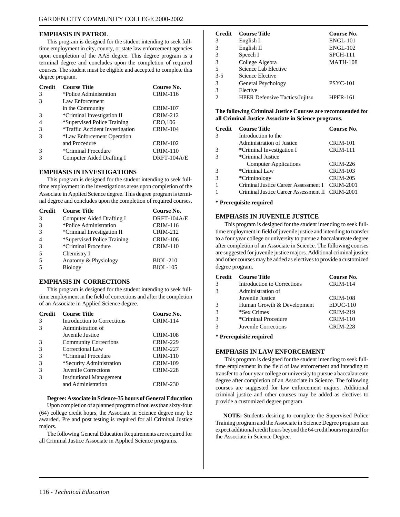#### **EMPHASIS IN PATROL**

This program is designed for the student intending to seek fulltime employment in city, county, or state law enforcement agencies upon completion of the AAS degree. This degree program is a terminal degree and concludes upon the completion of required courses. The student must be eligible and accepted to complete this degree program.

| <b>Credit</b> | <b>Course Title</b>                    | Course No.      |
|---------------|----------------------------------------|-----------------|
| 3             | *Police Administration                 | <b>CRIM-116</b> |
| 3             | Law Enforcement                        |                 |
|               | in the Community                       | <b>CRIM-107</b> |
| 3             | *Criminal Investigation II             | <b>CRIM-212</b> |
| 4             | *Supervised Police Training            | CRO, 106        |
| 3             | <i>*Traffic Accident Investigation</i> | <b>CRIM-104</b> |
| $\mathcal{R}$ | *Law Enforcement Operation             |                 |
|               | and Procedure                          | <b>CRIM-102</b> |
| 3             | *Criminal Procedure                    | <b>CRIM-110</b> |
|               | Computer Aided Drafting I              | DRFT-104A/E     |
|               |                                        |                 |

#### **EMPHASIS IN INVESTIGATIONS**

This program is designed for the student intending to seek fulltime employment in the investigations areas upon completion of the Associate in Applied Science degree. This degree program is terminal degree and concludes upon the completion of required courses.

| <b>Credit</b>  | <b>Course Title</b>         | Course No.      |
|----------------|-----------------------------|-----------------|
| 3              | Computer Aided Drafting I   | DRFT-104A/E     |
| 3              | *Police Administration      | <b>CRIM-116</b> |
| 3              | *Criminal Investigation II  | <b>CRIM-212</b> |
| $\overline{4}$ | *Supervised Police Training | <b>CRIM-106</b> |
| 3              | *Criminal Procedure         | <b>CRIM-110</b> |
| 5              | Chemistry I                 |                 |
| 5              | Anatomy & Physiology        | <b>BIOL-210</b> |
| $\overline{5}$ | <b>Biology</b>              | <b>BIOL-105</b> |
|                |                             |                 |

#### **EMPHASIS IN CORRECTIONS**

This program is designed for the student intending to seek fulltime employment in the field of corrections and after the completion of an Associate in Applied Science degree.

| <b>Credit</b> | <b>Course Title</b>                | Course No.      |
|---------------|------------------------------------|-----------------|
| 3             | <b>Introduction to Corrections</b> | <b>CRIM-114</b> |
| $\mathcal{R}$ | Administration of                  |                 |
|               | Juvenile Justice                   | <b>CRIM-108</b> |
| 3             | <b>Community Corrections</b>       | <b>CRIM-229</b> |
| 3             | Correctional Law                   | <b>CRIM-227</b> |
| 3             | *Criminal Procedure                | <b>CRIM-110</b> |
| 3             | *Security Administration           | <b>CRIM-109</b> |
| 3             | Juvenile Corrections               | <b>CRIM-228</b> |
|               | <b>Institutional Management</b>    |                 |
|               | and Administration                 | CRIM-230        |

#### **Degree: Associate in Science-35 hours of General Education**

Upon completion of a planned program of not less than sixty-four (64) college credit hours, the Associate in Science degree may be awarded. Pre and post testing is required for all Criminal Justice majors.

The following General Education Requirements are required for all Criminal Justice Associate in Applied Science programs.

| <b>Credit</b> | <b>Course Title</b>                   | Course No.      |
|---------------|---------------------------------------|-----------------|
| 3             | English I                             | $ENGL-101$      |
| 3             | English II                            | <b>ENGL-102</b> |
| 3             | Speech I                              | $SPCH-111$      |
| 3             | College Algebra                       | <b>MATH-108</b> |
| 5             | Science Lab Elective                  |                 |
| $3 - 5$       | Science Elective                      |                 |
| 3             | General Psychology                    | <b>PSYC-101</b> |
| 3             | Elective                              |                 |
| っ             | <b>HPER Defensive Tactics/Jujitsu</b> | <b>HPER-161</b> |

**The following Criminal Justice Courses are recommended for all Criminal Justice Associate in Science programs.**

| <b>Credit</b> | <b>Course Title</b>                             | Course No.       |
|---------------|-------------------------------------------------|------------------|
| 3             | Introduction to the                             |                  |
|               | <b>Administration of Justice</b>                | <b>CRIM-101</b>  |
|               | *Criminal Investigation I                       | <b>CRIM-111</b>  |
|               | *Criminal Justice                               |                  |
|               | <b>Computer Applications</b>                    | <b>CRIM-226</b>  |
| 3             | *Criminal Law                                   | <b>CRIM-103</b>  |
| 3             | *Criminology                                    | <b>CRIM-205</b>  |
|               | Criminal Justice Career Assessment I            | <b>CRIM-2001</b> |
|               | Criminal Justice Career Assessment II CRIM-2001 |                  |

#### **\* Prerequisite required**

#### **EMPHASIS IN JUVENILE JUSTICE**

 This program is designed for the student intending to seek fulltime employment in field of juvenile justice and intending to transfer to a four year college or university to pursue a baccalaureate degree after completion of an Associate in Science. The following courses are suggested for juvenile justice majors. Additional criminal justice and other courses may be added as electives to provide a customized degree program.

| <b>Credit</b> | <b>Course Title</b>         | Course No.      |
|---------------|-----------------------------|-----------------|
| 3             | Introduction to Corrections | <b>CRIM-114</b> |
| 3             | Administration of           |                 |
|               | Juvenile Justice            | <b>CRIM-108</b> |
| 3             | Human Growth & Development  | $EDUC-110$      |
| $\mathcal{R}$ | *Sex Crimes                 | <b>CRIM-219</b> |
| 3             | *Criminal Procedure         | <b>CRIM-110</b> |
| $\mathcal{R}$ | Juvenile Corrections        | <b>CRIM-228</b> |
|               |                             |                 |

#### **\* Prerequisite required**

#### **EMPHASIS IN LAW ENFORCEMENT**

 This program is designed for the student intending to seek fulltime employment in the field of law enforcement and intending to transfer to a four year college or university to pursue a baccalaureate degree after completion of an Associate in Science. The following courses are suggested for law enforcement majors. Additional criminal justice and other courses may be added as electives to provide a customized degree program.

**NOTE:** Students desiring to complete the Supervised Police Training program and the Associate in Science Degree program can expect additional credit hours beyond the 64 credit hours required for the Associate in Science Degree.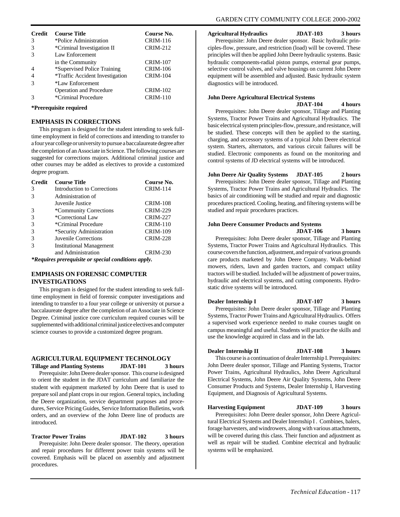<span id="page-111-0"></span>

| <b>Credit</b> | <b>Course Title</b>                    | Course No.      |
|---------------|----------------------------------------|-----------------|
| 3             | *Police Administration                 | <b>CRIM-116</b> |
| 3             | *Criminal Investigation II             | <b>CRIM-212</b> |
|               | Law Enforcement                        |                 |
|               | in the Community                       | <b>CRIM-107</b> |
|               | *Supervised Police Training            | <b>CRIM-106</b> |
|               | <i>*Traffic Accident Investigation</i> | <b>CRIM-104</b> |
|               | *Law Enforcement                       |                 |
|               | Operation and Procedure                | <b>CRIM-102</b> |
|               | *Criminal Procedure                    | $CRIM-110$      |

#### **\*Prerequisite required**

#### **EMPHASIS IN CORRECTIONS**

This program is designed for the student intending to seek fulltime employment in field of corrections and intending to transfer to a four year college or university to pursue a baccalaureate degree after the completion of an Associate in Science. The following courses are suggested for corrections majors. Additional criminal justice and other courses may be added as electives to provide a customized degree program.

| <b>Credit</b>                                       | <b>Course Title</b>             | Course No.      |
|-----------------------------------------------------|---------------------------------|-----------------|
| 3                                                   | Introduction to Corrections     | <b>CRIM-114</b> |
| 3                                                   | Administration of               |                 |
|                                                     | Juvenile Justice                | <b>CRIM-108</b> |
| $\mathcal{R}$                                       | *Community Corrections          | <b>CRIM-229</b> |
| 3                                                   | *Correctional Law               | <b>CRIM-227</b> |
| 3                                                   | *Criminal Procedure             | <b>CRIM-110</b> |
| 3                                                   | *Security Administration        | <b>CRIM-109</b> |
| 3                                                   | Juvenile Corrections            | <b>CRIM-228</b> |
| $\mathcal{R}$                                       | <b>Institutional Management</b> |                 |
|                                                     | and Administration              | <b>CRIM-230</b> |
| *Requires prerequisite or special conditions apply. |                                 |                 |

#### **EMPHASIS ON FORENSIC COMPUTER INVESTIGATIONS**

This program is designed for the student intending to seek fulltime employment in field of forensic computer investigations and intending to transfer to a four year college or university ot pursue a baccalaureate degree after the completion of an Associate in Science Degree. Criminal justice core curriculum required courses will be supplemented with additional criminal justice electives and computer science courses to provide a customized degree program.

#### **AGRICULTURAL EQUIPMENT TECHNOLOGY**

**Tillage and Planting Systems JDAT-101 3 hours** Prerequisite: John Deere dealer sponsor. This course is designed to orient the student in the JDAT curriculum and familiarize the student with equipment marketed by John Deere that is used to prepare soil and plant crops in our region. General topics, including the Deere organization, service department purposes and procedures, Service Pricing Guides, Service Information Bulletins, work orders, and an overview of the John Deere line of products are introduced.

**Tractor Power Trains JDAT-102 3 hours** Prerequisite: John Deere dealer sponsor. The theory, operation and repair procedures for different power train systems will be covered. Emphasis will be placed on assembly and adjustment procedures.

**Agricultural Hydraulics JDAT-103 3 hours**

Prerequisite: John Deere dealer sponsor. Basic hydraulic principles-flow, pressure, and restriction (load) will be covered. These principles will then be applied John Deere hydraulic systems. Basic hydraulic components-radial piston pumps, external gear pumps, selective control valves, and valve housings on current John Deere equipment will be assembled and adjusted. Basic hydraulic system diagnostics will be introduced.

#### **John Deere Agricultural Electrical Systems**

**JDAT-104 4 hours** Prerequisites: John Deere dealer sponsor, Tillage and Planting Systems, Tractor Power Trains and Agricultural Hydraulics. The basic electrical system principles-flow, pressure, and resistance, will be studied. These concepts will then be applied to the starting, charging, and accessory systems of a typical John Deere electrical system. Starters, alternators, and various circuit failures will be studied. Electronic components as found on the monitoring and control systems of JD electrical systems will be introduced.

#### **John Deere Air Quality Systems JDAT-105 2 hours**

Prerequisites: John Deere dealer sponsor, Tillage and Planting Systems, Tractor Power Trains and Agricultural Hydraulics. The basics of air conditioning will be studied and repair and diagnostic procedures practiced. Cooling, heating, and filtering systems will be studied and repair procedures practices.

#### **John Deere Consumer Products and Systems JDAT-106 3 hours**

Prerequisites: John Deere dealer sponsor, Tillage and Planting Systems, Tractor Power Trains and Agricultural Hydraulics. This course covers the function, adjustment, and repair of various grounds care products marketed by John Deere Company. Walk-behind mowers, riders, lawn and garden tractors, and compact utility tractors will be studied. Included will be adjustment of power trains, hydraulic and electrical systems, and cutting components. Hydrostatic drive systems will be introduced.

**Dealer Internship I JDAT-107 3 hours** Prerequisites: John Deere dealer sponsor, Tillage and Planting Systems, Tractor Power Trains and Agricultural Hydraulics. Offers a supervised work experience needed to make courses taught on campus meaningful and useful. Students will practice the skills and use the knowledge acquired in class and in the lab.

#### **Dealer Internship II JDAT-108 3 hours**

This course is a continuation of dealer Internship I. Prerequisites: John Deere dealer sponsor, Tillage and Planting Systems, Tractor Power Trains, Agricultural Hydraulics, John Deere Agricultural Electrical Systems, John Deere Air Quality Systems, John Deere Consumer Products and Systems, Dealer Internship I, Harvesting Equipment, and Diagnosis of Agricultural Systems.

#### **Harvesting Equipment JDAT-109 3 hours**

Prerequisites: John Deere dealer sponsor, John Deere Agricultural Electrical Systems and Dealer Internship I . Combines, balers, forage harvesters, and windrowers, along with various attachments, will be covered during this class. Their function and adjustment as well as repair will be studied. Combine electrical and hydraulic systems will be emphasized.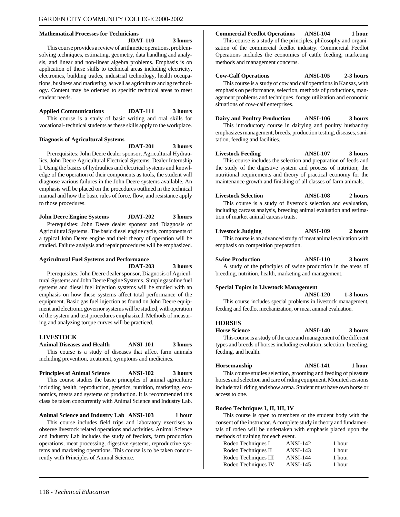#### <span id="page-112-0"></span>**Mathematical Processes for Technicians**

**JDAT-110 3 hours**

This course provides a review of arithmetic operations, problemsolving techniques, estimating, geometry, data handling and analysis, and linear and non-linear algebra problems. Emphasis is on application of these skills to technical areas including electricity, electronics, building trades, industrial technology, health occupations, business and marketing, as well as agriculture and ag technology. Content may be oriented to specific technical areas to meet student needs.

#### **Applied Communications JDAT-111 3 hours**

This course is a study of basic writing and oral skills for vocational- technical students as these skills apply to the workplace.

#### **Diagnosis of Agricultural Systems**

**JDAT-201 3 hours**

Prerequisites: John Deere dealer sponsor, Agricultural Hydraulics, John Deere Agricultural Electrical Systems, Dealer Internship I. Using the basics of hydraulics and electrical systems and knowledge of the operation of their components as tools, the student will diagnose various failures in the John Deere systems available. An emphasis will be placed on the procedures outlined in the technical manual and how the basic rules of force, flow, and resistance apply to those procedures.

**John Deere Engine Systems JDAT-202 3 hours** Prerequisites: John Deere dealer sponsor and Diagnosis of Agricultural Systems. The basic diesel engine cycle, components of a typical John Deere engine and their theory of operation will be studied. Failure analysis and repair procedures will be emphasized.

#### **Agricultural Fuel Systems and Performance**

**JDAT-203 3 hours**

Prerequisites: John Deere dealer sponsor, Diagnosis of Agricultural Systems and John Deere Engine Systems. Simple gasoline fuel systems and diesel fuel injection systems will be studied with an emphasis on how these systems affect total performance of the equipment. Basic gas fuel injection as found on John Deere equipment and electronic governor systems will be studied, with operation of the system and test procedures emphasized. Methods of measuring and analyzing torque curves will be practiced.

#### **LIVESTOCK**

#### **Animal Diseases and Health ANSI-101 3 hours**

This course is a study of diseases that affect farm animals including prevention, treatment, symptoms and medicines.

### **Principles of Animal Science ANSI-102 3 hours**

This course studies the basic principles of animal agriculture including health, reproduction, genetics, nutrition, marketing, economics, meats and systems of production. It is recommended this class be taken concurrently with Animal Science and Industry Lab.

#### **Animal Science and Industry Lab ANSI-103 1 hour**

This course includes field trips and laboratory exercises to observe livestock related operations and activities. Animal Science and Industry Lab includes the study of feedlots, farm production operations, meat processing, digestive systems, reproductive systems and marketing operations. This course is to be taken concurrently with Principles of Animal Science.

#### **Commercial Feedlot Operations ANSI-104 1 hour**

This course is a study of the principles, philosophy and organization of the commercial feedlot industry. Commercial Feedlot Operations includes the economics of cattle feeding, marketing methods and management concerns.

**Cow-Calf Operations ANSI-105 2-3 hours**

This course is a study of cow and calf operations in Kansas, with emphasis on performance, selection, methods of productions, management problems and techniques, forage utilization and economic situations of cow-calf enterprises.

**Dairy and Poultry Production ANSI-106 3 hours**

This introductory course in dairying and poultry husbandry emphasizes management, breeds, production testing, diseases, sanitation, feeding and facilities.

**Livestock Feeding ANSI-107 3 hours** This course includes the selection and preparation of feeds and the study of the digestive system and process of nutrition; the nutritional requirements and theory of practical economy for the maintenance growth and finishing of all classes of farm animals.

#### **Livestock Selection ANSI-108 2 hours**

This course is a study of livestock selection and evaluation, including carcass analysis, breeding animal evaluation and estimation of market animal carcass traits.

#### **Livestock Judging ANSI-109 2 hours**

This course is an advanced study of meat animal evaluation with emphasis on competition preparation.

**Swine Production ANSI-110 3 hours** A study of the principles of swine production in the areas of breeding, nutrition, health, marketing and management.

#### **Special Topics in Livestock Management**

**ANSI-120 1-3 hours**

This course includes special problems in livestock management, feeding and feedlot mechanization, or meat animal evaluation.

#### **HORSES**

**Horse Science ANSI-140 3 hours**

This course is a study of the care and management of the different types and breeds of horses including evolution, selection, breeding, feeding, and health.

**Horsemanship ANSI-141 1 hour**

This course studies selection, grooming and feeding of pleasure horses and selection and care of riding equipment. Mounted sessions include trail riding and show arena. Student must have own horse or access to one.

#### **Rodeo Techniques I, II, III, IV**

This course is open to members of the student body with the consent of the instructor. A complete study in theory and fundamentals of rodeo will be undertaken with emphasis placed upon the methods of training for each event.

| 1 hour |
|--------|
| 1 hour |
| 1 hour |
| 1 hour |
|        |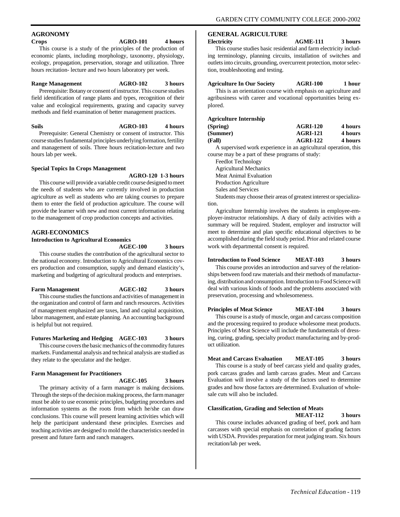### <span id="page-113-0"></span>**AGRONOMY**

#### **Crops AGRO-101 4 hours**

This course is a study of the principles of the production of economic plants, including morphology, taxonomy, physiology, ecology, propagation, preservation, storage and utilization. Three hours recitation- lecture and two hours laboratory per week.

#### **Range Management AGRO-102 3 hours**

Prerequisite: Botany or consent of instructor. This course studies field identification of range plants and types, recognition of their value and ecological requirements, grazing and capacity survey methods and field examination of better management practices.

#### **Soils AGRO-103 4 hours** Prerequisite: General Chemistry or consent of instructor. This

course studies fundamental principles underlying formation, fertility and management of soils. Three hours recitation-lecture and two hours lab per week.

#### **Special Topics In Crops Management**

#### **AGRO-120 1-3 hours**

This course will provide a variable credit course designed to meet the needs of students who are currently involved in production agriculture as well as students who are taking courses to prepare them to enter the field of production agriculture. The course will provide the learner with new and most current information relating to the management of crop production concepts and activities.

#### **AGRI-ECONOMICS**

#### **Introduction to Agricultural Economics**

**AGEC-100 3 hours**

This course studies the contribution of the agricultural sector to the national economy. Introduction to Agricultural Economics covers production and consumption, supply and demand elasticity's, marketing and budgeting of agricultural products and enterprises.

#### **Farm Management AGEC-102 3 hours**

This course studies the functions and activities of management in the organization and control of farm and ranch resources. Activities of management emphasized are taxes, land and capital acquisition, labor management, and estate planning. An accounting background is helpful but not required.

#### **Futures Marketing and Hedging AGEC-103 3 hours**

This course covers the basic mechanics of the commodity futures markets. Fundamental analysis and technical analysis are studied as they relate to the speculator and the hedger.

#### **Farm Management for Practitioners**

#### **AGEC-105 3 hours**

The primary activity of a farm manager is making decisions. Through the steps of the decision making process, the farm manager must be able to use economic principles, budgeting procedures and information systems as the roots from which he/she can draw conclusions. This course will present learning activities which will help the participant understand these principles. Exercises and teaching activities are designed to mold the characteristics needed in present and future farm and ranch managers.

#### **GENERAL AGRICULTURE**

#### **Electricity AGME-111 3 hours**

This course studies basic residential and farm electricity including terminology, planning circuits, installation of switches and outlets into circuits, grounding, overcurrent protection, motor selection, troubleshooting and testing.

#### **Agriculture In Our Society AGRI-100 1 hour**

This is an orientation course with emphasis on agriculture and agribusiness with career and vocational opportunities being explored.

#### **Agriculture Internship**

| (Spring) | <b>AGRI-120</b> | 4 hours |
|----------|-----------------|---------|
| (Summer) | <b>AGRI-121</b> | 4 hours |
| (Fall)   | <b>AGRI-122</b> | 4 hours |

A supervised work experience in an agricultural operation, this course may be a part of these programs of study:

Feedlot Technology Agricultural Mechanics Meat Animal Evaluation

Production Agriculture

Sales and Services

Students may choose their areas of greatest interest or specialization.

Agriculture Internship involves the students in employee-employer-instructor relationships. A diary of daily activities with a summary will be required. Student, employer and instructor will meet to determine and plan specific educational objectives to be accomplished during the field study period. Prior and related course work with departmental consent is required.

#### **Introduction to Food Science MEAT-103 3 hours**

This course provides an introduction and survey of the relationships between food raw materials and their methods of manufacturing, distribution and consumption. Introduction to Food Science will deal with various kinds of foods and the problems associated with preservation, processing and wholesomeness.

#### **Principles of Meat Science MEAT-104 3 hours**

This course is a study of muscle, organ and carcass composition and the processing required to produce wholesome meat products. Principles of Meat Science will include the fundamentals of dressing, curing, grading, specialty product manufacturing and by-product utilization.

#### **Meat and Carcass Evaluation MEAT-105 3 hours**

This course is a study of beef carcass yield and quality grades, pork carcass grades and lamb carcass grades. Meat and Carcass Evaluation will involve a study of the factors used to determine grades and how those factors are determined. Evaluation of wholesale cuts will also be included.

#### **Classification, Grading and Selection of Meats MEAT-112 3 hours**

This course includes advanced grading of beef, pork and ham carcasses with special emphasis on correlation of grading factors with USDA. Provides preparation for meat judging team. Six hours recitation/lab per week.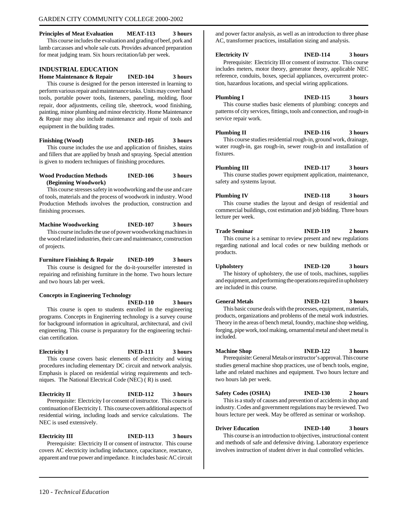#### <span id="page-114-0"></span>**Principles of Meat Evaluation MEAT-113 3 hours** This course includes the evaluation and grading of beef, pork and

lamb carcasses and whole sale cuts. Provides advanced preparation for meat judging team. Six hours recitation/lab per week.

#### **INDUSTRIAL EDUCATION**

**Home Maintenance & Repair INED-104 3 hours** This course is designed for the person interested in learning to perform various repair and maintenance tasks. Units may cover hand tools, portable power tools, fasteners, paneling, molding, floor repair, door adjustments, ceiling tile, sheetrock, wood finishing, painting, minor plumbing and minor electricity. Home Maintenance & Repair may also include maintenance and repair of tools and equipment in the building trades.

**Finishing (Wood) INED-105 3 hours** This course includes the use and application of finishes, stains and fillers that are applied by brush and spraying. Special attention is given to modern techniques of finishing procedures.

#### **Wood Production Methods INED-106 3 hours (Beginning Woodwork)**

This course stresses safety in woodworking and the use and care of tools, materials and the process of woodwork in industry. Wood Production Methods involves the production, construction and finishing processes.

#### **Machine Woodworking INED-107 3 hours** This course includes the use of power woodworking machines in the wood related industries, their care and maintenance, construction of projects.

**Furniture Finishing & Repair INED-109 3 hours** This course is designed for the do-it-yourselfer interested in repairing and refinishing furniture in the home. Two hours lecture and two hours lab per week.

#### **Concepts in Engineering Technology**

**INED-110 3 hours** This course is open to students enrolled in the engineering programs. Concepts in Enginerring technology is a survey course for background information in agricultural, architectural, and civil engineering. This course is preparatory for the engineering technician certification.

#### **Electricity I INED-111 3 hours** This course covers basic elements of electricity and wiring procedures including elementary DC circuit and network analysis. Emphasis is placed on residential wiring requirements and techniques. The National Electrical Code (NEC) ( R) is used.

**Electricity II INED-112 3 hours** Prerequisite: Electricity I or consent of instructor. This course is continuation of Electricity I. This course covers additional aspects of residential wiring, including loads and service calculations. The NEC is used extensively.

**Electricity III INED-113 3 hours** Prerequisite: Electricity II or consent of instructor. This course covers AC electricity including inductance, capacitance, reactance, apparent and true power and impedance. It includes basic AC circuit and power factor analysis, as well as an introduction to three phase AC, transformer practices, installation sizing and analysis.

#### **Electricity IV INED-114 3 hours**

Prerequisite: Electricity III or consent of instructor. This course includes meters, motor theory, generator theory, applicable NEC reference, conduits, boxes, special appliances, overcurrent protection, hazardous locations, and special wiring applications.

#### **Plumbing I INED-115 3 hours**

This course studies basic elements of plumbing: concepts and patterns of city services, fittings, tools and connection, and rough-in service repair work.

**Plumbing II INED-116 3 hours** This course studies residential rough-in, ground work, drainage, water rough-in, gas rough-in, sewer rough-in and installation of fixtures.

### **Plumbing III INED-117 3 hours**

This course studies power equipment application, maintenance, safety and systems layout.

#### **Plumbing IV INED-118 3 hours** This course studies the layout and design of residential and

commercial buildings, cost estimation and job bidding. Three hours lecture per week.

#### **Trade Seminar INED-119 2 hours** This course is a seminar to review present and new regulations regarding national and local codes or new building methods or

products.

are included in this course.

**Upholstery INED-120 3 hours** The history of upholstery, the use of tools, machines, supplies and equipment, and performing the operations required in upholstery

**General Metals INED-121 3 hours**

This basic course deals with the processes, equipment, materials, products, organizations and problems of the metal work industries. Theory in the areas of bench metal, foundry, machine shop welding, forging, pipe work, tool making, ornamental metal and sheet metal is included.

#### **Machine Shop INED-122 3 hours** Prerequisite: General Metals or instructor's approval. This course

studies general machine shop practices, use of bench tools, engine, lathe and related machines and equipment. Two hours lecture and two hours lab per week.

#### **Safety Codes (OSHA) INED-130 2 hours**

This is a study of causes and prevention of accidents in shop and industry. Codes and government regulations may be reviewed. Two hours lecture per week. May be offered as seminar or workshop.

**Driver Education INED-140 3 hours**

This course is an introduction to objectives, instructional content and methods of safe and defensive driving. Laboratory experience involves instruction of student driver in dual controlled vehicles.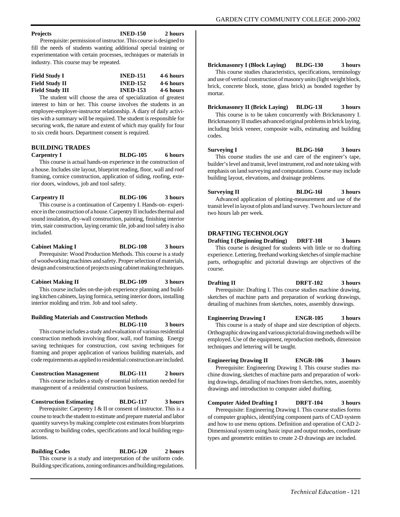#### <span id="page-115-0"></span>**Projects INED-150 2 hours**

 Prerequisite: permission of instructor. This course is designed to fill the needs of students wanting additional special training or experimentation with certain processes, techniques or materials in industry. This course may be repeated.

| <b>Field Study I</b>   | <b>INED-151</b> | 4-6 hours |
|------------------------|-----------------|-----------|
| <b>Field Study II</b>  | <b>INED-152</b> | 4-6 hours |
| <b>Field Study III</b> | <b>INED-153</b> | 4-6 hours |

The student will choose the area of specialization of greatest interest to him or her. This course involves the students in an employee-employer-instructor relationship. A diary of daily activities with a summary will be required. The student is responsible for securing work, the nature and extent of which may qualify for four to six credit hours. Department consent is required.

#### **BUILDING TRADES**

**Carpentry I BLDG-105 6 hours**

This course is actual hands-on experience in the construction of a house. Includes site layout, blueprint reading, floor, wall and roof framing, cornice construction, application of siding, roofing, exterior doors, windows, job and tool safety.

**Carpentry II BLDG-106 3 hours** This course is a continuation of Carpentry I. Hands-on- experience in the construction of a house. Carpentry II includes thermal and sound insulation, dry-wall construction, painting, finishing interior trim, stair construction, laying ceramic tile, job and tool safety is also included.

#### **Cabinet Making I BLDG-108 3 hours**

Prerequisite: Wood Production Methods. This course is a study of woodworking machines and safety. Proper selection of materials, design and construction of projects using cabinet making techniques.

**Cabinet Making II BLDG-109 3 hours**

This course includes on-the-job experience planning and building kitchen cabinets, laying formica, setting interior doors, installing interior molding and trim. Job and tool safety.

#### **Building Materials and Construction Methods BLDG-110 3 hours**

This course includes a study and evaluation of various residential construction methods involving floor, wall, roof framing. Energy saving techniques for construction, cost saving techniques for framing and proper application of various building materials, and code requirements as applied to residential construction are included.

#### **Construction Management BLDG-111 2 hours** This course includes a study of essential information needed for management of a residential construction business.

#### **Construction Estimating BLDG-117 3 hours**

Prerequisite: Carpentry I & II or consent of instructor. This is a course to teach the student to estimate and prepare material and labor quantity surveys by making complete cost estimates from blueprints according to building codes, specifications and local building regulations.

#### **Building Codes BLDG-120 2 hours**

This course is a study and interpretation of the uniform code. Building specifications, zoning ordinances and building regulations.

#### **Brickmasonry I (Block Laying) BLDG-130 3 hours**

This course studies characteristics, specifications, terminology and use of vertical construction of masonry units (light weight block, brick, concrete block, stone, glass brick) as bonded together by mortar.

#### **Brickmasonry II (Brick Laying) BLDG-13l 3 hours**

This course is to be taken concurrently with Brickmasonry I. Brickmasonry II studies advanced original problems in brick laying, including brick veneer, composite walls, estimating and building codes.

#### **Surveying I BLDG-160 3 hours**

This course studies the use and care of the engineer's tape, builder's level and transit, level instrument, rod and note taking with emphasis on land surveying and computations. Course may include building layout, elevations, and drainage problems.

#### **Surveying II BLDG-16l 3 hours**

Advanced application of plotting-measurement and use of the transit level in layout of plots and land survey. Two hours lecture and two hours lab per week.

#### **DRAFTING TECHNOLOGY**

**Drafting I (Beginning Drafting) DRFT-10l 3 hours**

This course is designed for students with little or no drafting experience. Lettering, freehand working sketches of simple machine parts, orthographic and pictorial drawings are objectives of the course.

**Drafting II DRFT-102 3 hours** Prerequisite: Drafting I. This course studies machine drawing, sketches of machine parts and preparation of working drawings, detailing of machines from sketches, notes, assembly drawings.

**Engineering Drawing I ENGR-105 3 hours**

This course is a study of shape and size description of objects. Orthographic drawing and various pictorial drawing methods will be employed. Use of the equipment, reproduction methods, dimension techniques and lettering will be taught.

#### **Engineering Drawing II ENGR-106 3 hours**

Prerequisite: Engineering Drawing I. This course studies machine drawing, sketches of machine parts and preparation of working drawings, detailing of machines from sketches, notes, assembly drawings and introduction to computer aided drafting.

#### **Computer Aided Drafting I DRFT-104 3 hours**

Prerequisite: Engineering Drawing I. This course studies forms of computer graphics, identifying component parts of CAD system and how to use menu options. Definition and operation of CAD 2- Dimensional system using basic input and output modes, coordinate types and geometric entities to create 2-D drawings are included.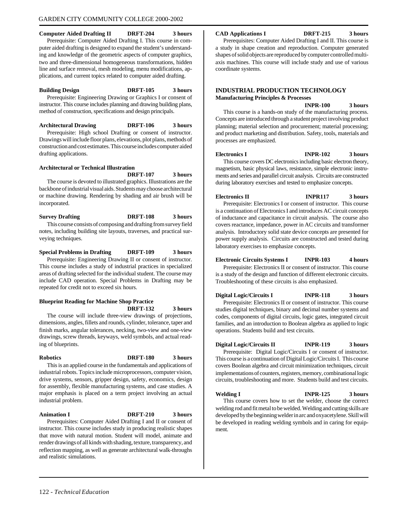#### <span id="page-116-0"></span>**Computer Aided Drafting II DRFT-204 3 hours**

Prerequisite: Computer Aided Drafting I. This course in computer aided drafting is designed to expand the student's understanding and knowledge of the geometric aspects of computer graphics, two and three-dimensional homogeneous transformations, hidden line and surface removal, mesh modeling, menu modifications, applications, and current topics related to computer aided drafting.

#### **Building Design DRFT-105 3 hours**

Prerequisite: Engineering Drawing or Graphics I or consent of instructor. This course includes planning and drawing building plans, method of construction, specifications and design principals.

**Architectural Drawing DRFT-106 3 hours**

Prerequisite: High school Drafting or consent of instructor. Drawings will include floor plans, elevations, plot plans, methods of construction and cost estimates. This course includes computer aided drafting applications.

#### **Architectural or Technical Illustration**

**DRFT-107 3 hours**

The course is devoted to illustrated graphics. Illustrations are the backbone of industrial visual aids. Students may choose architectural or machine drawing. Rendering by shading and air brush will be incorporated.

#### **Survey Drafting DRFT-108 3 hours** This course consists of composing and drafting from survey field

notes, including building site layouts, traverses, and practical surveying techniques.

#### **Special Problems in Drafting DRFT-109 3 hours**

Prerequisite: Engineering Drawing II or consent of instructor. This course includes a study of industrial practices in specialized areas of drafting selected for the individual student. The course may include CAD operation. Special Problems in Drafting may be repeated for credit not to exceed six hours.

### **Blueprint Reading for Machine Shop Practice**

**DRFT-132 3 hours**

The course will include three-view drawings of projections, dimensions, angles, fillets and rounds, cylinder, tolerance, taper and finish marks, angular tolerances, necking, two-view and one-view drawings, screw threads, keyways, weld symbols, and actual reading of blueprints.

**Robotics DRFT-180 3 hours**

This is an applied course in the fundamentals and applications of industrial robots. Topics include microprocessors, computer vision, drive systems, sensors, gripper design, safety, economics, design for assembly, flexible manufacturing systems, and case studies. A major emphasis is placed on a term project involving an actual industrial problem.

**Animation I DRFT-210 3 hours** Prerequisites: Computer Aided Drafting I and II or consent of instructor. This course includes study in producing realistic shapes that move with natural motion. Student will model, animate and render drawings of all kinds with shading, texture, transparency, and reflection mapping, as well as generate architectural walk-throughs and realistic simulations.

#### **CAD Applications I DRFT-215 3 hours**

Prerequisites: Computer Aided Drafting I and II. This course is a study in shape creation and reproduction. Computer generated shapes of solid objects are reproduced by computer controlled multiaxis machines. This course will include study and use of various coordinate systems.

#### **INDUSTRIAL PRODUCTION TECHNOLOGY Manufacturing Principles & Processes**

**INPR-100 3 hours** This course is a hands-on study of the manufacturing process. Concepts are introduced through a student project involving product planning; material selection and procurement; material processing; and product marketing and distribution. Safety, tools, materials and processes are emphasized.

#### **Electronics I INPR-102 3 hours**

This course covers DC electronics including basic electron theory, magnetism, basic physical laws, resistance, simple electronic instruments and series and parallel circuit analysis. Circuits are constructed during laboratory exercises and tested to emphasize concepts.

#### **Electronics II INPR117 3 hours**

Prerequisite: Electronics I or consent of instructor. This course is a continuation of Electronics I and introduces AC circuit concepts of inductance and capacitance in circuit analysis. The course also covers reactance, impedance, power in AC circuits and transformer analysis. Introductory solid state device concepts are presented for power supply analysis. Circuits are constructed and tested during laboratory exercises to emphasize concepts.

#### **Electronic Circuits Systems I INPR-103 4 hours**

Prerequisite: Electronics II or consent of instructor. This course is a study of the design and function of different electronic circuits. Troubleshooting of these circuits is also emphasized.

#### **Digital Logic/Circuits I INPR-118 3 hours**

Prerequisite: Electronics II or consent of instructor. This course studies digital techniques, binary and decimal number systems and codes, components of digital circuits, logic gates, integrated circuit families, and an introduction to Boolean algebra as applied to logic operations. Students build and test circuits.

#### **Digital Logic/Circuits II INPR-119 3 hours**

Prerequisite: Digital Logic/Circuits I or consent of instructor. This course is a continuation of Digital Logic/Circuits I. This course covers Boolean algebra and circuit minimization techniques, circuit implementations of counters, registers, memory, combinational logic circuits, troubleshooting and more. Students build and test circuits.

**Welding I INPR-125 3 hours** This course covers how to set the welder, choose the correct welding rod and fit metal to be welded. Welding and cutting skills are developed by the beginning welder in arc and oxyacetylene. Skill will be developed in reading welding symbols and in caring for equipment.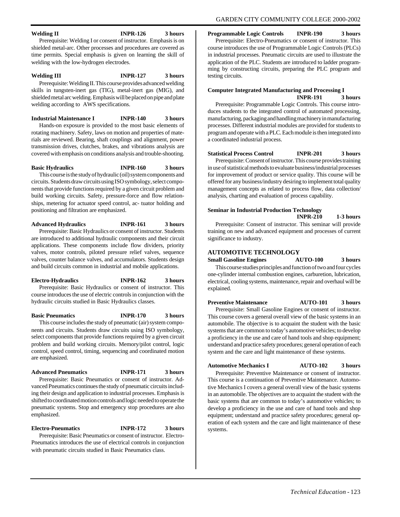#### GARDEN CITY COMMUNITY COLLEGE 2000-2002

#### <span id="page-117-0"></span>**Welding II INPR-126 3 hours**

Prerequisite: Welding I or consent of instructor. Emphasis is on shielded metal-arc. Other processes and procedures are covered as time permits. Special emphasis is given on learning the skill of welding with the low-hydrogen electrodes.

#### **Welding III INPR-127 3 hours** Prerequisite: Welding II. This course provides advanced welding skills in tungsten-inert gas (TIG), metal-inert gas (MIG), and shielded metal arc welding. Emphasis will be placed on pipe and plate welding according to AWS specifications.

**Industrial Maintenance I INPR-140 3 hours** Hands-on exposure is provided to the most basic elements of rotating machinery. Safety, laws on motion and properties of materials are reviewed. Bearing, shaft couplings and alignment, power transmission drives, clutches, brakes, and vibrations analysis are covered with emphasis on conditions analysis and trouble-shooting.

**Basic Hydraulics INPR-160 3 hours** This course is the study of hydraulic (oil) system components and circuits. Students draw circuits using ISO symbology, select components that provide functions required by a given circuit problem and build working circuits. Safety, pressure-force and flow relationships, metering for actuator speed control, ac- tuator holding and

positioning and filtration are emphasized.

#### **Advanced Hydraulics INPR-161 3 hours** Prerequisite: Basic Hydraulics or consent of instructor. Students are introduced to additional hydraulic components and their circuit applications. These components include flow dividers, priority valves, motor controls, piloted pressure relief valves, sequence valves, counter balance valves, and accumulators. Students design and build circuits common in industrial and mobile applications.

**Electro-Hydraulics INPR-162 3 hours** Prerequisite: Basic Hydraulics or consent of instructor. This course introduces the use of electric controls in conjunction with the hydraulic circuits studied in Basic Hydraulics classes.

**Basic Pneumatics INPR-170 3 hours**

This course includes the study of pneumatic (air) system components and circuits. Students draw circuits using ISO symbology, select components that provide functions required by a given circuit problem and build working circuits. Memory/pilot control, logic control, speed control, timing, sequencing and coordinated motion are emphasized.

#### **Advanced Pneumatics INPR-171 3 hours**

Prerequisite: Basic Pneumatics or consent of instructor. Advanced Pneumatics continues the study of pneumatic circuits including their design and application to industrial processes. Emphasis is shifted to coordinated motion controls and logic needed to operate the pneumatic systems. Stop and emergency stop procedures are also emphasized.

#### **Electro-Pneumatics INPR-172 3 hours**

Prerequisite: Basic Pneumatics or consent of instructor. Electro-Pneumatics introduces the use of electrical controls in conjunction with pneumatic circuits studied in Basic Pneumatics class.

**Programmable Logic Controls INPR-190 3 hours**

Prerequisite: Electro-Pneumatics or consent of instructor. This course introduces the use of Programmable Logic Controls (PLCs) in industrial processes. Pneumatic circuits are used to illustrate the application of the PLC. Students are introduced to ladder programming by constructing circuits, preparing the PLC program and testing circuits.

#### **Computer Integrated Manufacturing and Processing I INPR-191 3 hours**

Prerequisite: Programmable Logic Controls. This course introduces students to the integrated control of automated processing, manufacturing, packaging and handling machinery in manufacturing processes. Different industrial modules are provided for students to program and operate with a PLC. Each module is then integrated into a coordinated industrial process.

**Statistical Process Control INPR-201 3 hours**

Prerequisite: Consent of instructor. This course provides training in use of statistical methods to evaluate business/industrial processes for improvement of product or service quality. This course will be offered for any business/industry desiring to implement total quality management concepts as related to process flow, data collection/ analysis, charting and evaluation of process capability.

### **Seminar in Industrial Production Technology INPR-210 1-3 hours**

Prerequisite: Consent of instructor. This seminar will provide training on new and advanced equipment and processes of current significance to industry.

#### **AUTOMOTIVE TECHNOLOGY**

**Small Gasoline Engines AUTO-100 3 hours** This course studies principles and function of two and four cycles one-cylinder internal combustion engines, carburetion, lubrication, electrical, cooling systems, maintenance, repair and overhaul will be explained.

**Preventive Maintenance AUTO-101 3 hours**

Prerequisite: Small Gasoline Engines or consent of instructor. This course covers a general overall view of the basic systems in an automobile. The objective is to acquaint the student with the basic systems that are common to today's automotive vehicles; to develop a proficiency in the use and care of hand tools and shop equipment; understand and practice safety procedures; general operation of each system and the care and light maintenance of these systems.

#### **Automotive Mechanics I AUTO-102 3 hours**

Prerequisite: Preventive Maintenance or consent of instructor. This course is a continuation of Preventive Maintenance. Automotive Mechanics I covers a general overall view of the basic systems in an automobile. The objectives are to acquaint the student with the basic systems that are common to today's automotive vehicles; to develop a proficiency in the use and care of hand tools and shop equipment; understand and practice safety procedures; general operation of each system and the care and light maintenance of these systems.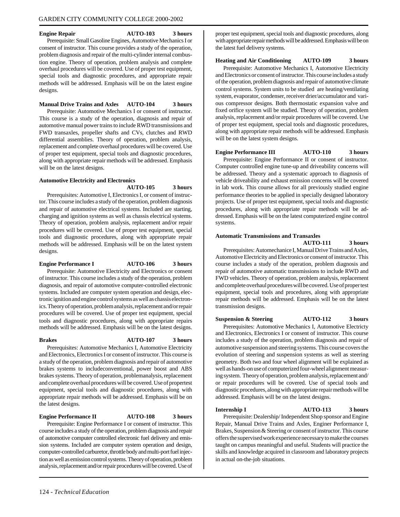**Engine Repair AUTO-103 3 hours** Prerequisite: Small Gasoline Engines, Automotive Mechanics I or consent of instructor. This course provides a study of the operation, problem diagnosis and repair of the multi-cylinder internal combustion engine. Theory of operation, problem analysis and complete overhaul procedures will be covered. Use of proper test equipment, special tools and diagnostic procedures, and appropriate repair methods will be addressed. Emphasis will be on the latest engine designs.

#### **Manual Drive Trains and Axles AUTO-104 3 hours**

Prerequisite: Automotive Mechanics I or consent of instructor. This course is a study of the operation, diagnosis and repair of automotive manual power trains to include RWD transmissions and FWD transaxles, propeller shafts and CVs, clutches and RWD differential assemblies. Theory of operation, problem analysis, replacement and complete overhaul procedures will be covered. Use of proper test equipment, special tools and diagnostic procedures, along with appropriate repair methods will be addressed. Emphasis will be on the latest designs.

#### **Automotive Electricity and Electronics**

**AUTO-105 3 hours**

Prerequisites: Automotive I, Electronics I, or consent of instructor. This course includes a study of the operation, problem diagnosis and repair of automotive electrical systems. Included are starting, charging and ignition systems as well as chassis electrical systems. Theory of operation, problem analysis, replacement and/or repair procedures will be covered. Use of proper test equipment, special tools and diagnostic procedures, along with appropriate repair methods will be addressed. Emphasis will be on the latest system designs.

#### **Engine Performance I AUTO-106 3 hours**

Prerequisite: Automotive Electricity and Electronics or consent of instructor. This course includes a study of the operation, problem diagnosis, and repair of automotive computer-controlled electronic systems. Included are computer system operation and design, electronic ignition and engine control systems as well as chassis electronics. Theory of operation, problem analysis, replacement and/or repair procedures will be covered. Use of proper test equipment, special tools and diagnostic procedures, along with appropriate repairs methods will be addressed. Emphasis will be on the latest designs.

**Brakes AUTO-107 3 hours**

Prerequisites: Automotive Mechanics I, Automotive Electricity and Electronics, Electronics I or consent of instructor. This course is a study of the operation, problem diagnosis and repair of automotive brakes systems to includeconventional, power boost and ABS brakes systems. Theory of operation, problemanalysis, replacement and complete overhaul procedures will be covered. Use of propertest equipment, special tools and diagnostic procedures, along with appropriate repair methods will be addressed. Emphasis will be on the latest designs.

**Engine Performance II AUTO-108 3 hours** Prerequisite: Engine Performance I or consent of instructor. This course includes a study of the operation, problem diagnosis and repair of automotive computer controlled electronic fuel delivery and emission systems. Included are computer system operation and design, computer-controlled carburetor, throttle body and multi-port fuel injection as well as emission control systems.Theory of operation, problem analysis, replacement and/or repair procedures will be covered. Use of

proper test equipment, special tools and diagnostic procedures, along with appropriate repair methods will be addressed. Emphasis will be on the latest fuel delivery systems.

#### **Heating and Air Conditioning AUTO-109 3 hours**

Prerequisite: Automotive Mechanics I, Automotive Electricity and Electronics or consent of instructor. This course includes a study of the operation, problem diagnosis and repair of automotive climate control systems. System units to be studied are heating/ventilating system, evaporator, condenser, receiver drier/accumulator and various compressor designs. Both thermostatic expansion valve and fixed orifice system will be studied. Theory of operation, problem analysis, replacement and/or repair procedures will be covered. Use of proper test equipment, special tools and diagnostic procedures, along with appropriate repair methods will be addressed. Emphasis will be on the latest system designs.

#### **Engine Performance III AUTO-110 3 hours**

Prerequisite: Engine Performance II or consent of instructor. Computer controlled engine tune-up and driveability concerns will be addressed. Theory and a systematic approach to diagnosis of vehicle driveability and exhaust emission concerns will be covered in lab work. This course allows for all previously studied engine performance theories to be applied in specially designed laboratory projects. Use of proper test equipment, special tools and diagnostic procedures, along with appropriate repair methods will be addressed. Emphasis will be on the latest computerized engine control systems.

#### **Automatic Transmissions and Transaxles**

#### **AUTO-111 3 hours**

Prerequisites: Automechanice I, Manual Drive Trains and Axles, Automotive Electricity and Electronics or consent of instructor. This course includes a study of the operation, problem diagnosis and repair of automotive automatic transmissions to include RWD and FWD vehicles. Theory of operation, problem analysis, replacement and complete overhaul procedures will be covered. Use of proper test equipment, special tools and procedures, along with appropriate repair methods will be addressed. Emphasis will be on the latest transmission designs.

#### **Suspension & Steering AUTO-112 3 hours**

Prerequisites: Automotive Mechanics I, Automotive Electricty and Electronics, Electronics I or consent of instructor. This course includes a study of the operation, problem diagnosis and repair of automotive suspension and steering systems. This course covers the evolution of steering and suspension systems as well as steering geometry. Both two and four wheel alignment will be explained as well as hands-on use of computerized four-wheel alignment measuring system. Theory of operation, problem analysis, replacement and/ or repair procedures will be covered. Use of special tools and diagnostic procedures, along with appropriate repair methods will be addressed. Emphasis will be on the latest designs.

**Internship I AUTO-113 3 hours**

Prerequisite: Dealership/ Independent Shop sponsor and Engine Repair, Manual Drive Trains and Axles, Enginer Performance I, Brakes, Suspension & Steering or consent of instructor. This course offers the supervised work experience necessary to make the courses taught on campus meaningful and useful. Students will practice the skills and knowledge acquired in classroom and laboratory projects in actual on-the-job situations.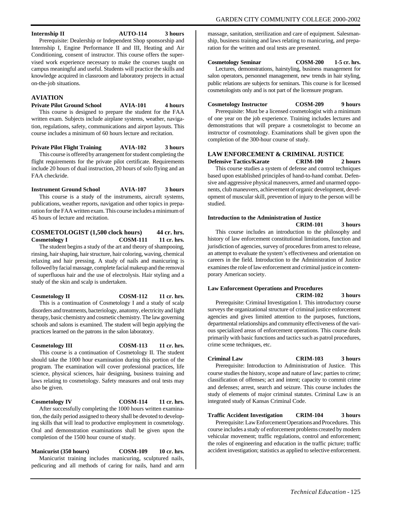#### <span id="page-119-0"></span>**Internship II AUTO-114 3 hours**

Prerequisite: Dealership or Independent Shop sponsorship and Internship I, Engine Performance II and III, Heating and Air Conditioning, consent of instructor. This course offers the supervised work experience necessary to make the courses taught on campus meaningful and useful. Students will practice the skills and knowledge acquired in classroom and laboratory projects in actual on-the-job situations.

#### **AVIATION**

**Private Pilot Ground School AVIA-101 4 hours** This course is designed to prepare the student for the FAA written exam. Subjects include airplane systems, weather, navigation, regulations, safety, communications and airport layouts. This course includes a minimum of 60 hours lecture and recitation.

**Private Pilot Flight Training AVIA-102 3 hours**

This course is offered by arrangement for student completing the flight requirements for the private pilot certificate. Requirements include 20 hours of dual instruction, 20 hours of solo flying and an FAA checkride.

**Instrument Ground School AVIA-107 3 hours** This course is a study of the instruments, aircraft systems, publications, weather reports, navigation and other topics in preparation for the FAA written exam. This course includes a minimum of 45 hours of lecture and recitation.

#### **COSMETOLOGIST** (1,500 clock hours) 44 cr. hrs.<br> **COSM-111** 11 cr. hrs. **Cosmetology I**

The student begins a study of the art and theory of shampooing, rinsing, hair shaping, hair structure, hair coloring, waving, chemical relaxing and hair pressing. A study of nails and manicuring is followed by facial massage, complete facial makeup and the removal of superfluous hair and the use of electrolysis. Hair styling and a study of the skin and scalp is undertaken.

**Cosmetology II COSM-112 11 cr. hrs.**

This is a continuation of Cosmetology I and a study of scalp disorders and treatments, bacteriology, anatomy, electricity and light therapy, basic chemistry and cosmetic chemistry. The law governing schools and salons is examined. The student will begin applying the practices learned on the patrons in the salon laboratory.

#### **Cosmetology III COSM-113 11 cr. hrs.**

This course is a continuation of Cosmetology II. The student should take the 1000 hour examination during this portion of the program. The examination will cover professional practices, life science, physical sciences, hair designing, business training and laws relating to cosmetology. Safety measures and oral tests may also be given.

#### **Cosmetology IV COSM-114 11 cr. hrs.**

After successfully completing the 1000 hours written examination, the daily period assigned to theory shall be devoted to developing skills that will lead to productive employment in cosmetology. Oral and demonstration examinations shall be given upon the completion of the 1500 hour course of study.

**Manicurist (350 hours) COSM-109 10 cr. hrs.** Manicurist training includes manicuring, sculptured nails, pedicuring and all methods of caring for nails, hand and arm massage, sanitation, sterilization and care of equipment. Salesmanship, business training and laws relating to manicuring, and preparation for the written and oral tests are presented.

**Cosmetology Seminar COSM-200 1-5 cr. hrs.** Lectures, demonstrations, hairstyling, business management for

salon operators, personnel management, new trends in hair styling, public relations are subjects for seminars. This course is for licensed cosmetologists only and is not part of the licensure program.

**Cosmetology Instructor COSM-209 9 hours**

Prerequisite: Must be a licensed cosmetologist with a minimum of one year on the job experience. Training includes lectures and demonstrations that will prepare a cosmetologist to become an instructor of cosmotology. Examinations shall be given upon the completion of the 300-hour course of study.

### **LAW ENFORCEMENT & CRIMINAL JUSTICE**<br>**Defensive Tactics/Karate CRIM-100** 2

**Defensive Tactics/Karate CRIM-100 2 hours** This course studies a system of defense and control techniques based upon established principles of hand-to-hand combat. Defensive and aggressive physical maneuvers, armed and unarmed opponents, club maneuvers, achievement of organic development, development of muscular skill, prevention of injury to the person will be studied.

#### **Introduction to the Administration of Justice CRIM-101 3 hours**

This course includes an introduction to the philosophy and history of law enforcement constitutional limitations, function and jurisdiction of agencies, survey of procedures from arrest to release, an attempt to evaluate the system's effectiveness and orientation on careers in the field. Introduction to the Administration of Justice examines the role of law enforcement and criminal justice in contemporary American society.

### **Law Enforcement Operations and Procedures CRIM-102 3 hours**

Prerequisite: Criminal Investigation I. This introductory course surveys the organizational structure of criminal justice enforcement agencies and gives limited attention to the purposes, functions, departmental relationships and community effectiveness of the various specialized areas of enforcement operations. This course deals primarily with basic functions and tactics such as patrol procedures, crime scene techniques, etc.

**Criminal Law CRIM-103 3 hours** Prerequisite: Introduction to Administration of Justice. This course studies the history, scope and nature of law; parties to crime; classification of offenses; act and intent; capacity to commit crime and defenses; arrest, search and seizure. This course includes the study of elements of major criminal statutes. Criminal Law is an integrated study of Kansas Criminal Code.

**Traffic Accident Investigation CRIM-104 3 hours**

Prerequisite: Law Enforcement Operations and Procedures. This course includes a study of enforcement problems created by modern vehicular movement; traffic regulations, control and enforcement; the roles of engineering and education in the traffic picture; traffic accident investigation; statistics as applied to selective enforcement.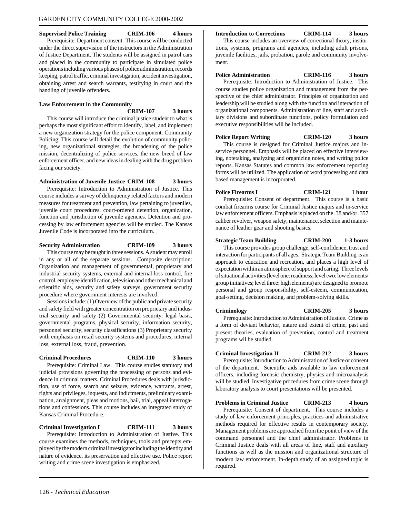#### **Supervised Police Training CRIM-106 4 hours**

Prerequisite: Department consent. This course will be conducted under the direct supervision of the instructors in the Administration of Justice Department. The students will be assigned in patrol cars and placed in the community to participate in simulated police operations including various phases of police administration, records keeping, patrol traffic, criminal investigation, accident investigation, obtaining arrest and search warrants, testifying in court and the handling of juvenile offenders.

#### **Law Enforcement in the Community**

**CRIM-107 3 hours**

This course will introduce the criminal justice student to what is perhaps the most significant effort to identify, label, and implement a new organization strategy for the police component: Community Policing. This course will detail the evolution of community policing, new organizational strategies, the broadening of the police mission, decentralizing of police services, the new breed of law enforcement officer, and new ideas in dealing with the drug problem facing our society.

#### **Administration of Juvenile Justice CRIM-108 3 hours**

Prerequisite: Introduction to Administration of Justice. This course includes a survey of delinquency related factors and modern measures for treatment and prevention, law pertaining to juveniles, juvenile court procedures, court-ordered detention, organization, function and jurisdiction of juvenile agencies. Detention and processing by law enforcement agencies will be studied. The Kansas Juvenile Code is incorporated into the curriculum.

#### **Security Administration CRIM-109 3 hours**

This course may be taught in three sessions. A student may enroll in any or all of the separate sessions. Composite description: Organization and management of governmental, proprietary and industrial security systems, external and internal loss control, fire control, employee identification, television and other mechanical and scientific aids, security and safety surveys, government security procedure where government interests are involved.

Sessions include: (1) Overview of the public and private security and safety field with greater concentration on proprietary and industrial security and safety (2) Governmental security: legal basis, governmental programs, physical security, information security, personnel security, security classifications (3) Proprietary security with emphasis on retail security systems and procedures, internal loss, external loss, fraud, prevention.

#### **Criminal Procedures CRIM-110 3 hours**

Prerequisite: Criminal Law. This course studies statutory and judicial provisions governing the processing of persons and evidence in criminal matters. Criminal Procedures deals with jurisdiction, use of force, search and seizure, evidence, warrants, arrest, rights and privileges, inquests, and indictments, preliminary examination, arraignment, pleas and motions, bail, trial, appeal interrogations and confessions. This course includes an integrated study of Kansas Criminal Procedure.

**Criminal Investigation I CRIM-111 3 hours** Prerequisite: Introduction to Administration of Justive. This course examines the methods, techniques, tools and precepts employed by the modern criminal investigator including the identity and nature of evidence, its preservation and effective use. Police report writing and crime scene investigation is emphasized.

#### **Introduction to Corrections CRIM-114 3 hours**

ment.

This course includes an overview of correctional theory, institutions, systems, programs and agencies, including adult prisons, juvenile facilities, jails, probation, parole and community involve-

### **Police Administration CRIM-116 3 hours**

Prerequisite: Introduction to Administration of Justice. This course studies police organization and management from the perspective of the chief administrator. Principles of organization and leadership will be studied along with the function and interaction of organizational components. Administration of line, staff and auxiliary divisions and subordinate functions, policy formulation and executive responsibilities will be included.

**Police Report Writing CRIM-120 3 hours** This course is designed for Criminal Justice majors and in-

service personnel. Emphasis will be placed on effective interviewing, notetaking, analyzing and organizing notes, and writing police reports. Kansas Statutes and common law enforcement reporting forms will be utilized. The application of word processing and data based management is incorporated.

**Police Firearms I CRIM-121 1 hour** Prerequisite: Consent of department. This course is a basic combat firearms course for Criminal Justice majors and in-service law enforcement officers. Emphasis is placed on the .38 and/or .357 caliber revolver, weapon safety, maintenance, selection and maintenance of leather gear and shooting basics.

#### **Strategic Team Building CRIM-200 1-3 hours** This course provides group challenge, self-confidence, trust and interaction for participants of all ages. Strategic Team Building is an approach to education and recreation, and places a high level of expectation within an atmosphere of support and caring. Three levels of situational activities (level one: readiness; level two: low elements/ group initiatives; level three: high elements) are designed to promote

personal and group responsibility, self-esteem, communication, goal-setting, decision making, and problem-solving skills.

#### **Criminology CRIM-205 3 hours** Prerequisite: Introduction to Administration of Justice. Crime as a form of deviant behavior, nature and extent of crime, past and present theories, evaluation of prevention, control and treatment programs wil be studied.

#### **Criminal Investigation II CRIM-212 3 hours**

Prerequisite: Introduction to Administration of Justice or consent of the department. Scientific aids available to law enforcement officers, including forensic chemistry, physics and microanalysis will be studied. Investigative procedures from crime scene through laboratory analysis to court presentations will be presented.

**Problems in Criminal Justice CRIM-213 4 hours**

Prerequisite: Consent of department. This course includes a study of law enforcement principles, practices and administrative methods required for effective results in contemporary society. Management problems are approached from the point of view of the command personnel and the chief administrator. Problems in Criminal Justice deals with all areas of line, staff and auxiliary functions as well as the mission and organizational structure of modern law enforcement. In-depth study of an assigned topic is required.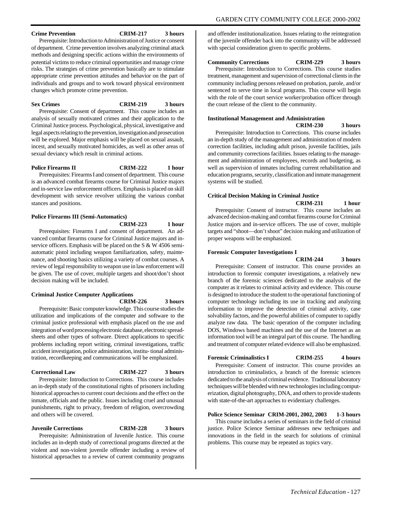#### **Crime Prevention CRIM-217 3 hours**

Prerequisite: Introduction to Administration of Justice or consent of department. Crime prevention involves analyzing criminal attack methods and designing specific actions within the environments of potential victims to reduce criminal opportunities and manage crime risks. The strategies of crime prevention basically are to stimulate appropriate crime prevention attitudes and behavior on the part of individuals and groups and to work toward physical environment changes which promote crime prevention.

#### **Sex Crimes CRIM-219 3 hours**

Prerequisite: Consent of department. This course includes an analysis of sexually motivated crimes and their application to the Criminal Justice process. Psychological, physical, investigative and legal aspects relating to the prevention, investigation and prosecution will be explored. Major emphasis will be placed on sexual assault, incest, and sexually motivated homicides, as well as other areas of sexual deviancy which result in criminal actions.

#### **Police Firearms II CRIM-222 1 hour**

Prerequisites: Firearms I and consent of department. This course is an advanced combat firearms course for Criminal Justice majors and in-service law enforcement officers. Emphasis is placed on skill development with service revolver utilizing the various combat stances and positions.

#### **Police Firearms III (Semi-Automatics)**

**CRIM-223 1 hour**

Prerequisites: Firearms I and consent of department. An advanced combat firearms course for Criminal Justice majors and inservice officers. Emphasis will be placed on the S & W 4506 semiautomatic pistol including weapon familiarization, safety, maintenance, and shooting basics utilizing a variety of combat courses. A review of legal responsibility to weapon use in law enforcement will be given. The use of cover, multiple targets and shoot/don't shoot decision making will be included.

#### **Criminal Justice Computer Applications CRIM-226 3 hours**

Prerequisite: Basic computer knowledge. This course studies the utilization and implications of the computer and software to the criminal justice professional with emphasis placed on the use and integration of word processing electronic database, electronic spreadsheets and other types of software. Direct applications to specific problems including report writing, criminal investigations, traffic accident investigation, police administration, institu- tional administration, recordkeeping and communications will be emphasized.

#### **Correctional Law CRIM-227 3 hours**

Prerequisite: Introduction to Corrections. This course includes an in-depth study of the constitutional rights of prisoners including historical approaches to current court decisions and the effect on the inmate, officials and the public. Issues including cruel and unusual punishments, right to privacy, freedom of religion, overcrowding and others will be covered.

#### **Juvenile Corrections CRIM-228 3 hours**

Prerequisite: Administration of Juvenile Justice. This course includes an in-depth study of correctional programs directed at the violent and non-violent juvenile offender including a review of historical approaches to a review of current community programs

and offender institutionalization. Issues relating to the reintegration of the juvenile offender back into the community will be addressed with special consideration given to specific problems.

#### **Community Corrections CRIM-229 3 hours**

Prerequisite: Introduction to Corrections. This course studies treatment, management and supervision of correctional clients in the community including persons released on probation, parole, and/or sentenced to serve time in local programs. This course will begin with the role of the court service worker/probation officer through the court release of the client to the community.

#### **Institutional Management and Administration**

**CRIM-230 3 hours**

Prerequisite: Introduction to Corrections. This course includes an in-depth study of the management and administration of modern correction facilities, including adult prison, juvenile facilities, jails and community corrections facilities. Issues relating to the management and administration of employees, records and budgeting, as well as supervision of inmates including current rehabilitation and education programs, security, classification and inmate management systems will be studied.

#### **Critical Decision Making in Criminal Justice**

**CRIM-231 1 hour**

Prerequisite: Consent of instructor. This course includes an advanced decision-making and combat firearms course for Criminal Justice majors and in-service officers. The use of cover, multiple targets and "shoot—don't shoot" decision making and utilization of proper weapons will be emphasized.

#### **Forensic Computer Investigations I**

**CRIM-244 3 hours** Prerequisite: Consent of instructor. This course provides an

introduction to forensic computer investigations, a relatively new branch of the forensic sciences dedicated to the analysis of the computer as it relates to criminal activity and evidence. This course is designed to introduce the student to the operational functioning of computer technology including its use in tracking and analyzing information to improve the detection of criminal activity, case solvability factors, and the powerful abilities of computer to rapidly analyze raw data. The basic operation of the computer including DOS, Windows based machines and the use of the Internet as an information tool will be an integral part of this course. The handling and treatment of computer related evidence will also be emphasized.

#### **Forensic Criminalistics I CRIM-255 4 hours**

Prerequisite: Consent of instructor. This course provides an introduction to criminalistics, a branch of the forensic sciences dedicated to the analysis of criminal evidence. Traditional laboratory techniques will be blended with new technologies including computerization, digital photography, DNA, and others to provide students with state-of-the-art approaches to evidentiary challenges.

#### **Police Science Seminar CRIM-2001, 2002, 2003 1-3 hours**

This course includes a series of seminars in the field of criminal justice. Police Science Seminar addresses new techniques and innovations in the field in the search for solutions of criminal problems. This course may be repeated as topics vary.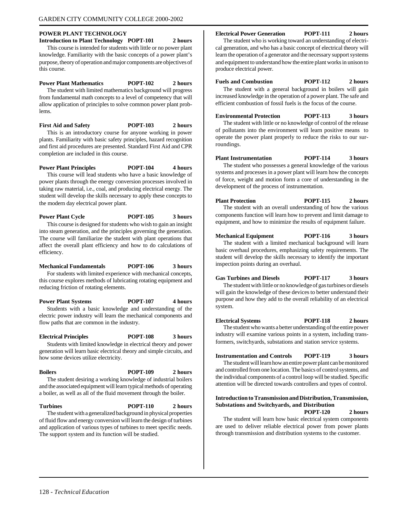#### <span id="page-122-0"></span>**POWER PLANT TECHNOLOGY Introduction to Plant Technology POPT-101 2 hours**

This course is intended for students with little or no power plant knowledge. Familiarity with the basic concepts of a power plant's purpose, theory of operation and major components are objectives of this course.

#### **Power Plant Mathematics POPT-102 2 hours**

The student with limited mathematics background will progress from fundamental math concepts to a level of competency that will allow application of principles to solve common power plant problems.

#### **First Aid and Safety POPT-103 2 hours**

This is an introductory course for anyone working in power plants. Familiarity with basic safety principles, hazard recognition and first aid procedures are presented. Standard First Aid and CPR completion are included in this course.

**Power Plant Principles POPT-104 4 hours**

This course will lead students who have a basic knowledge of power plants through the energy conversion processes involved in taking raw material, i.e., coal, and producing electrical energy. The student will develop the skills necessary to apply these concepts to the modern day electrical power plant.

**Power Plant Cycle POPT-105 3 hours** This course is designed for students who wish to gain an insight into steam generation, and the principles governing the generation. The course will familiarize the student with plant operations that affect the overall plant efficiency and how to do calculations of efficiency.

### **Mechanical Fundamentals POPT-106 3 hours**

For students with limited experience with mechanical concepts, this course explores methods of lubricating rotating equipment and reducing friction of rotating elements.

**Power Plant Systems POPT-107 4 hours** Students with a basic knowledge and understanding of the electric power industry will learn the mechanical components and flow paths that are common in the industry.

#### **Electrical Principles POPT-108 3 hours** Students with limited knowledge in electrical theory and power

generation will learn basic electrical theory and simple circuits, and how some devices utilize electricity.

#### **Boilers POPT-109 2 hours** The student desiring a working knowledge of industrial boilers

and the associated equipment will learn typical methods of operating a boiler, as well as all of the fluid movement through the boiler.

**Turbines POPT-110 2 hours** The student with a generalized background in physical properties of fluid flow and energy conversion will learn the design of turbines and application of various types of turbines to meet specific needs. The support system and its function will be studied.

#### **Electrical Power Generation POPT-111 2 hours**

The student who is working toward an understanding of electrical generation, and who has a basic concept of electrical theory will learn the operation of a generator and the necessary support systems and equipment to understand how the entire plant works in unison to produce electrical power.

#### **Fuels and Combustion POPT-112 2 hours**

The student with a general background in boilers will gain increased knowledge in the operation of a power plant. The safe and efficient combustion of fossil fuels is the focus of the course.

**Environmental Protection POPT-113 3 hours** The student with little or no knowledge of control of the release

of pollutants into the environment will learn positive means to operate the power plant properly to reduce the risks to our surroundings.

**Plant Instrumentation POPT-114 3 hours** The student who possesses a general knowledge of the various systems and processes in a power plant will learn how the concepts of force, weight and motion form a core of understanding in the development of the process of instrumentation.

**Plant Protection POPT-115 2 hours** The student with an overall understanding of how the various components function will learn how to prevent and limit damage to equipment, and how to minimize the results of equipment failure.

**Mechanical Equipment POPT-116 3 hours**

The student with a limited mechanical background will learn basic overhaul procedures, emphasizing safety requirements. The student will develop the skills necessary to identify the important inspection points during an overhaul.

#### **Gas Turbines and Diesels POPT-117 3 hours**

The student with little or no knowledge of gas turbines or diesels will gain the knowledge of these devices to better understand their purpose and how they add to the overall reliability of an electrical system.

#### **Electrical Systems POPT-118 2 hours** The student who wants a better understanding of the entire power industry will examine various points in a system, including trans-

formers, switchyards, substations and station service systems.

#### **Instrumentation and Controls POPT-119 3 hours**

The student will learn how an entire power plant can be monitored and controlled from one location. The basics of control systems, and the individual components of a control loop will be studied. Specific attention will be directed towards controllers and types of control.

#### **Introduction to Transmission and Distribution, Transmission, Substations and Switchyards, and Distribution POPT-120 2 hours**

The student will learn how basic electrical system components are used to deliver reliable electrical power from power plants through transmission and distribution systems to the customer.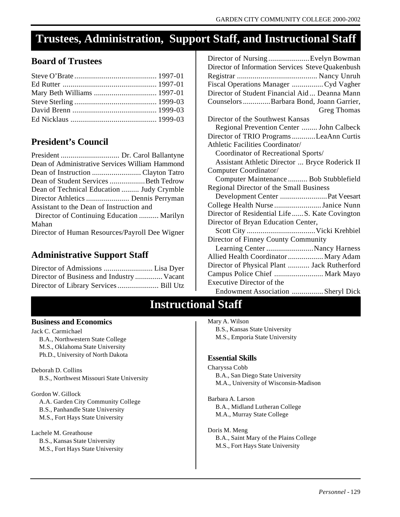### <span id="page-123-0"></span>**Trustees, Administration, Support Staff, and Instructional Staff**

### **Board of Trustees**

### **President's Council**

| Dean of Administrative Services William Hammond |  |
|-------------------------------------------------|--|
|                                                 |  |
| Dean of Student Services Beth Tedrow            |  |
| Dean of Technical Education  Judy Crymble       |  |
|                                                 |  |
| Assistant to the Dean of Instruction and        |  |
| Director of Continuing Education  Marilyn       |  |
| Mahan                                           |  |
| Director of Human Resources/Payroll Dee Wigner  |  |

### **Administrative Support Staff**

| Director of Business and Industry  Vacant |  |
|-------------------------------------------|--|
|                                           |  |

| Director of Nursing Evelyn Bowman                                                   |
|-------------------------------------------------------------------------------------|
| Director of Information Services Steve Quakenbush                                   |
|                                                                                     |
| Fiscal Operations Manager Cyd Vagher                                                |
| Director of Student Financial Aid Deanna Mann                                       |
| Counselors  Barbara Bond, Joann Garrier,                                            |
| Greg Thomas                                                                         |
| Director of the Southwest Kansas                                                    |
| Regional Prevention Center  John Calbeck                                            |
| Director of TRIO Programs LeaAnn Curtis                                             |
| Athletic Facilities Coordinator/                                                    |
| Coordinator of Recreational Sports/                                                 |
| Assistant Athletic Director  Bryce Roderick II                                      |
| Computer Coordinator/                                                               |
|                                                                                     |
|                                                                                     |
| Computer Maintenance  Bob Stubblefield                                              |
| Regional Director of the Small Business                                             |
| Development Center  Pat Veesart                                                     |
| College Health Nurse Janice Nunn<br>Director of Residential Life  S. Kate Covington |
|                                                                                     |
| Director of Bryan Education Center,                                                 |
|                                                                                     |
| Director of Finney County Community                                                 |
| Learning Center Nancy Harness                                                       |
| Allied Health Coordinator  Mary Adam                                                |
| Director of Physical Plant  Jack Rutherford                                         |
| Campus Police Chief  Mark Mayo<br>Executive Director of the                         |

### **Instructional Staff**

### **Business and Economics**

Jack C. Carmichael B.A., Northwestern State College M.S., Oklahoma State University Ph.D., University of North Dakota

Deborah D. Collins B.S., Northwest Missouri State University

Gordon W. Gillock A.A. Garden City Community College B.S., Panhandle State University M.S., Fort Hays State University

Lachele M. Greathouse B.S., Kansas State University M.S., Fort Hays State University Mary A. Wilson B.S., Kansas State University M.S., Emporia State University

### **Essential Skills**

Charyssa Cobb B.A., San Diego State University M.A., University of Wisconsin-Madison

Barbara A. Larson B.A., Midland Lutheran College M.A., Murray State College

Doris M. Meng B.A., Saint Mary of the Plains College M.S., Fort Hays State University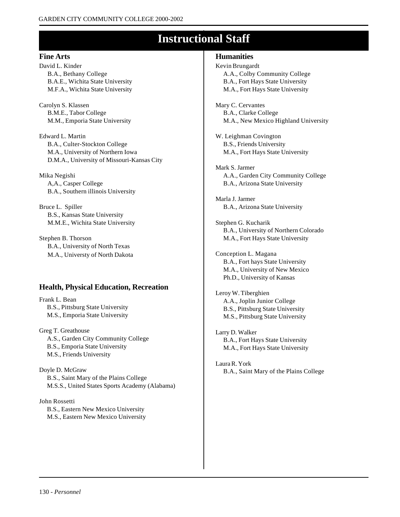### **Instructional Staff**

#### **Fine Arts**

David L. Kinder B.A., Bethany College B.A.E., Wichita State University M.F.A., Wichita State University

Carolyn S. Klassen B.M.E., Tabor College M.M., Emporia State University

Edward L. Martin B.A., Culter-Stockton College M.A., University of Northern Iowa D.M.A., University of Missouri-Kansas City

Mika Negishi A,A., Casper College B.A., Southern illinois University

Bruce L. Spiller B.S., Kansas State University M.M.E., Wichita State University

Stephen B. Thorson B.A., University of North Texas M.A., Universty of North Dakota

### **Health, Physical Education, Recreation**

Frank L. Bean B.S., Pittsburg State University M.S., Emporia State University

Greg T. Greathouse A.S., Garden City Community College B.S., Emporia State University M.S., Friends University

Doyle D. McGraw B.S., Saint Mary of the Plains College M.S.S., United States Sports Academy (Alabama)

John Rossetti B.S., Eastern New Mexico University M.S., Eastern New Mexico University

### **Humanities**

Kevin Brungardt A.A., Colby Community College B.A., Fort Hays State University M.A., Fort Hays State University

Mary C. Cervantes B.A., Clarke College M.A., New Mexico Highland University

W. Leighman Covington B.S., Friends University M.A., Fort Hays State University

Mark S. Jarmer A.A., Garden City Community College B.A., Arizona State University

Marla J. Jarmer B.A., Arizona State University

Stephen G. Kucharik B.A., University of Northern Colorado M.A., Fort Hays State University

Conception L. Magana B.A., Fort hays State University M.A., University of New Mexico Ph.D., University of Kansas

Leroy W. Tiberghien A.A., Joplin Junior College B.S., Pittsburg State University M.S., Pittsburg State University

Larry D. Walker B.A., Fort Hays State University M.A., Fort Hays State University

Laura R. York B.A., Saint Mary of the Plains College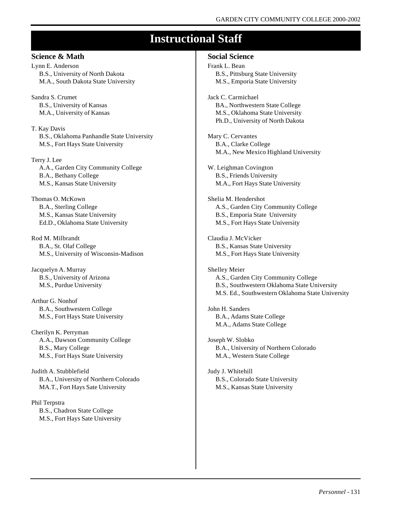### **Instructional Staff**

#### **Science & Math**

Lynn E. Anderson B.S., University of North Dakota M.A., South Dakota State University

Sandra S. Crumet B.S., University of Kansas M.A., University of Kansas

T. Kay Davis B.S., Oklahoma Panhandle State University M.S., Fort Hays State University

Terry J. Lee A.A., Garden City Community College B.A., Bethany College M.S., Kansas State University

Thomas O. McKown B.A., Sterling College M.S., Kansas State University Ed.D., Oklahoma State University

Rod M. Milbrandt B.A., St. Olaf College M.S., University of Wisconsin-Madison

Jacquelyn A. Murray B.S., University of Arizona M.S., Purdue University

Arthur G. Nonhof B.A., Southwestern College M.S., Fort Hays State University

Cherilyn K. Perryman A.A., Dawson Community College B.S., Mary College M.S., Fort Hays State University

Judith A. Stubblefield B.A., University of Northern Colorado MA.T., Fort Hays Sate University

Phil Terpstra B.S., Chadron State College M.S., Fort Hays Sate University

#### **Social Science**

Frank L. Bean B.S., Pittsburg State University M.S., Emporia State University

Jack C. Carmichael BA., Northwestern State College M.S., Oklahoma State University Ph.D., University of North Dakota

Mary C. Cervantes B.A., Clarke College M.A., New Mexico Highland University

W. Leighman Covington B.S., Friends University M.A., Fort Hays State University

Shelia M. Hendershot A.S., Garden City Community College B.S., Emporia State University M.S., Fort Hays State University

Claudia J. McVicker B.S., Kansas State University M.S., Fort Hays State University

Shelley Meier A.S., Garden City Community College B.S., Southwestern Oklahoma State University M.S. Ed., Southwestern Oklahoma State University

John H. Sanders B.A., Adams State College M.A., Adams State College

Joseph W. Slobko B.A., University of Northern Colorado M.A., Western State College

Judy J. Whitehill B.S., Colorado State University M.S., Kansas State University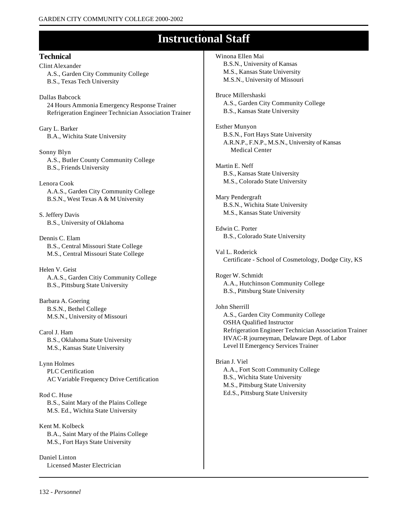### **Instructional Staff**

**Technical** Clint Alexander A.S., Garden City Community College B.S., Texas Tech University

Dallas Babcock 24 Hours Ammonia Emergency Response Trainer Refrigeration Engineer Technician Association Trainer

Gary L. Barker B.A., Wichita State University

Sonny Blyn A.S., Butler County Community College B.S., Friends University

Lenora Cook A.A.S., Garden City Community College B.S.N., West Texas A & M University

S. Jeffery Davis B.S., University of Oklahoma

Dennis C. Elam B.S., Central Missouri State College M.S., Central Missouri State College

Helen V. Geist A.A.S., Garden Citiy Community College B.S., Pittsburg State University

Barbara A. Goering B.S.N., Bethel College M.S.N., University of Missouri

Carol J. Ham B.S., Oklahoma State University M.S., Kansas State University

Lynn Holmes PLC Certification AC Variable Frequency Drive Certification

Rod C. Huse B.S., Saint Mary of the Plains College M.S. Ed., Wichita State University

Kent M. Kolbeck B.A., Saint Mary of the Plains College M.S., Fort Hays State University

Daniel Linton Licensed Master Electrician Winona Ellen Mai B.S.N., University of Kansas M.S., Kansas State University M.S.N., University of Missouri

Bruce Millershaski A.S., Garden City Community College B.S., Kansas State University

Esther Munyon B.S.N., Fort Hays State University A.R.N.P., F.N.P., M.S.N., University of Kansas Medical Center

Martin E. Neff B.S., Kansas State University M.S., Colorado State University

Mary Pendergraft B.S.N., Wichita State University M.S., Kansas State University

Edwin C. Porter B.S., Colorado State University

Val L. Roderick Certificate - School of Cosmetology, Dodge City, KS

Roger W. Schmidt A.A., Hutchinson Community College B.S., Pittsburg State University

John Sherrill A.S., Garden City Community College OSHA Qualified Instructor Refrigeration Engineer Technician Association Trainer HVAC-R journeyman, Delaware Dept. of Labor Level II Emergency Services Trainer

Brian J. Viel A.A., Fort Scott Community College B.S., Wichita State University M.S., Pittsburg State University Ed.S., Pittsburg State University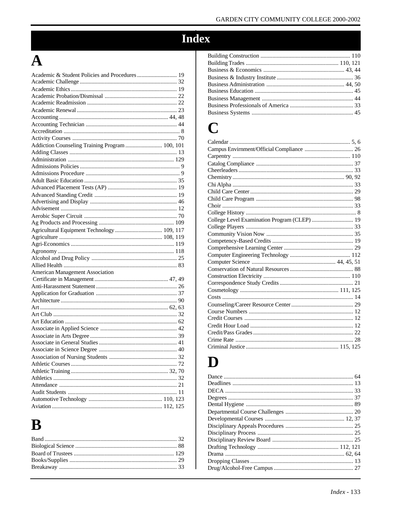## Index

## $\overline{\mathbf{A}}$

| Academic & Student Policies and Procedures  19  |  |
|-------------------------------------------------|--|
|                                                 |  |
|                                                 |  |
|                                                 |  |
|                                                 |  |
|                                                 |  |
|                                                 |  |
|                                                 |  |
|                                                 |  |
|                                                 |  |
| Addiction Counseling Training Program  100, 101 |  |
|                                                 |  |
|                                                 |  |
|                                                 |  |
|                                                 |  |
|                                                 |  |
|                                                 |  |
|                                                 |  |
|                                                 |  |
|                                                 |  |
|                                                 |  |
|                                                 |  |
| Agricultural Equipment Technology  109, 117     |  |
|                                                 |  |
|                                                 |  |
|                                                 |  |
|                                                 |  |
|                                                 |  |
| <b>American Management Association</b>          |  |
|                                                 |  |
|                                                 |  |
|                                                 |  |
|                                                 |  |
|                                                 |  |
|                                                 |  |
|                                                 |  |
|                                                 |  |
|                                                 |  |
|                                                 |  |
|                                                 |  |
|                                                 |  |
|                                                 |  |
|                                                 |  |
|                                                 |  |
|                                                 |  |
|                                                 |  |
|                                                 |  |
| $112 \t125$<br>Aviation                         |  |

# $\mathbf B$

### $\mathbf C$

| College Level Examination Program (CLEP)  19 |  |
|----------------------------------------------|--|
|                                              |  |
|                                              |  |
|                                              |  |
|                                              |  |
|                                              |  |
|                                              |  |
|                                              |  |
|                                              |  |
|                                              |  |
|                                              |  |
|                                              |  |
|                                              |  |
|                                              |  |
|                                              |  |
|                                              |  |
|                                              |  |
|                                              |  |
|                                              |  |
|                                              |  |

### D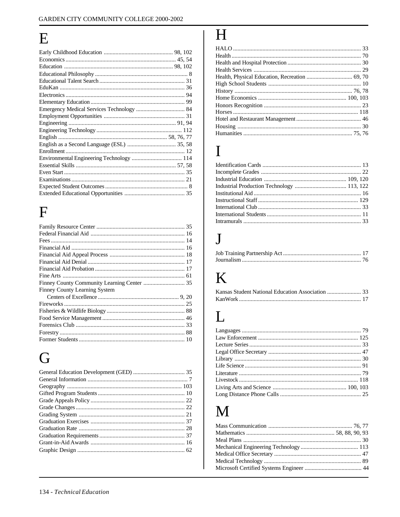## ${\bf E}$

## $\overline{F}$

| <b>Finney County Learning System</b> |  |
|--------------------------------------|--|
|                                      |  |
|                                      |  |
|                                      |  |
|                                      |  |
|                                      |  |
|                                      |  |
|                                      |  |

# G

# $\overline{\mathbf{H}}$

| Health, Physical Education, Recreation  69, 70 |  |
|------------------------------------------------|--|
|                                                |  |
|                                                |  |
|                                                |  |
|                                                |  |
|                                                |  |
|                                                |  |
|                                                |  |
|                                                |  |

### $\overline{I}$

## $\mathbf{J}$

# $\mathbf K$

## L

## M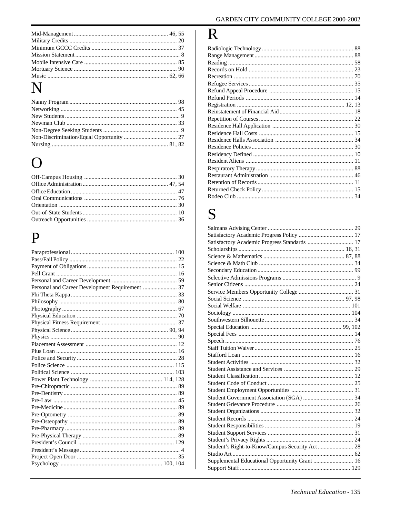# N

# $\Omega$

# $\mathbf P$

# $\mathbf R$

### S

| Satisfactory Academic Progress Standards  17   |  |
|------------------------------------------------|--|
|                                                |  |
|                                                |  |
|                                                |  |
|                                                |  |
|                                                |  |
|                                                |  |
|                                                |  |
|                                                |  |
|                                                |  |
|                                                |  |
|                                                |  |
|                                                |  |
|                                                |  |
|                                                |  |
|                                                |  |
|                                                |  |
|                                                |  |
|                                                |  |
|                                                |  |
|                                                |  |
|                                                |  |
|                                                |  |
|                                                |  |
|                                                |  |
|                                                |  |
|                                                |  |
|                                                |  |
|                                                |  |
| Student's Right-to-Know/Campus Security Act 28 |  |
|                                                |  |
| Supplemental Educational Opportunity Grant  16 |  |
|                                                |  |
|                                                |  |